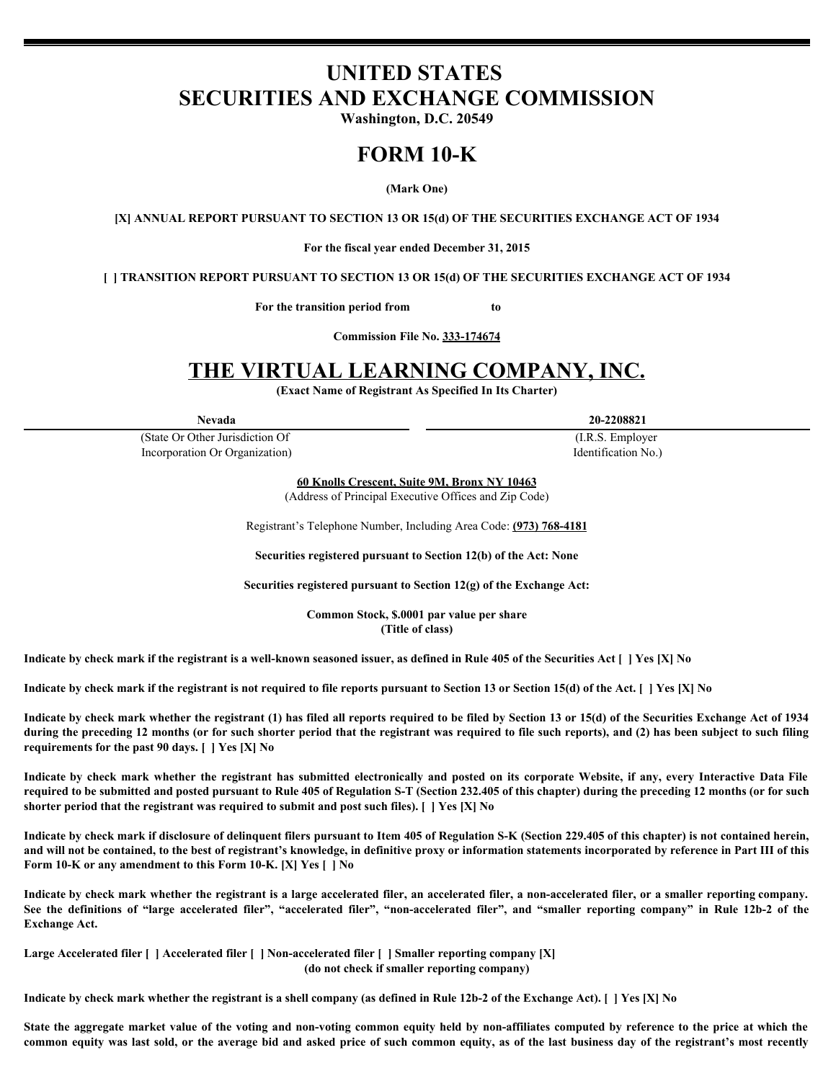# **UNITED STATES SECURITIES AND EXCHANGE COMMISSION**

**Washington, D.C. 20549**

# **FORM 10-K**

# **(Mark One)**

**[X] ANNUAL REPORT PURSUANT TO SECTION 13 OR 15(d) OF THE SECURITIES EXCHANGE ACT OF 1934**

**For the fiscal year ended December 31, 2015**

**[ ] TRANSITION REPORT PURSUANT TO SECTION 13 OR 15(d) OF THE SECURITIES EXCHANGE ACT OF 1934**

For the transition period from to

**Commission File No. 333-174674**

# **THE VIRTUAL LEARNING COMPANY, INC.**

**(Exact Name of Registrant As Specified In Its Charter)**

(State Or Other Jurisdiction Of Incorporation Or Organization)

**60 Knolls Crescent, Suite 9M, Bronx NY 10463**

(Address of Principal Executive Offices and Zip Code)

Registrant's Telephone Number, Including Area Code: **(973) 768-4181**

**Securities registered pursuant to Section 12(b) of the Act: None**

**Securities registered pursuant to Section 12(g) of the Exchange Act:**

**Common Stock, \$.0001 par value per share (Title of class)**

**Indicate by check mark if the registrant is a well-known seasoned issuer, as defined in Rule 405 of the Securities Act [ ] Yes [X] No**

**Indicate by check mark if the registrant is not required to file reports pursuant to Section 13 or Section 15(d) of the Act. [ ] Yes [X] No**

**Indicate by check mark whether the registrant (1) has filed all reports required to be filed by Section 13 or 15(d) of the Securities Exchange Act of 1934 during the preceding 12 months (or for such shorter period that the registrant was required to file such reports), and (2) has been subject to such filing requirements for the past 90 days. [ ] Yes [X] No**

**required to be submitted and posted pursuant to Rule 405 of Regulation S-T (Section 232.405 of this chapter) during the preceding 12 months (or for such shorter period that the registrant was required to submit and post such files). [ ] Yes [X] No**

**IFFREVIRTE VERTIVALE COMPEANY, INC.**<br> **INSTERT TO ALL SEX COMPANY, INC.**<br> **INSTERT TO A COMPANY AND COMPANY (IFS. Trapical Specified in Its Charges)**<br> **IEVENT TO ALL SECTRATION CONTINUES (IFS. Trapical Section 12 (IFS. Tr Indicate by check mark if disclosure of delinquent filers pursuant to Item 405 of Regulation S-K (Section 229.405 of this chapter) is not contained herein, and will not be contained, to the best of registrant's knowledge, in definitive proxy or information statements incorporated by reference in Part III of this Form 10-K or any amendment to this Form 10-K. [X] Yes [ ] No See The Context Context Context Context Context Context Context Context Context Context Context Context Context Context Context Context Context Context Context Context Context Context Context Context Context Context Conte** 

**Indicate by check mark whether the registrant is a large accelerated filer, an accelerated filer, a non-accelerated filer, or a smaller reporting company. Exchange Act.**

**Large Accelerated filer [ ] Accelerated filer [ ] Non-accelerated filer [ ] Smaller reporting company [X] (do not check if smaller reporting company)**

**Indicate by check mark whether the registrant is a shell company (as defined in Rule 12b-2 of the Exchange Act). [ ] Yes [X] No**

**State the aggregate market value of the voting and non-voting common equity held by non-affiliates computed by reference to the price at which the common equity was last sold, or the average bid and asked price of such common equity, as of the last business day of the registrant's most recently**

**Nevada 20-2208821**

(I.R.S. Employer Identification No.)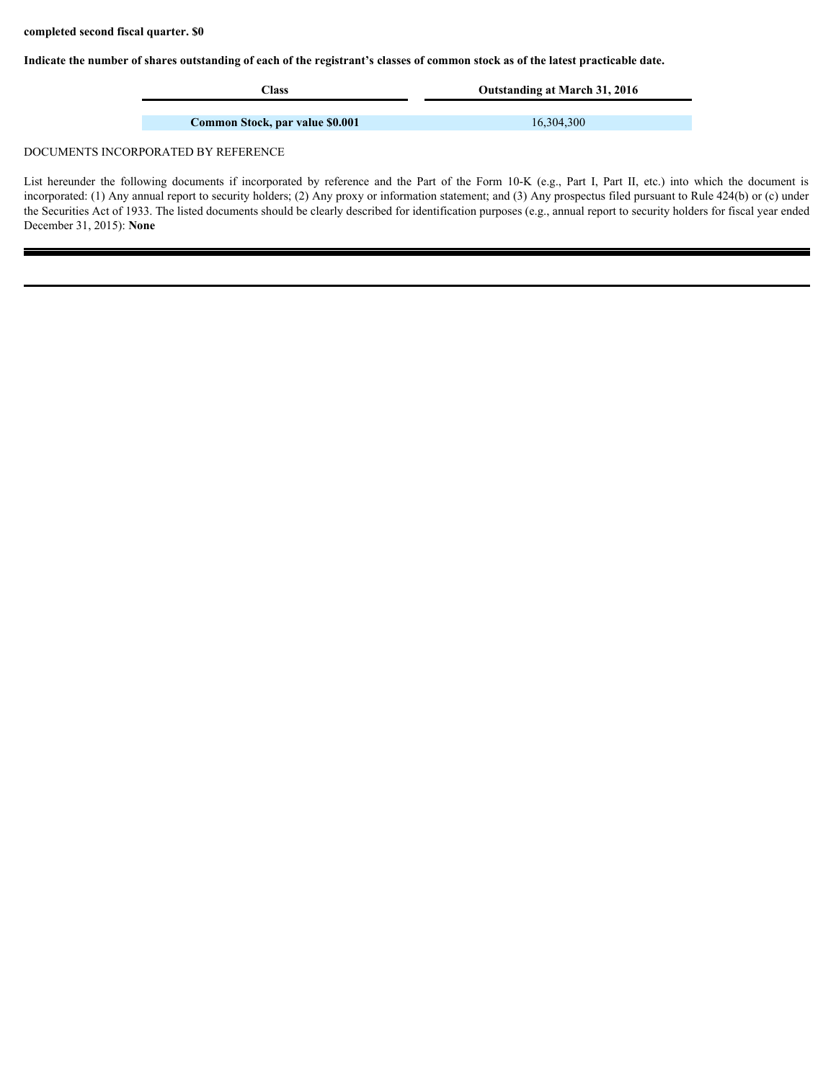# **completed second fiscal quarter. \$0**

**Indicate the number of shares outstanding of each of the registrant's classes of common stock as of the latest practicable date.**

| $\bigcap$ ass                          | Outstanding at March 31, 2016 |
|----------------------------------------|-------------------------------|
| <b>Common Stock, par value \$0.001</b> | 16,304,300                    |

# DOCUMENTS INCORPORATED BY REFERENCE

completed second fiscal quarter. S0<br>
Indicate the number of shares outstanding of each of the registrant's classes of common stock as of the latest practicable date.<br>
Class<br>
Contained at March 31, 2016<br>
Common Stock, par v incorporated: (1) Any annual report to security holders; (2) Any proxy or information statement; and (3) Any prospectus filed pursuant to Rule 424(b) or (c) under the Securities Act of 1933. The listed documents should be clearly described for identification purposes (e.g., annual report to security holders for fiscal year ended December 31, 2015): **None**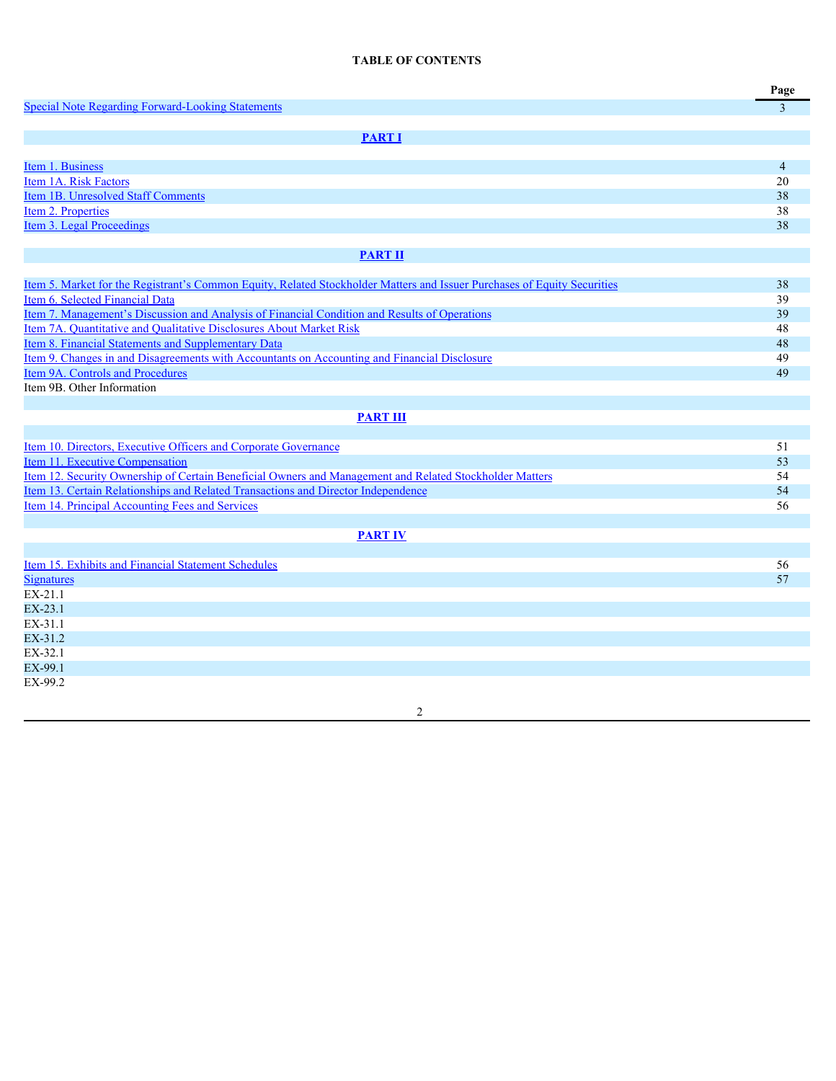# **TABLE OF CONTENTS**

|                                                                                                                          | Page                 |
|--------------------------------------------------------------------------------------------------------------------------|----------------------|
| <b>Special Note Regarding Forward-Looking Statements</b>                                                                 |                      |
|                                                                                                                          |                      |
| <b>PART I</b>                                                                                                            |                      |
|                                                                                                                          |                      |
| Item 1. Business<br>Item 1A. Risk Factors                                                                                | $\overline{4}$<br>20 |
| Item 1B. Unresolved Staff Comments                                                                                       | 38                   |
| Item 2. Properties                                                                                                       | 38                   |
| Item 3. Legal Proceedings                                                                                                | 38                   |
|                                                                                                                          |                      |
| <b>PART II</b>                                                                                                           |                      |
| Item 5. Market for the Registrant's Common Equity, Related Stockholder Matters and Issuer Purchases of Equity Securities | 38                   |
| Item 6. Selected Financial Data                                                                                          | 39                   |
| Item 7. Management's Discussion and Analysis of Financial Condition and Results of Operations                            | 39                   |
| Item 7A. Quantitative and Qualitative Disclosures About Market Risk                                                      | 48                   |
| Item 8. Financial Statements and Supplementary Data                                                                      | 48                   |
| Item 9. Changes in and Disagreements with Accountants on Accounting and Financial Disclosure                             | 49                   |
| Item 9A. Controls and Procedures                                                                                         | 49                   |
| Item 9B. Other Information                                                                                               |                      |
|                                                                                                                          |                      |
| <b>PART III</b>                                                                                                          |                      |
|                                                                                                                          |                      |
| Item 10. Directors, Executive Officers and Corporate Governance                                                          | 51                   |
| Item 11. Executive Compensation                                                                                          | 53                   |
| Item 12. Security Ownership of Certain Beneficial Owners and Management and Related Stockholder Matters                  | 54                   |
| Item 13. Certain Relationships and Related Transactions and Director Independence                                        | 54                   |
| Item 14. Principal Accounting Fees and Services                                                                          | 56                   |
|                                                                                                                          |                      |
| <b>PART IV</b>                                                                                                           |                      |
|                                                                                                                          |                      |
| Item 15. Exhibits and Financial Statement Schedules                                                                      | 56                   |
| <b>Signatures</b>                                                                                                        | 57                   |
| EX-21.1                                                                                                                  |                      |
| EX-23.1                                                                                                                  |                      |
| EX-31.1                                                                                                                  |                      |
| EX-31.2                                                                                                                  |                      |
| EX-32.1                                                                                                                  |                      |
| EX-99.1                                                                                                                  |                      |
| EX-99.2                                                                                                                  |                      |

2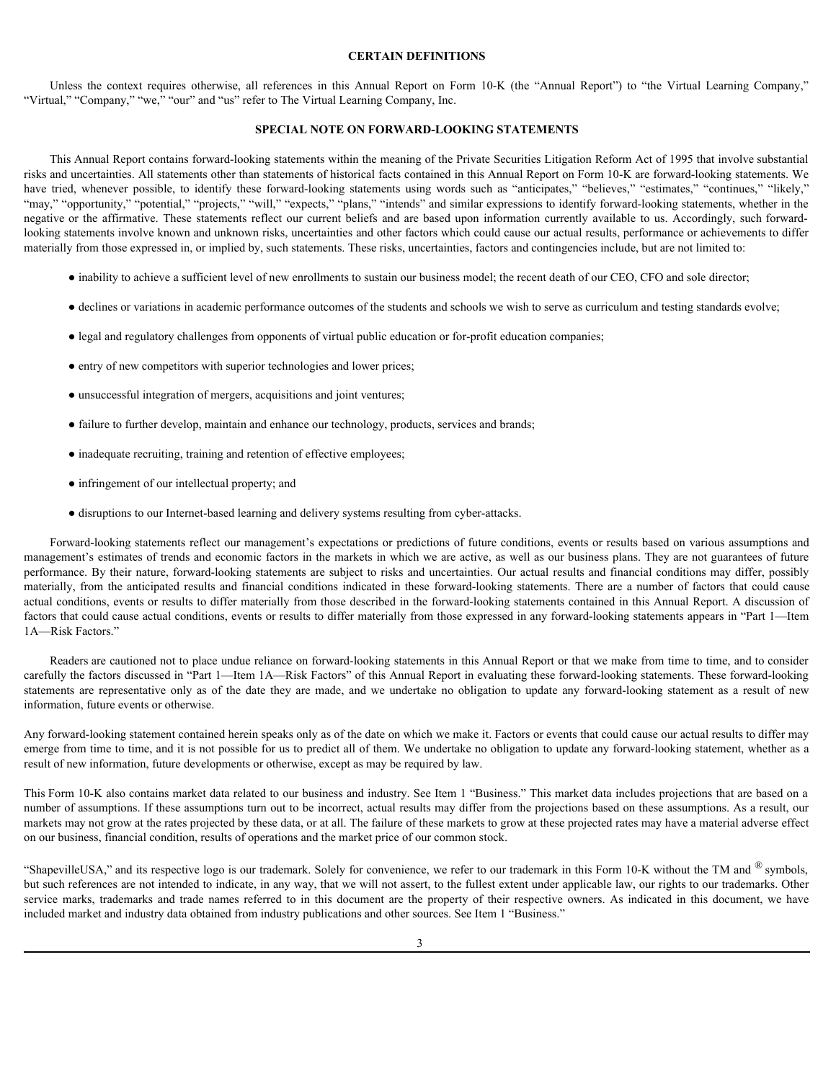## **CERTAIN DEFINITIONS**

<span id="page-3-0"></span>"Virtual," "Company," "we," "our" and "us" refer to The Virtual Learning Company, Inc.

## **SPECIAL NOTE ON FORWARD-LOOKING STATEMENTS**

CERTAIN DEFINITIONS<br>Unless the context requires otherwise, all references in this Annual Report on Form 10-K (the "Annual Report") to "the Virtual Learning Company,"<br>ual," "Company," "we," "our" and "us" refer to The Virtu This Annual Report contains forward-looking statements within the meaning of the Private Securities Litigation Reform Act of 1995 that involve substantial risks and uncertainties. All statements other than statements of historical facts contained in this Annual Report on Form 10-K are forward-looking statements. We CERTAIN DEFINITIONS<br>
"Virtual," "Company," "we," "our" and "us" refer to The Virtual Learning Company, Inc.<br>
"Wirtual," "Company, " "we," "our" and "us" refer to The Virtual Learning Company, Inc.<br>
"This Amual Report conta "may," "opportunity," "potential," "projects," "will," "expects," "plans," "intends" and similar expressions to identify forward-looking statements, whether in the **CERTAIN DEFINITIONS**<br> **CERTAIN DEFINITIONS**<br> **CYITUAL**,""Company," "we," "our "and "us" refer to The Virtual Learning Company, Inc.<br> **SPECIAL NOTE ON FORWARD-LOOKING STATEMENTS**<br>
This Amual Report contains forward-lookin looking statements involve known and unknown risks, uncertainties and other factors which could cause our actual results, performance or achievements to differ materially from those expressed in, or implied by, such statements. These risks, uncertainties, factors and contingencies include, but are not limited to: This Amual Report contains forward-looking stucturents within the meaning of the Private Scentifics. Alistons and the conditions in this Amual Report on Form and Financial Conditions and the conditions in the anticipate i

- inability to achieve a sufficient level of new enrollments to sustain our business model; the recent death of our CEO, CFO and sole director;
- declines or variations in academic performance outcomes of the students and schools we wish to serve as curriculum and testing standards evolve;
- legal and regulatory challenges from opponents of virtual public education or for-profit education companies;
- entry of new competitors with superior technologies and lower prices;
- unsuccessful integration of mergers, acquisitions and joint ventures;
- failure to further develop, maintain and enhance our technology, products, services and brands;
- inadequate recruiting, training and retention of effective employees;
- infringement of our intellectual property; and
- disruptions to our Internet-based learning and delivery systems resulting from cyber-attacks.

Forward-looking statements reflect our management's expectations or predictions of future conditions, events or results based on various assumptions and management's estimates of trends and economic factors in the markets in which we are active, as well as our business plans. They are not guarantees of future performance. By their nature, forward-looking statements are subject to risks and uncertainties. Our actual results and financial conditions may differ, possibly actual conditions, events or results to differ materially from those described in the forward-looking statements contained in this Annual Report. A discussion of factors that could cause actual conditions, events or results to differ materially from those expressed in any forward-looking statements appears in "Part 1—Item 1A—Risk Factors." materially from those represent in, or implied by, such statements These risks, incertainties, factors and considered for our CEO, CTO and sole discusses and the date of the considered are entitled in the considered and o e independent recruiting, training and retardion of officines ampliquency.<br>
indisguresser of trademarks related to the management's expectations or productions of Editor conditions, events or tradits hand on various assum

Readers are cautioned not to place undue reliance on forward-looking statements in this Annual Report or that we make from time to time, and to consider carefully the factors discussed in "Part 1—Item 1A—Risk Factors" of this Annual Report in evaluating these forward-looking statements. These forward-looking information, future events or otherwise.

Any forward-looking statement contained herein speaks only as of the date on which we make it. Factors or events that could cause our actual results to differ may emerge from time to time, and it is not possible for us to predict all of them. We undertake no obligation to update any forward-looking statement, whether as a result of new information, future developments or otherwise, except as may be required by law.

This Form 10-K also contains market data related to our business and industry. See Item 1 "Business." This market data includes projections that are based on a number of assumptions. If these assumptions turn out to be incorrect, actual results may differ from the projections based on these assumptions. As a result, our markets may not grow at the rates projected by these data, or at all. The failure of these markets to grow at these projected rates may have a material adverse effect on our business, financial condition, results of operations and the market price of our common stock.

"ShapevilleUSA," and its respective logo is our trademark. Solely for convenience, we refer to our trademark in this Form 10-K without the TM and  $\mathcal{R}$  symbols, but such references are not intended to indicate, in any way, that we will not assert, to the fullest extent under applicable law, our rights to our trademarks. Other included market and industry data obtained from industry publications and other sources. See Item 1 "Business."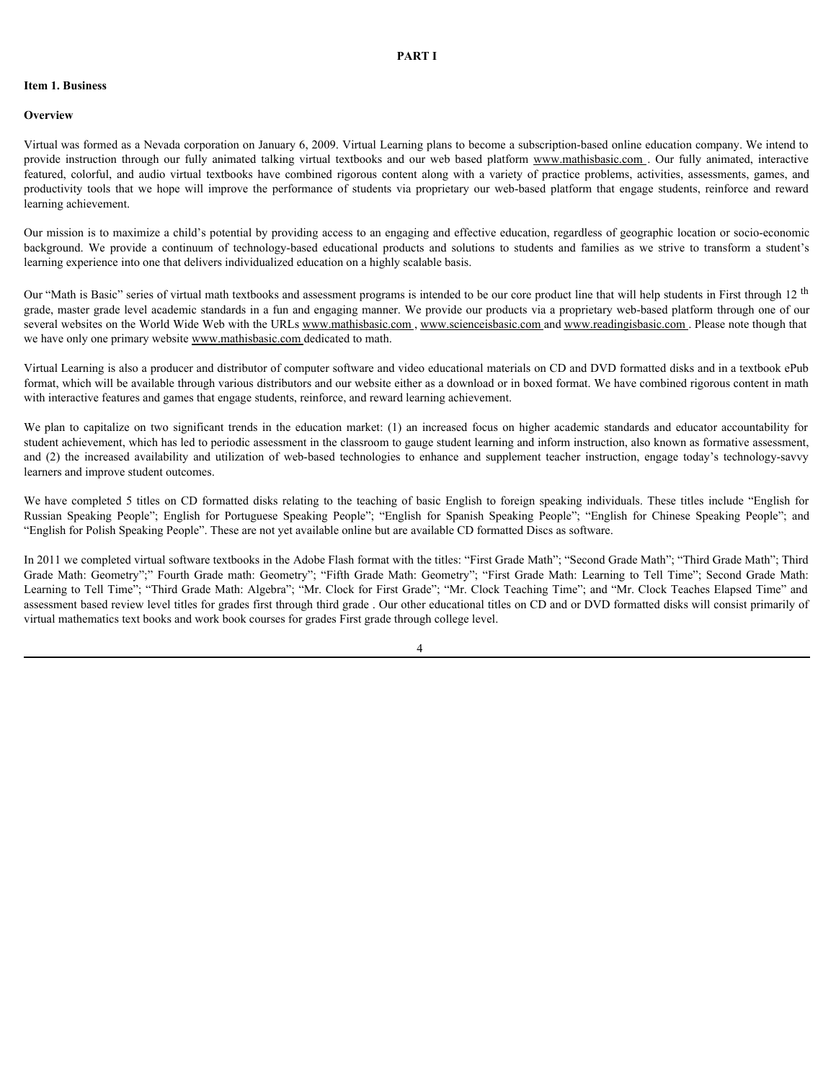## **PART I**

### <span id="page-4-1"></span>**Item 1. Business**

### **Overview Overview** *Overview*

Virtual was formed as a Nevada corporation on January 6, 2009. Virtual Learning plans to become a subscription-based online education company. We intend to **PART I**<br> **Overview**<br> **Overview**<br> **Overview**<br> **Overview**<br> **Overview**<br> **Our final was formed as a Nevada corporation on January 6, 2009. Virtual Learning plans to become a subscription-based online education company. We int FART I**<br>**Overview**<br>**Overview**<br>**instruction through our fully animated taking virtual Learning plans to become a subscription-based online education company. We intend to<br>provide instruction through our fully animated taki PART I**<br> **Overview**<br> **Overview**<br> **Overview**<br> **Ouring that Solution through our fully animated taking virtual textbooks and our web based platform <u>www.mathishase.com</u>. Our fully aimined team<br>
<b>Equitarity of beather out th** learning achievement. **EXEL EXECT CONDUCT CONDUCT CONDUCT THE CONDUCT THE CONDUCT CONDUCT CONDUCT CONDUCT THE CONDUCT CONDUCT THE CONDUCT CONDUCT THE CONDUCT CONDUCT THE CONDUCT CONDUCT THE CONDUCT CONDUCT THE CONDUCT CONDUCT THE CONDUCT CONDUC Example 1. Hussines<br>
We plan to capitalize on the formula of the capital control of the significant transfer on the education of the significant transfer of the education and transfer of the education means the education EVEL 2)**<br>**EVELO increases**<br>**Overview and the state of the increased automobility eigenvalue and the increase of the increase technologies increases the increase and one web-based photons, and increase the increase of the Form I. Rusiness**<br> **Procedure Source of a Novela corporation on January 6, 2069. Virtual Learing plane to boome a mbettighten-based collier company. We intended the teaching the state of the complete the performance of st** 

Our mission is to maximize a child's potential by providing access to an engaging and effective education, regardless of geographic location or socio-economic learning experience into one that delivers individualized education on a highly scalable basis.

Our "Math is Basic" series of virtual math textbooks and assessment programs is intended to be our core product line that will help students in First through 12<sup>th</sup> grade, master grade level academic standards in a fun and engaging manner. We provide our products via a proprietary web-based platform through one of our several websites on the World Wide Web with the URLs www.mathisbasic.com, www.scienceisbasic.com and www.readingisbasic.com. Please note though that we have only one primary website www.mathisbasic.com dedicated to math.

Virtual Learning is also a producer and distributor of computer software and video educational materials on CD and DVD formatted disks and in a textbook ePub format, which will be available through various distributors and our website either as a download or in boxed format. We have combined rigorous content in math with interactive features and games that engage students, reinforce, and reward learning achievement.

student achievement, which has led to periodic assessment in the classroom to gauge student learning and inform instruction, also known as formative assessment, learners and improve student outcomes.

"English for Polish Speaking People". These are not yet available online but are available CD formatted Discs as software.

<span id="page-4-0"></span>Ren I. Business<br>
Wrati was formed as a Newali expectation on Jummy 6, 2009. Virtual Leadings plane to boonic a minicipalization for Portuguese the portuguese of the Conserver of the specific periodic methods for the speaki In 2011 we completed virtual software textbooks in the Adobe Flash format with the titles: "First Grade Math"; "Second Grade Math"; "Third Grade Math"; Third Vrital was formed as a Newals corporation on January 6, 2009. Vrital Learning plans is become the more of the more considered mathematical com-<br>For the more computer mathematical their steady decrease and one of the first Learning to Tell Time"; "Third Grade Math: Algebra"; "Mr. Clock for First Grade"; "Mr. Clock Teaching Time"; and "Mr. Clock Teaches Elapsed Time" and assessment based review level titles for grades first through third grade . Our other educational titles on CD and or DVD formatted disks will consist primarily of virtual mathematics text books and work book courses for grades First grade through college level.

 $\Delta$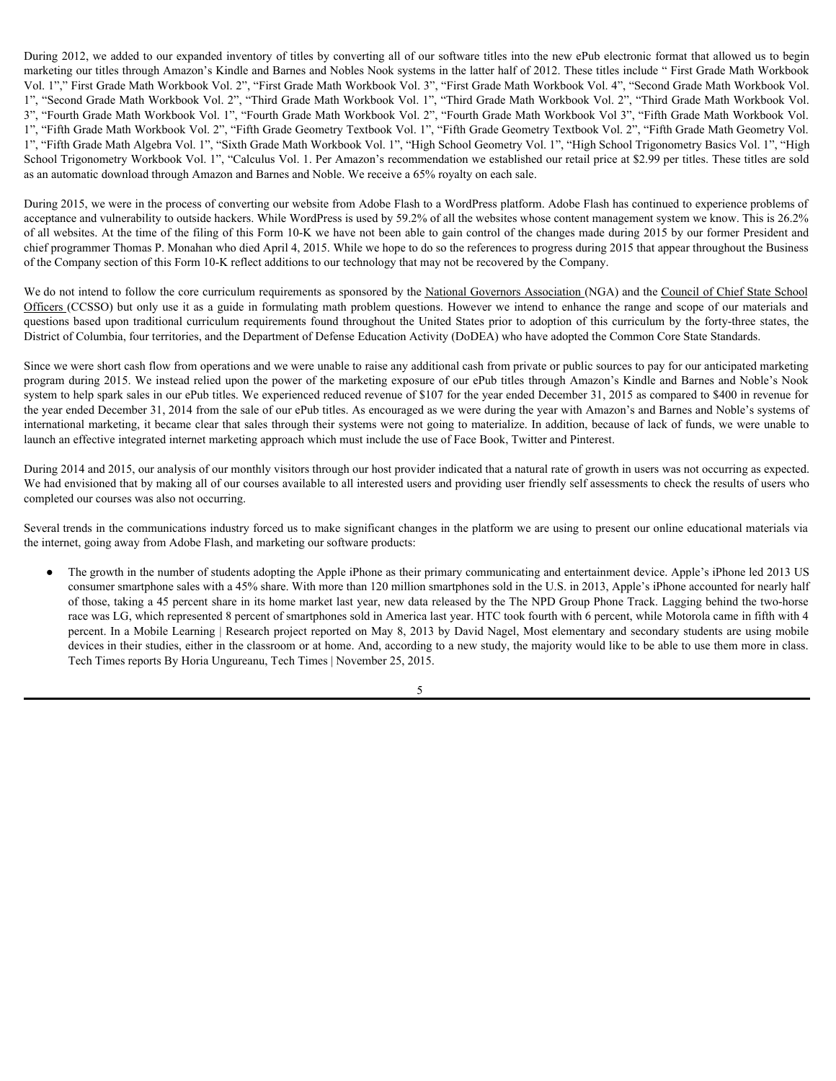During 2012, we added to our expanded inventory of titles by converting all of our software titles into the new ePub electronic format that allowed us to begin marketing our titles through Amazon's Kindle and Barnes and Nobles Nook systems in the latter half of 2012. These titles include " First Grade Math Workbook Vol. 1"," First Grade Math Workbook Vol. 2", "First Grade Math Workbook Vol. 3", "First Grade Math Workbook Vol. 4", "Second Grade Math Workbook Vol. 1", "Second Grade Math Workbook Vol. 2", "Third Grade Math Workbook Vol. 1", "Third Grade Math Workbook Vol. 2", "Third Grade Math Workbook Vol. 3", "Fourth Grade Math Workbook Vol. 1", "Fourth Grade Math Workbook Vol. 2", "Fourth Grade Math Workbook Vol 3", "Fifth Grade Math Workbook Vol. 1", "Fifth Grade Math Workbook Vol. 2", "Fifth Grade Geometry Textbook Vol. 1", "Fifth Grade Geometry Textbook Vol. 2", "Fifth Grade Math Geometry Vol. 1", "Fifth Grade Math Algebra Vol. 1", "Sixth Grade Math Workbook Vol. 1", "High School Geometry Vol. 1", "High School Trigonometry Basics Vol. 1", "High School Trigonometry Workbook Vol. 1", "Calculus Vol. 1. Per Amazon's recommendation we established our retail price at \$2.99 per titles. These titles are sold as an automatic download through Amazon and Barnes and Noble. We receive a 65% royalty on each sale.

During 2015, we were in the process of converting our website from Adobe Flash to a WordPress platform. Adobe Flash has continued to experience problems of acceptance and vulnerability to outside hackers. While WordPress is used by 59.2% of all the websites whose content management system we know. This is 26.2% of all websites. At the time of the filing of this Form 10-K we have not been able to gain control of the changes made during 2015 by our former President and chief programmer Thomas P. Monahan who died April 4, 2015. While we hope to do so the references to progress during 2015 that appear throughout the Business of the Company section of this Form 10-K reflect additions to our technology that may not be recovered by the Company.

We do not intend to follow the core curriculum requirements as sponsored by the National Governors Association (NGA) and the Council of Chief State School Officers (CCSSO) but only use it as a guide in formulating math problem questions. However we intend to enhance the range and scope of our materials and questions based upon traditional curriculum requirements found throughout the United States prior to adoption of this curriculum by the forty-three states, the District of Columbia, four territories, and the Department of Defense Education Activity (DoDEA) who have adopted the Common Core State Standards.

Since we were short cash flow from operations and we were unable to raise any additional cash from private or public sources to pay for our anticipated marketing program during 2015. We instead relied upon the power of the marketing exposure of our ePub titles through Amazon's Kindle and Barnes and Noble's Nook system to help spark sales in our ePub titles. We experienced reduced revenue of \$107 for the year ended December 31, 2015 as compared to \$400 in revenue for the year ended December 31, 2014 from the sale of our ePub titles. As encouraged as we were during the year with Amazon's and Barnes and Noble's systems of international marketing, it became clear that sales through their systems were not going to materialize. In addition, because of lack of funds, we were unable to launch an effective integrated internet marketing approach which must include the use of Face Book, Twitter and Pinterest.

During 2014 and 2015, our analysis of our monthly visitors through our host provider indicated that a natural rate of growth in users was not occurring as expected. We had envisioned that by making all of our courses available to all interested users and providing user friendly self assessments to check the results of users who completed our courses was also not occurring.

Several trends in the communications industry forced us to make significant changes in the platform we are using to present our online educational materials via the internet, going away from Adobe Flash, and marketing our software products:

The growth in the number of students adopting the Apple iPhone as their primary communicating and entertainment device. Apple's iPhone led 2013 US consumer smartphone sales with a 45% share. With more than 120 million smartphones sold in the U.S. in 2013, Apple's iPhone accounted for nearly half of those, taking a 45 percent share in its home market last year, new data released by the The NPD Group Phone Track. Lagging behind the two-horse race was LG, which represented 8 percent of smartphones sold in America last year. HTC took fourth with 6 percent, while Motorola came in fifth with 4 percent. In a Mobile Learning | Research project reported on May 8, 2013 by David Nagel, Most elementary and secondary students are using mobile devices in their studies, either in the classroom or at home. And, according to a new study, the majority would like to be able to use them more in class. Tech Times reports By Horia Ungureanu, Tech Times | November 25, 2015.

5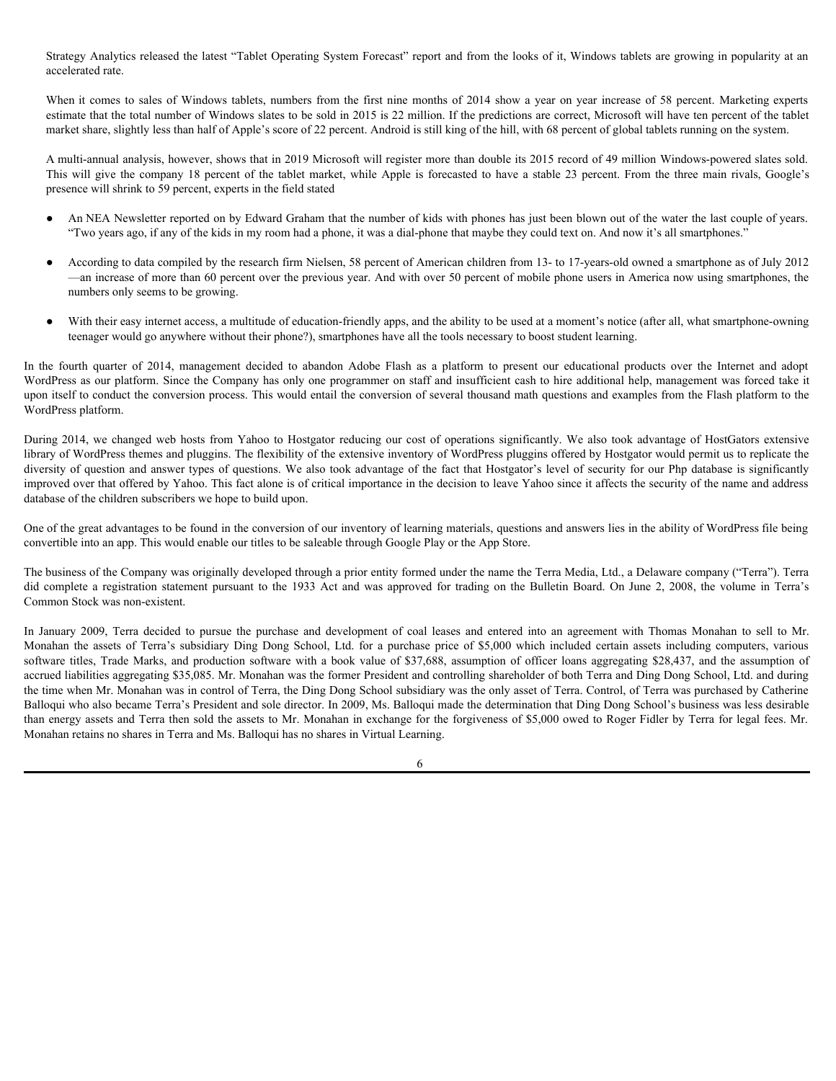Strategy Analytics released the latest "Tablet Operating System Forecast" report and from the looks of it, Windows tablets are growing in popularity at an accelerated rate.

Strategy Analytics released the latest "Tablet Operating System Forecast" report and from the looks of it, Windows tablets are growing in popularity at an accelerated rate.<br>When it comes to sales of Windows tablets, number estimate that the total number of Windows slates to be sold in 2015 is 22 million. If the predictions are correct, Microsoft will have ten percent of the tablet market share, slightly less than half of Apple's score of 22 percent. Android is still king of the hill, with 68 percent of global tablets running on the system. Strategy Analytics released the latest "Tablet Operating System Forceast" report and from the looks of it, Windows tablets are growing in popularity at an accelerated rate.<br>
When it comes to sales of Windows tablets, numbe

A multi-annual analysis, however, shows that in 2019 Microsoft will register more than double its 2015 record of 49 million Windows-powered slates sold. presence will shrink to 59 percent, experts in the field stated

- An NEA Newsletter reported on by Edward Graham that the number of kids with phones has just been blown out of the water the last couple of years. "Two years ago, if any of the kids in my room had a phone, it was a dial-phone that maybe they could text on. And now it's all smartphones."
- According to data compiled by the research firm Nielsen, 58 percent of American children from 13- to 17-years-old owned a smartphone as of July 2012 —an increase of more than 60 percent over the previous year. And with over 50 percent of mobile phone users in America now using smartphones, the numbers only seems to be growing.
- With their easy internet access, a multitude of education-friendly apps, and the ability to be used at a moment's notice (after all, what smartphone-owning teenager would go anywhere without their phone?), smartphones have all the tools necessary to boost student learning.

Sintegy Analytics released the lates<sup>1</sup> Tubitet Operating System Forecast<sup>-</sup> report and from the looks of at, Windows ublets are growing in popularity at an accelerated rate contract of Vindows tablets, nambers from the f WordPress as our platform. Since the Company has only one programmer on staff and insufficient cash to hire additional help, management was forced take it upon itself to conduct the conversion process. This would entail the conversion of several thousand math questions and examples from the Flash platform to the WordPress platform.

Sintingy Analysies relaxed the latest "Tabled Operating System Toweas" repert and four the looks of it, Weakove tables are growing in peptianty at an Society and Montena and Montena Montena Web to Hostgator Singilar and M library of WordPress themes and pluggins. The flexibility of the extensive inventory of WordPress pluggins offered by Hostgator would permit us to replicate the diversity of question and answer types of questions. We also took advantage of the fact that Hostgator's level of security for our Php database is significantly improved over that offered by Yahoo. This fact alone is of critical importance in the decision to leave Yahoo since it affects the security of the name and address database of the children subscribers we hope to build upon.

One of the great advantages to be found in the conversion of our inventory of learning materials, questions and answers lies in the ability of WordPress file being convertible into an app. This would enable our titles to be saleable through Google Play or the App Store.

The business of the Company was originally developed through a prior entity formed under the name the Terra Media, Ltd., a Delaware company ("Terra"). Terra Common Stock was non-existent.

A multi-armal andesis, however, shows that in 2019 Mersellt will register more on double is 2015 record of 49 million Windows-powered since sole.<br>This will give the computer of the notic ratios, while Apple is forecard to The section of the entire of the sell of the Sole and the sell of the sell of the sell of the sell of the sell of the sell of the sell of the sell of the sell of the sell of the sell of the sell of the sell of the sell of • An NEA Newsletter reported on by Edvard Graham that the number of kids with phones has interlection any ofte ware entirely any of the sets of the sets of the sets of the sets of the sets of the sets of the sets of the s s An VEA Newletter representation by Histonic Grabach and some titles, which phone has production and of the value and the state of the state of the state of the state of the state of the state of the state of the state o accrued liabilities aggregating \$35,085. Mr. Monahan was the former President and controlling shareholder of both Terra and Ding Dong School, Ltd. and during the time when Mr. Monahan was in control of Terra, the Ding Dong School subsidiary was the only asset of Terra. Control, of Terra was purchased by Catherine Balloqui who also became Terra's President and sole director. In 2009, Ms. Balloqui made the determination that Ding Dong School's business was less desirable than energy assets and Terra then sold the assets to Mr. Monahan in exchange for the forgiveness of \$5,000 owed to Roger Fidler by Terra for legal fees. Mr. Monahan retains no shares in Terra and Ms. Balloqui has no shares in Virtual Learning.

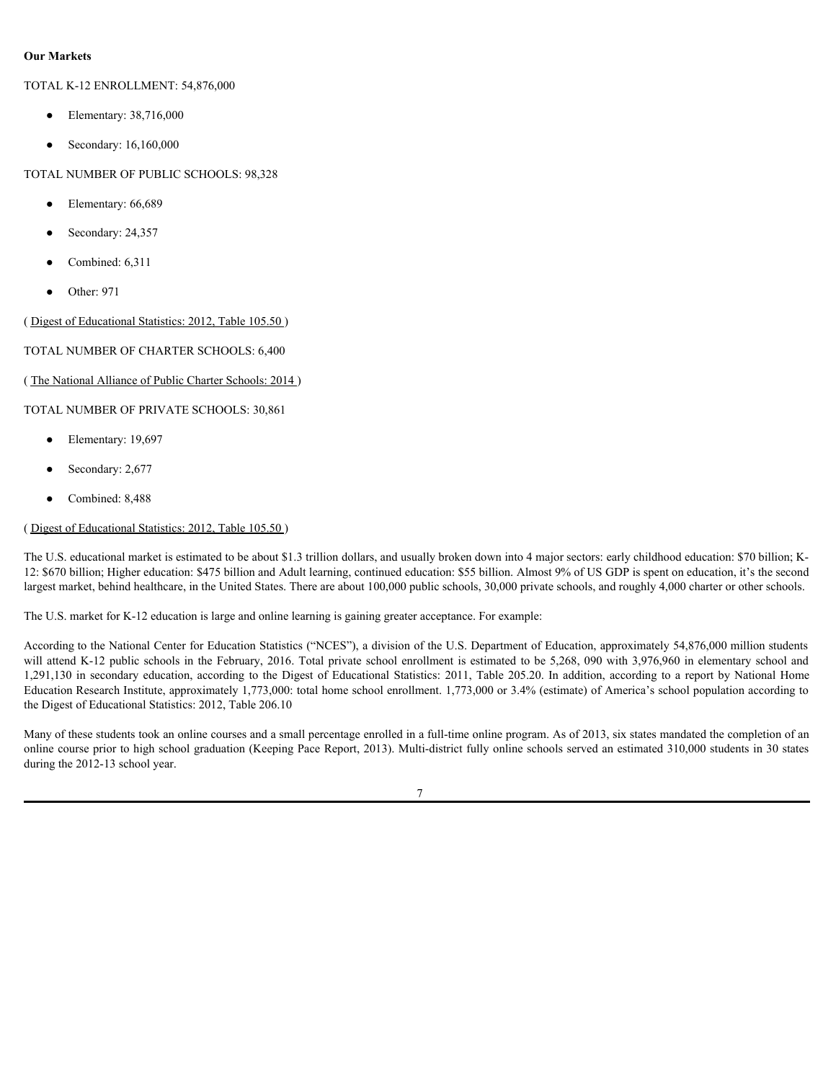## **Our Markets**

TOTAL K-12 ENROLLMENT: 54,876,000

- Elementary: 38,716,000
- Secondary: 16,160,000

TOTAL NUMBER OF PUBLIC SCHOOLS: 98,328

- Elementary: 66,689
- Secondary: 24,357
- Combined: 6,311
- Other: 971

( Digest of Educational Statistics: 2012, Table 105.50 )

TOTAL NUMBER OF CHARTER SCHOOLS: 6,400

( The National Alliance of Public Charter Schools: 2014 )

TOTAL NUMBER OF PRIVATE SCHOOLS: 30,861

- Elementary: 19,697
- Secondary: 2,677
- Combined: 8,488

# ( Digest of Educational Statistics: 2012, Table 105.50 )

The U.S. educational market is estimated to be about \$1.3 trillion dollars, and usually broken down into 4 major sectors: early childhood education: \$70 billion; K-12: \$670 billion; Higher education: \$475 billion and Adult learning, continued education: \$55 billion. Almost 9% of US GDP is spent on education, it's the second largest market, behind healthcare, in the United States. There are about 100,000 public schools, 30,000 private schools, and roughly 4,000 charter or other schools.

The U.S. market for K-12 education is large and online learning is gaining greater acceptance. For example:

According to the National Center for Education Statistics ("NCES"), a division of the U.S. Department of Education, approximately 54,876,000 million students will attend K-12 public schools in the February, 2016. Total private school enrollment is estimated to be 5,268, 090 with 3,976,960 in elementary school and • Steombry 24,357<br>• Combinet: 6,311<br>
• Observed Missions, SUA Characteristics: 2012, 1816(193.9)<br>
TOTAL NUMBER OF CHARTER SCHOOLS: 30,861<br>
• Elementary 19,697<br>
• Combine: 8,488<br>
Characteristics: 2012, Table 105, 1916<br>
• C Education Research Institute, approximately 1,773,000: total home school enrollment. 1,773,000 or 3.4% (estimate) of America's school population according to the Digest of Educational Statistics: 2012, Table 206.10

Many of these students took an online courses and a small percentage enrolled in a full-time online program. As of 2013, six states mandated the completion of an online course prior to high school graduation (Keeping Pace Report, 2013). Multi-district fully online schools served an estimated 310,000 students in 30 states during the 2012-13 school year.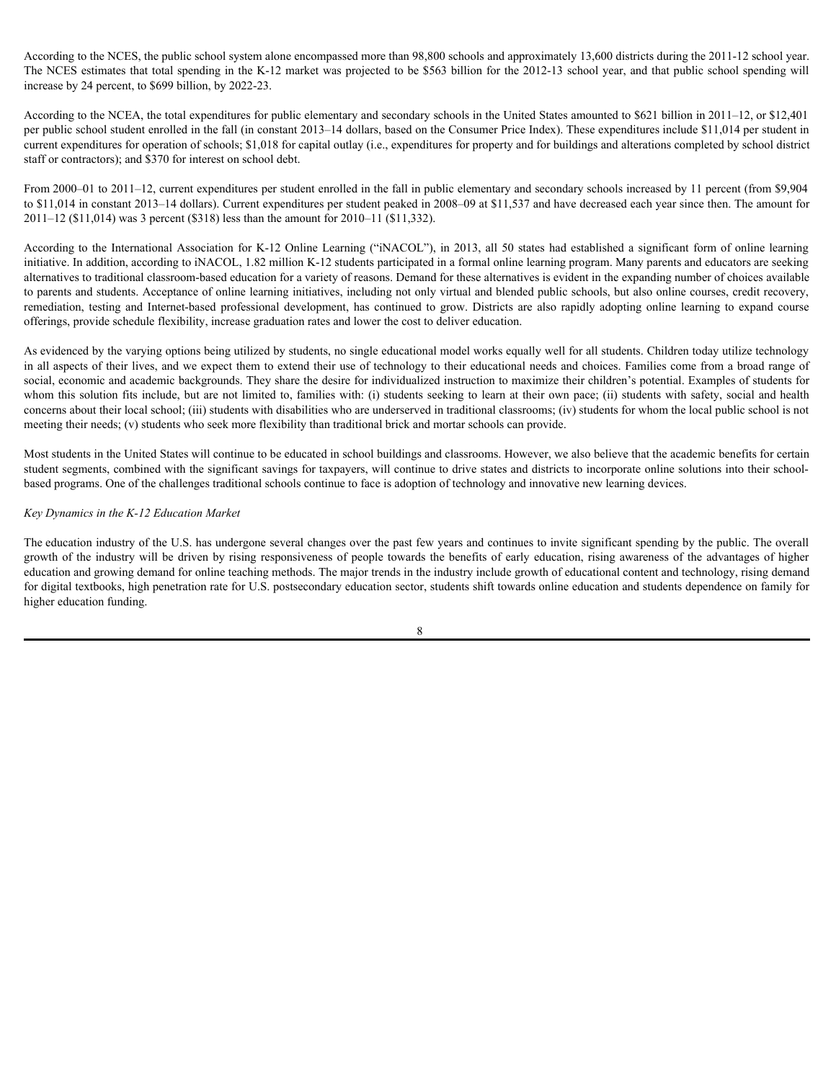According to the NCES, the public school system alone encompassed more than 98,800 schools and approximately 13,600 districts during the 2011-12 school year. The NCES estimates that total spending in the K-12 market was projected to be \$563 billion for the 2012-13 school year, and that public school spending will increase by 24 percent, to \$699 billion, by 2022-23.

According to the NCEA, the total expenditures for public elementary and secondary schools in the United States amounted to \$621 billion in 2011–12, or \$12,401 per public school student enrolled in the fall (in constant 2013–14 dollars, based on the Consumer Price Index). These expenditures include \$11,014 per student in current expenditures for operation of schools; \$1,018 for capital outlay (i.e., expenditures for property and for buildings and alterations completed by school district staff or contractors); and \$370 for interest on school debt.

From 2000–01 to 2011–12, current expenditures per student enrolled in the fall in public elementary and secondary schools increased by 11 percent (from \$9,904 to \$11,014 in constant 2013–14 dollars). Current expenditures per student peaked in 2008–09 at \$11,537 and have decreased each year since then. The amount for 2011–12 (\$11,014) was 3 percent (\$318) less than the amount for 2010–11 (\$11,332).

According to the International Association for K-12 Online Learning ("iNACOL"), in 2013, all 50 states had established a significant form of online learning initiative. In addition, according to iNACOL, 1.82 million K-12 students participated in a formal online learning program. Many parents and educators are seeking alternatives to traditional classroom-based education for a variety of reasons. Demand for these alternatives is evident in the expanding number of choices available to parents and students. Acceptance of online learning initiatives, including not only virtual and blended public schools, but also online courses, credit recovery, According to the NCES, the public school system alone encompassed more than 98,800 schools and approximately 13,600 districts during the 2011-12 school speed, recevent and continue and the NCFs setimates has the factors a offerings, provide schedule flexibility, increase graduation rates and lower the cost to deliver education.

As evidenced by the varying options being utilized by students, no single educational model works equally well for all students. Children today utilize technology in all aspects of their lives, and we expect them to extend their use of technology to their educational needs and choices. Families come from a broad range of social, economic and academic backgrounds. They share the desire for individualized instruction to maximize their children's potential. Examples of students for whom this solution fits include, but are not limited to, families with: (i) students seeking to learn at their own pace; (ii) students with safety, social and health concerns about their local school; (iii) students with disabilities who are underserved in traditional classrooms; (iv) students for whom the local public school is not meeting their needs; (v) students who seek more flexibility than traditional brick and mortar schools can provide.

Most students in the United States will continue to be educated in school buildings and classrooms. However, we also believe that the academic benefits for certain student segments, combined with the significant savings for taxpayers, will continue to drive states and districts to incorporate online solutions into their schoolbased programs. One of the challenges traditional schools continue to face is adoption of technology and innovative new learning devices.

# *Key Dynamics in the K-12 Education Market*

The education industry of the U.S. has undergone several changes over the past few years and continues to invite significant spending by the public. The overall growth of the industry will be driven by rising responsiveness of people towards the benefits of early education, rising awareness of the advantages of higher education and growing demand for online teaching methods. The major trends in the industry include growth of educational content and technology, rising demand for digital textbooks, high penetration rate for U.S. postsecondary education sector, students shift towards online education and students dependence on family for higher education funding.

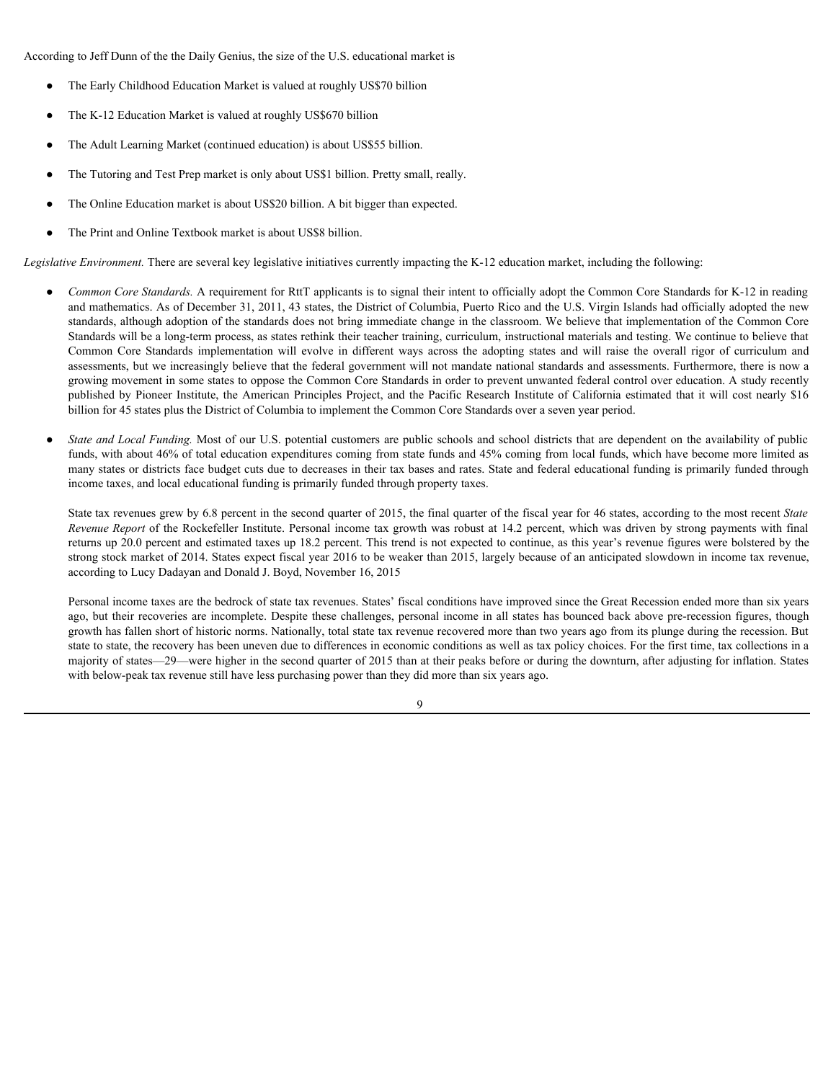According to Jeff Dunn of the the Daily Genius, the size of the U.S. educational market is

- The Early Childhood Education Market is valued at roughly US\$70 billion
- The K-12 Education Market is valued at roughly US\$670 billion
- The Adult Learning Market (continued education) is about US\$55 billion.
- The Tutoring and Test Prep market is only about US\$1 billion. Pretty small, really.
- The Online Education market is about US\$20 billion. A bit bigger than expected.
- The Print and Online Textbook market is about US\$8 billion.

*Legislative Environment.* There are several key legislative initiatives currently impacting the K-12 education market, including the following:

- *Common Core Standards.* A requirement for RttT applicants is to signal their intent to officially adopt the Common Core Standards for K-12 in reading and mathematics. As of December 31, 2011, 43 states, the District of Columbia, Puerto Rico and the U.S. Virgin Islands had officially adopted the new standards, although adoption of the standards does not bring immediate change in the classroom. We believe that implementation of the Common Core Standards will be a long-term process, as states rethink their teacher training, curriculum, instructional materials and testing. We continue to believe that g to Jeff Dumn of the the Daily Gemins, the size of the U.S. educational murket is<br>The Early Childhood Education Murket is valued at roughly USS570 billion.<br>
The Tarly Childhood Education market is and at roughly USS570 bi assessments, but we increasingly believe that the federal government will not mandate national standards and assessments. Furthermore, there is now a growing movement in some states to oppose the Common Core Standards in order to prevent unwanted federal control over education. A study recently g to Jeff Dunn of the the Daily Genius, the size of the U.S. educational market is<br>The Farly Childrecki Farley Childrecki is valued at roughly US\$670 billion.<br>The Farley Elistication Market is valued at roughly US\$670 bill billion for 45 states plus the District of Columbia to implement the Common Core Standards over a seven year period.
- *State and Local Funding.* Most of our U.S. potential customers are public schools and school districts that are dependent on the availability of public funds, with about 46% of total education expenditures coming from state funds and 45% coming from local funds, which have become more limited as many states or districts face budget cuts due to decreases in their tax bases and rates. State and federal educational funding is primarily funded through income taxes, and local educational funding is primarily funded through property taxes.

State tax revenues grew by 6.8 percent in the second quarter of 2015, the final quarter of the fiscal year for 46 states, according to the most recent *State Revenue Report* of the Rockefeller Institute. Personal income tax growth was robust at 14.2 percent, which was driven by strong payments with final returns up 20.0 percent and estimated taxes up 18.2 percent. This trend is not expected to continue, as this year's revenue figures were bolstered by the strong stock market of 2014. States expect fiscal year 2016 to be weaker than 2015, largely because of an anticipated slowdown in income tax revenue, according to Lucy Dadayan and Donald J. Boyd, November 16, 2015

Personal income taxes are the bedrock of state tax revenues. States' fiscal conditions have improved since the Great Recession ended more than six years ago, but their recoveries are incomplete. Despite these challenges, personal income in all states has bounced back above pre-recession figures, though growth has fallen short of historic norms. Nationally, total state tax revenue recovered more than two years ago from its plunge during the recession. But state to state, the recovery has been uneven due to differences in economic conditions as well as tax policy choices. For the first time, tax collections in a majority of states—29—were higher in the second quarter of 2015 than at their peaks before or during the downturn, after adjusting for inflation. States with below-peak tax revenue still have less purchasing power than they did more than six years ago.

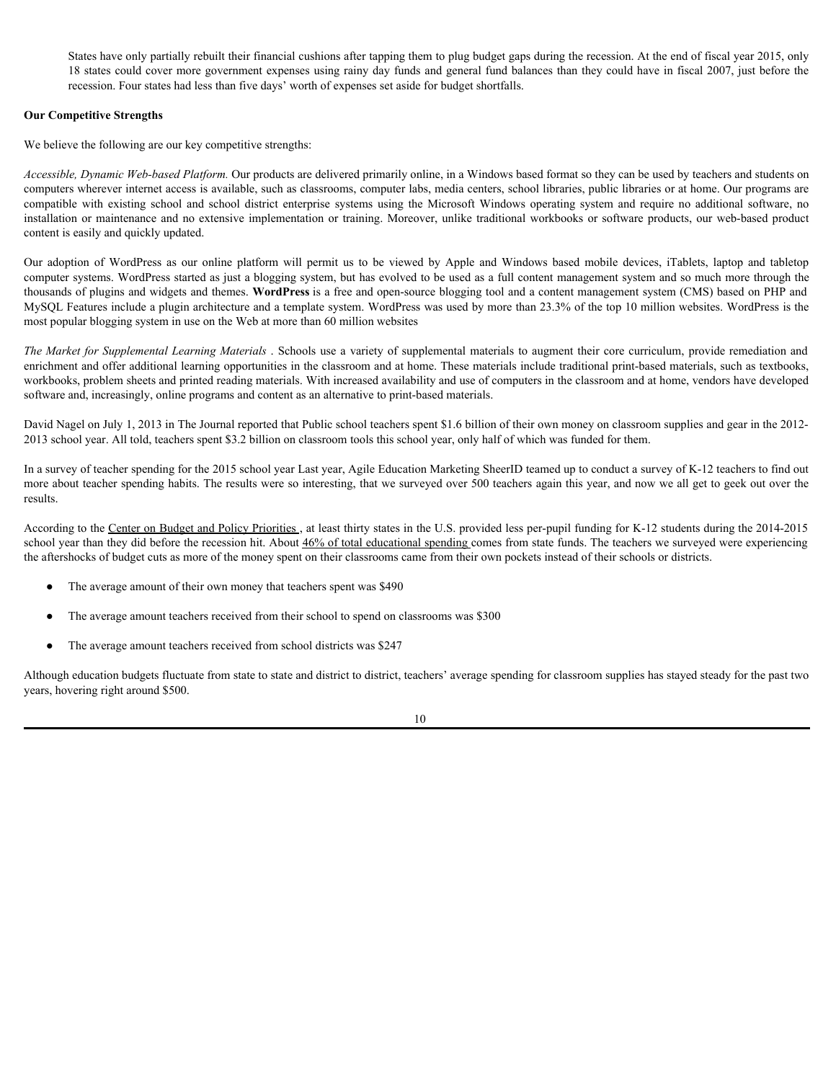States have only partially rebuilt their financial cushions after tapping them to plug budget gaps during the recession. At the end of fiscal year 2015, only 18 states could cover more government expenses using rainy day funds and general fund balances than they could have in fiscal 2007, just before the recession. Four states had less than five days' worth of expenses set aside for budget shortfalls.

# **Our Competitive Strengths**

We believe the following are our key competitive strengths:

*Accessible, Dynamic Web-based Platform.* Our products are delivered primarily online, in a Windows based format so they can be used by teachers and students on computers wherever internet access is available, such as classrooms, computer labs, media centers, school libraries, public libraries or at home. Our programs are States have only partially rebuilt their financial cushions after tapping them to plug budget gaps during the recession. At the end of fiscal year 2015, only 18 states could over more government expenses using rainy day fu States have only partially rebuilt their financial cushions after tapping them to plug budget gaps during the recession. At the end of fiscal year 2015, only 18 states could over more government expenses using rainy day fu content is easily and quickly updated. Slutes have only partially rebuilt their financial cushions after tapping them to plug budget gaps during the recession. At the end of fiscal year 2015, only 18 states could cover more government experses using rainy day f

computer systems. WordPress started as just a blogging system, but has evolved to be used as a full content management system and so much more through the thousands of plugins and widgets and themes. **WordPress** is a free and open-source blogging tool and a content management system (CMS) based on PHP and MySQL Features include a plugin architecture and a template system. WordPress was used by more than 23.3% of the top 10 million websites. WordPress is the most popular blogging system in use on the Web at more than 60 million websites

*The Market for Supplemental Learning Materials* . Schools use a variety of supplemental materials to augment their core curriculum, provide remediation and enrichment and offer additional learning opportunities in the classroom and at home. These materials include traditional print-based materials, such as textbooks, workbooks, problem sheets and printed reading materials. With increased availability and use of computers in the classroom and at home, vendors have developed software and, increasingly, online programs and content as an alternative to print-based materials.

David Nagel on July 1, 2013 in The Journal reported that Public school teachers spent \$1.6 billion of their own money on classroom supplies and gear in the 2012-2013 school year. All told, teachers spent \$3.2 billion on classroom tools this school year, only half of which was funded for them.

In a survey of teacher spending for the 2015 school year Last year, Agile Education Marketing SheerID teamed up to conduct a survey of K-12 teachers to find out more about teacher spending habits. The results were so interesting, that we surveyed over 500 teachers again this year, and now we all get to geek out over the results.

According to the Center on Budget and Policy Priorities, at least thirty states in the U.S. provided less per-pupil funding for K-12 students during the 2014-2015 school year than they did before the recession hit. About  $46\%$  of total educational spending comes from state funds. The teachers we surveyed were experiencing the aftershocks of budget cuts as more of the money spent on their classrooms came from their own pockets instead of their schools or districts.

- The average amount of their own money that teachers spent was \$490
- The average amount teachers received from their school to spend on classrooms was \$300
- The average amount teachers received from school districts was \$247

Although education budgets fluctuate from state to state and district to district, teachers' average spending for classroom supplies has stayed steady for the past two years, hovering right around \$500.

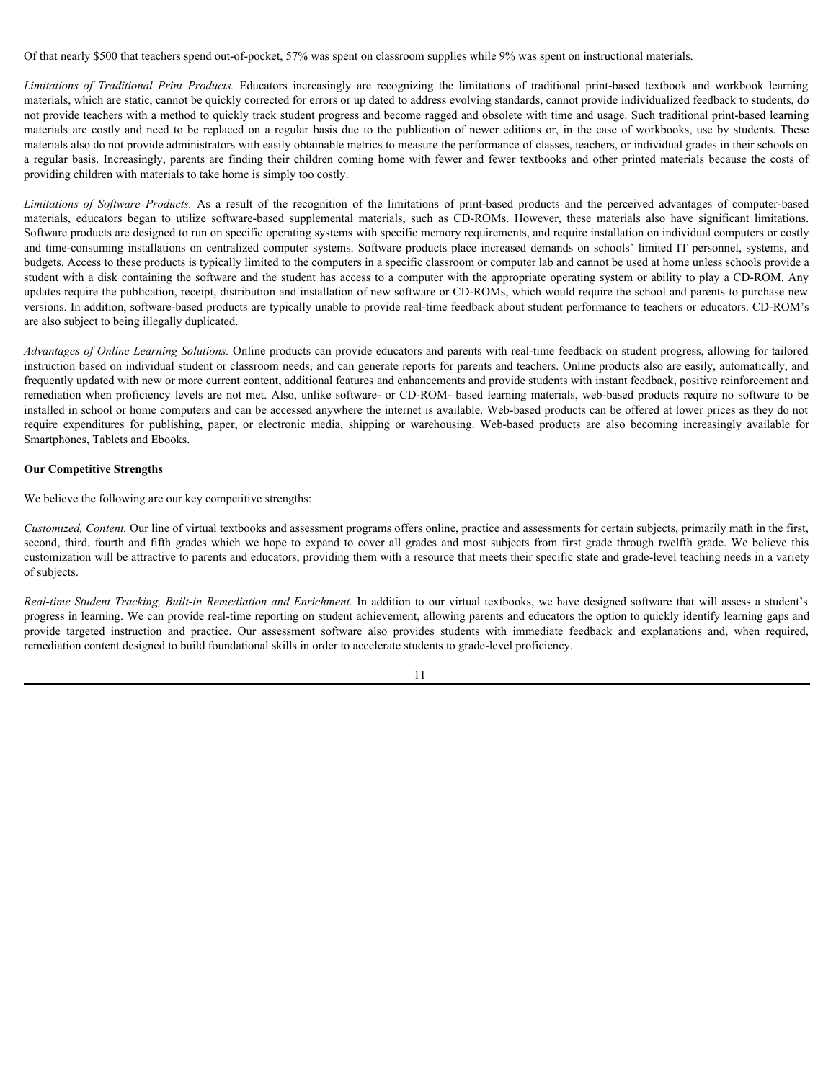Of that nearly \$500 that teachers spend out-of-pocket, 57% was spent on classroom supplies while 9% was spent on instructional materials.

*Limitations of Traditional Print Products*. Educators increasingly are recognizing the limitations of traditional print-based textbook and workbook learning *Limitations of Traditional Print Products*. Educators increasin materials, which are static, cannot be quickly corrected for errors or up dated to address evolving standards, cannot provide individualized feedback to students, do not provide teachers with a method to quickly track student progress and become ragged and obsolete with time and usage. Such traditional print-based learning Of that nearly \$500 that teachers spend out-of-pocket, 57% was spent on classroom supplies while 9% was spent on instructional materials.<br> *Limitations of Traditional Print Products* Educators increasingly are recognizing materials also do not provide administrators with easily obtainable metrics to measure the performance of classes, teachers, or individual grades in their schools on Of that nearly \$500 that teachers spend out-of-pocket, 57% was spent on classroom supplies while 9% was spent on instructional materials.<br> *Limitations of Traditional Print Products*. Educators increasingly are recognizing providing children with materials to take home is simply too costly.

Of that nearly \$500 that teachers spend out-of-pocket, 57% was spent on classroom supplies while 9% was spent on instructional materials.<br> *Limitations of Traditional Print Products.* Educators increasingly are recognizing Of that nearly \$500 that teachers spend out-of-pocket, 57% was spent on classroom supplies while 9% was spent on instructional materials, *Limitations of Fraditional Print Productes*. Educators increasingly are recognizing Software products are designed to run on specific operating systems with specific memory requirements, and require installation on individual computers or costly and time-consuming installations on centralized computer systems. Software products place increased demands on schools' limited IT personnel, systems, and budgets. Access to these products is typically limited to the computers in a specific classroom or computer lab and cannot be used at home unless schools provide a student with a disk containing the software and the student has access to a computer with the appropriate operating system or ability to play a CD-ROM. Any updates require the publication, receipt, distribution and installation of new software or CD-ROMs, which would require the school and parents to purchase new versions. In addition, software-based products are typically unable to provide real-time feedback about student performance to teachers or educators. CD-ROM's are also subject to being illegally duplicated. Of that nearly \$500 that techners spend out-of-pocket, 57% was spent on characons mapplies while <sup>9%</sup> was spent on instructional insteriols.<br>Institutions of *Traductures* in the reduction from the memission are nearly the multers, which are seen, commolies to the play to energy of the play second for the play second in the play second in the second in the second in the second in the second and the second and the second and the second and th Limitation of Softwore Products. An a testil of the recognition of the limitations of princhest products and the precise deshumes and considerably consider the materials, although consider the materials and browns, the ma

*Advantages of Online Learning Solutions.* Online products can provide educators and parents with real-time feedback on student progress, allowing for tailored instruction based on individual student or classroom needs, and can generate reports for parents and teachers. Online products also are easily, automatically, and frequently updated with new or more current content, additional features and enhancements and provide students with instant feedback, positive reinforcement and remediation when proficiency levels are not met. Also, unlike software- or CD-ROM- based learning materials, web-based products require no software to be installed in school or home computers and can be accessed anywhere the internet is available. Web-based products can be offered at lower prices as they do not Smartphones, Tablets and Ebooks.

### **Our Competitive Strengths**

We believe the following are our key competitive strengths:

*Customized, Content.* Our line of virtual textbooks and assessment programs offers online, practice and assessments for certain subjects, primarily math in the first, customization will be attractive to parents and educators, providing them with a resource that meets their specific state and grade-level teaching needs in a variety of subjects.

Real-time Student Tracking, Built-in Remediation and Enrichment. In addition to our virtual textbooks, we have designed software that will assess a student's progress in learning. We can provide real-time reporting on student achievement, allowing parents and educators the option to quickly identify learning gaps and remediation content designed to build foundational skills in order to accelerate students to grade-level proficiency.

11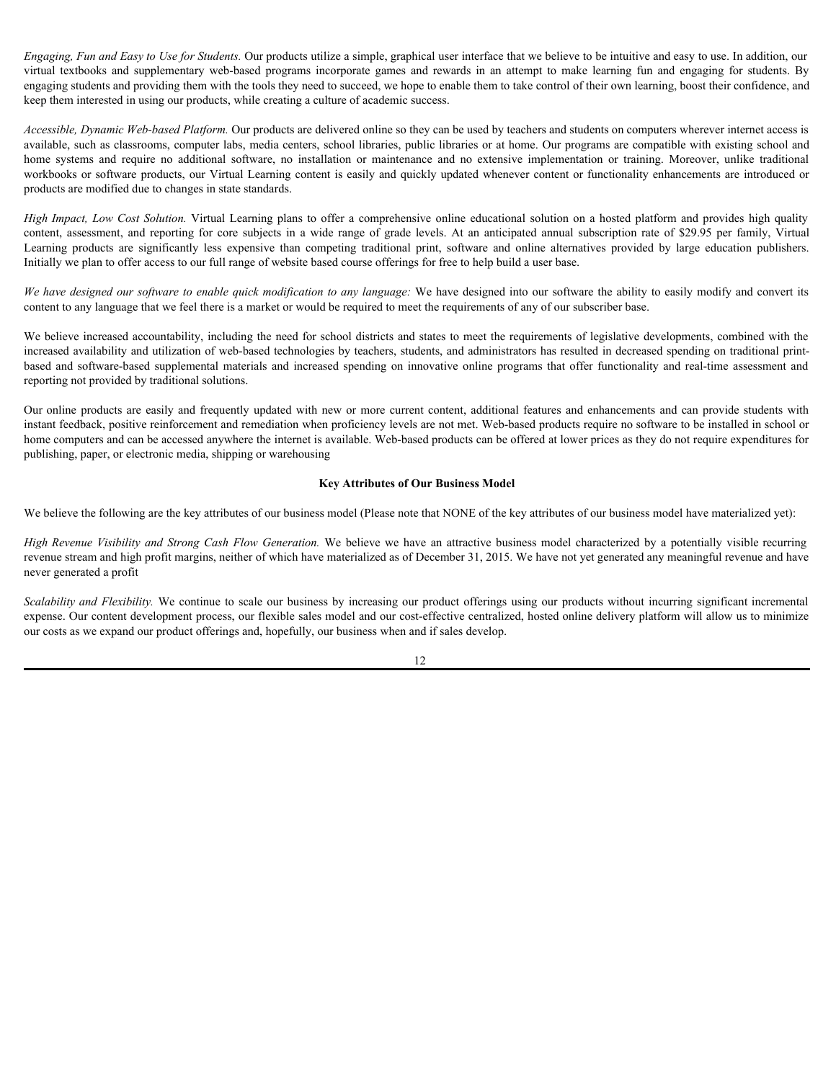*Engaging, Fun and Easy to Use for Students.* Our products utilize a simple, graphical user interface that we believe to be intuitive and easy to use. In addition, our engaging students and providing them with the tools they need to succeed, we hope to enable them to take control of their own learning, boost their confidence, and keep them interested in using our products, while creating a culture of academic success.

*Engaging, Fun and Easy to Use for Students*. Our products utilize a simple, graphical user interface that we believe to be intuitive and easy to use. In addition, our virtual textbooks and supplementary web-based programs *Accessible, Dynamic Web-based Platform.* Our products are delivered online so they can be used by teachers and students on computers wherever internet access is available, such as classrooms, computer labs, media centers, school libraries, public libraries or at home. Our programs are compatible with existing school and *Engaging, Fun and Easy to Use for Students*. Our products utilize a simple, graphical user interface that we believe to be intuitive and easy to use. In addition, our wirtual textbooks and supplementary web-based programs workbooks or software products, our Virtual Learning content is easily and quickly updated whenever content or functionality enhancements are introduced or products are modified due to changes in state standards. *Highging, Fian and Easy to Use for Students*. Our products stilize a simple, graphical user interface that we believe to be intuitive and easy to use. In addition, our virtual textbooks and supplementary web-bsed programs Engaging. Fim and Eary to Use for Sudents. Our products utilize a simple, graphical user interface that we believe to be intuitive and easy to use. In addition, our wirtual textbooks and supplementary web-based programs i *Engaging, Fun and Easy to Use for Sudents*. Our products utilize a simple, graphical user interface that we believe to be intuitive and easy to use. In addition, our wirtual textbooks and supplementary web-based programs *bingaging, Fiva ond Liary to Use for Shadens.* Our products using the graphical user interlative that we below to intuitive and explore that the properties we supplementally well-has the supplemental provides the materia Duggeng *Fuo and Faxy to Use for Nadour*. Our products airliers a streple, propheri mer tractation between the two of the products are the products and supplemental contents are the products and supplemental contents are been here the strong tor products, while creating a where of accessors are strong cash for computes where the strong computes where the strong computes where the strong *High Revenue Visibility and Strong High Strong High* 

Initially we plan to offer access to our full range of website based course offerings for free to help build a user base.

We have designed our software to enable quick modification to any language: We have designed into our software the ability to easily modify and convert its content to any language that we feel there is a market or would be required to meet the requirements of any of our subscriber base.

We believe increased accountability, including the need for school districts and states to meet the requirements of legislative developments, combined with the increased availability and utilization of web-based technologies by teachers, students, and administrators has resulted in decreased spending on traditional printreporting not provided by traditional solutions.

instant feedback, positive reinforcement and remediation when proficiency levels are not met. Web-based products require no software to be installed in school or home computers and can be accessed anywhere the internet is available. Web-based products can be offered at lower prices as they do not require expenditures for publishing, paper, or electronic media, shipping or warehousing

## **Key Attributes of Our Business Model**

We believe the following are the key attributes of our business model (Please note that NONE of the key attributes of our business model have materialized yet):

revenue stream and high profit margins, neither of which have materialized as of December 31, 2015. We have not yet generated any meaningful revenue and have never generated a profit

*Scalability and Flexibility.* We continue to scale our business by increasing our product offerings using our products without incurring significant incremental expense. Our content development process, our flexible sales model and our cost-effective centralized, hosted online delivery platform will allow us to minimize our costs as we expand our product offerings and, hopefully, our business when and if sales develop.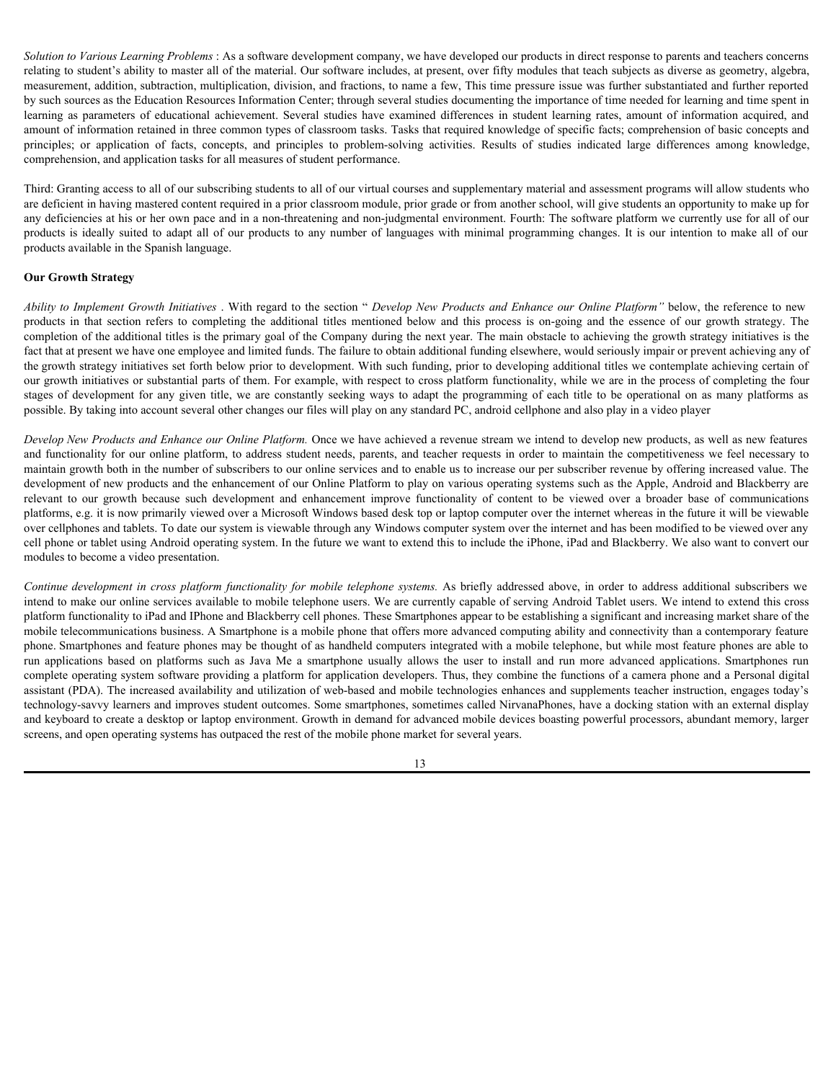*Solution to Various Learning Problems* : As a software development company, we have developed our products in direct response to parents and teachers concerns relating to student's ability to master all of the material. Our software includes, at present, over fifty modules that teach subjects as diverse as geometry, algebra, measurement, addition, subtraction, multiplication, division, and fractions, to name a few, This time pressure issue was further substantiated and further reported by such sources as the Education Resources Information Center; through several studies documenting the importance of time needed for learning and time spent in Solution to Various Learning Problems : As a software development company, we have developed our products in direct response to parents and teachers concerns<br>relating to student's ability to master all of the material. Our amount of information retained in three common types of classroom tasks. Tasks that required knowledge of specific facts; comprehension of basic concepts and Solution to Various Learning Problems: As a software development company, we have developed our products in direct response to parents and teachers concerns<br>relating to student's ability to master all of the material. Our comprehension, and application tasks for all measures of student performance. Solution to Farious Fearing Problems: As a software development company, we have developed our products in direct response to parents and teachers concerns<br>relating to suddent's ability to master all of the material. Our Solution to Farious Learning Problems: As a software development company, we have developed our products in direct response to parents and teachers concerns<br>relative to studie the addition to section and factions, the men Solution to Farian Learning Problems: As a software development company, we have developed our products in direct responses to parents and teacher states in the method, of present constants, all the method, sure any consta

Third: Granting access to all of our subscribing students to all of our virtual courses and supplementary material and assessment programs will allow students who are deficient in having mastered content required in a prior classroom module, prior grade or from another school, will give students an opportunity to make up for any deficiencies at his or her own pace and in a non-threatening and non-judgmental environment. Fourth: The software platform we currently use for all of our products available in the Spanish language.

# **Our Growth Strategy**

*Ability to Implement Growth Initiatives* . With regard to the section " *Develop New Products and Enhance our Online Platform"* below, the reference to new completion of the additional titles is the primary goal of the Company during the next year. The main obstacle to achieving the growth strategy initiatives is the fact that at present we have one employee and limited funds. The failure to obtain additional funding elsewhere, would seriously impair or prevent achieving any of the growth strategy initiatives set forth below prior to development. With such funding, prior to developing additional titles we contemplate achieving certain of our growth initiatives or substantial parts of them. For example, with respect to cross platform functionality, while we are in the process of completing the four possible. By taking into account several other changes our files will play on any standard PC, android cellphone and also play in a video player

*Develop New Products and Enhance our Online Platform.* Once we have achieved a revenue stream we intend to develop new products, as well as new features and functionality for our online platform, to address student needs, parents, and teacher requests in order to maintain the competitiveness we feel necessary to maintain growth both in the number of subscribers to our online services and to enable us to increase our per subscriber revenue by offering increased value. The development of new products and the enhancement of our Online Platform to play on various operating systems such as the Apple, Android and Blackberry are Solution to Toward Newtone 3.4 as a subsequent company we have developed on product in direct contents to present the contents of the state of contents of the contents of the contents of the state of the contents of the c platforms, e.g. it is now primarily viewed over a Microsoft Windows based desk top or laptop computer over the internet whereas in the future it will be viewable over cellphones and tablets. To date our system is viewable through any Windows computer system over the internet and has been modified to be viewed over any cell phone or tablet using Android operating system. In the future we want to extend this to include the iPhone, iPad and Blackberry. We also want to convert our modules to become a video presentation. process, or application of its cross platform functional procedure. The control is the stational interactional telephone above) and a system of the stational subscribes and above) and a formula subscribe telephone systems.

intend to make our online services available to mobile telephone users. We are currently capable of serving Android Tablet users. We intend to extend this cross platform functionality to iPad and IPhone and Blackberry cell phones. These Smartphones appear to be establishing a significant and increasing market share of the mobile telecommunications business. A Smartphone is a mobile phone that offers more advanced computing ability and connectivity than a contemporary feature phone. Smartphones and feature phones may be thought of as handheld computers integrated with a mobile telephone, but while most feature phones are able to are detections at the two we mean and real one an fractions are the state of the state of the state of the state of the state of the state of the state of the state of the state of the state of the state of the state of t complete operating system software providing a platform for application developers. Thus, they combine the functions of a camera phone and a Personal digital assistant (PDA). The increased availability and utilization of web-based and mobile technologies enhances and supplements teacher instruction, engages today's technology-savvy learners and improves student outcomes. Some smartphones, sometimes called NirvanaPhones, have a docking station with an external display and keyboard to create a desktop or laptop environment. Growth in demand for advanced mobile devices boasting powerful processors, abundant memory, larger screens, and open operating systems has outpaced the rest of the mobile phone market for several years.

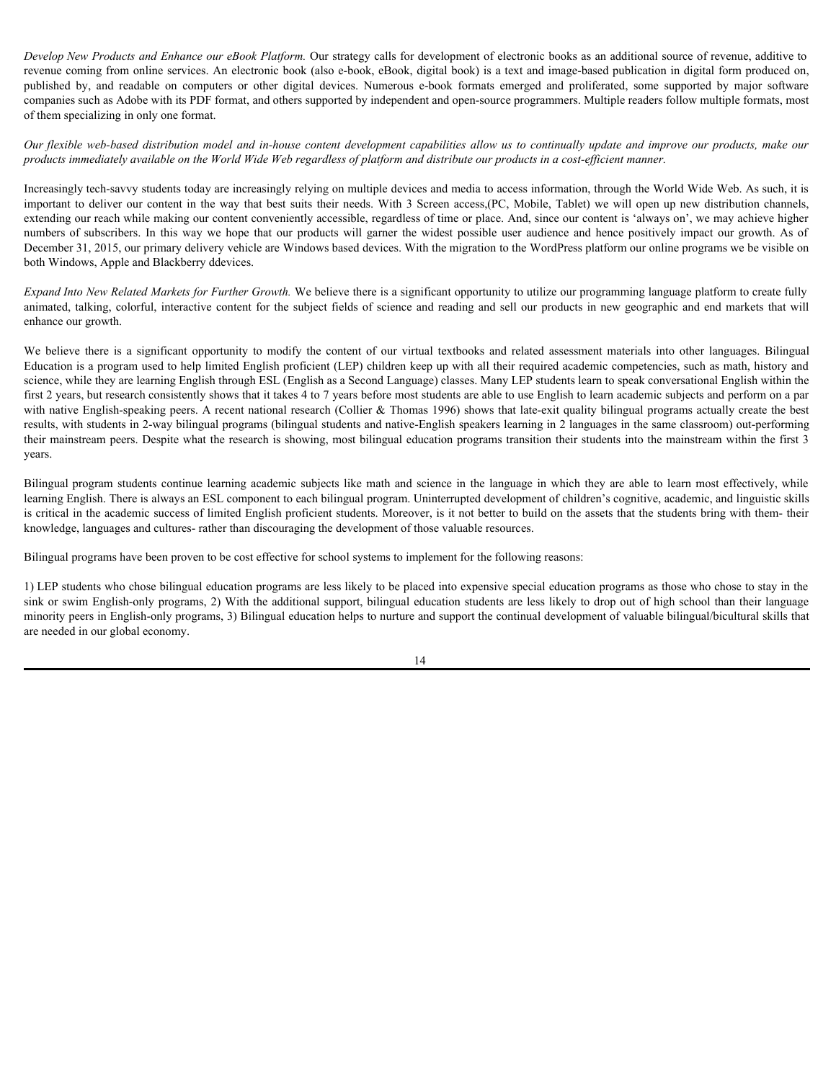*Develop New Products and Enhance our eBook Platform.* Our strategy calls for development of electronic books as an additional source of revenue, additive to revenue coming from online services. An electronic book (also e-book, eBook, digital book) is a text and image-based publication in digital form produced on, *Develop New Products and Enhance our eBook Platform*. Our strategy calls for development of electronic books as an additional source of revenue, additive to<br>revenue compagnition online services. An electronic book (also e companies such as Adobe with its PDF format, and others supported by independent and open-source programmers. Multiple readers follow multiple formats, most of them specializing in only one format.

*products immediately available on the World Wide Web regardless of platform and distribute our products in a cost-efficient manner.*

*Develop New Products and Enhance our eBook Platform.* Our strategy calls for development of electronic books as an additional source of revenue, additive to<br>revertue coming from online services. An electronic book (also e Increasingly tech-savvy students today are increasingly relying on multiple devices and media to access information, through the World Wide Web. As such, it is Develop New Products and Enhance our eBook Platform. Our strategy calls for development of electronic books as an additional source of revenue, additive to<br>revenue coming from online services. An electronic book (also e-bo extending our reach while making our content conveniently accessible, regardless of time or place. And, since our content is 'always on', we may achieve higher Develop New Products and Enhance our ellook Platform. Our strategy calls for development of electronic books as an additional source of revenue, additive to<br>revenue coming from online services. An electronic book (abo e-bo December 31, 2015, our primary delivery vehicle are Windows based devices. With the migration to the WordPress platform our online programs we be visible on both Windows, Apple and Blackberry ddevices.

*Expand Into New Related Markets for Further Growth.* We believe there is a significant opportunity to utilize our programming language platform to create fully animated, talking, colorful, interactive content for the subject fields of science and reading and sell our products in new geographic and end markets that will enhance our growth.

Develop New Products and Folumes our chook Platform. Our strategy calls for development of electronic books as an additional source of revenue, additive to revenue and contents from electronic from the electronic from the Education is a program used to help limited English proficient (LEP) children keep up with all their required academic competencies, such as math, history and science, while they are learning English through ESL (English as a Second Language) classes. Many LEP students learn to speak conversational English within the first 2 years, but research consistently shows that it takes 4 to 7 years before most students are able to use English to learn academic subjects and perform on a par with native English-speaking peers. A recent national research (Collier & Thomas 1996) shows that late-exit quality bilingual programs actually create the best results, with students in 2-way bilingual programs (bilingual students and native-English speakers learning in 2 languages in the same classroom) out-performing their mainstream peers. Despite what the research is showing, most bilingual education programs transition their students into the mainstream within the first 3 years. Develop New Product ond Endonce one show. Platform, Our states velocide, the laboration is test and interested only for the control of the control of the second of the second in the student of minimum students and the sec

learning English. There is always an ESL component to each bilingual program. Uninterrupted development of children's cognitive, academic, and linguistic skills is critical in the academic success of limited English proficient students. Moreover, is it not better to build on the assets that the students bring with them- their knowledge, languages and cultures- rather than discouraging the development of those valuable resources.

Bilingual programs have been proven to be cost effective for school systems to implement for the following reasons:

1) LEP students who chose bilingual education programs are less likely to be placed into expensive special education programs as those who chose to stay in the sink or swim English-only programs, 2) With the additional support, bilingual education students are less likely to drop out of high school than their language minority peers in English-only programs, 3) Bilingual education helps to nurture and support the continual development of valuable bilingual/bicultural skills that are needed in our global economy.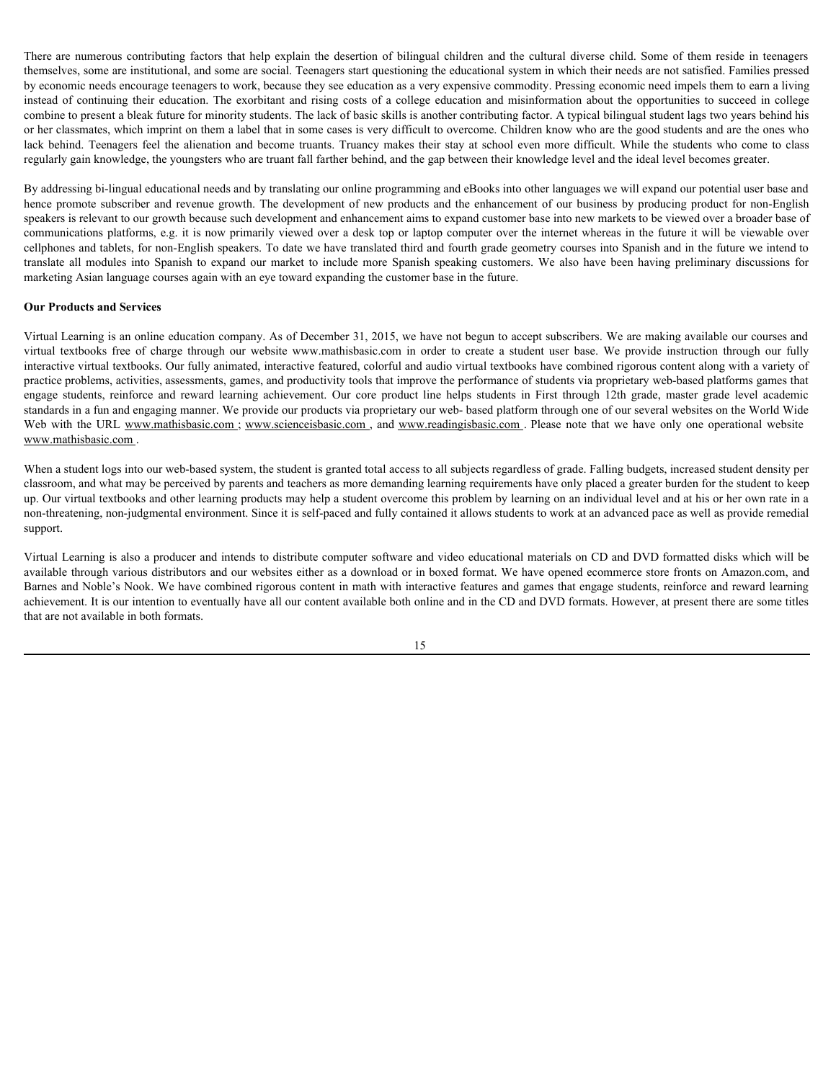There are numerous contributing factors that help explain the desertion of bilingual children and the cultural diverse child. Some of them reside in teenagers themselves, some are institutional, and some are social. Teenag themselves, some are institutional, and some are social. Teenagers start questioning the educational system in which their needs are not satisfied. Families pressed by economic needs encourage teenagers to work, because they see education as a very expensive commodity. Pressing economic need impels them to earn a living There are numerous contributing factors that help explain the desertion of bilingual children and the cultural diverse child. Some of them reside in teenagers themselves, some are institutional, and some are social. Teenag combine to present a bleak future for minority students. The lack of basic skills is another contributing factor. A typical bilingual student lags two years behind his or her classmates, which imprint on them a label that in some cases is very difficult to overcome. Children know who are the good students and are the ones who There are numerous contributing factors that help explain the desertion of bilingual children and the cultural diverse child. Some of them reside in teenagers<br>themselves, some are institutional, and some are social. Teenag regularly gain knowledge, the youngsters who are truant fall farther behind, and the gap between their knowledge level and the ideal level becomes greater. There are numerous contributing factors that help explain the desertion of bilingual childern and the cultural diverse child. Some of them reside in teenagers themselves, some are institutional, and some are social. Teenag There are numerous contributing factors that help explain the desertion of bilingual children and the cultural diverse child. Some of them reside in teenagery all them been been served in communications, some are institut Thes are numerous contributing factors that help explain the descriton of bilingual ebidden and the column diverse exist Some of them resides in textbooks point and some constrained of commutes present in which that the re There are annerons contributing factors that help explain the descriton of bilingual children and the column diverse learning the measure of the properties one in reds. For the students by some measure in the students of t There are unancount contributing factors that help explain in detection of bilingual children and the unitary indetermination of the measurement of the effect of the contribution of the URL www.mathistasic.com in the cont

By addressing bi-lingual educational needs and by translating our online programming and eBooks into other languages we will expand our potential user base and speakers is relevant to our growth because such development and enhancement aims to expand customer base into new markets to be viewed over a broader base of communications platforms, e.g. it is now primarily viewed over a desk top or laptop computer over the internet whereas in the future it will be viewable over cellphones and tablets, for non-English speakers. To date we have translated third and fourth grade geometry courses into Spanish and in the future we intend to marketing Asian language courses again with an eye toward expanding the customer base in the future.

## **Our Products and Services**

Virtual Learning is an online education company. As of December 31, 2015, we have not begun to accept subscribers. We are making available our courses and interactive virtual textbooks. Our fully animated, interactive featured, colorful and audio virtual textbooks have combined rigorous content along with a variety of practice problems, activities, assessments, games, and productivity tools that improve the performance of students via proprietary web-based platforms games that standards in a fun and engaging manner. We provide our products via proprietary our web- based platform through one of our several websites on the World Wide www.mathisbasic.com .

When a student logs into our web-based system, the student is granted total access to all subjects regardless of grade. Falling budgets, increased student density per classroom, and what may be perceived by parents and teachers as more demanding learning requirements have only placed a greater burden for the student to keep up. Our virtual textbooks and other learning products may help a student overcome this problem by learning on an individual level and at his or her own rate in a non-threatening, non-judgmental environment. Since it is self-paced and fully contained it allows students to work at an advanced pace as well as provide remedial support.

Virtual Learning is also a producer and intends to distribute computer software and video educational materials on CD and DVD formatted disks which will be available through various distributors and our websites either as a download or in boxed format. We have opened ecommerce store fronts on Amazon.com, and Barnes and Noble's Nook. We have combined rigorous content in math with interactive features and games that engage students, reinforce and reward learning achievement. It is our intention to eventually have all our content available both online and in the CD and DVD formats. However, at present there are some titles that are not available in both formats.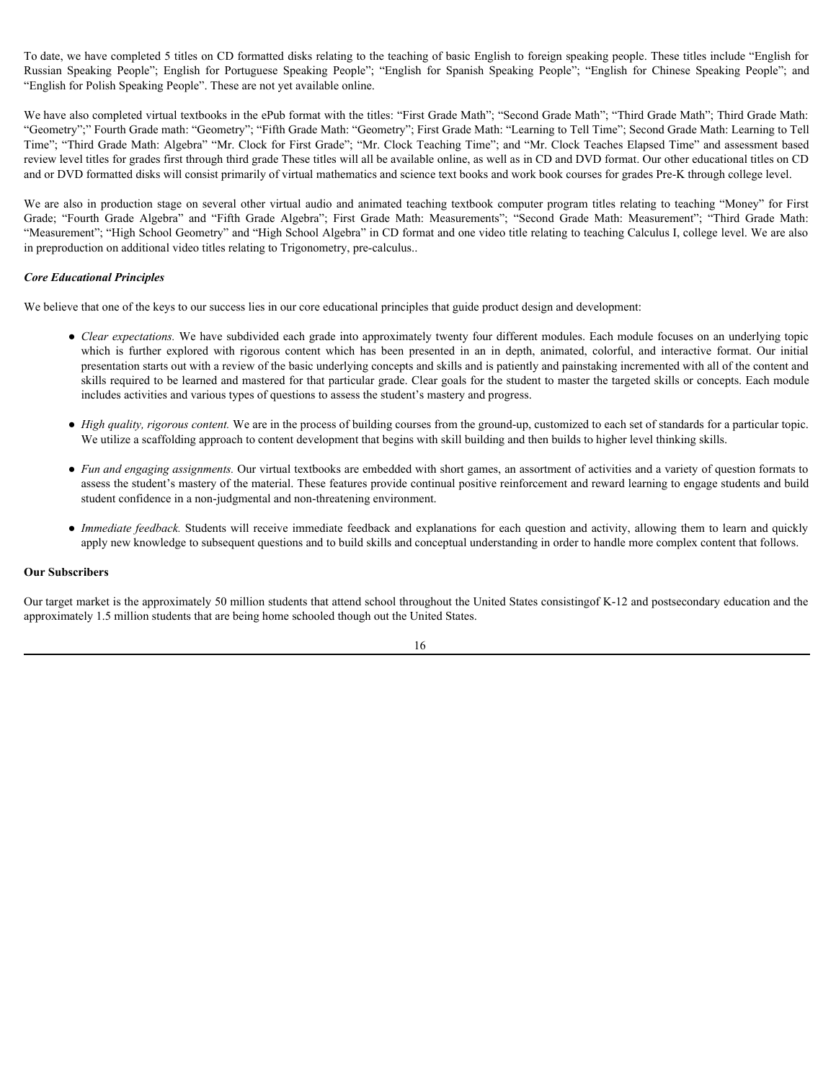To date, we have completed 5 titles on CD formatted disks relating to the teaching of basic English to foreign speaking people. These titles include "English for Pussian Speaking People"; English for Portuguese Speaking Pe "English for Polish Speaking People". These are not yet available online.

To date, we have completed 5 titles on CD formatted disks relating to the teaching of basic English to foreign speaking people. These titles include "English for Russian Speaking People"; English for Polish Speaking People We have also completed virtual textbooks in the ePub format with the titles: "First Grade Math"; "Second Grade Math"; "Third Grade Math"; Third Grade Math: "Geometry";" Fourth Grade math: "Geometry"; "Fifth Grade Math: "Geometry"; First Grade Math: "Learning to Tell Time"; Second Grade Math: Learning to Tell Time"; "Third Grade Math: Algebra" "Mr. Clock for First Grade"; "Mr. Clock Teaching Time"; and "Mr. Clock Teaches Elapsed Time" and assessment based review level titles for grades first through third grade These titles will all be available online, as well as in CD and DVD format. Our other educational titles on CD and or DVD formatted disks will consist primarily of virtual mathematics and science text books and work book courses for grades Pre-K through college level. To date, we have completed 5 titles on CD formatted disks relating to the teaching of basic English to foreign speaking people. These titles include "English for Rhatism Speaking People"; English for Pottaguese Speaking Pe

We are also in production stage on several other virtual audio and animated teaching textbook computer program titles relating to teaching "Money" for First Grade. Strade Algebra" and "Fifth Grade Algebra"; First Grade Mat "Measurement"; "High School Geometry" and "High School Algebra" in CD format and one video title relating to teaching Calculus I, college level. We are also in preproduction on additional video titles relating to Trigonometry, pre-calculus..

## *Core Educational Principles*

We believe that one of the keys to our success lies in our core educational principles that guide product design and development:

- *Clear expectations.* We have subdivided each grade into approximately twenty four different modules. Each module focuses on an underlying topic have completed 5 titles on CD formanted disks relating to the teaching of basic Finglish to foreign speaking heople". The color content disks relating the predict of computers Speaking People", and rigorous "Polish for exp presentation starts out with a review of the basic underlying concepts and skills and is patiently and painstaking incremented with all of the content and skills required to be learned and mastered for that particular grade. Clear goals for the student to master the targeted skills or concepts. Each module includes activities and various types of questions to assess the student's mastery and progress.
- *High quality, rigorous content.* We are in the process of building courses from the ground-up, customized to each set of standards for a particular topic. We utilize a scaffolding approach to content development that begins with skill building and then builds to higher level thinking skills.
- *Fun and engaging assignments*. Our virtual textbooks are embedded with short games, an assortment of activities and a variety of question formats to assess the student's mastery of the material. These features provide continual positive reinforcement and reward learning to engage students and build student confidence in a non-judgmental and non-threatening environment.
- *Immediate feedback*. Students will receive immediate feedback and explanations for each question and activity, allowing them to learn and quickly apply new knowledge to subsequent questions and to build skills and conceptual understanding in order to handle more complex content that follows.

## **Our Subscribers**

Our target market is the approximately 50 million students that attend school throughout the United States consistingof K-12 and postsecondary education and the approximately 1.5 million students that are being home schooled though out the United States.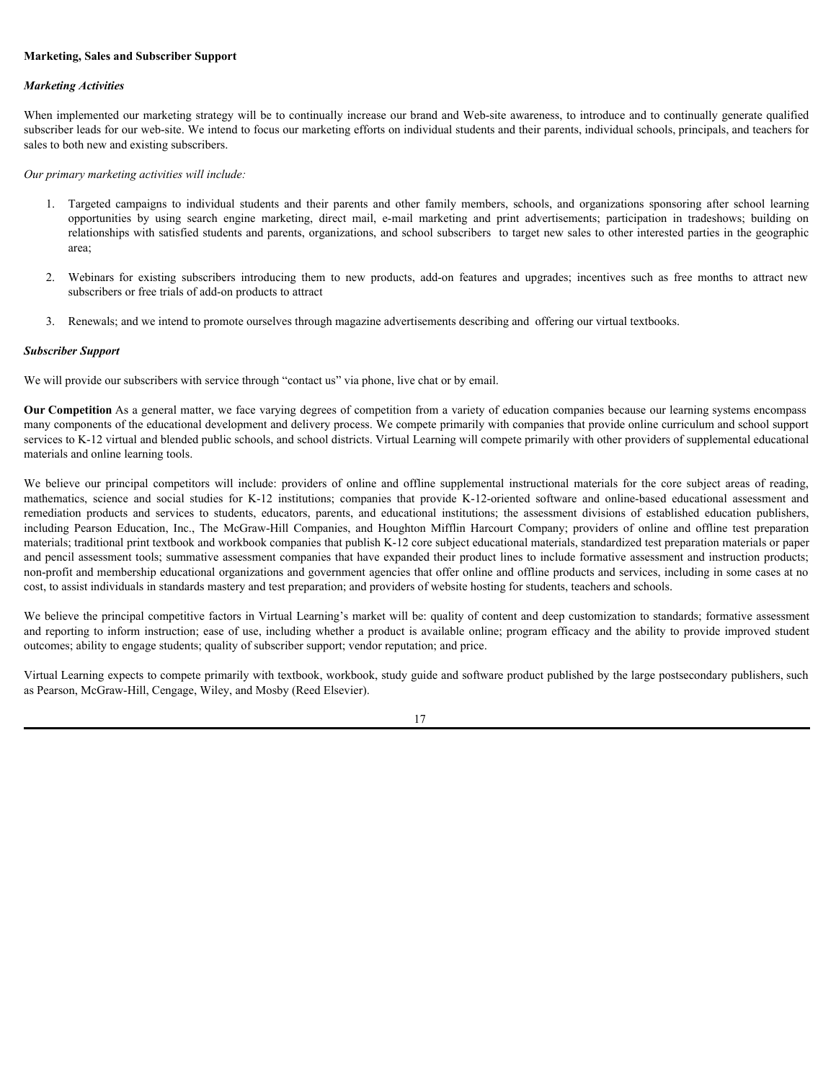## **Marketing, Sales and Subscriber Support**

## *Marketing Activities*

When implemented our marketing strategy will be to continually increase our brand and Web-site awareness, to introduce and to continually generate qualified subscriber leads for our web-site. We intend to focus our marketing efforts on individual students and their parents, individual schools, principals, and teachers for sales to both new and existing subscribers.

## *Our primary marketing activities will include:*

- **Example States and Subscriber Support**<br> **Examplemented our marketing strategy will be to continually increase our brand and Web-site awareness, to introduce and to continually generate qualified<br>
recibe leads for our webng . Sales and Subscriber Support**<br>plemented our marketing strategy will be to continually increase our brand and Web-site awareness, to introduce and to continually generate qualified<br>r leads for our web-site. We inited relationships with satisfied students and parents, organizations, and school subscribers to target new sales to other interested parties in the geographic area; **Eximery Sales and Subscriber Support**<br> *Mering Activities*<br>
in implemented our marketing strategy will be to continually increase our brand and Web-site awareness, to introduce and to continually generate qualified<br>
crib
- subscribers or free trials of add-on products to attract
- 3. Renewals; and we intend to promote ourselves through magazine advertisements describing and offering our virtual textbooks.

## *Subscriber Support*

We will provide our subscribers with service through "contact us" via phone, live chat or by email.

**Our Competition** As a general matter, we face varying degrees of competition from a variety of education companies because our learning systems encompass many components of the educational development and delivery process. We compete primarily with companies that provide online curriculum and school support services to K-12 virtual and blended public schools, and school districts. Virtual Learning will compete primarily with other providers of supplemental educational materials and online learning tools.

**Marketing Sales and Subscriber Support**<br> **Marketing Advition**<br>
We have implemented on metasting integrated from correlating mesons can be<br>not disturbed in the substitute and the substitute of the continued in<br>
where the Marketing, Sales and Subserviber Support<br>
Moning Advisent descriptions with the incrementation incrementation incrementations and Web-ide accurace, to institute and to ensime<br>
when in the last for any solven who we must u **Marketing Activities**<br> **Marketing increases of marketing stategy will be to examinally increase our band and Web-ide are<br>necessary between the low-model of the method interest constrained and Web-ide and the process, red** Merketing Activities<br>
When implemented our multiclus tracted will be to continually increase our bund and Web-ine mears and bullet users individual schools, principle and the continually generate qualified<br>
which to be one materials; traditional print textbook and workbook companies that publish K-12 core subject educational materials, standardized test preparation materials or paper and pencil assessment tools; summative assessment companies that have expanded their product lines to include formative assessment and instruction products; non-profit and membership educational organizations and government agencies that offer online and offline products and services, including in some cases at no cost, to assist individuals in standards mastery and test preparation; and providers of website hosting for students, teachers and schools.

We believe the principal competitive factors in Virtual Learning's market will be: quality of content and deep customization to standards; formative assessment and reporting to inform instruction; ease of use, including whether a product is available online; program efficacy and the ability to provide improved student outcomes; ability to engage students; quality of subscriber support; vendor reputation; and price.

Virtual Learning expects to compete primarily with textbook, workbook, study guide and software product published by the large postsecondary publishers, such as Pearson, McGraw-Hill, Cengage, Wiley, and Mosby (Reed Elsevier).

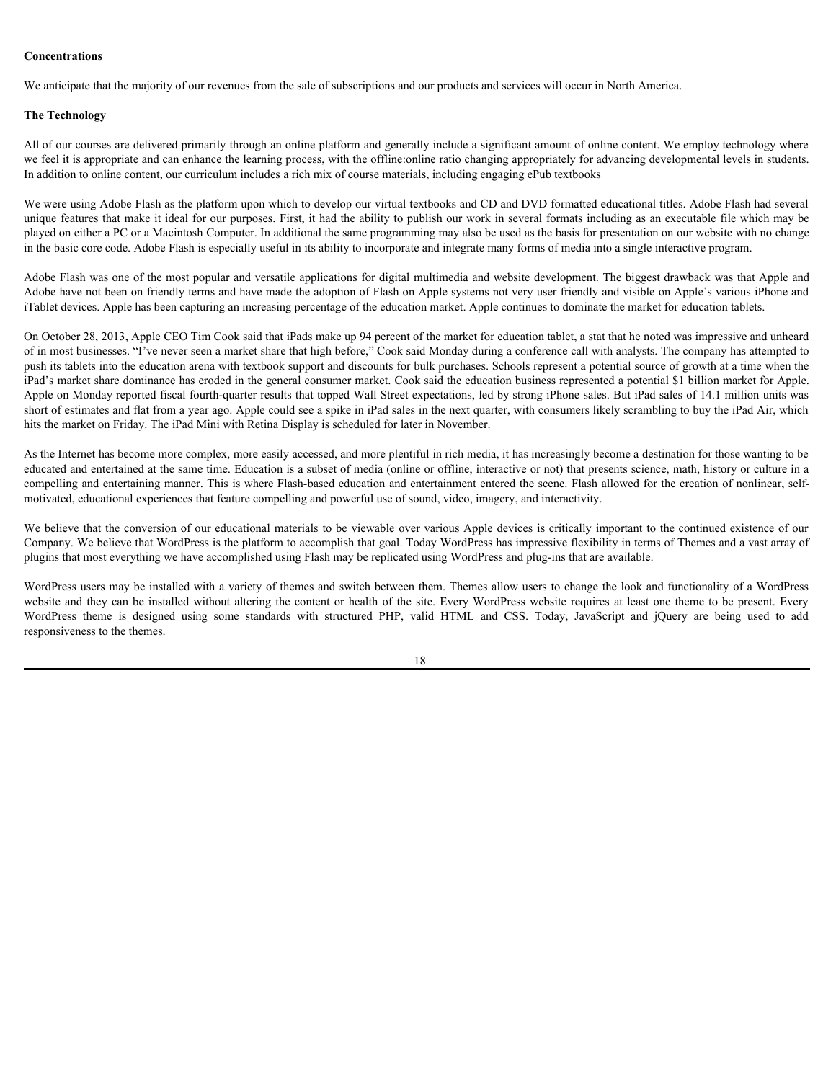## **Concentrations**

We anticipate that the majority of our revenues from the sale of subscriptions and our products and services will occur in North America.

## **The Technology**

All of our courses are delivered primarily through an online platform and generally include a significant amount of online content. We employ technology where we feel it is appropriate and can enhance the learning process, with the offline:online ratio changing appropriately for advancing developmental levels in students. In addition to online content, our curriculum includes a rich mix of course materials, including engaging ePub textbooks

We were using Adobe Flash as the platform upon which to develop our virtual textbooks and CD and DVD formatted educational titles. Adobe Flash had several unique features that make it ideal for our purposes. First, it had the ability to publish our work in several formats including as an executable file which may be played on either a PC or a Macintosh Computer. In additional the same programming may also be used as the basis for presentation on our website with no change in the basic core code. Adobe Flash is especially useful in its ability to incorporate and integrate many forms of media into a single interactive program.

Adobe Flash was one of the most popular and versatile applications for digital multimedia and website development. The biggest drawback was that Apple and Adobe have not been on friendly terms and have made the adoption of Flash on Apple systems not very user friendly and visible on Apple's various iPhone and iTablet devices. Apple has been capturing an increasing percentage of the education market. Apple continues to dominate the market for education tablets.

On October 28, 2013, Apple CEO Tim Cook said that iPads make up 94 percent of the market for education tablet, a stat that he noted was impressive and unheard of in most businesses. "I've never seen a market share that high before," Cook said Monday during a conference call with analysts. The company has attempted to push its tablets into the education arena with textbook support and discounts for bulk purchases. Schools represent a potential source of growth at a time when the iPad's market share dominance has eroded in the general consumer market. Cook said the education business represented a potential \$1 billion market for Apple. Apple on Monday reported fiscal fourth-quarter results that topped Wall Street expectations, led by strong iPhone sales. But iPad sales of 14.1 million units was short of estimates and flat from a year ago. Apple could see a spike in iPad sales in the next quarter, with consumers likely scrambling to buy the iPad Air, which hits the market on Friday. The iPad Mini with Retina Display is scheduled for later in November. In addition to order content, our curitation includes a independent of the standard standard of the standard Monden Come and CD and DVD formated showed and the standard standard with a non-papel include to the sometime of

As the Internet has become more complex, more easily accessed, and more plentiful in rich media, it has increasingly become a destination for those wanting to be educated and entertained at the same time. Education is a subset of media (online or offline, interactive or not) that presents science, math, history or culture in a compelling and entertaining manner. This is where Flash-based education and entertainment entered the scene. Flash allowed for the creation of nonlinear, selfmotivated, educational experiences that feature compelling and powerful use of sound, video, imagery, and interactivity.

We believe that the conversion of our educational materials to be viewable over various Apple devices is critically important to the continued existence of our Company. We believe that WordPress is the platform to accomplish that goal. Today WordPress has impressive flexibility in terms of Themes and a vast array of plugins that most everything we have accomplished using Flash may be replicated using WordPress and plug-ins that are available.

WordPress users may be installed with a variety of themes and switch between them. Themes allow users to change the look and functionality of a WordPress website and they can be installed without altering the content or health of the site. Every WordPress website requires at least one theme to be present. Every responsiveness to the themes.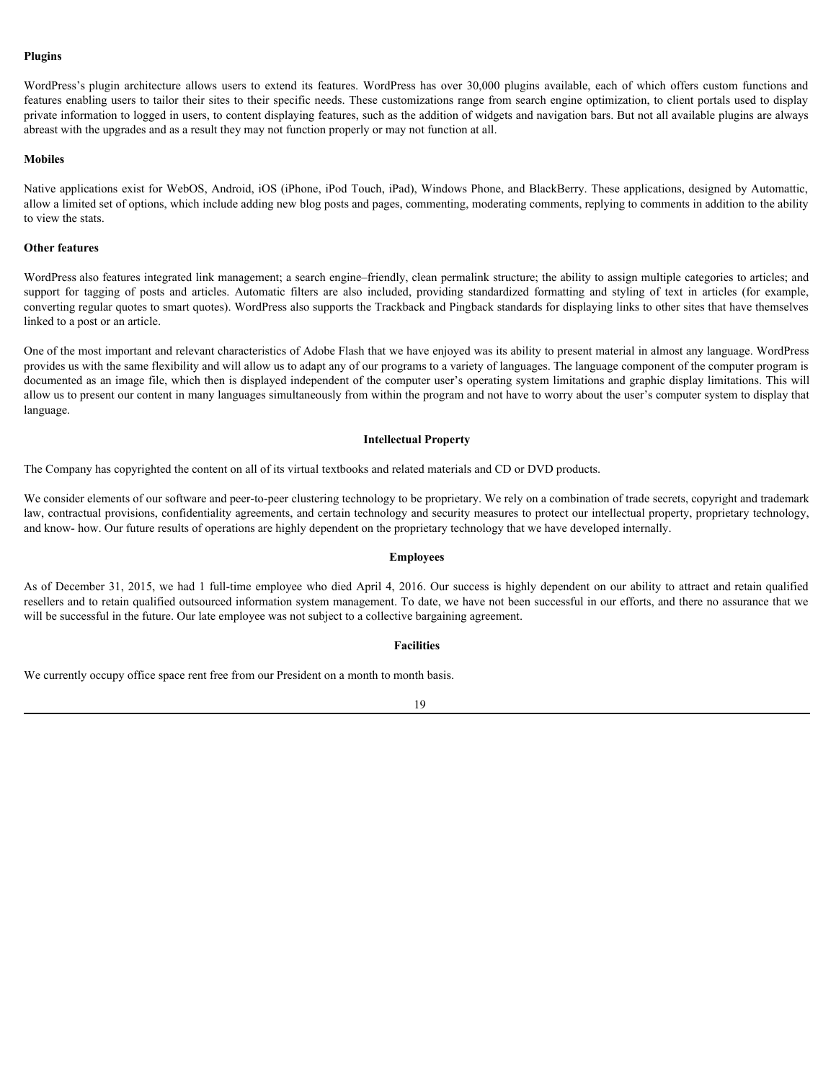## **Plugins**

**Plugins**<br>WordPress's plugin architecture allows users to extend its features. WordPress has over 30,000 plugins available, each of which offers custom functions and<br>features enabling users to ialor their sites to their sp features enabling users to tailor their sites to their specific needs. These customizations range from search engine optimization, to client portals used to display private information to logged in users, to content displaying features, such as the addition of widgets and navigation bars. But not all available plugins are always abreast with the upgrades and as a result they may not function properly or may not function at all.

## **Mobiles**

Native applications exist for WebOS, Android, iOS (iPhone, iPod Touch, iPad), Windows Phone, and BlackBerry. These applications, designed by Automattic, allow a limited set of options, which include adding new blog posts and pages, commenting, moderating comments, replying to comments in addition to the ability to view the stats.

### **Other features**

WordPress also features integrated link management; a search engine–friendly, clean permalink structure; the ability to assign multiple categories to articles; and converting regular quotes to smart quotes). WordPress also supports the Trackback and Pingback standards for displaying links to other sites that have themselves linked to a post or an article.

**Plugins**<br>WordPress's plugin architecture allows users to exiend its features. WordPress has over 30,000 plugins available, each of which offers reastom functions and<br>features enabling mers to ulter in steam their specific One of the most important and relevant characteristics of Adobe Flash that we have enjoyed was its ability to present material in almost any language. WordPress provides us with the same flexibility and will allow us to adapt any of our programs to a variety of languages. The language component of the computer program is documented as an image file, which then is displayed independent of the computer user's operating system limitations and graphic display limitations. This will allow us to present our content in many languages simultaneously from within the program and not have to worry about the user's computer system to display that language.

## **Intellectual Property**

The Company has copyrighted the content on all of its virtual textbooks and related materials and CD or DVD products.

We consider elements of our software and peer-to-peer clustering technology to be proprietary. We rely on a combination of trade secrets, copyright and trademark law, contractual provisions, confidentiality agreements, and certain technology and security measures to protect our intellectual property, proprietary technology, and know- how. Our future results of operations are highly dependent on the proprietary technology that we have developed internally.

## **Employees**

As of December 31, 2015, we had 1 full-time employee who died April 4, 2016. Our success is highly dependent on our ability to attract and retain qualified resellers and to retain qualified outsourced information system management. To date, we have not been successful in our efforts, and there no assurance that we will be successful in the future. Our late employee was not subject to a collective bargaining agreement.

## **Facilities**

We currently occupy office space rent free from our President on a month to month basis.

# 19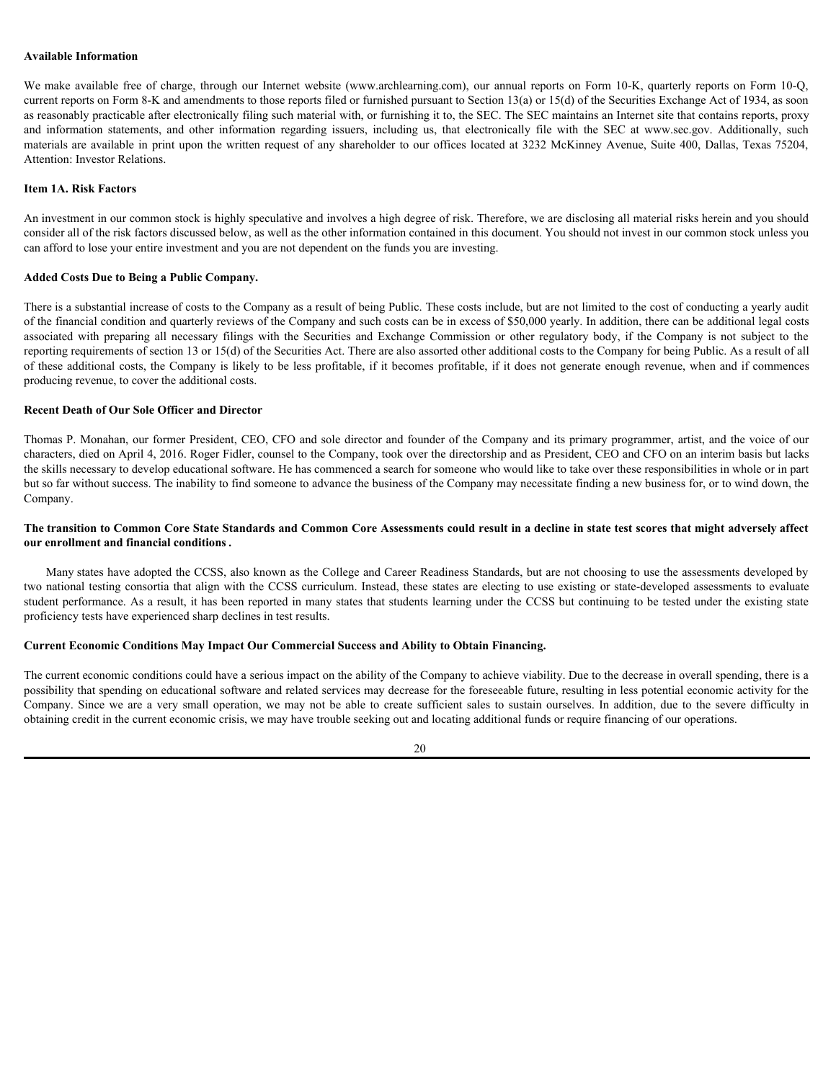## **Available Information**

Available Information<br>We make available free of charge, through our Internet website (www.archlearning.com), our annual reports on Form 10-K, quarterly reports on Form 10-Q,<br>current reports on Form 8-K and amendments to th current reports on Form 8-K and amendments to those reports filed or furnished pursuant to Section 13(a) or 15(d) of the Securities Exchange Act of 1934, as soon as reasonably practicable after electronically filing such material with, or furnishing it to, the SEC. The SEC maintains an Internet site that contains reports, proxy Available Information<br>We make available free of charge, through our Internet website (www.archlearning.com), our annual reports on Form 10-K, quarterly reports on Form 10-Q,<br>current reports on Form 8-K and amendments to th materials are available in print upon the written request of any shareholder to our offices located at 3232 McKinney Avenue, Suite 400, Dallas, Texas 75204, Attention: Investor Relations.

## <span id="page-20-0"></span>**Item 1A. Risk Factors**

An investment in our common stock is highly speculative and involves a high degree of risk. Therefore, we are disclosing all material risks herein and you should consider all of the risk factors discussed below, as well as the other information contained in this document. You should not invest in our common stock unless you can afford to lose your entire investment and you are not dependent on the funds you are investing.

## **Added Costs Due to Being a Public Company.**

There is a substantial increase of costs to the Company as a result of being Public. These costs include, but are not limited to the cost of conducting a yearly audit of the financial condition and quarterly reviews of the Company and such costs can be in excess of \$50,000 yearly. In addition, there can be additional legal costs Available Information<br>We make uvaliable free of charge, through our Internet website (www.architeuming.com), our annual reports on Form 10-K, quarterly repents on Form 10-Q,<br>encerate reports on Form 8.% and amendments to t reporting requirements of section 13 or 15(d) of the Securities Act. There are also assorted other additional costs to the Company for being Public. As a result of all of these additional costs, the Company is likely to be less profitable, if it becomes profitable, if it does not generate enough revenue, when and if commences producing revenue, to cover the additional costs. Added Conts Dee to Being a Pablic Company.<br>Thats is a substantial ancesse of costs to the Company as a sealt of being Pablic. These costs include, but as or simulate to the costs of contacting a particle of the costs of co

## **Recent Death of Our Sole Officer and Director**

Thomas P. Monahan, our former President, CEO, CFO and sole director and founder of the Company and its primary programmer, artist, and the voice of our characters, died on April 4, 2016. Roger Fidler, counsel to the Company, took over the directorship and as President, CEO and CFO on an interim basis but lacks the skills necessary to develop educational software. He has commenced a search for someone who would like to take over these responsibilities in whole or in part but so far without success. The inability to find someone to advance the business of the Company may necessitate finding a new business for, or to wind down, the Company.

## **The transition to Common Core State Standards and Common Core Assessments could result in a decline in state test scores that might adversely affect our enrollment and financial conditions** *.*

Many states have adopted the CCSS, also known as the College and Career Readiness Standards, but are not choosing to use the assessments developed by two national testing consortia that align with the CCSS curriculum. Instead, these states are electing to use existing or state-developed assessments to evaluate student performance. As a result, it has been reported in many states that students learning under the CCSS but continuing to be tested under the existing state proficiency tests have experienced sharp declines in test results.

## **Current Economic Conditions May Impact Our Commercial Success and Ability to Obtain Financing.**

The current economic conditions could have a serious impact on the ability of the Company to achieve viability. Due to the decrease in overall spending, there is a possibility that spending on educational software and related services may decrease for the foreseeable future, resulting in less potential economic activity for the obtaining credit in the current economic crisis, we may have trouble seeking out and locating additional funds or require financing of our operations.

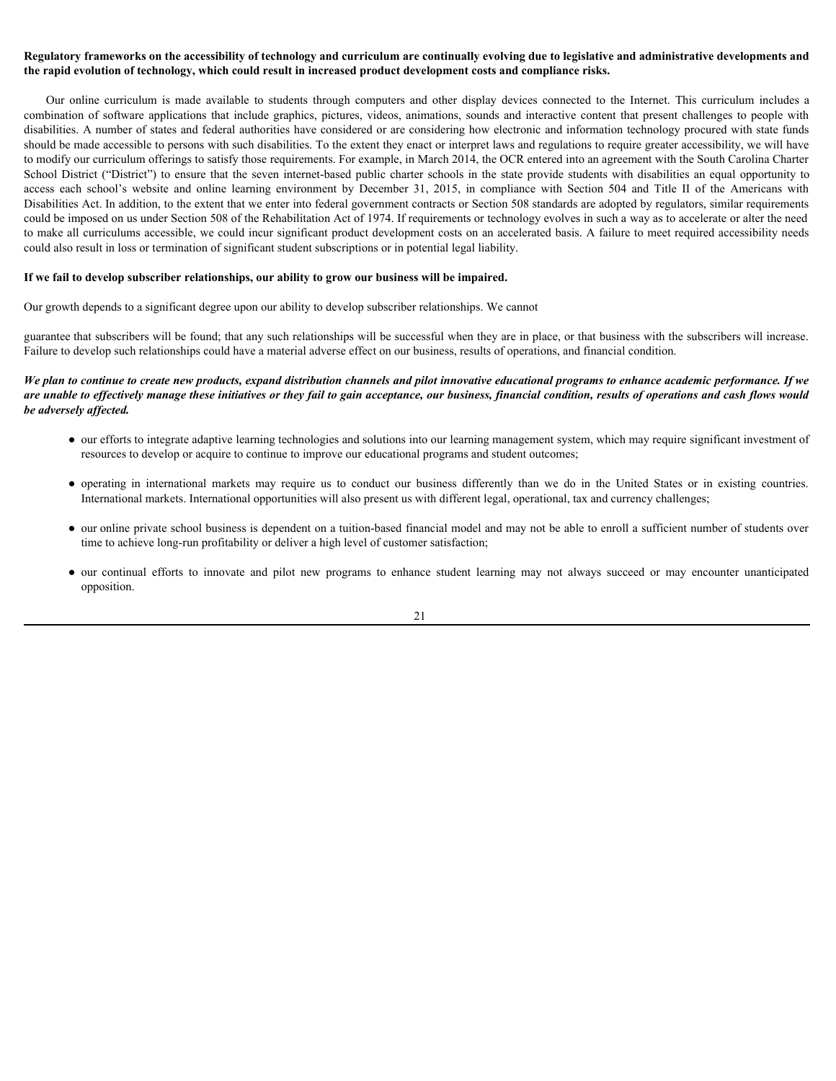## **Regulatory frameworks on the accessibility of technology and curriculum are continually evolving due to legislative and administrative developments and the rapid evolution of technology, which could result in increased product development costs and compliance risks.**

ulatory frameworks on the accessibility of technology and curriculum are continually evolving due to legislative and administrative developments and apid evolution of technology, which could result in increased product dev Regulatory frameworks on the accessibility of technology and curriculum are continually evolving due to legislative and administrative developments and<br>the rapid evolution of technology, which could result in increased pro disabilities. A number of states and federal authorities have considered or are considering how electronic and information technology procured with state funds should be made accessible to persons with such disabilities. To the extent they enact or interpret laws and regulations to require greater accessibility, we will have to modify our curriculum offerings to satisfy those requirements. For example, in March 2014, the OCR entered into an agreement with the South Carolina Charter School District ("District") to ensure that the seven internet-based public charter schools in the state provide students with disabilities an equal opportunity to Regulatory frameworks on the accessibility of technology and curriculum are continually evolving due to legislative and administrative developments and<br>the rapid evolution of technology, which could result in increased pro Disabilities Act. In addition, to the extent that we enter into federal government contracts or Section 508 standards are adopted by regulators, similar requirements could be imposed on us under Section 508 of the Rehabilitation Act of 1974. If requirements or technology evolves in such a way as to accelerate or alter the need to make all curriculums accessible, we could incur significant product development costs on an accelerated basis. A failure to meet required accessibility needs could also result in loss or termination of significant student subscriptions or in potential legal liability. ty frameworks on the accessibility of technology and entriviation reconstructly evolving due to legislative and doministrative developments and<br>coulies of rechnology, which coul results in increased product development co s. A significant of significant submitted with the continue of the content of the controller have continued in the controller have content with an information of pilot in the significant of the student of the student of th

## **If we fail to develop subscriber relationships, our ability to grow our business will be impaired.**

Our growth depends to a significant degree upon our ability to develop subscriber relationships. We cannot

guarantee that subscribers will be found; that any such relationships will be successful when they are in place, or that business with the subscribers will increase. Failure to develop such relationships could have a material adverse effect on our business, results of operations, and financial condition.

#### We plan to continue to create new products, expand distribution channels and pilot innovative educational programs to enhance academic performance. If *we* are unable to effectively manage these initiatives or they fail to gain acceptance, our business, financial condition, results of operations and cash flows would *be adversely affected.*

- our efforts to integrate adaptive learning technologies and solutions into our learning management system, which may require significant investment of resources to develop or acquire to continue to improve our educational programs and student outcomes;
- International markets. International opportunities will also present us with different legal, operational, tax and currency challenges;
- our online private school business is dependent on a tuition-based financial model and may not be able to enroll a sufficient number of students over time to achieve long-run profitability or deliver a high level of customer satisfaction;
- opposition.

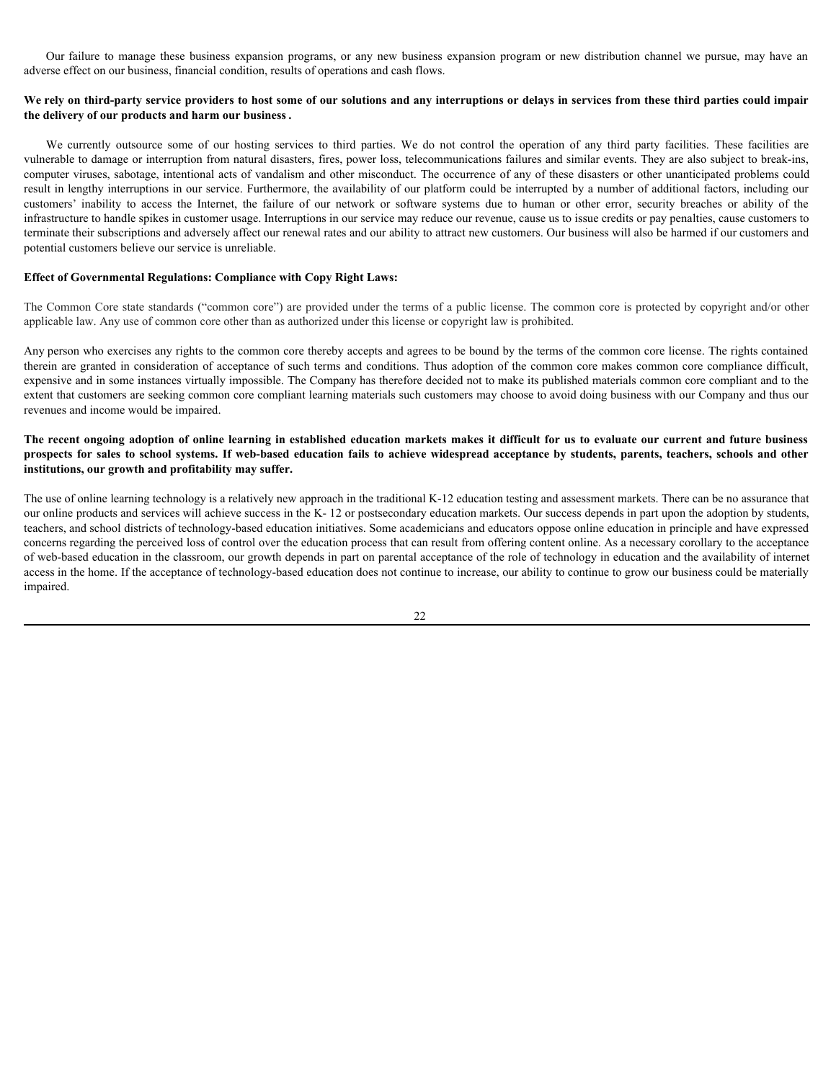adverse effect on our business, financial condition, results of operations and cash flows.

## **We rely on third-party service providers to host some of our solutions and any interruptions or delays in services from these third parties could impair the delivery of our products and harm our business** *.*

Our failure to manage these business expansion programs, or any new business expansion program or new distribution channel we pursue, may have an rese effect on our business, financial condition, results of operations and Our failure to manage these business expansion programs, or any new business expansion program or new distribution channel we pursue, may have an<br>reely on third-party service providers to host some of our solutions and any vulnerable to damage or interruption from natural disasters, fires, power loss, telecommunications failures and similar events. They are also subject to break-ins, computer viruses, sabotage, intentional acts of vandalism and other misconduct. The occurrence of any of these disasters or other unanticipated problems could result in lengthy interruptions in our service. Furthermore, the availability of our platform could be interrupted by a number of additional factors, including our Our failure to manage these business expansion programs, or any new business expansion program or new distribution channel we pursue, may have an<br>adverse effect on our business, financial condition, results of operations a infrastructure to handle spikes in customer usage. Interruptions in our service may reduce our revenue, cause us to issue credits or pay penalties, cause customers to terminate their subscriptions and adversely affect our renewal rates and our ability to attract new customers. Our business will also be harmed if our customers and potential customers believe our service is unreliable. **Put failar to mange these huines equanion pognant, or tary now besines expansion pognant or now distibution clause of the Solen system. The system active of the system active of the system active of the system active of t** 

## **Effect of Governmental Regulations: Compliance with Copy Right Laws:**

The Common Core state standards ("common core") are provided under the terms of a public license. The common core is protected by copyright and/or other applicable law. Any use of common core other than as authorized under this license or copyright law is prohibited.

Any person who exercises any rights to the common core thereby accepts and agrees to be bound by the terms of the common core license. The rights contained therein are granted in consideration of acceptance of such terms and conditions. Thus adoption of the common core makes common core compliance difficult, expensive and in some instances virtually impossible. The Company has therefore decided not to make its published materials common core compliant and to the extent that customers are seeking common core compliant learning materials such customers may choose to avoid doing business with our Company and thus our revenues and income would be impaired.

# **The recent ongoing adoption of online learning in established education markets makes it difficult for us to evaluate our current and future business institutions, our growth and profitability may suffer.**

The use of online learning technology is a relatively new approach in the traditional K-12 education testing and assessment markets. There can be no assurance that our online products and services will achieve success in the K- 12 or postsecondary education markets. Our success depends in part upon the adoption by students, teachers, and school districts of technology-based education initiatives. Some academicians and educators oppose online education in principle and have expressed concerns regarding the perceived loss of control over the education process that can result from offering content online. As a necessary corollary to the acceptance of web-based education in the classroom, our growth depends in part on parental acceptance of the role of technology in education and the availability of internet access in the home. If the acceptance of technology-based education does not continue to increase, our ability to continue to grow our business could be materially impaired.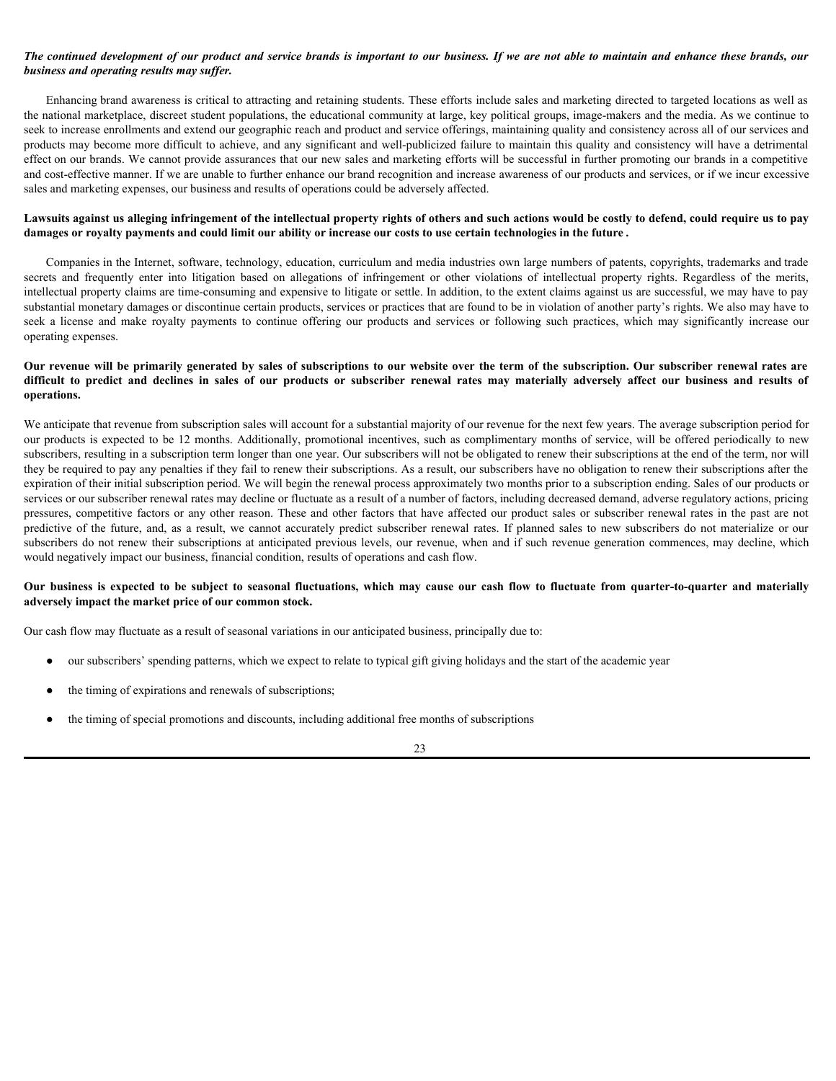#### The continued development of our product and service brands is important to our business. If we are not able to maintain and enhance these brands, *our business and operating results may suffer.*

Enhancing brand awareness is critical to attracting and retaining students. These efforts include sales and marketing directed to targeted locations as well as the national marketplace, discreet student populations, the educational community at large, key political groups, image-makers and the media. As we continue to seek to increase enrollments and extend our geographic reach and product and service offerings, maintaining quality and consistency across all of our services and products may become more difficult to achieve, and any significant and well-publicized failure to maintain this quality and consistency will have a detrimental effect on our brands. We cannot provide assurances that our new sales and marketing efforts will be successful in further promoting our brands in a competitive and cost-effective manner. If we are unable to further enhance our brand recognition and increase awareness of our products and services, or if we incur excessive sales and marketing expenses, our business and results of operations could be adversely affected. The continued development of our product and service brands is important to our business. If we are not able to maintain and enhance these brands, our<br>Enhancing broad swareness is critical to attacting and etsiming sudents The continued development of our product and service brands is important to our business. If we are not able to maintain and enhance these brands, our histonical entrations endow the situations of our continue beach to inc The continued development of our product and service brands is important to our business. If we are not able to maintain and enhance near bear and service sounds our model and the main of main products and reaches are cons

# **Lawsuits against us alleging infringement of the intellectual property rights of others and such actions would be costly to defend, could require us to pay damages or royalty payments and could limit our ability or increase our costs to use certain technologies in the future** *.*

Companies in the Internet, software, technology, education, curriculum and media industries own large numbers of patents, copyrights, trademarks and trade intellectual property claims are time-consuming and expensive to litigate or settle. In addition, to the extent claims against us are successful, we may have to pay substantial monetary damages or discontinue certain products, services or practices that are found to be in violation of another party's rights. We also may have to operating expenses.

# **Our revenue will be primarily generated by sales of subscriptions to our website over the term of the subscription. Our subscriber renewal rates are operations.**

We anticipate that revenue from subscription sales will account for a substantial majority of our revenue for the next few years. The average subscription period for our products is expected to be 12 months. Additionally, promotional incentives, such as complimentary months of service, will be offered periodically to new subscribers, resulting in a subscription term longer than one year. Our subscribers will not be obligated to renew their subscriptions at the end of the term, nor will they be required to pay any penalties if they fail to renew their subscriptions. As a result, our subscribers have no obligation to renew their subscriptions after the expiration of their initial subscription period. We will begin the renewal process approximately two months prior to a subscription ending. Sales of our products or services or our subscriber renewal rates may decline or fluctuate as a result of a number of factors, including decreased demand, adverse regulatory actions, pricing pressures, competitive factors or any other reason. These and other factors that have affected our product sales or subscriber renewal rates in the past are not Fabracing band awareness is critical to attracting and retaining students. These effers include sales and mathematique discord to targeted scations as well as<br>the smitted and reduced and to account our group and reduced ac would negatively impact our business, financial condition, results of operations and cash flow. products ray become two infinite in a index only our law is significant and well-pelicitat in a the restriction in the subject to consider the causar in the cash of the cash of the cash of the cash of the cash of the cash

# **adversely impact the market price of our common stock.**

Our cash flow may fluctuate as a result of seasonal variations in our anticipated business, principally due to:

- our subscribers' spending patterns, which we expect to relate to typical gift giving holidays and the start of the academic year
- the timing of expirations and renewals of subscriptions;
- the timing of special promotions and discounts, including additional free months of subscriptions

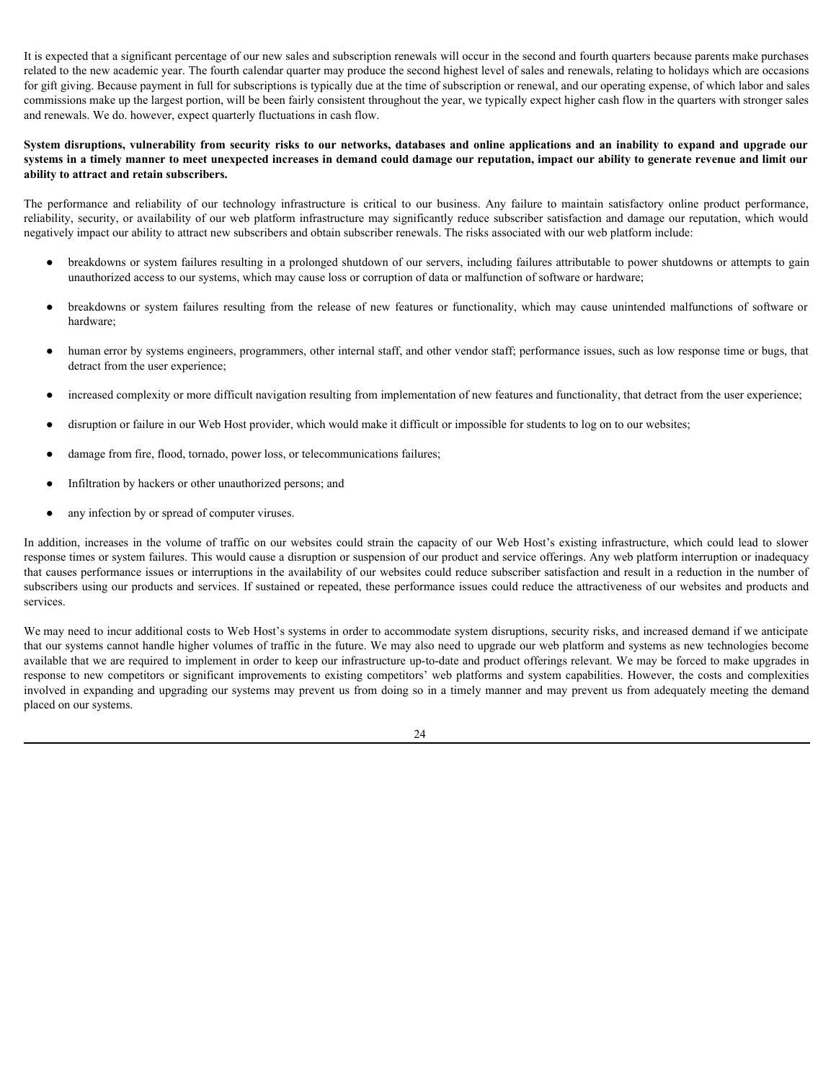It is expected that a significant percentage of our new sales and subscription renewals will occur in the second and fourth quarters because parents make purchases related to the new academic year. The fourth calendar quarter may produce the second highest level of sales and renewals, relating to holidays which are occasions for gift giving. Because payment in full for subscriptions is typically due at the time of subscription or renewal, and our operating expense, of which labor and sales commissions make up the largest portion, will be been fairly consistent throughout the year, we typically expect higher cash flow in the quarters with stronger sales and renewals. We do. however, expect quarterly fluctuations in cash flow. It is expected that a significant percentage of our new sales and subscription renewals will occur in the second and fourth quarters because parents make purchases<br>
related to the new academic year. The fourth calendar qua expected that a significant percentage of our new sales and subscription renewals will occur in the second and fount quarters because process make purchases and one heave academic year of near heaven and the new academic p

# **System disruptions, vulnerability from security risks to our networks, databases and online applications and an inability to expand and upgrade our systems in a timely manner to meet unexpected increases in demand could damage our reputation, impact our ability to generate revenue and limit our ability to attract and retain subscribers.**

reliability, security, or availability of our web platform infrastructure may significantly reduce subscriber satisfaction and damage our reputation, which would negatively impact our ability to attract new subscribers and obtain subscriber renewals. The risks associated with our web platform include:

- **●** breakdowns or system failures resulting in a prolonged shutdown of our servers, including failures attributable to power shutdowns or attempts to gain unauthorized access to our systems, which may cause loss or corruption of data or malfunction of software or hardware;
- hardware;
- human error by systems engineers, programmers, other internal staff, and other vendor staff; performance issues, such as low response time or bugs, that detract from the user experience;
- increased complexity or more difficult navigation resulting from implementation of new features and functionality, that detract from the user experience;
- disruption or failure in our Web Host provider, which would make it difficult or impossible for students to log on to our websites;
- damage from fire, flood, tornado, power loss, or telecommunications failures;
- Infiltration by hackers or other unauthorized persons; and
- any infection by or spread of computer viruses.

In addition, increases in the volume of traffic on our websites could strain the capacity of our Web Host's existing infrastructure, which could lead to slower response times or system failures. This would cause a disruption or suspension of our product and service offerings. Any web platform interruption or inadequacy that causes performance issues or interruptions in the availability of our websites could reduce subscriber satisfaction and result in a reduction in the number of subscribers using our products and services. If sustained or repeated, these performance issues could reduce the attractiveness of our websites and products and services.

We may need to incur additional costs to Web Host's systems in order to accommodate system disruptions, security risks, and increased demand if we anticipate that our systems cannot handle higher volumes of traffic in the future. We may also need to upgrade our web platform and systems as new technologies become available that we are required to implement in order to keep our infrastructure up-to-date and product offerings relevant. We may be forced to make upgrades in response to new competitors or significant improvements to existing competitors' web platforms and system capabilities. However, the costs and complexities involved in expanding and upgrading our systems may prevent us from doing so in a timely manner and may prevent us from adequately meeting the demand placed on our systems.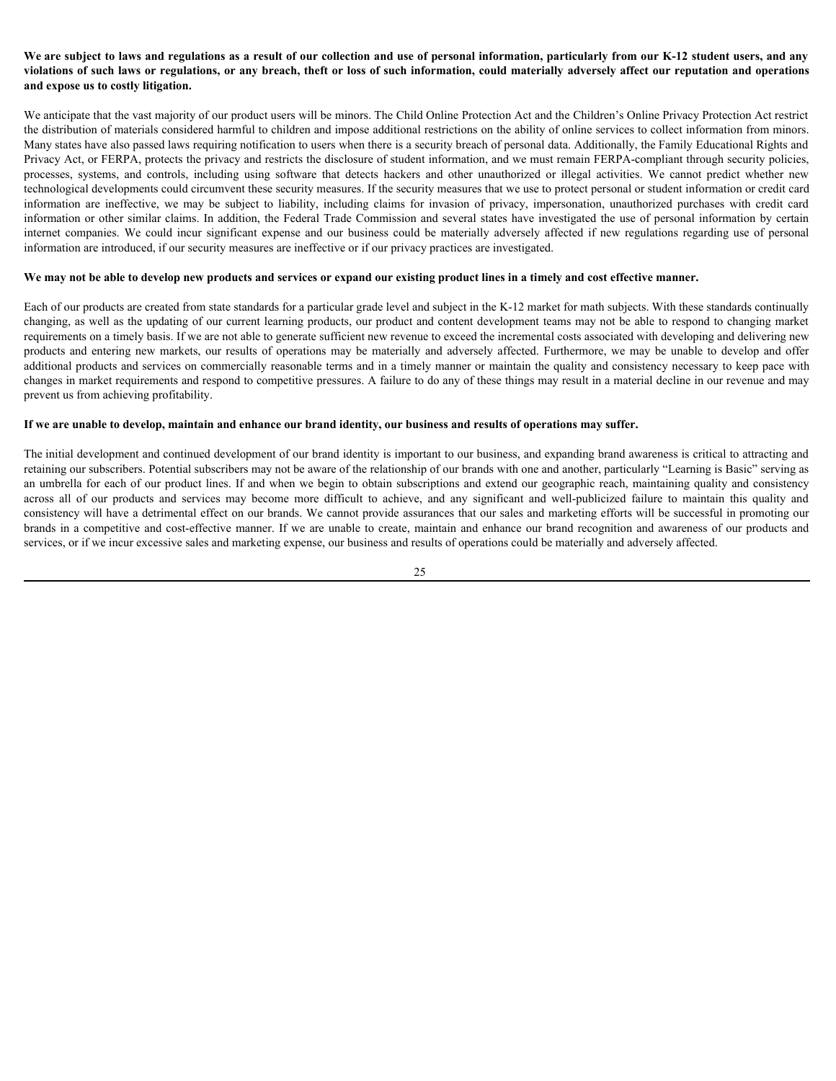# **We are subject to laws and regulations as a result of our collection and use of personal information, particularly from our K-12 student users, and any violations of such laws or regulations, or any breach, theft or loss of such information, could materially adversely affect our reputation and operations and expose us to costly litigation.**

We anticipate that the vast majority of our product users will be minors. The Child Online Protection Act and the Children's Online Privacy Protection Act restrict the distribution of materials considered harmful to children and impose additional restrictions on the ability of online services to collect information from minors. Many states have also passed laws requiring notification to users when there is a security breach of personal data. Additionally, the Family Educational Rights and Privacy Act, or FERPA, protects the privacy and restricts the disclosure of student information, and we must remain FERPA-compliant through security policies, We are subject to laws and regulations as a result of our collection and use of personal information, particularly from our K-12 student users, and any violations of such laws or regulations, or any breach, theft or loss o technological developments could circumvent these security measures. If the security measures that we use to protect personal or student information or credit card We are subject to laws and regulations as a result of our collection and use of personal information, particularly from our K-12 student users, and any violations of such have or regulations, or any breach, theft or loss information or other similar claims. In addition, the Federal Trade Commission and several states have investigated the use of personal information by certain We are subject to laws and regulations as a result of our collection and use of personal information, particularly from our K-12 student users, and any<br>violations of such laws or regulations, or any breach, theft or loss information are introduced, if our security measures are ineffective or if our privacy practices are investigated. We are subject to laws and regulations as a result of our collection and use of personal information, particularly from our K-12 student users, and any<br>violations of such laws or regulations, or any breach, theft or loss We are subject to be said regulations as a result of our collection and use of procedular formation, particularly from on K-12 study of the services of the our study of the services of the services of the services of the

## **We may not be able to develop new products and services or expand our existing product lines in a timely and cost effective manner.**

Each of our products are created from state standards for a particular grade level and subject in the K-12 market for math subjects. With these standards continually changing, as well as the updating of our current learning products, our product and content development teams may not be able to respond to changing market requirements on a timely basis. If we are not able to generate sufficient new revenue to exceed the incremental costs associated with developing and delivering new additional products and services on commercially reasonable terms and in a timely manner or maintain the quality and consistency necessary to keep pace with changes in market requirements and respond to competitive pressures. A failure to do any of these things may result in a material decline in our revenue and may prevent us from achieving profitability.

## **If we are unable to develop, maintain and enhance our brand identity, our business and results of operations may suffer.**

The initial development and continued development of our brand identity is important to our business, and expanding brand awareness is critical to attracting and retaining our subscribers. Potential subscribers may not be aware of the relationship of our brands with one and another, particularly "Learning is Basic" serving as an umbrella for each of our product lines. If and when we begin to obtain subscriptions and extend our geographic reach, maintaining quality and consistency consistency will have a detrimental effect on our brands. We cannot provide assurances that our sales and marketing efforts will be successful in promoting our brands in a competitive and cost-effective manner. If we are unable to create, maintain and enhance our brand recognition and awareness of our products and services, or if we incur excessive sales and marketing expense, our business and results of operations could be materially and adversely affected.

25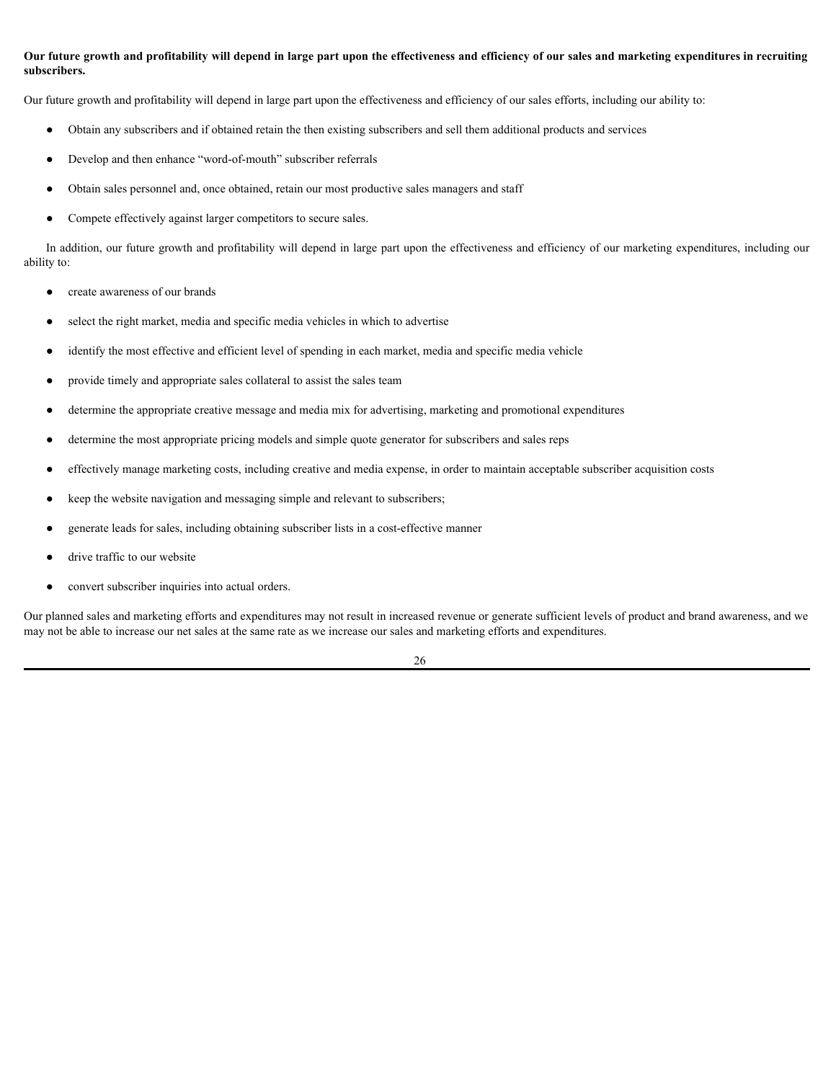# **Our future growth and profitability will depend in large part upon the effectiveness and efficiency of our sales and marketing expenditures in recruiting subscribers.**

Our future growth and profitability will depend in large part upon the effectiveness and efficiency of our sales efforts, including our ability to:

- **●** Obtain any subscribers and if obtained retain the then existing subscribers and sell them additional products and services
- Develop and then enhance "word-of-mouth" subscriber referrals
- Obtain sales personnel and, once obtained, retain our most productive sales managers and staff
- Compete effectively against larger competitors to secure sales.

In addition, our future growth and profitability will depend in large part upon the effectiveness and efficiency of our marketing expenditures, including our ability to:

- **●** create awareness of our brands
- select the right market, media and specific media vehicles in which to advertise
- identify the most effective and efficient level of spending in each market, media and specific media vehicle
- provide timely and appropriate sales collateral to assist the sales team
- determine the appropriate creative message and media mix for advertising, marketing and promotional expenditures
- determine the most appropriate pricing models and simple quote generator for subscribers and sales reps
- effectively manage marketing costs, including creative and media expense, in order to maintain acceptable subscriber acquisition costs
- keep the website navigation and messaging simple and relevant to subscribers;
- generate leads for sales, including obtaining subscriber lists in a cost-effective manner
- drive traffic to our website
- convert subscriber inquiries into actual orders.

Our planned sales and marketing efforts and expenditures may not result in increased revenue or generate sufficient levels of product and brand awareness, and we may not be able to increase our net sales at the same rate as we increase our sales and marketing efforts and expenditures.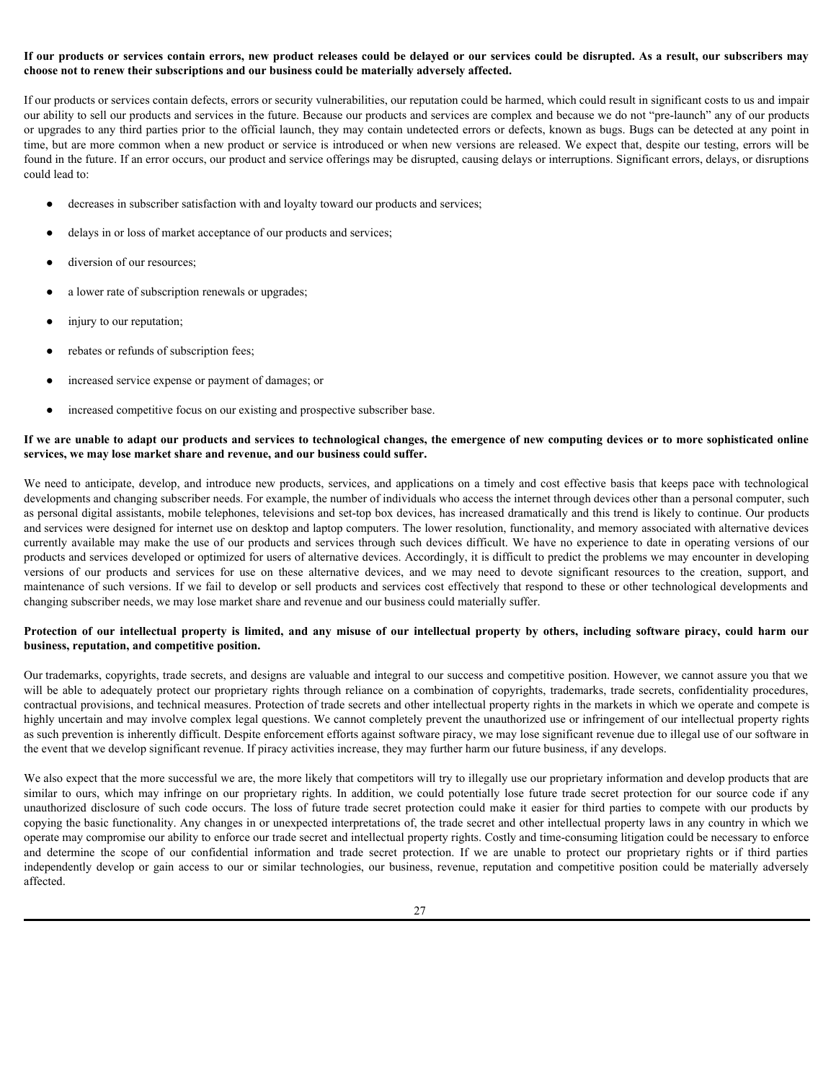## **If our products or services contain errors, new product releases could be delayed or our services could be disrupted. As a result, our subscribers may choose not to renew their subscriptions and our business could be materially adversely affected.**

If our products or services contain defects, errors or security vulnerabilities, our reputation could be harmed, which could result in significant costs to us and impair our ability to sell our products and services in the future. Because our products and services are complex and because we do not "pre-launch" any of our products or upgrades to any third parties prior to the official launch, they may contain undetected errors or defects, known as bugs. Bugs can be detected at any point in time, but are more common when a new product or service is introduced or when new versions are released. We expect that, despite our testing, errors will be found in the future. If an error occurs, our product and service offerings may be disrupted, causing delays or interruptions. Significant errors, delays, or disruptions could lead to:

- **●** decreases in subscriber satisfaction with and loyalty toward our products and services;
- delays in or loss of market acceptance of our products and services;
- diversion of our resources;
- a lower rate of subscription renewals or upgrades;
- injury to our reputation;
- rebates or refunds of subscription fees;
- increased service expense or payment of damages; or
- increased competitive focus on our existing and prospective subscriber base.

# **If we are unable to adapt our products and services to technological changes, the emergence of new computing devices or to more sophisticated online services, we may lose market share and revenue, and our business could suffer.**

We need to anticipate, develop, and introduce new products, services, and applications on a timely and cost effective basis that keeps pace with technological developments and changing subscriber needs. For example, the number of individuals who access the internet through devices other than a personal computer, such as personal digital assistants, mobile telephones, televisions and set-top box devices, has increased dramatically and this trend is likely to continue. Our products and services were designed for internet use on desktop and laptop computers. The lower resolution, functionality, and memory associated with alternative devices currently available may make the use of our products and services through such devices difficult. We have no experience to date in operating versions of our products and services developed or optimized for users of alternative devices. Accordingly, it is difficult to predict the problems we may encounter in developing or topids to any tale particle prior to do official hund, they are controlled used to do official hunders are products and services of one of official hunders are products and the creative of the services of the services o maintenance of such versions. If we fail to develop or sell products and services cost effectively that respond to these or other technological developments and changing subscriber needs, we may lose market share and revenue and our business could materially suffer. **P** decrease in subscribe statification with and loyally to-wad our products and starviets,<br> **Product in the section of our resultance of the protection of the section of the section of the section of the section of the s** • colates or refunds of subsetiption focs:<br>• increased service exponents of summers of summers and summers of the summers of the computing devices or to more sophisticated online<br>or error ours could be marked what we produ • Increased service exponse or payment of damages, or<br>
• increased competitive focus on our casining and prospective substitute trane. He emergence of new computing devices or to more sophisticated online<br>
all we are unab • increased competitive focus on our existing and prospective substitue than eare easies on a secret of new competent of the scope and secret of the scope of the scope of the scope of the scope of the scope of the scope of If we are unable to adapt our products and services to technological change, the emergence of new computing devices on to our expected and the system with technological why considerable with access to a could with a certai

# **business, reputation, and competitive position.**

Our trademarks, copyrights, trade secrets, and designs are valuable and integral to our success and competitive position. However, we cannot assure you that we will be able to adequately protect our proprietary rights through reliance on a combination of copyrights, trademarks, trade secrets, confidentiality procedures, contractual provisions, and technical measures. Protection of trade secrets and other intellectual property rights in the markets in which we operate and compete is highly uncertain and may involve complex legal questions. We cannot completely prevent the unauthorized use or infringement of our intellectual property rights as such prevention is inherently difficult. Despite enforcement efforts against software piracy, we may lose significant revenue due to illegal use of our software in the event that we develop significant revenue. If piracy activities increase, they may further harm our future business, if any develops.

We also expect that the more successful we are, the more likely that competitors will try to illegally use our proprietary information and develop products that are copying the basic functionality. Any changes in or unexpected interpretations of, the trade secret and other intellectual property laws in any country in which we operate may compromise our ability to enforce our trade secret and intellectual property rights. Costly and time-consuming litigation could be necessary to enforce affected.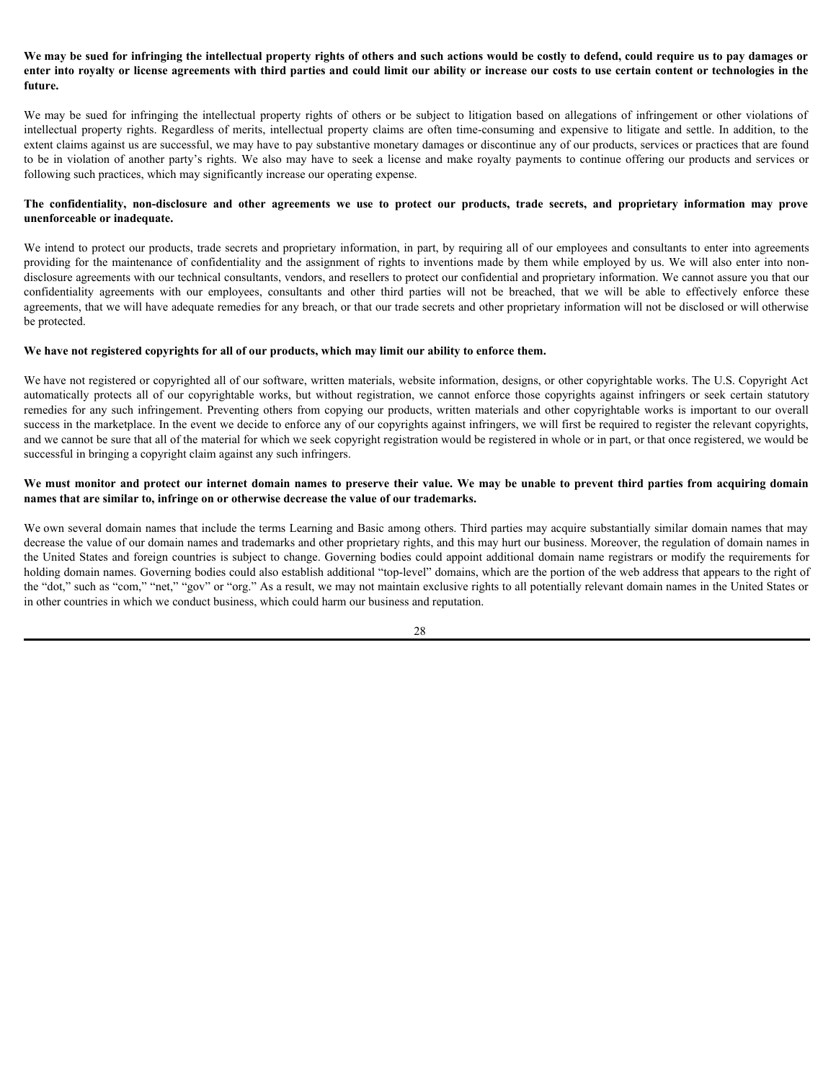We may be sued for infringing the intellectual property rights of others and such actions would be costly to defend, could require us to pay damages or **enter into royalty or license agreements with third parties and could limit our ability or increase our costs to use certain content or technologies in the future.**

We may be sued for infringing the intellectual property rights of others and such actions would be costly to defend, could require us to pay damages or<br>enter into royalty or license agreements with third parties and could We may be sued for infringing the intellectual property rights of others and such actions would be costly to defend, could require us to pay damages or enter in to royalty or license agreements with third parties and could extent claims against us are successful, we may have to pay substantive monetary damages or discontinue any of our products, services or practices that are found to be in violation of another party's rights. We also may have to seek a license and make royalty payments to continue offering our products and services or following such practices, which may significantly increase our operating expense.

# **unenforceable or inadequate.**

We may be sued for infringing the intellectual property rights of others and such actions would be costly to defend, could require us to pay dannages or<br>enter- into royalty or license agreements with third parties and coul We intend to protect our products, trade secrets and proprietary information, in part, by requiring all of our employees and consultants to enter into agreements providing for the maintenance of confidentiality and the assignment of rights to inventions made by them while employed by us. We will also enter into nondisclosure agreements with our technical consultants, vendors, and resellers to protect our confidential and proprietary information. We cannot assure you that our We may be sued for infringing the intellectual property rights of others and such sections would be costly to defend, could require us to pay damages or<br>enter into royalty or license agreements with third parties and could agreements, that we will have adequate remedies for any breach, or that our trade secrets and other proprietary information will not be disclosed or will otherwise be protected.

## **We have not registered copyrights for all of our products, which may limit our ability to enforce them.**

We have not registered or copyrighted all of our software, written materials, website information, designs, or other copyrightable works. The U.S. Copyright Act We may be sued for infringing the intellectual property rights of others and such actions would be costly to defend, could require as to pay damages or<br>enter-<br>trio copyrights riceives such constrained protocol and could l remedies for any such infringement. Preventing others from copying our products, written materials and other copyrightable works is important to our overall success in the marketplace. In the event we decide to enforce any of our copyrights against infringers, we will first be required to register the relevant copyrights, and we cannot be sure that all of the material for which we seek copyright registration would be registered in whole or in part, or that once registered, we would be successful in bringing a copyright claim against any such infringers.

## **We must monitor and protect our internet domain names to preserve their value. We may be unable to prevent third parties from acquiring domain names that are similar to, infringe on or otherwise decrease the value of our trademarks.**

We own several domain names that include the terms Learning and Basic among others. Third parties may acquire substantially similar domain names that may decrease the value of our domain names and trademarks and other proprietary rights, and this may hurt our business. Moreover, the regulation of domain names in the United States and foreign countries is subject to change. Governing bodies could appoint additional domain name registrars or modify the requirements for holding domain names. Governing bodies could also establish additional "top-level" domains, which are the portion of the web address that appears to the right of the "dot," such as "com," "net," "gov" or "org." As a result, we may not maintain exclusive rights to all potentially relevant domain names in the United States or in other countries in which we conduct business, which could harm our business and reputation.

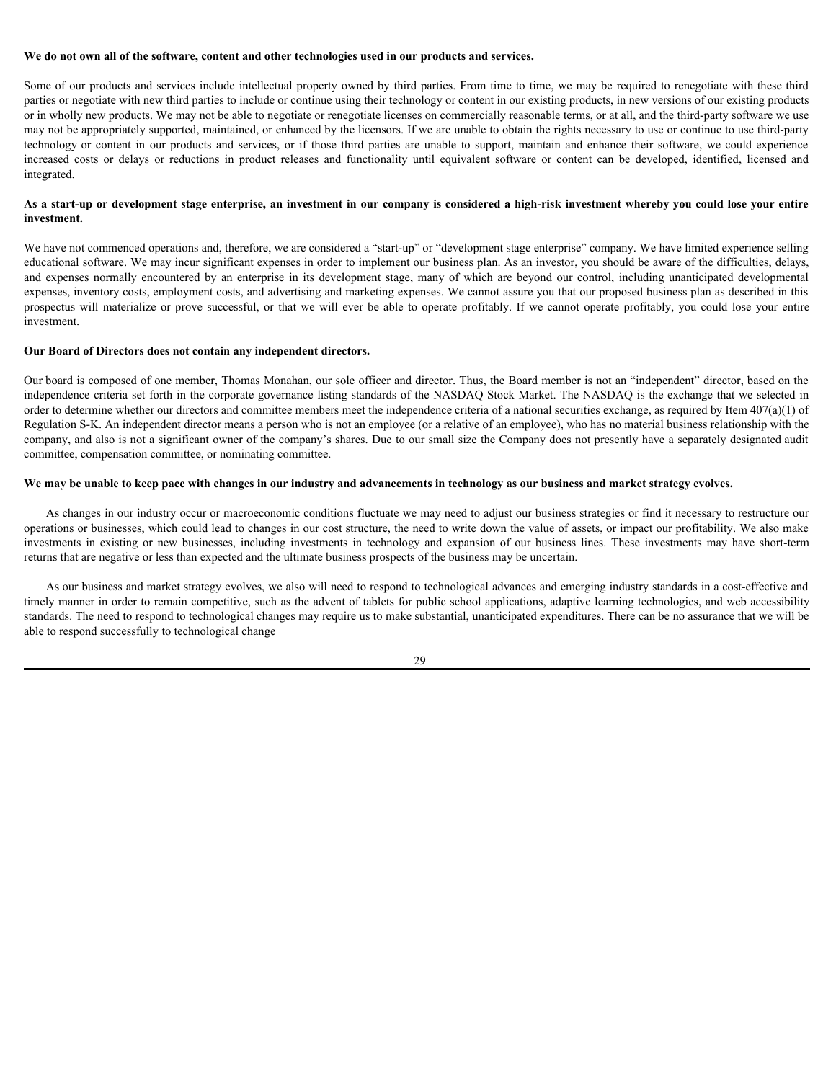### **We do not own all of the software, content and other technologies used in our products and services.**

Some of our products and services include intellectual property owned by third parties. From time to time, we may be required to renegotiate with these third parties or negotiate with new third parties to include or continue using their technology or content in our existing products, in new versions of our existing products or in wholly new products. We may not be able to negotiate or renegotiate licenses on commercially reasonable terms, or at all, and the third-party software we use may not be appropriately supported, maintained, or enhanced by the licensors. If we are unable to obtain the rights necessary to use or continue to use third-party We do not own all of the software, content and other technologies used in our products and services.<br>Some of our products and services include intellectual property owned by third parties. From time to time, we may be requ We do not own all of the software, content and other technologies used in our products and services.<br>Some of our products and services include intellectual property covaned by third parties. From time to time, we may be re integrated. We do not own all of the software, content and other technologies used in our products and services.<br>Some of our products in starting procedure included to include the products on including this controllange in the stage We do not own all of the software, content and other technologies used in our products and services.<br>Some of or products will deraited intellectual property cowad by third parties. From time to time, we may be required to purise in existing the host bind purise in the control in the control in the control in the properties of the control in the properties in the state in the control in the properties in the properties in the properties in

## **As a start-up or development stage enterprise, an investment in our company is considered a high-risk investment whereby you could lose your entire investment.**

We have not commenced operations and, therefore, we are considered a "start-up" or "development stage enterprise" company. We have limited experience selling educational software. We may incur significant expenses in order to implement our business plan. As an investor, you should be aware of the difficulties, delays, expenses, inventory costs, employment costs, and advertising and marketing expenses. We cannot assure you that our proposed business plan as described in this investment.

# **Our Board of Directors does not contain any independent directors.**

Our board is composed of one member, Thomas Monahan, our sole officer and director. Thus, the Board member is not an "independent" director, based on the independence criteria set forth in the corporate governance listing standards of the NASDAQ Stock Market. The NASDAQ is the exchange that we selected in order to determine whether our directors and committee members meet the independence criteria of a national securities exchange, as required by Item 407(a)(1) of Regulation S-K. An independent director means a person who is not an employee (or a relative of an employee), who has no material business relationship with the company, and also is not a significant owner of the company's shares. Due to our small size the Company does not presently have a separately designated audit committee, compensation committee, or nominating committee.

## **We may be unable to keep pace with changes in our industry and advancements in technology as our business and market strategy evolves.**

As changes in our industry occur or macroeconomic conditions fluctuate we may need to adjust our business strategies or find it necessary to restructure our operations or businesses, which could lead to changes in our cost structure, the need to write down the value of assets, or impact our profitability. We also make returns that are negative or less than expected and the ultimate business prospects of the business may be uncertain.

As our business and market strategy evolves, we also will need to respond to technological advances and emerging industry standards in a cost-effective and timely manner in order to remain competitive, such as the advent of tablets for public school applications, adaptive learning technologies, and web accessibility standards. The need to respond to technological changes may require us to make substantial, unanticipated expenditures. There can be no assurance that we will be able to respond successfully to technological change

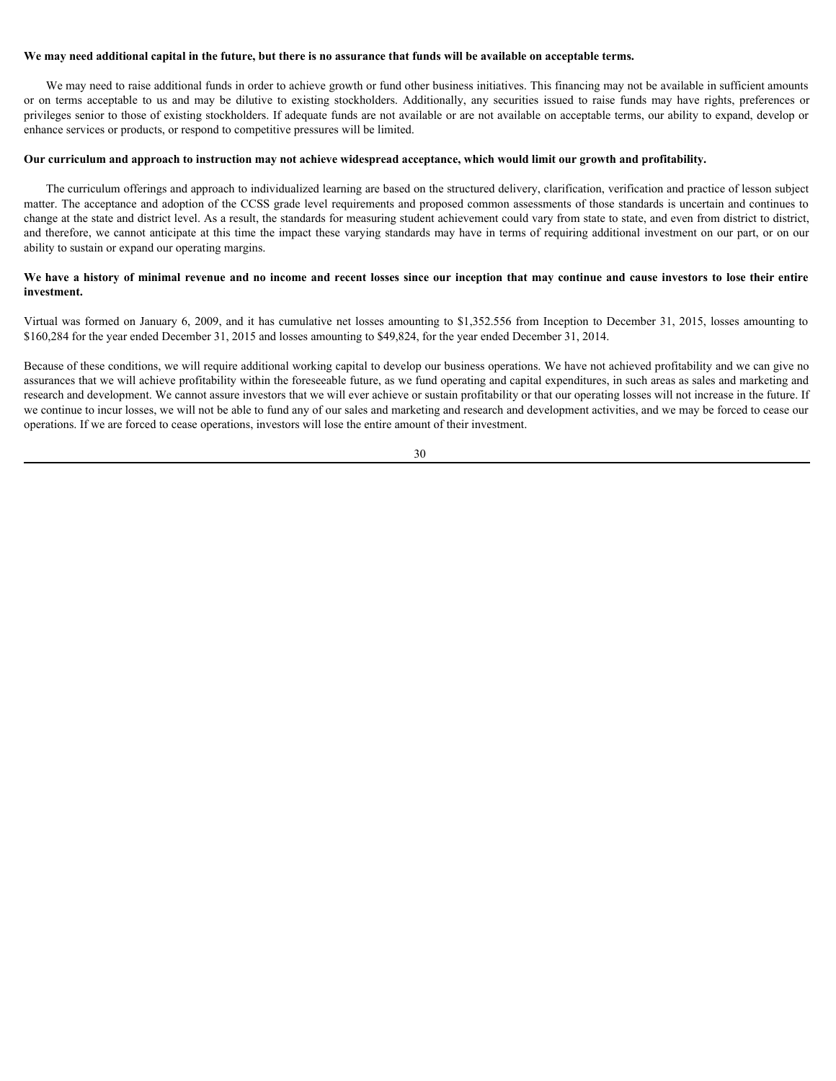### **We may need additional capital in the future, but there is no assurance that funds will be available on acceptable terms.**

We may need to raise additional funds in order to achieve growth or fund other business initiatives. This financing may not be available in sufficient amounts We may need additional capital in the future, but there is no assurance that funds will be available on acceptable terms.<br>We may need to raise additional funds in order to achieve growth or fund other business initiatives. privileges senior to those of existing stockholders. If adequate funds are not available or are not available on acceptable terms, our ability to expand, develop or enhance services or products, or respond to competitive pressures will be limited.

### **Our curriculum and approach to instruction may not achieve widespread acceptance, which would limit our growth and profitability.**

The curriculum offerings and approach to individualized learning are based on the structured delivery, clarification, verification and practice of lesson subject matter. The acceptance and adoption of the CCSS grade level requirements and proposed common assessments of those standards is uncertain and continues to change at the state and district level. As a result, the standards for measuring student achievement could vary from state to state, and even from district to district, and therefore, we cannot anticipate at this time the impact these varying standards may have in terms of requiring additional investment on our part, or on our ability to sustain or expand our operating margins.

## **We have a history of minimal revenue and no income and recent losses since our inception that may continue and cause investors to lose their entire investment.**

Virtual was formed on January 6, 2009, and it has cumulative net losses amounting to \$1,352.556 from Inception to December 31, 2015, losses amounting to \$160,284 for the year ended December 31, 2015 and losses amounting to \$49,824, for the year ended December 31, 2014.

Because of these conditions, we will require additional working capital to develop our business operations. We have not achieved profitability and we can give no assurances that we will achieve profitability within the foreseeable future, as we fund operating and capital expenditures, in such areas as sales and marketing and research and development. We cannot assure investors that we will ever achieve or sustain profitability or that our operating losses will not increase in the future. If we continue to incur losses, we will not be able to fund any of our sales and marketing and research and development activities, and we may be forced to cease our operations. If we are forced to cease operations, investors will lose the entire amount of their investment.

30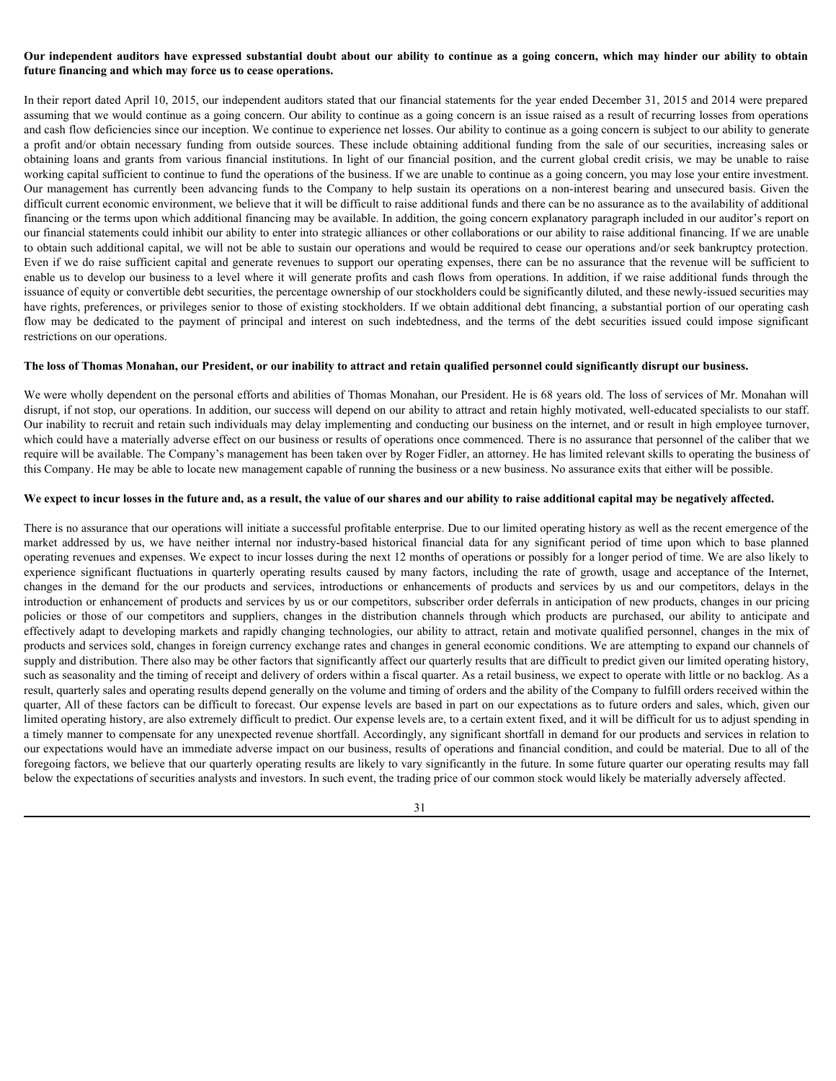# **future financing and which may force us to cease operations.**

**Our independent auditors have expressed substantial doubt about our ability to continue as a going concern, which may hinder our ability to obtain future financing and which may force us to cease operations.<br>In their repo** In their report dated April 10, 2015, our independent auditors stated that our financial statements for the year ended December 31, 2015 and 2014 were prepared assuming that we would continue as a going concern. Our ability to continue as a going concern is an issue raised as a result of recurring losses from operations and cash flow deficiencies since our inception. We continue to experience net losses. Our ability to continue as a going concern is subject to our ability to generate Our independent auditors have expressed substantial doubt about our ability to continue as a going concern, which may hinder our ability to obtain their report dated particular funding fund which may force us to cease oper obtaining loans and grants from various financial institutions. In light of our financial position, and the current global credit crisis, we may be unable to raise working capital sufficient to continue to fund the operations of the business. If we are unable to continue as a going concern, you may lose your entire investment. Our independent auditors have expressed substantial doubt about our ability to continue as a going concern, which may hinder our ability to obtain future financing and which may force us to cease operations.<br>In their repor difficult current economic environment, we believe that it will be difficult to raise additional funds and there can be no assurance as to the availability of additional financing or the terms upon which additional financing may be available. In addition, the going concern explanatory paragraph included in our auditor's report on our financial statements could inhibit our ability to enter into strategic alliances or other collaborations or our ability to raise additional financing. If we are unable to obtain such additional capital, we will not be able to sustain our operations and would be required to cease our operations and/or seek bankruptcy protection. Even if we do raise sufficient capital and generate revenues to support our operating expenses, there can be no assurance that the revenue will be sufficient to enable us to develop our business to a level where it will generate profits and cash flows from operations. In addition, if we raise additional funds through the issuance of equity or convertible debt securities, the percentage ownership of our stockholders could be significantly diluted, and these newly-issued securities may have rights, preferences, or privileges senior to those of existing stockholders. If we obtain additional debt financing, a substantial portion of our operating cash Our independent auditors have capressed substantial doubt about our ability to continue as a going concern, which may hinder our ability to obtain the the tractor payment that the interpret diate report diate report diate restrictions on our operations. In both market by the Use of The Use the mathematicant hailor to the internal state that the mathematicant data for the system ended Norwing 13, 10m 2014 we respect to the system of the distribution of the financial of th and one and the verticles) in significant of the continue is contained and one of the David Sapple operations in a significant of the control of the significant of the control of the significant of the control of the contr a provide other weak or demand for the series in the products introductions in the media of the our weak of the our services, the services, the services, and the services of the blacks and services of the services of the o

## **The loss of Thomas Monahan, our President, or our inability to attract and retain qualified personnel could significantly disrupt our business.**

We were wholly dependent on the personal efforts and abilities of Thomas Monahan, our President. He is 68 years old. The loss of services of Mr. Monahan will disrupt, if not stop, our operations. In addition, our success will depend on our ability to attract and retain highly motivated, well-educated specialists to our staff. Our inability to recruit and retain such individuals may delay implementing and conducting our business on the internet, and or result in high employee turnover, which could have a materially adverse effect on our business or results of operations once commenced. There is no assurance that personnel of the caliber that we require will be available. The Company's management has been taken over by Roger Fidler, an attorney. He has limited relevant skills to operating the business of this Company. He may be able to locate new management capable of running the business or a new business. No assurance exits that either will be possible.

## **We expect to incur losses in the future and, as a result, the value of our shares and our ability to raise additional capital may be negatively affected.**

There is no assurance that our operations will initiate a successful profitable enterprise. Due to our limited operating history as well as the recent emergence of the operating revenues and expenses. We expect to incur losses during the next 12 months of operations or possibly for a longer period of time. We are also likely to introduction or enhancement of products and services by us or our competitors, subscriber order deferrals in anticipation of new products, changes in our pricing which continue this competitor is not the interiment of the basines it is not unit ability to anticipate of the interimed in the competitors are proportioned to the effect of the substitution of the substitution of the com effectively adapt to developing markets and rapidly changing technologies, our ability to attract, retain and motivate qualified personnel, changes in the mix of products and services sold, changes in foreign currency exchange rates and changes in general economic conditions. We are attempting to expand our channels of supply and distribution. There also may be other factors that significantly affect our quarterly results that are difficult to predict given our limited operating history, such as seasonality and the timing of receipt and delivery of orders within a fiscal quarter. As a retail business, we expect to operate with little or no backlog. As a result, quarterly sales and operating results depend generally on the volume and timing of orders and the ability of the Company to fulfill orders received within the quarter, All of these factors can be difficult to forecast. Our expense levels are based in part on our expectations as to future orders and sales, which, given our limited operating history, are also extremely difficult to predict. Our expense levels are, to a certain extent fixed, and it will be difficult for us to adjust spending in a timely manner to compensate for any unexpected revenue shortfall. Accordingly, any significant shortfall in demand for our products and services in relation to our expectations would have an immediate adverse impact on our business, results of operations and financial condition, and could be material. Due to all of the foregoing factors, we believe that our quarterly operating results are likely to vary significantly in the future. In some future quarter our operating results may fall below the expectations of securities analysts and investors. In such event, the trading price of our common stock would likely be materially adversely affected.

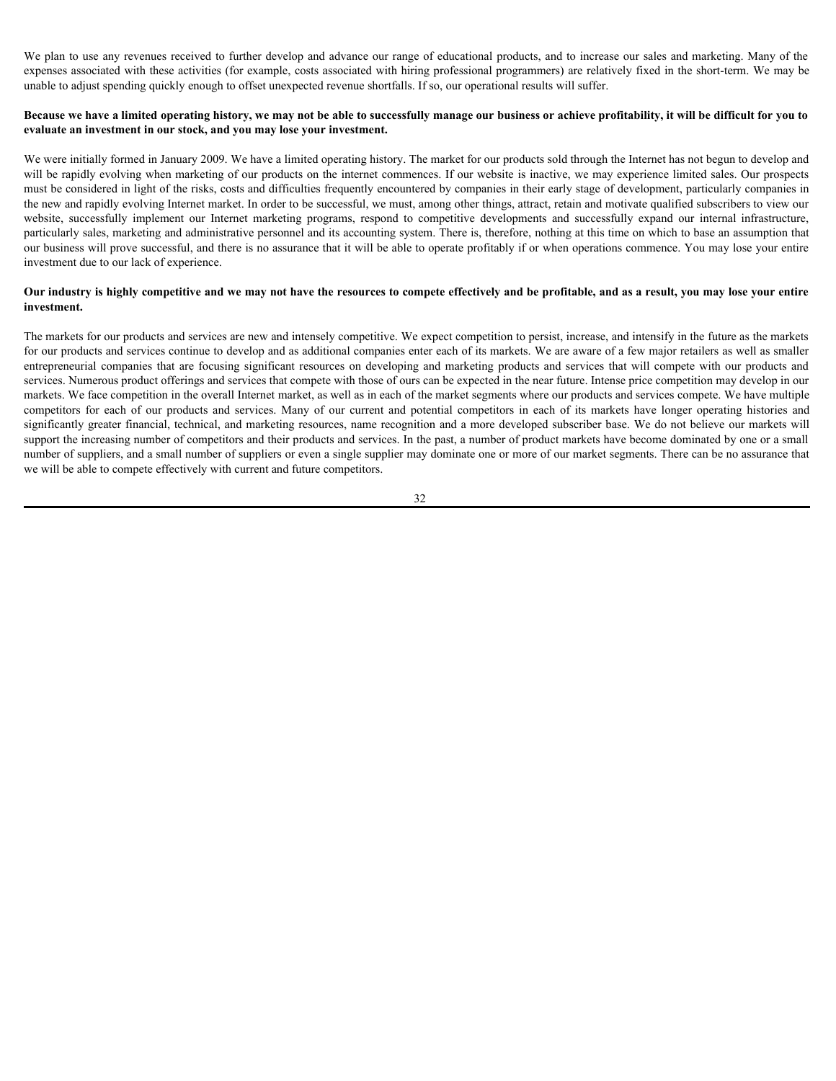We plan to use any revenues received to further develop and advance our range of educational products, and to increase our sales and marketing. Many of the expenses associated with these activities (for example, costs associated with hiring professional programmers) are relatively fixed in the short-term. We may be unable to adjust spending quickly enough to offset unexpected revenue shortfalls. If so, our operational results will suffer.

## **Because we have a limited operating history, we may not be able to successfully manage our business or achieve profitability, it will be difficult for you to evaluate an investment in our stock, and you may lose your investment.**

We were initially formed in January 2009. We have a limited operating history. The market for our products sold through the Internet has not begun to develop and will be rapidly evolving when marketing of our products on the internet commences. If our website is inactive, we may experience limited sales. Our prospects must be considered in light of the risks, costs and difficulties frequently encountered by companies in their early stage of development, particularly companies in the new and rapidly evolving Internet market. In order to be successful, we must, among other things, attract, retain and motivate qualified subscribers to view our We plan to use any revenues received to further develop and advance our range of educational products, and to increase our sales and marketing. Many of the expresses associated with these activities (for example, costs ass particularly sales, marketing and administrative personnel and its accounting system. There is, therefore, nothing at this time on which to base an assumption that our business will prove successful, and there is no assurance that it will be able to operate profitably if or when operations commence. You may lose your entire investment due to our lack of experience.

# **Our industry is highly competitive and we may not have the resources to compete effectively and be profitable, and as a result, you may lose your entire investment.**

The markets for our products and services are new and intensely competitive. We expect competition to persist, increase, and intensify in the future as the markets for our products and services continue to develop and as additional companies enter each of its markets. We are aware of a few major retailers as well as smaller We plan to use any revenues received to further develop and advance our range of educational products, and to merease successful with are as associated with himne professional programmers) are relatively fixed in the abord services. Numerous product offerings and services that compete with those of ours can be expected in the near future. Intense price competition may develop in our markets. We face competition in the overall Internet market, as well as in each of the market segments where our products and services compete. We have multiple We plan to use any revenues received to further develop and advance our range of eliacistorsal products. and to were<br>response associated with these extritios (for complete competitors and services in event of the products significantly greater financial, technical, and marketing resources, name recognition and a more developed subscriber base. We do not believe our markets will support the increasing number of competitors and their products and services. In the past, a number of product markets have become dominated by one or a small number of suppliers, and a small number of suppliers or even a single supplier may dominate one or more of our market segments. There can be no assurance that we will be able to compete effectively with current and future competitors.

32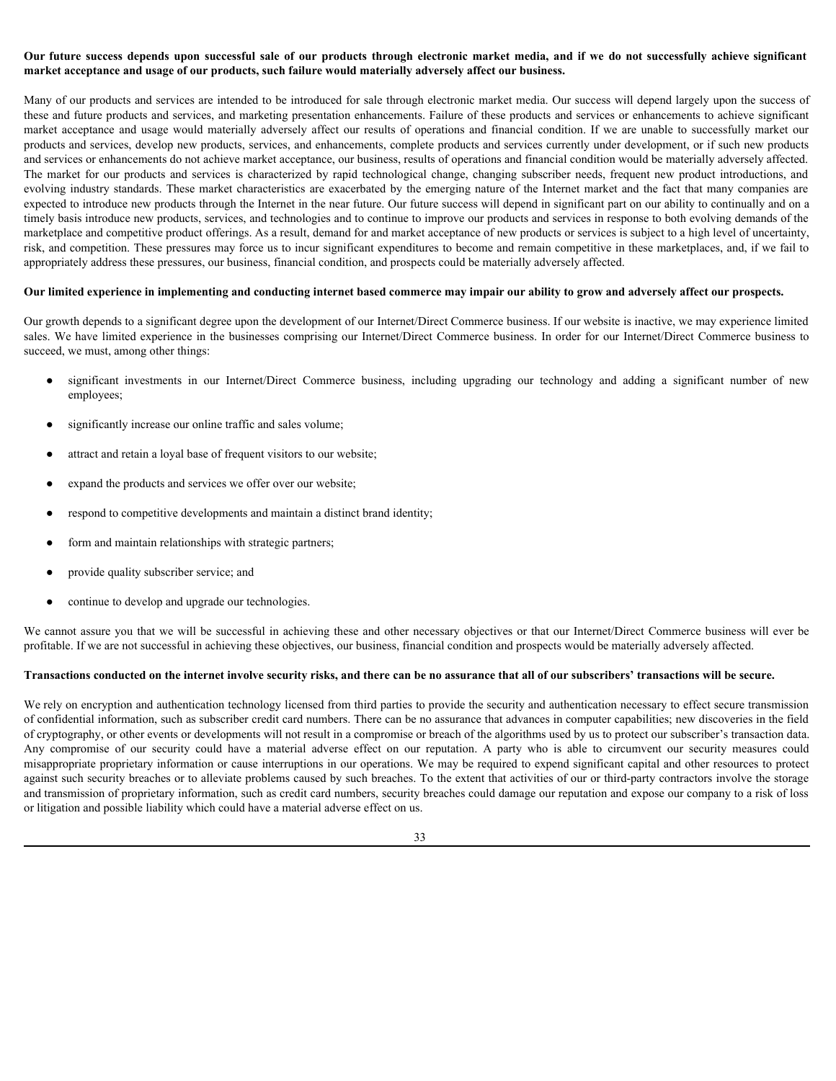# **market acceptance and usage of our products, such failure would materially adversely affect our business.**

Our future success depends upon successful sale of our products through electronic market media, and if we do not successfully achieve significant market acceptance and usage of our products, such failure would materially Many of our products and services are intended to be introduced for sale through electronic market media. Our success will depend largely upon the success of these and future products and services, and marketing presentation enhancements. Failure of these products and services or enhancements to achieve significant Our future success depends upon successful sale of our products through electronic market media, and if we do not successfully achieve significant market acceptance and usage of our products, such failure would materially products and services, develop new products, services, and enhancements, complete products and services currently under development, or if such new products and services or enhancements do not achieve market acceptance, our business, results of operations and financial condition would be materially adversely affected. Our future success depends upon successful sale of our products through electronic market media, and if we do not successfully achieve significant market acceptance and usage of our products, such failure would materially evolving industry standards. These market characteristics are exacerbated by the emerging nature of the Internet market and the fact that many companies are expected to introduce new products through the Internet in the near future. Our future success will depend in significant part on our ability to continually and on a timely basis introduce new products, services, and technologies and to continue to improve our products and services in response to both evolving demands of the marketplace and competitive product offerings. As a result, demand for and market acceptance of new products or services is subject to a high level of uncertainty, risk, and competition. These pressures may force us to incur significant expenditures to become and remain competitive in these marketplaces, and, if we fail to appropriately address these pressures, our business, financial condition, and prospects could be materially adversely affected. future success depends upon successful sale of our products through electronic market media, and if we do not successfully achieve significant the accessorial sale of our products and services, and mathemate our and intern

## **Our limited experience in implementing and conducting internet based commerce may impair our ability to grow and adversely affect our prospects.**

Our growth depends to a significant degree upon the development of our Internet/Direct Commerce business. If our website is inactive, we may experience limited sales. We have limited experience in the businesses comprising our Internet/Direct Commerce business. In order for our Internet/Direct Commerce business to succeed, we must, among other things:

- employees;
- significantly increase our online traffic and sales volume;
- attract and retain a loyal base of frequent visitors to our website;
- expand the products and services we offer over our website;
- respond to competitive developments and maintain a distinct brand identity;
- form and maintain relationships with strategic partners;
- provide quality subscriber service; and
- continue to develop and upgrade our technologies.

We cannot assure you that we will be successful in achieving these and other necessary objectives or that our Internet/Direct Commerce business will ever be profitable. If we are not successful in achieving these objectives, our business, financial condition and prospects would be materially adversely affected.

## **Transactions conducted on the internet involve security risks, and there can be no assurance that all of our subscribers' transactions will be secure.**

We rely on encryption and authentication technology licensed from third parties to provide the security and authentication necessary to effect secure transmission of confidential information, such as subscriber credit card numbers. There can be no assurance that advances in computer capabilities; new discoveries in the field of cryptography, or other events or developments will not result in a compromise or breach of the algorithms used by us to protect our subscriber's transaction data. Our growth depends to a significant dapee upon the development of our Internet/Direct Commerce business. If oner website is inarive, we may experience limited at the able of the could content excellent content commerce to misappropriate proprietary information or cause interruptions in our operations. We may be required to expend significant capital and other resources to protect against such security breaches or to alleviate problems caused by such breaches. To the extent that activities of our or third-party contractors involve the storage and transmission of proprietary information, such as credit card numbers, security breaches could damage our reputation and expose our company to a risk of loss or litigation and possible liability which could have a material adverse effect on us.

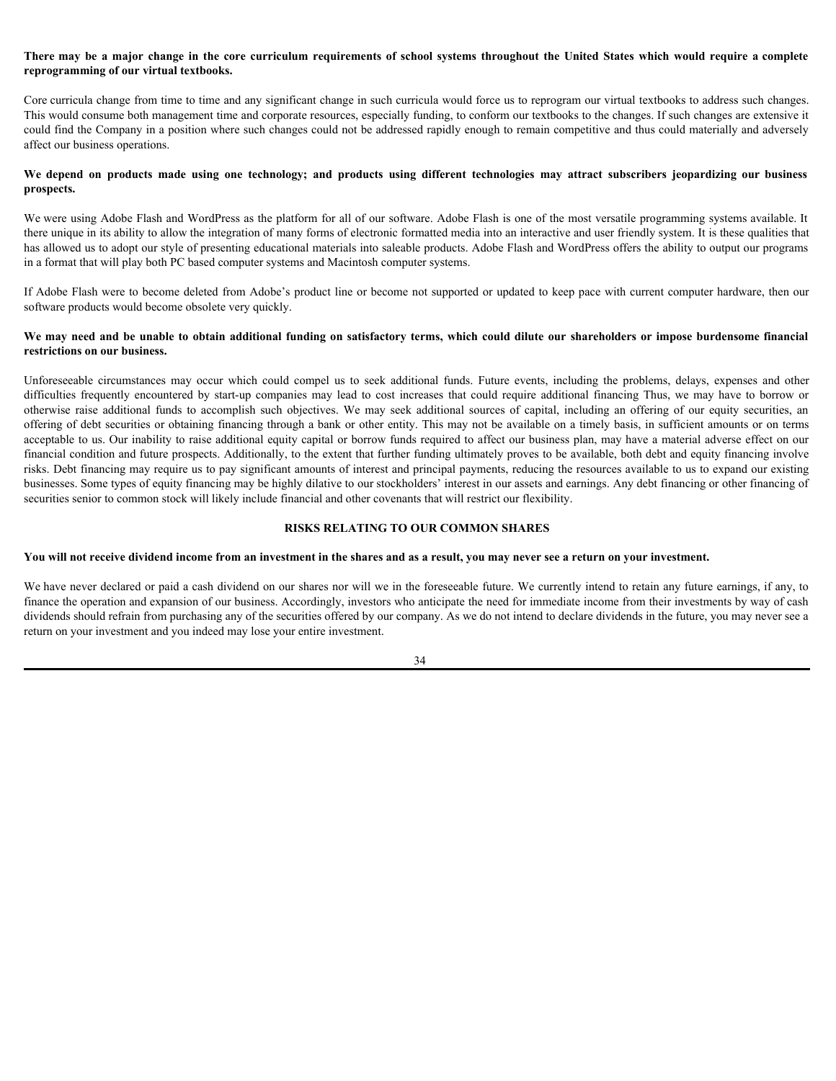# **reprogramming of our virtual textbooks.**

**There may be a major change in the core curriculum requirements of school systems throughout the United States which would require a complete reprogramming of our virtual textbooks.<br>Tore curricula change from time to time** Core curricula change from time to time and any significant change in such curricula would force us to reprogram our virtual textbooks to address such changes. This would consume both management time and corporate resources, especially funding, to conform our textbooks to the changes. If such changes are extensive it could find the Company in a position where such changes could not be addressed rapidly enough to remain competitive and thus could materially and adversely affect our business operations. **There may be a major change in the core curriculum requirements of school systems throughout the United States which would require a complete reprogramming of our virtual textbooks.<br>
Core curricula changes from time to ti** 

# **prospects.**

We were using Adobe Flash and WordPress as the platform for all of our software. Adobe Flash is one of the most versatile programming systems available. It there unique in its ability to allow the integration of many forms of electronic formatted media into an interactive and user friendly system. It is these qualities that has allowed us to adopt our style of presenting educational materials into saleable products. Adobe Flash and WordPress offers the ability to output our programs in a format that will play both PC based computer systems and Macintosh computer systems.

If Adobe Flash were to become deleted from Adobe's product line or become not supported or updated to keep pace with current computer hardware, then our software products would become obsolete very quickly.

# **We may need and be unable to obtain additional funding on satisfactory terms, which could dilute our shareholders or impose burdensome financial restrictions on our business.**

There may be a major change in the core curriculum requirements of school systems throughout the United States which would require a complete representance for the time technologies in and convents and competent the sould There may be a major change in the core curriculum requirements of school systems throughout the United States which would require a complete reproduction. This would contain and contain and contain and companies may signi There may be a major change in the core curriculum requirements of school systems throughout the United States which would require a complete expression of the visual content with considerable and conventions and any signi offering of debt securities or obtaining financing through a bank or other entity. This may not be available on a timely basis, in sufficient amounts or on terms acceptable to us. Our inability to raise additional equity capital or borrow funds required to affect our business plan, may have a material adverse effect on our financial condition and future prospects. Additionally, to the extent that further funding ultimately proves to be available, both debt and equity financing involve risks. Debt financing may require us to pay significant amounts of interest and principal payments, reducing the resources available to us to expand our existing businesses. Some types of equity financing may be highly dilative to our stockholders' interest in our assets and earnings. Any debt financing or other financing of securities senior to common stock will likely include financial and other covenants that will restrict our flexibility.

## **RISKS RELATING TO OUR COMMON SHARES**

## **You will not receive dividend income from an investment in the shares and as a result, you may never see a return on your investment.**

We have never declared or paid a cash dividend on our shares nor will we in the foreseeable future. We currently intend to retain any future earnings, if any, to finance the operation and expansion of our business. Accordingly, investors who anticipate the need for immediate income from their investments by way of cash dividends should refrain from purchasing any of the securities offered by our company. As we do not intend to declare dividends in the future, you may never see a return on your investment and you indeed may lose your entire investment.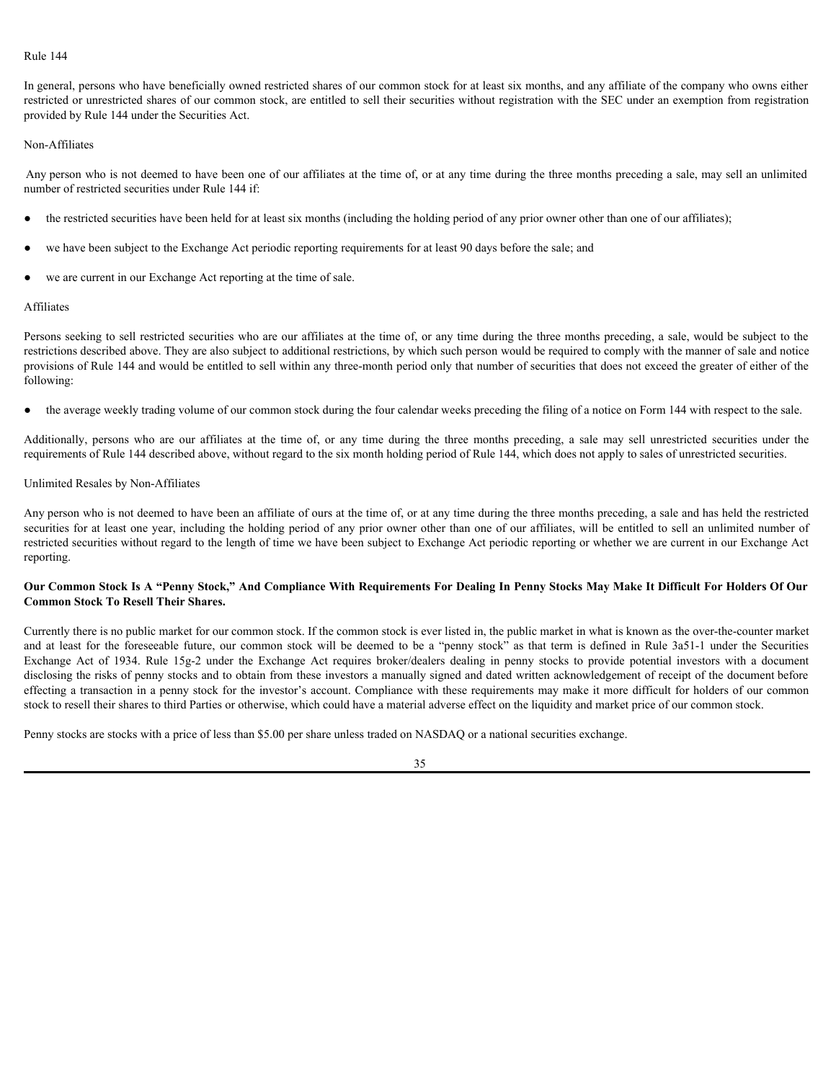### Rule 144

In general, persons who have beneficially owned restricted shares of our common stock for at least six months, and any affiliate of the company who owns either restricted or unrestricted shares of our common stock, are entitled to sell their securities without registration with the SEC under an exemption from registration provided by Rule 144 under the Securities Act.

# Non-Affiliates

Any person who is not deemed to have been one of our affiliates at the time of, or at any time during the three months preceding a sale, may sell an unlimited number of restricted securities under Rule 144 if:

- the restricted securities have been held for at least six months (including the holding period of any prior owner other than one of our affiliates);
- we have been subject to the Exchange Act periodic reporting requirements for at least 90 days before the sale; and
- we are current in our Exchange Act reporting at the time of sale.

# Affiliates

Persons seeking to sell restricted securities who are our affiliates at the time of, or any time during the three months preceding, a sale, would be subject to the restrictions described above. They are also subject to additional restrictions, by which such person would be required to comply with the manner of sale and notice provisions of Rule 144 and would be entitled to sell within any three-month period only that number of securities that does not exceed the greater of either of the following: Additionally, persons who have breedically rowand restricted charge of are common societies without registration with the SEC under an exception for presents and restricted securities to the control and the control of the

● the average weekly trading volume of our common stock during the four calendar weeks preceding the filing of a notice on Form 144 with respect to the sale.

requirements of Rule 144 described above, without regard to the six month holding period of Rule 144, which does not apply to sales of unrestricted securities.

## Unlimited Resales by Non-Affiliates

Any person who is not deemed to have been an affiliate of ours at the time of, or at any time during the three months preceding, a sale and has held the restricted securities for at least one year, including the holding period of any prior owner other than one of our affiliates, will be entitled to sell an unlimited number of restricted securities without regard to the length of time we have been subject to Exchange Act periodic reporting or whether we are current in our Exchange Act reporting.

# **Our Common Stock Is A "Penny Stock," And Compliance With Requirements For Dealing In Penny Stocks May Make It Difficult For Holders Of Our Common Stock To Resell Their Shares.**

Currently there is no public market for our common stock. If the common stock is ever listed in, the public market in what is known as the over-the-counter market • the restricted securities have been held for at least six membric freducting the bottling prior of any prior owner other dan one of our artifiates **c** will be the common stock that the common state of the stock and <br>
• • Be restricted securities best-heart held for at least six membre, the document and act of the propositions of the content of the content of the exchange Act points to the Exchange Act periodic reporting requirement for t disclosing the risks of penny stocks and to obtain from these investors a manually signed and dated written acknowledgement of receipt of the document before effecting a transaction in a penny stock for the investor's account. Compliance with these requirements may make it more difficult for holders of our common stock to resell their shares to third Parties or otherwise, which could have a material adverse effect on the liquidity and market price of our common stock.

Penny stocks are stocks with a price of less than \$5.00 per share unless traded on NASDAQ or a national securities exchange.

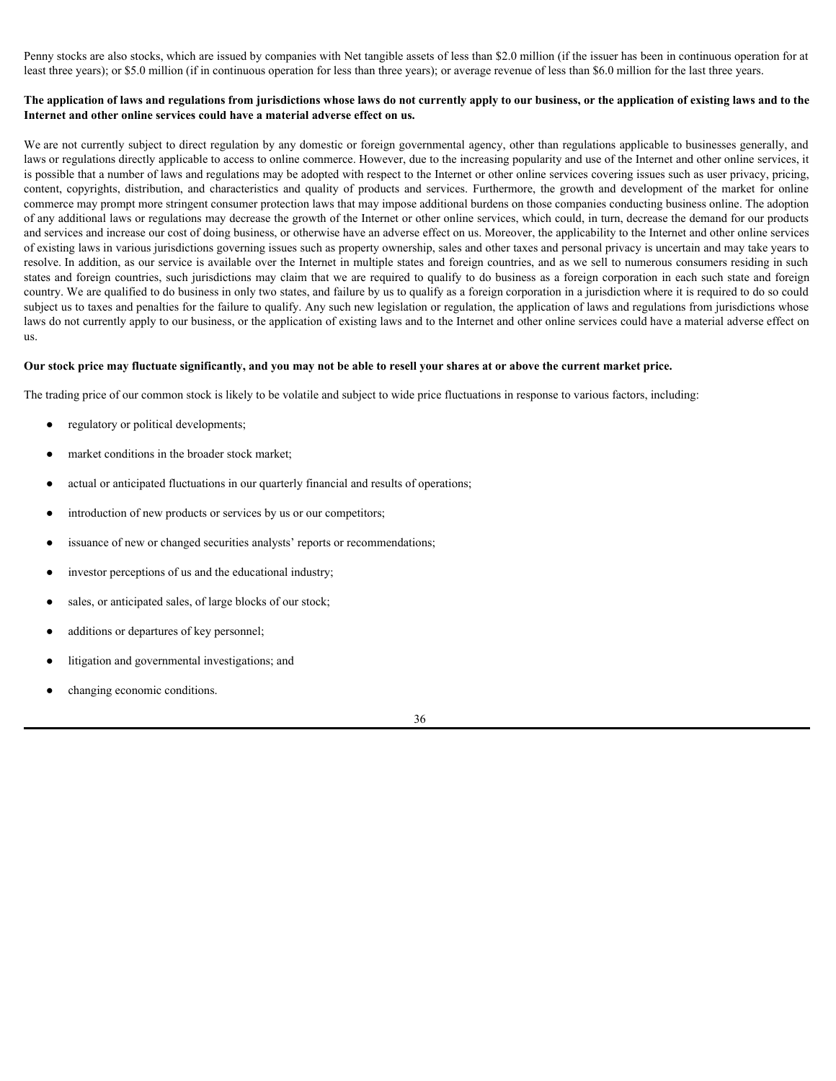Penny stocks are also stocks, which are issued by companies with Net tangible assets of less than \$2.0 million (if the issuer has been in continuous operation for at least three years); or \$5.0 million (if in continuous operation for less than three years); or average revenue of less than \$6.0 million for the last three years.

## **The application of laws and regulations from jurisdictions whose laws do not currently apply to our business, or the application of existing laws and to the Internet and other online services could have a material adverse effect on us.**

We are not currently subject to direct regulation by any domestic or foreign governmental agency, other than regulations applicable to businesses generally, and laws or regulations directly applicable to access to online commerce. However, due to the increasing popularity and use of the Internet and other online services, it is possible that a number of laws and regulations may be adopted with respect to the Internet or other online services covering issues such as user privacy, pricing, Pemy stocks are also stocks, which are issued by companies with Net tangible assets of less than \$2.0 million (if the issuer has been in continuous operation for at least<br>there years); or \$5.0 million (if in continuous ope commerce may prompt more stringent consumer protection laws that may impose additional burdens on those companies conducting business online. The adoption of any additional laws or regulations may decrease the growth of the Internet or other online services, which could, in turn, decrease the demand for our products and services and increase our cost of doing business, or otherwise have an adverse effect on us. Moreover, the applicability to the Internet and other online services of existing laws in various jurisdictions governing issues such as property ownership, sales and other taxes and personal privacy is uncertain and may take years to resolve. In addition, as our service is available over the Internet in multiple states and foreign countries, and as we sell to numerous consumers residing in such states and foreign countries, such jurisdictions may claim that we are required to qualify to do business as a foreign corporation in each such state and foreign country. We are qualified to do business in only two states, and failure by us to qualify as a foreign corporation in a jurisdiction where it is required to do so could subject us to taxes and penalties for the failure to qualify. Any such new legislation or regulation, the application of laws and regulations from jurisdictions whose laws do not currently apply to our business, or the application of existing laws and to the Internet and other online services could have a material adverse effect on us.

## **Our stock price may fluctuate significantly, and you may not be able to resell your shares at or above the current market price.**

The trading price of our common stock is likely to be volatile and subject to wide price fluctuations in response to various factors, including:

- regulatory or political developments;
- market conditions in the broader stock market;
- actual or anticipated fluctuations in our quarterly financial and results of operations;
- introduction of new products or services by us or our competitors;
- issuance of new or changed securities analysts' reports or recommendations;
- investor perceptions of us and the educational industry;
- sales, or anticipated sales, of large blocks of our stock;
- additions or departures of key personnel;
- litigation and governmental investigations; and
- changing economic conditions.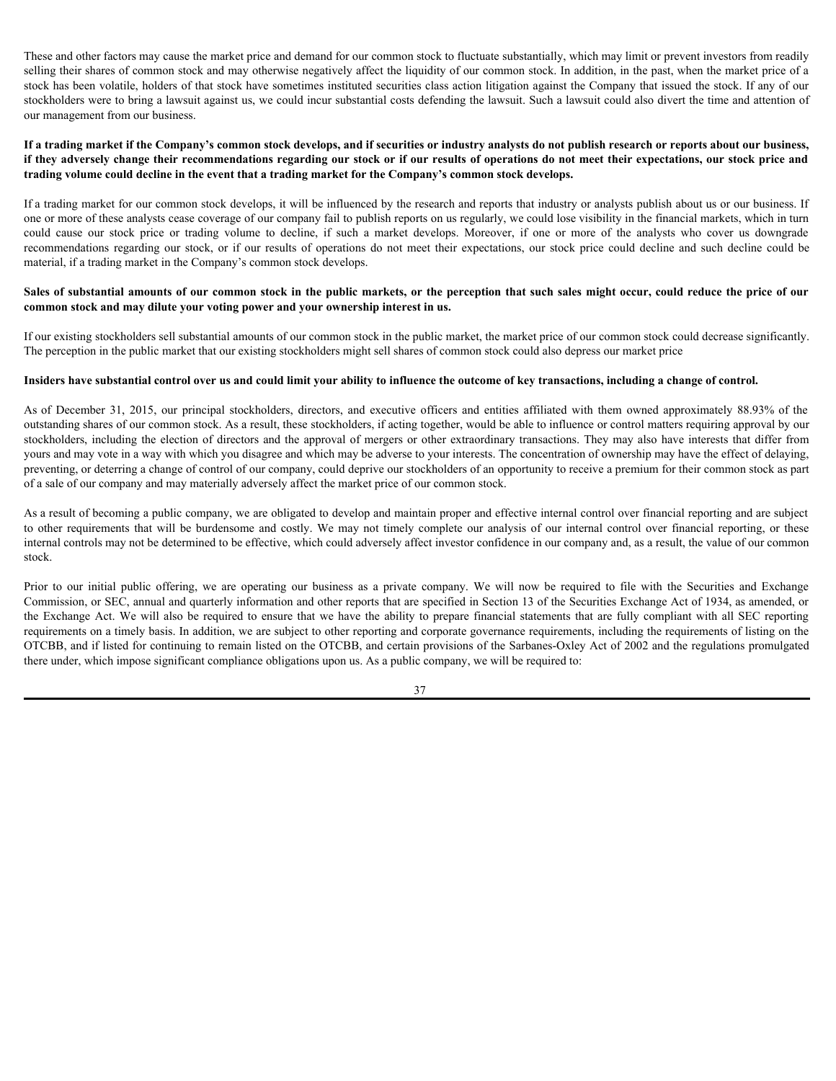These and other factors may cause the market price and demand for our common stock to fluctuate substantially, which may limit or prevent investors from readily selling their shares of common stock and may otherwise negatively affect the liquidity of our common stock. In addition, in the past, when the market price of a stock has been volatile, holders of that stock have sometimes instituted securities class action litigation against the Company that issued the stock. If any of our stockholders were to bring a lawsuit against us, we could incur substantial costs defending the lawsuit. Such a lawsuit could also divert the time and attention of our management from our business. These and other factors may cause the market price and demand for our common stock to fluctuate substantially, which may limit or present investors from readily selling their shares of common stock and may otherwise regati These and other factors may cause the market price and demand for our common stock to fluctuate substantially, which may limit or prevent investors from readily selling their shares of common stock and may otherwise negati

## **If a trading market if the Company's common stock develops, and if securities or industry analysts do not publish research or reports about our business, if they adversely change their recommendations regarding our stock or if our results of operations do not meet their expectations, our stock price and trading volume could decline in the event that a trading market for the Company's common stock develops.**

If a trading market for our common stock develops, it will be influenced by the research and reports that industry or analysts publish about us or our business. If one or more of these analysts cease coverage of our company fail to publish reports on us regularly, we could lose visibility in the financial markets, which in turn material, if a trading market in the Company's common stock develops.

## **Sales of substantial amounts of our common stock in the public markets, or the perception that such sales might occur, could reduce the price of our common stock and may dilute your voting power and your ownership interest in us.**

If our existing stockholders sell substantial amounts of our common stock in the public market, the market price of our common stock could decrease significantly. The perception in the public market that our existing stockholders might sell shares of common stock could also depress our market price

## **Insiders have substantial control over us and could limit your ability to influence the outcome of key transactions, including a change of control.**

These and other theory may cause the murket precedent director states to the figureties the control of stockholders were to be an absolute the control of the control of the control of the control of the control of the cont outstanding shares of our common stock. As a result, these stockholders, if acting together, would be able to influence or control matters requiring approval by our stockholders, including the election of directors and the approval of mergers or other extraordinary transactions. They may also have interests that differ from yours and may vote in a way with which you disagree and which may be adverse to your interests. The concentration of ownership may have the effect of delaying, preventing, or deterring a change of control of our company, could deprive our stockholders of an opportunity to receive a premium for their common stock as part of a sale of our company and may materially adversely affect the market price of our common stock. such that have required by the state of the state have twen the required twisted with the top state this behand to the cost of the requirement for the state of the state of the state of the state of the state of the state If a trading method free looping is continuous decisions, and its<br>continuous company is company to compute the standard in the priori our distinguish and the public method in the public our company. If the simulate public trading values could decline in the event that a trading market for the Company's communisated develope. The ability of analysis policies of the ability of all SEC requires and the ability of all SEC requires the company

As a result of becoming a public company, we are obligated to develop and maintain proper and effective internal control over financial reporting and are subject internal controls may not be determined to be effective, which could adversely affect investor confidence in our company and, as a result, the value of our common stock.

Commission, or SEC, annual and quarterly information and other reports that are specified in Section 13 of the Securities Exchange Act of 1934, as amended, or requirements on a timely basis. In addition, we are subject to other reporting and corporate governance requirements, including the requirements of listing on the OTCBB, and if listed for continuing to remain listed on the OTCBB, and certain provisions of the Sarbanes-Oxley Act of 2002 and the regulations promulgated there under, which impose significant compliance obligations upon us. As a public company, we will be required to: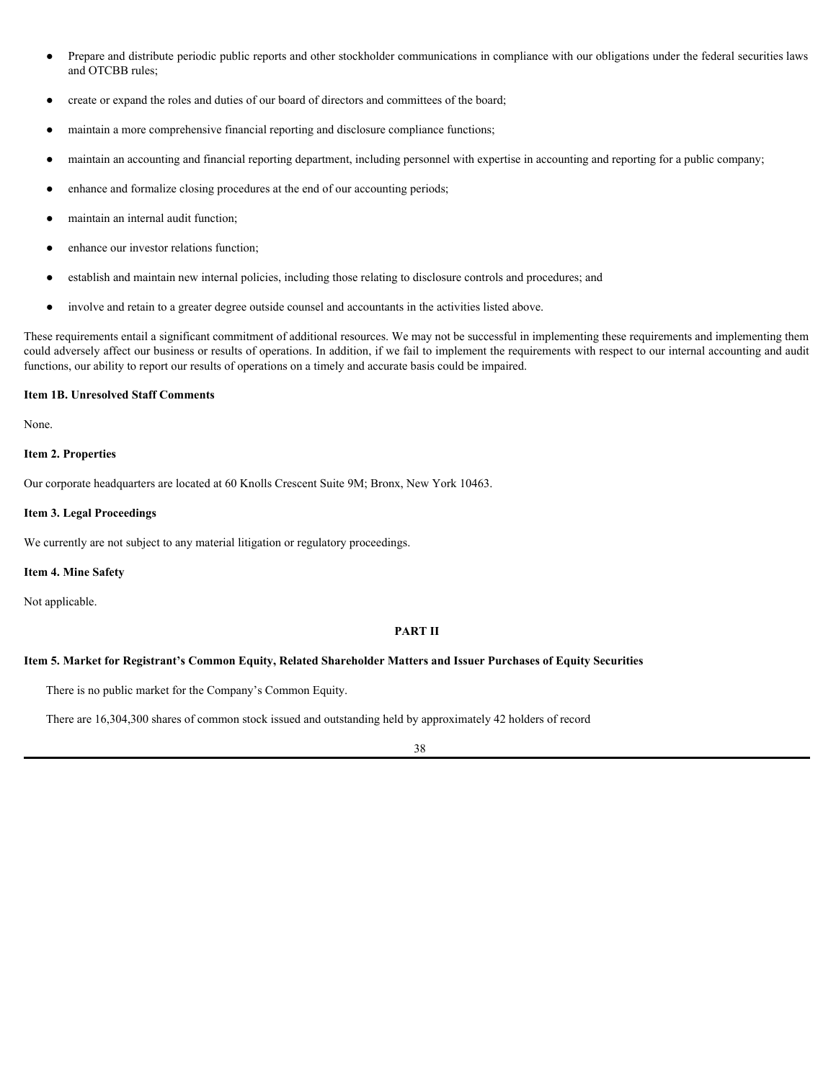- Prepare and distribute periodic public reports and other stockholder communications in compliance with our obligations under the federal securities laws and OTCBB rules;
- create or expand the roles and duties of our board of directors and committees of the board;
- maintain a more comprehensive financial reporting and disclosure compliance functions;
- maintain an accounting and financial reporting department, including personnel with expertise in accounting and reporting for a public company;
- enhance and formalize closing procedures at the end of our accounting periods;
- maintain an internal audit function;
- enhance our investor relations function;
- establish and maintain new internal policies, including those relating to disclosure controls and procedures; and
- involve and retain to a greater degree outside counsel and accountants in the activities listed above.

These requirements entail a significant commitment of additional resources. We may not be successful in implementing these requirements and implementing them could adversely affect our business or results of operations. In addition, if we fail to implement the requirements with respect to our internal accounting and audit functions, our ability to report our results of operations on a timely and accurate basis could be impaired.

## **Item 1B. Unresolved Staff Comments**

None.

## **Item 2. Properties**

Our corporate headquarters are located at 60 Knolls Crescent Suite 9M; Bronx, New York 10463.

## **Item 3. Legal Proceedings**

We currently are not subject to any material litigation or regulatory proceedings.

## **Item 4. Mine Safety**

Not applicable.

# **PART II**

# **Item 5. Market for Registrant's Common Equity, Related Shareholder Matters and Issuer Purchases of Equity Securities**

There is no public market for the Company's Common Equity.

There are 16,304,300 shares of common stock issued and outstanding held by approximately 42 holders of record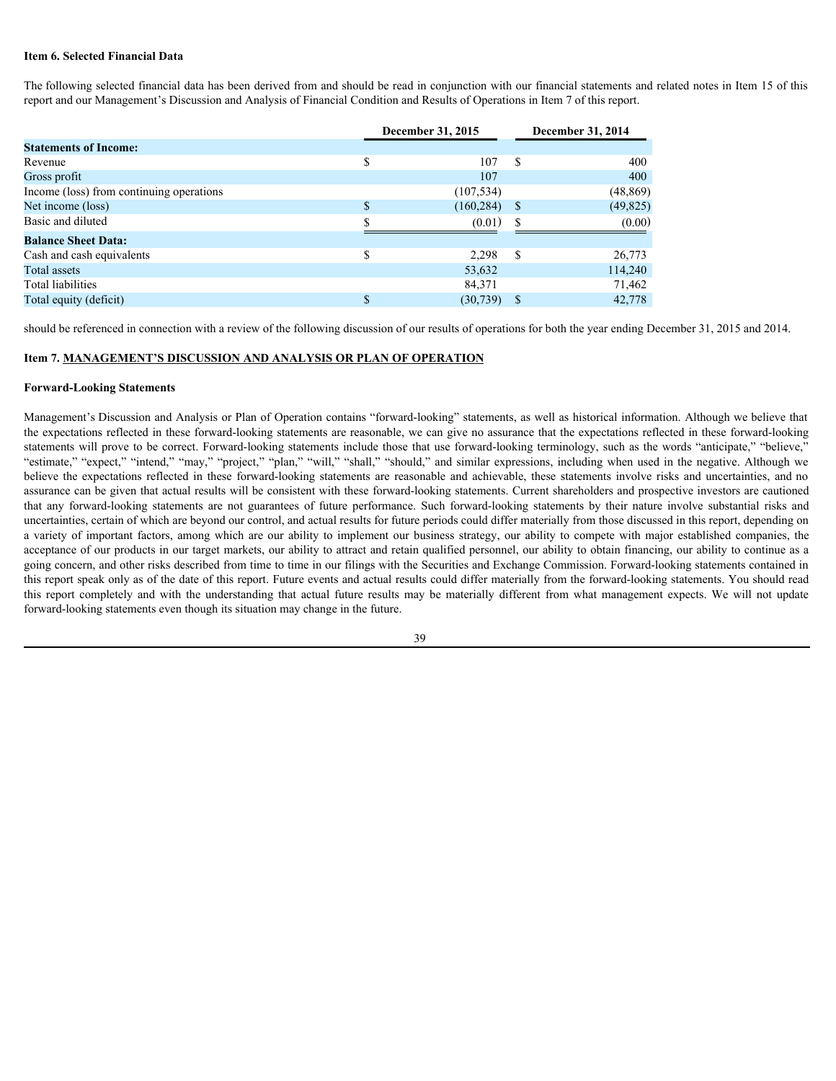#### **Item 6. Selected Financial Data**

The following selected financial data has been derived from and should be read in conjunction with our financial statements and related notes in Item 15 of this report and our Management's Discussion and Analysis of Financial Condition and Results of Operations in Item 7 of this report.

|                                          | December 31, 2015 | <b>December 31, 2014</b>  |
|------------------------------------------|-------------------|---------------------------|
| <b>Statements of Income:</b>             |                   |                           |
| Revenue                                  | 107               | 400                       |
| Gross profit                             | 107               | 400                       |
| Income (loss) from continuing operations | (107, 534)        | (48, 869)                 |
| Net income (loss)                        | (160, 284)        | (49, 825)<br>$\mathbf{D}$ |
| Basic and diluted                        | (0.01)            | (0.00)                    |
| <b>Balance Sheet Data:</b>               |                   |                           |
| Cash and cash equivalents                | 2,298             | 26,773                    |
| Total assets                             | 53,632            | 114,240                   |
| Total liabilities                        | 84,371            | 71,462                    |
| Total equity (deficit)                   | (30, 739)         | 42,778                    |

should be referenced in connection with a review of the following discussion of our results of operations for both the year ending December 31, 2015 and 2014.

## **Item 7. MANAGEMENT'S DISCUSSION AND ANALYSIS OR PLAN OF OPERATION**

#### **Forward-Looking Statements**

Management's Discussion and Analysis or Plan of Operation contains "forward-looking" statements, as well as historical information. Although we believe that the expectations reflected in these forward-looking statements are reasonable, we can give no assurance that the expectations reflected in these forward-looking statements will prove to be correct. Forward-looking statements include those that use forward-looking terminology, such as the words "anticipate," "believe," "estimate," "expect," "intend," "may," "project," "plan," "will," "shall," "should," and similar expressions, including when used in the negative. Although we **them 6. Selected Unionecial Photosofter reflected in the expectations and selected of Operations and Results of Definitions in the reasonable and reasonable and results and the expectations and active the statements of De** assurance can be given that actual results will be consistent with these forward-looking statements. Current shareholders and prospective investors are cautioned It the Schedule Properties of the Schedule of the statement of the statements of the statements of the statement of the statement of the statement of the statement of the statement of the statement of the statement of the uncertainties, certain of which are beyond our control, and actual results for future periods could differ materially from those discussed in this report, depending on The identical timescand states in this behavior and the result of real of the company in the state of the state of the state of the state of the state of the state of the state of the state of the state of the state of th acceptance of our products in our target markets, our ability to attract and retain qualified personnel, our ability to obtain financing, our ability to continue as a going concern, and other risks described from time to time in our filings with the Securities and Exchange Commission. Forward-looking statements contained in this report speak only as of the date of this report. Future events and actual results could differ materially from the forward-looking statements. You should read **Numerate of Incomescure of European Complete Complete Complete Complete Complete Complete Complete Complete Complete Complete Complete Complete Complete Complete Complete Complete Complete Complete Complete Complete Comp** forward-looking statements even though its situation may change in the future.

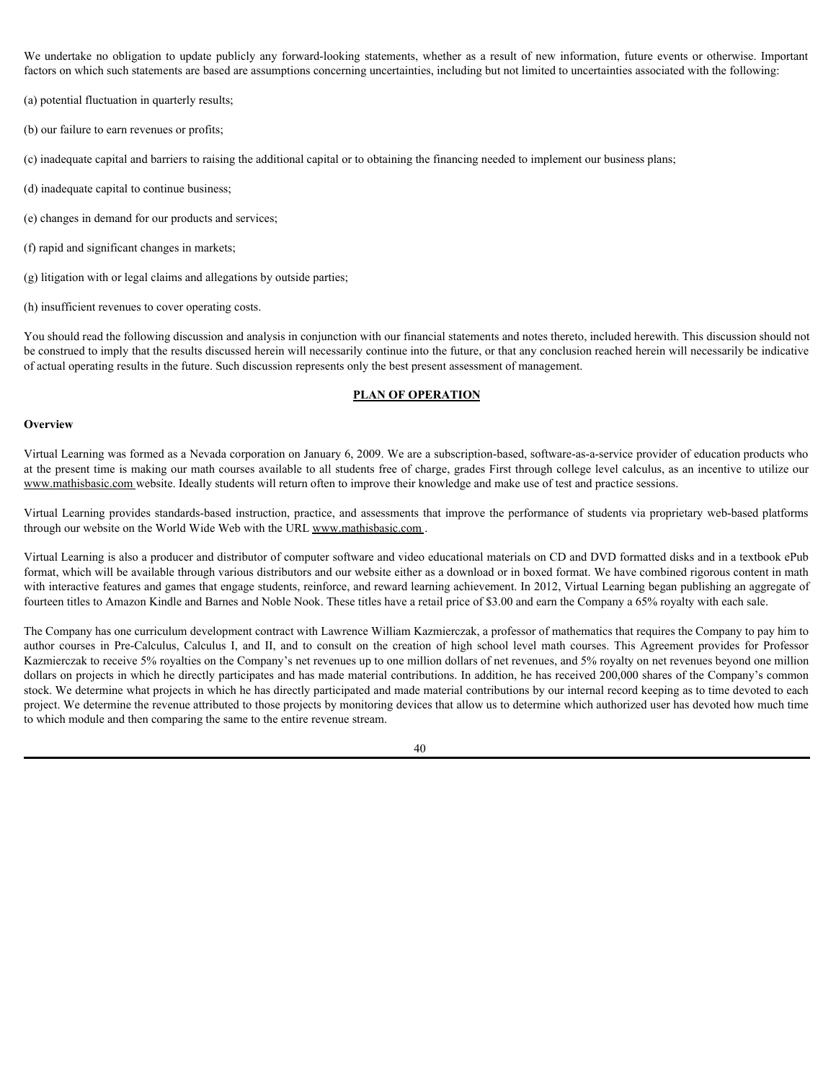We undertake no obligation to update publicly any forward-looking statements, whether as a result of new information, future events or otherwise. Important factors on which such statements are based are assumptions concern factors on which such statements are based are assumptions concerning uncertainties, including but not limited to uncertainties associated with the following:

(a) potential fluctuation in quarterly results;

(b) our failure to earn revenues or profits;

(c) inadequate capital and barriers to raising the additional capital or to obtaining the financing needed to implement our business plans;

(d) inadequate capital to continue business;

(e) changes in demand for our products and services;

(f) rapid and significant changes in markets;

(g) litigation with or legal claims and allegations by outside parties;

(h) insufficient revenues to cover operating costs.

You should read the following discussion and analysis in conjunction with our financial statements and notes thereto, included herewith. This discussion should not be construed to imply that the results discussed herein will necessarily continue into the future, or that any conclusion reached herein will necessarily be indicative of actual operating results in the future. Such discussion represents only the best present assessment of management.

#### **PLAN OF OPERATION**

#### **Overview Overview**

Virtual Learning was formed as a Nevada corporation on January 6, 2009. We are a subscription-based, software-as-a-service provider of education products who at the present time is making our math courses available to all students free of charge, grades First through college level calculus, as an incentive to utilize our www.mathisbasic.com website. Ideally students will return often to improve their knowledge and make use of test and practice sessions.

Virtual Learning provides standards-based instruction, practice, and assessments that improve the performance of students via proprietary web-based platforms through our website on the World Wide Web with the URL www.mathisbasic.com .

Virtual Learning is also a producer and distributor of computer software and video educational materials on CD and DVD formatted disks and in a textbook ePub format, which will be available through various distributors and our website either as a download or in boxed format. We have combined rigorous content in math with interactive features and games that engage students, reinforce, and reward learning achievement. In 2012, Virtual Learning began publishing an aggregate of fourteen titles to Amazon Kindle and Barnes and Noble Nook. These titles have a retail price of \$3.00 and earn the Company a 65% royalty with each sale.

The Company has one curriculum development contract with Lawrence William Kazmierczak, a professor of mathematics that requires the Company to pay him to (c) changes in dernard for our products and services;<br>(c) tuspins with set percent paradicus;<br>(g) its guide and significant changes in markets;<br>(g) its guide with the pre-calculus and allegation by outside particles with o Kazmierczak to receive 5% royalties on the Company's net revenues up to one million dollars of net revenues, and 5% royalty on net revenues beyond one million dollars on projects in which he directly participates and has made material contributions. In addition, he has received 200,000 shares of the Company's common stock. We determine what projects in which he has directly participated and made material contributions by our internal record keeping as to time devoted to each project. We determine the revenue attributed to those projects by monitoring devices that allow us to determine which authorized user has devoted how much time to which module and then comparing the same to the entire revenue stream.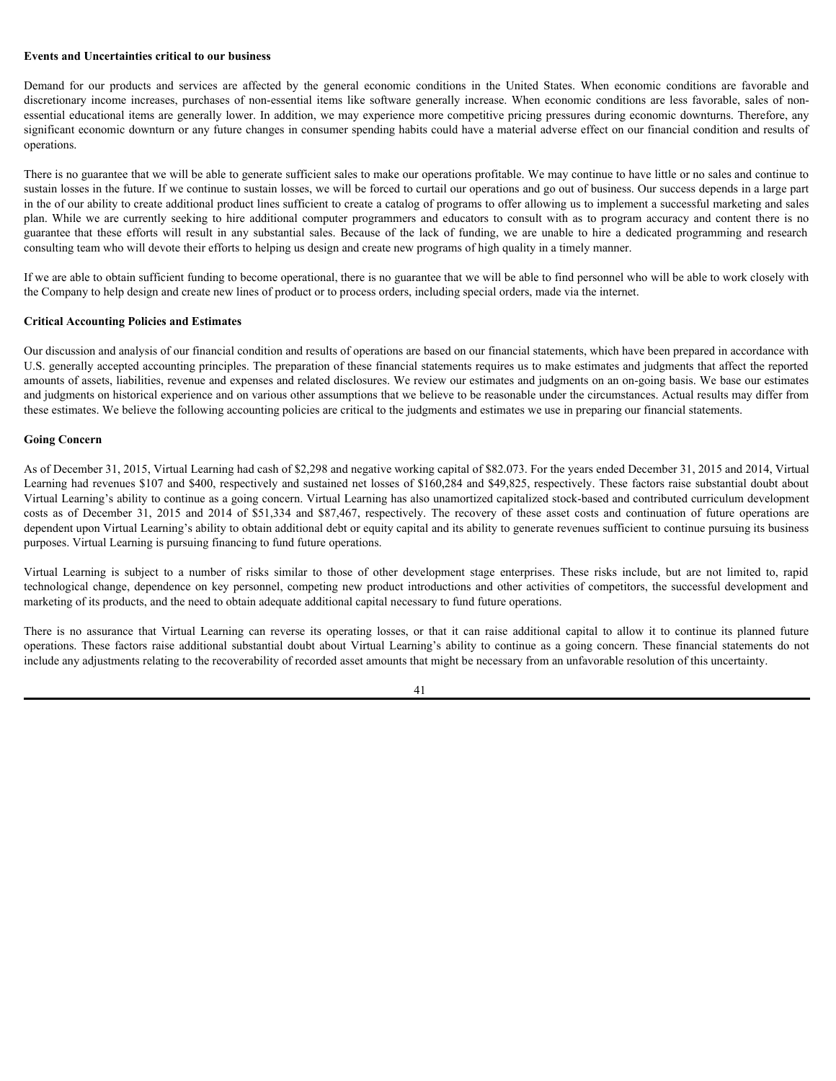#### **Events and Uncertainties critical to our business**

Events and Uncertainties critical to our business<br>Demand for our products and services are affected by the general economic conditions in the United States. When economic conditions are favorable and<br>discretionary income i Events and Uncertainties critical to our business<br>Demand for our products and services are affected by the general economic conditions in the United States. When economic conditions are favorable and<br>discretionary income i essential educational items are generally lower. In addition, we may experience more competitive pricing pressures during economic downturns. Therefore, any significant economic downturn or any future changes in consumer spending habits could have a material adverse effect on our financial condition and results of operations.

There is no guarantee that we will be able to generate sufficient sales to make our operations profitable. We may continue to have little or no sales and continue to sustain losses in the future. If we continue to sustain losses, we will be forced to curtail our operations and go out of business. Our success depends in a large part in the of our ability to create additional product lines sufficient to create a catalog of programs to offer allowing us to implement a successful marketing and sales Events and Uncertainties critical to our business<br>Demand for our products and services are affected by the general economic conditions in the United States. When economic conditions are favorable and<br>discretionary income i Fvents and Uncertrainties critical to our business<br>Demand for our products and services are affected by the general economic conditions in the United States. When economic conditions are favorable and<br>discretionary income consulting team who will devote their efforts to helping us design and create new programs of high quality in a timely manner.

If we are able to obtain sufficient funding to become operational, there is no guarantee that we will be able to find personnel who will be able to work closely with the Company to help design and create new lines of product or to process orders, including special orders, made via the internet.

## **Critical Accounting Policies and Estimates**

Our discussion and analysis of our financial condition and results of operations are based on our financial statements, which have been prepared in accordance with U.S. generally accepted accounting principles. The preparation of these financial statements requires us to make estimates and judgments that affect the reported amounts of assets, liabilities, revenue and expenses and related disclosures. We review our estimates and judgments on an on-going basis. We base our estimates and judgments on historical experience and on various other assumptions that we believe to be reasonable under the circumstances. Actual results may differ from these estimates. We believe the following accounting policies are critical to the judgments and estimates we use in preparing our financial statements.

#### **Going Concern**

As of December 31, 2015, Virtual Learning had cash of \$2,298 and negative working capital of \$82.073. For the years ended December 31, 2015 and 2014, Virtual Learning had revenues \$107 and \$400, respectively and sustained net losses of \$160,284 and \$49,825, respectively. These factors raise substantial doubt about Virtual Learning's ability to continue as a going concern. Virtual Learning has also unamortized capitalized stock-based and contributed curriculum development Deemod for our products and aervices are affected by the general economic conditions in the United Sines. When economic considerably also<br>alisochange hocons incorrect, purchases of one-searchizable and a state-of-gooding l dependent upon Virtual Learning's ability to obtain additional debt or equity capital and its ability to generate revenues sufficient to continue pursuing its business purposes. Virtual Learning is pursuing financing to fund future operations. significant exoconois dovision or any funce changes in ecosumer speading holds evold have a nultrical aboves effect on or risks and consider a fille of the subject to a number of the subject in the subject of the similar t then<br>attention is a guarantee that we will to able to guarante sufficient also to able a change in the succession of the succession of the succession of the succession of the succession of the succession of the succession system in the two continuous particles we will be forest to contain on operation and points on contain the controlline of the controlline of the controlline of the single particles of the controlline and points of the sing in the of our follows rootsto diffusion product line sufficient be contract and be) of the orient of the about propertation and the second propertation and the secure that the secure in the second that all the second the s

marketing of its products, and the need to obtain adequate additional capital necessary to fund future operations.

include any adjustments relating to the recoverability of recorded asset amounts that might be necessary from an unfavorable resolution of this uncertainty.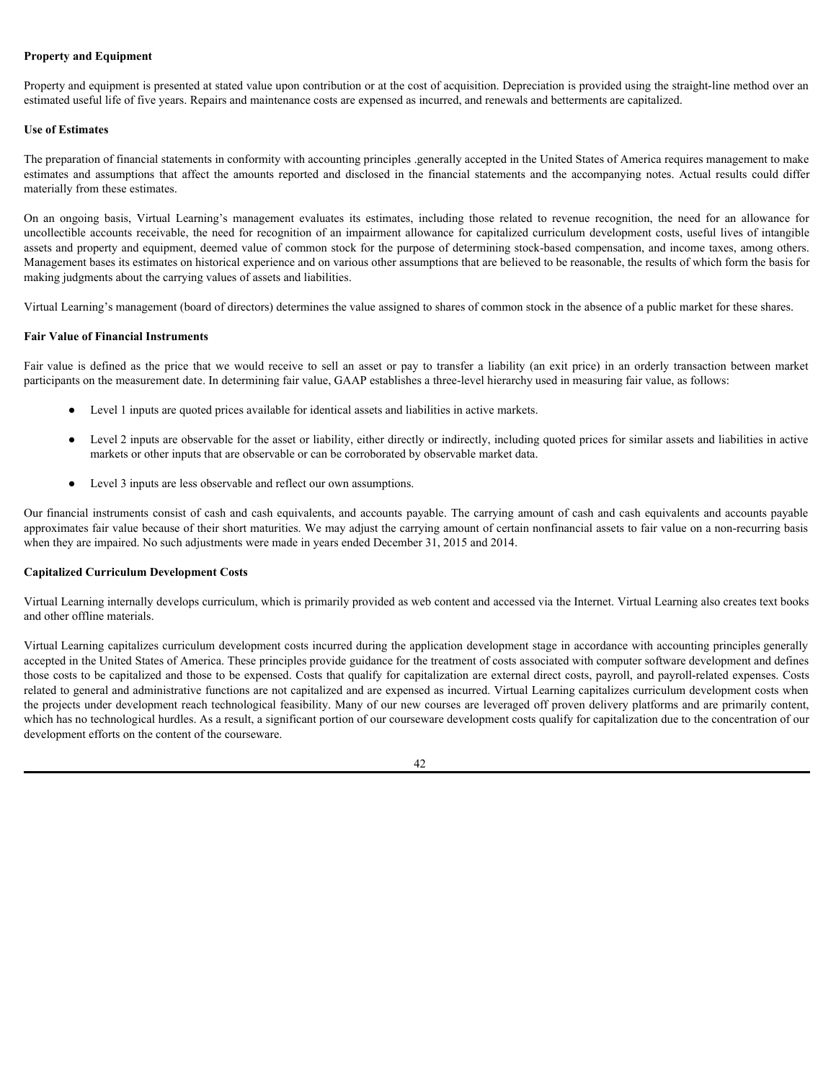## **Property and Equipment**

Property and equipment is presented at stated value upon contribution or at the cost of acquisition. Depreciation is provided using the straight-line method over an estimated useful life of five years. Repairs and maintenance costs are expensed as incurred, and renewals and betterments are capitalized.

## **Use of Estimates**

The preparation of financial statements in conformity with accounting principles .generally accepted in the United States of America requires management to make materially from these estimates.

**Property and Equipment**<br> **Property and equipment** is presented at stated value upon contribution or at the cost of acquisition. Depreciation is provided using the straight-line method over an<br>
estimated useful life of fiv **Property and Equipment**<br> **Property and equipment** is presented at stated value upon contribution or at the cost of acquisition. Depreciation is provided using the straight-line method over an<br>
estimated useful life of fiv uncollectible accounts receivable, the need for recognition of an impairment allowance for capitalized curriculum development costs, useful lives of intangible assets and property and equipment, deemed value of common stock for the purpose of determining stock-based compensation, and income taxes, among others. Management bases its estimates on historical experience and on various other assumptions that are believed to be reasonable, the results of which form the basis for making judgments about the carrying values of assets and liabilities. **Froperty and Equipment**<br> **Property and equipment is presented at stated value upon contribution or at the cest of acquisition. Depreciation is provided using the straight-line method over an<br>
estimated costal fait of the** 

Virtual Learning's management (board of directors) determines the value assigned to shares of common stock in the absence of a public market for these shares.

## **Fair Value of Financial Instruments**

participants on the measurement date. In determining fair value, GAAP establishes a three-level hierarchy used in measuring fair value, as follows:

- Level 1 inputs are quoted prices available for identical assets and liabilities in active markets.
- Level 2 inputs are observable for the asset or liability, either directly or indirectly, including quoted prices for similar assets and liabilities in active markets or other inputs that are observable or can be corroborated by observable market data.
- Level 3 inputs are less observable and reflect our own assumptions.

Our financial instruments consist of cash and cash equivalents, and accounts payable. The carrying amount of cash and cash equivalents and accounts payable approximates fair value because of their short maturities. We may adjust the carrying amount of certain nonfinancial assets to fair value on a non-recurring basis when they are impaired. No such adjustments were made in years ended December 31, 2015 and 2014.

## **Capitalized Curriculum Development Costs**

Virtual Learning internally develops curriculum, which is primarily provided as web content and accessed via the Internet. Virtual Learning also creates text books and other offline materials.

Virtual Learning capitalizes curriculum development costs incurred during the application development stage in accordance with accounting principles generally accepted in the United States of America. These principles provide guidance for the treatment of costs associated with computer software development and defines those costs to be capitalized and those to be expensed. Costs that qualify for capitalization are external direct costs, payroll, and payroll-related expenses. Costs related to general and administrative functions are not capitalized and are expensed as incurred. Virtual Learning capitalizes curriculum development costs when the projects under development reach technological feasibility. Many of our new courses are leveraged off proven delivery platforms and are primarily content, which has no technological hurdles. As a result, a significant portion of our courseware development costs qualify for capitalization due to the concentration of our development efforts on the content of the courseware.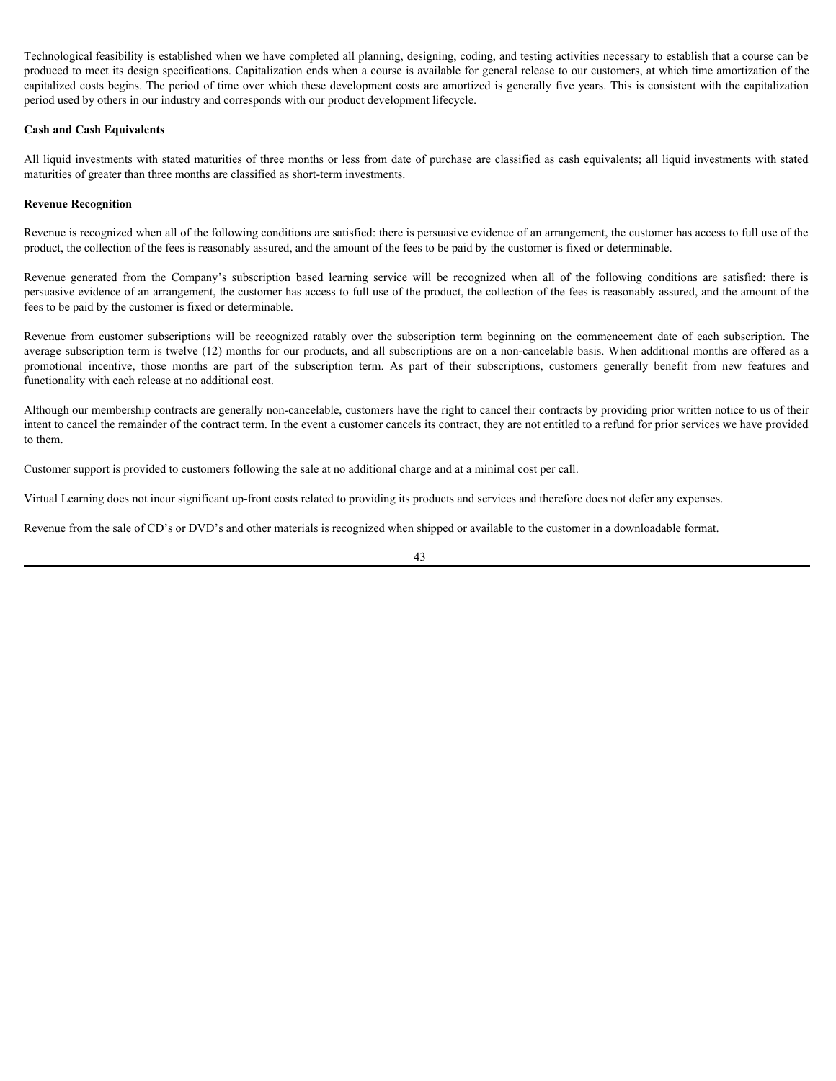Technological feasibility is established when we have completed all planning, designing, coding, and testing activities necessary to establish that a course can be produced to meet its design specifications. Capitalization ends when a course is available for general release to our customers, at which time amortization of the capitalized costs begins. The period of time over which these development costs are amortized is generally five years. This is consistent with the capitalization period used by others in our industry and corresponds with our product development lifecycle. Technological feasibility is established when we have completed all planning, designing, coding, and testing activities necessary to establish that a course can be produced to meet its design pocifications. Capitalization Technological feasibility is established when we have completed all planning, designing, coding, and testing activities necessary to establish that a course can be produced to meet for design specifications. Capitalized co I celmological feasibility is established when we have completed all planning, designing, eading, and lesing activities necessary to establish that a competent of the proportation of the proportation of the subscription en

# **Cash and Cash Equivalents**

All liquid investments with stated maturities of three months or less from date of purchase are classified as cash equivalents; all liquid investments with stated maturities of greater than three months are classified as short-term investments.

## **Revenue Recognition**

Revenue is recognized when all of the following conditions are satisfied: there is persuasive evidence of an arrangement, the customer has access to full use of the product, the collection of the fees is reasonably assured, and the amount of the fees to be paid by the customer is fixed or determinable.

persuasive evidence of an arrangement, the customer has access to full use of the product, the collection of the fees is reasonably assured, and the amount of the fees to be paid by the customer is fixed or determinable.

average subscription term is twelve (12) months for our products, and all subscriptions are on a non-cancelable basis. When additional months are offered as a functionality with each release at no additional cost.

Although our membership contracts are generally non-cancelable, customers have the right to cancel their contracts by providing prior written notice to us of their intent to cancel the remainder of the contract term. In the event a customer cancels its contract, they are not entitled to a refund for prior services we have provided to them.

Customer support is provided to customers following the sale at no additional charge and at a minimal cost per call.

Virtual Learning does not incur significant up-front costs related to providing its products and services and therefore does not defer any expenses.

Revenue from the sale of CD's or DVD's and other materials is recognized when shipped or available to the customer in a downloadable format.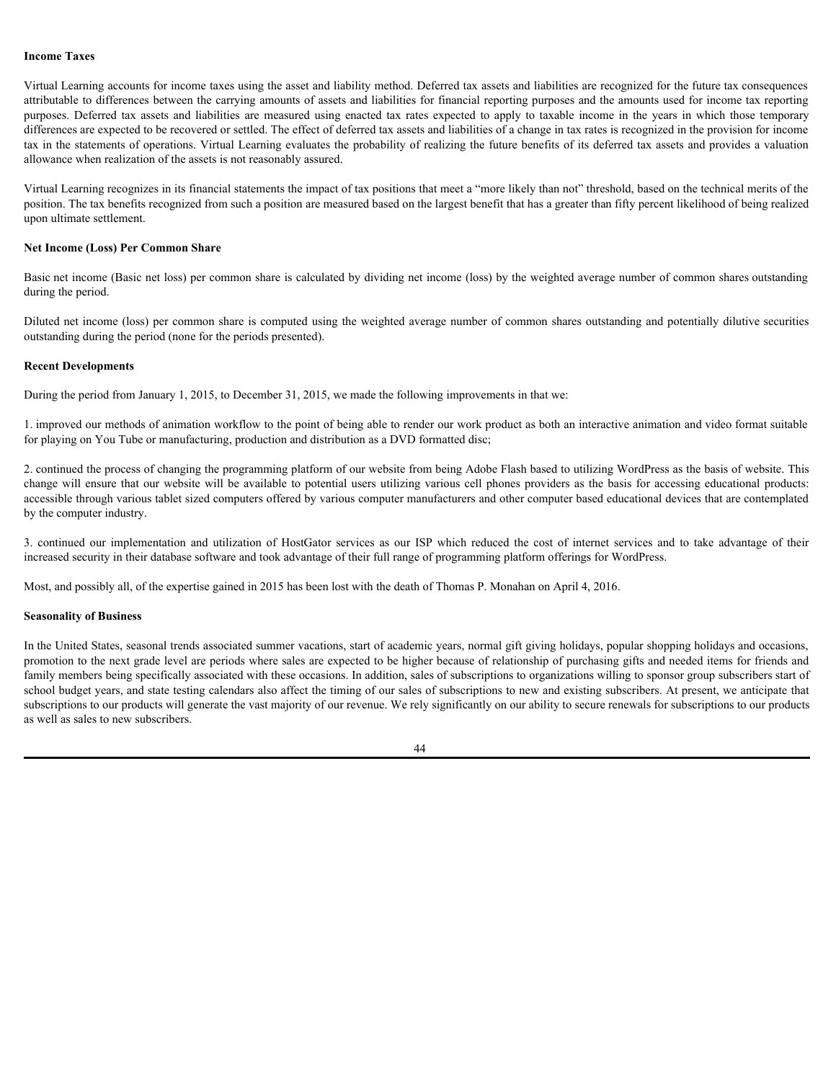## **Income Taxes**

Virtual Learning accounts for income taxes using the asset and liability method. Deferred tax assets and liabilities are recognized for the future tax consequences attributable to differences between the carrying amounts of assets and liabilities for financial reporting purposes and the amounts used for income tax reporting **Income Taxes**<br>Virtual Learning accounts for income taxes using the asset and liability method. Deferred tax assets and liabilities are recognized for the future tax consequences<br>attributable to differences between the car differences are expected to be recovered or settled. The effect of deferred tax assets and liabilities of a change in tax rates is recognized in the provision for income tax in the statements of operations. Virtual Learning evaluates the probability of realizing the future benefits of its deferred tax assets and provides a valuation allowance when realization of the assets is not reasonably assured. arithmide to offirence between be current at social solutions in further for function groups and the income in the planet in the function and the function of the function in the state of the function of the function of the

Virtual Learning recognizes in its financial statements the impact of tax positions that meet a "more likely than not" threshold, based on the technical merits of the position. The tax benefits recognized from such a position are measured based on the largest benefit that has a greater than fifty percent likelihood of being realized upon ultimate settlement.

#### **Net Income (Loss) Per Common Share**

Basic net income (Basic net loss) per common share is calculated by dividing net income (loss) by the weighted average number of common shares outstanding during the period.

Diluted net income (loss) per common share is computed using the weighted average number of common shares outstanding and potentially dilutive securities outstanding during the period (none for the periods presented).

#### **Recent Developments**

During the period from January 1, 2015, to December 31, 2015, we made the following improvements in that we:

1. improved our methods of animation workflow to the point of being able to render our work product as both an interactive animation and video format suitable for playing on You Tube or manufacturing, production and distribution as a DVD formatted disc;

2. continued the process of changing the programming platform of our website from being Adobe Flash based to utilizing WordPress as the basis of website. This change will ensure that our website will be available to potential users utilizing various cell phones providers as the basis for accessing educational products: accessible through various tablet sized computers offered by various computer manufacturers and other computer based educational devices that are contemplated by the computer industry.

increased security in their database software and took advantage of their full range of programming platform offerings for WordPress.

Most, and possibly all, of the expertise gained in 2015 has been lost with the death of Thomas P. Monahan on April 4, 2016.

#### **Seasonality of Business**

In the United States, seasonal trends associated summer vacations, start of academic years, normal gift giving holidays, popular shopping holidays and occasions, promotion to the next grade level are periods where sales are expected to be higher because of relationship of purchasing gifts and needed items for friends and family members being specifically associated with these occasions. In addition, sales of subscriptions to organizations willing to sponsor group subscribers start of school budget years, and state testing calendars also affect the timing of our sales of subscriptions to new and existing subscribers. At present, we anticipate that subscriptions to our products will generate the vast majority of our revenue. We rely significantly on our ability to secure renewals for subscriptions to our products as well as sales to new subscribers.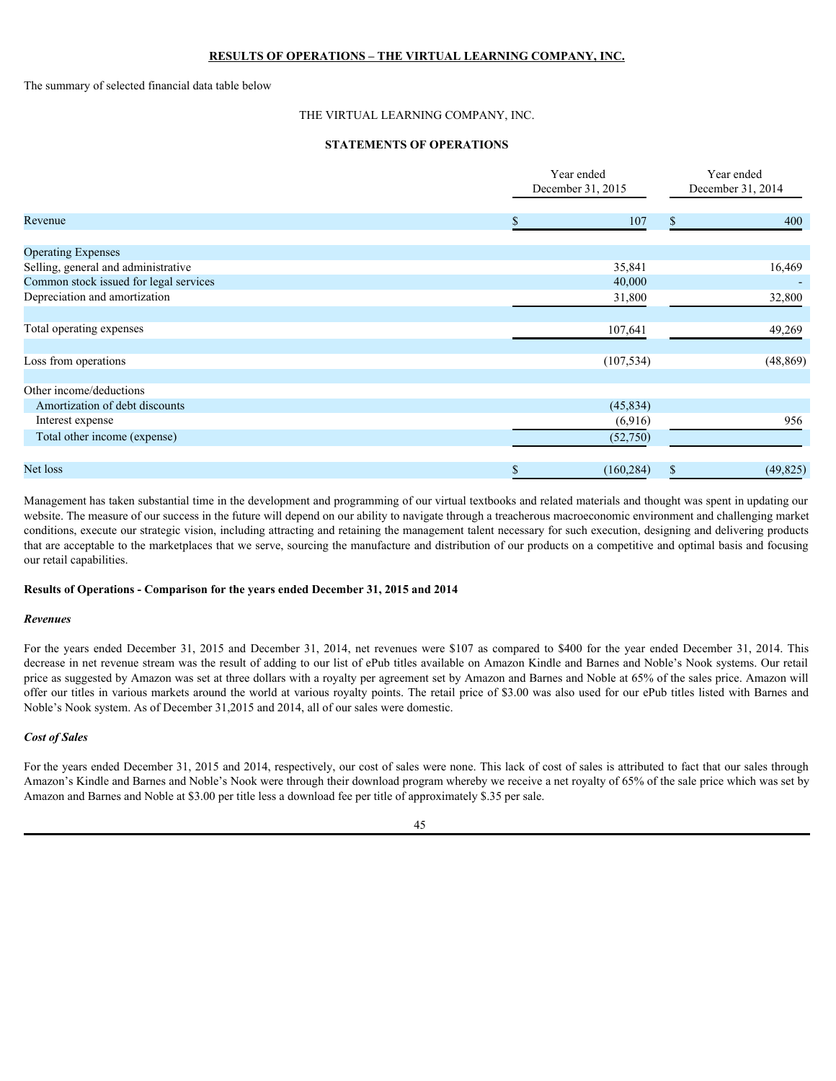#### **RESULTS OF OPERATIONS – THE VIRTUAL LEARNING COMPANY, INC.**

The summary of selected financial data table below

#### THE VIRTUAL LEARNING COMPANY, INC.

## **STATEMENTS OF OPERATIONS**

|                                                                                                                                                                                                                                                                                                                                                                                                                                                                                                                                                                                                                                                                                                                                                                                             | Year ended<br>December 31, 2015 | Year ended<br>December 31, 2014 |
|---------------------------------------------------------------------------------------------------------------------------------------------------------------------------------------------------------------------------------------------------------------------------------------------------------------------------------------------------------------------------------------------------------------------------------------------------------------------------------------------------------------------------------------------------------------------------------------------------------------------------------------------------------------------------------------------------------------------------------------------------------------------------------------------|---------------------------------|---------------------------------|
| Revenue                                                                                                                                                                                                                                                                                                                                                                                                                                                                                                                                                                                                                                                                                                                                                                                     | 107                             | 400                             |
| <b>Operating Expenses</b>                                                                                                                                                                                                                                                                                                                                                                                                                                                                                                                                                                                                                                                                                                                                                                   |                                 |                                 |
| Selling, general and administrative                                                                                                                                                                                                                                                                                                                                                                                                                                                                                                                                                                                                                                                                                                                                                         | 35,841                          | 16,469                          |
| Common stock issued for legal services                                                                                                                                                                                                                                                                                                                                                                                                                                                                                                                                                                                                                                                                                                                                                      | 40,000                          |                                 |
| Depreciation and amortization                                                                                                                                                                                                                                                                                                                                                                                                                                                                                                                                                                                                                                                                                                                                                               | 31,800                          | 32,800                          |
|                                                                                                                                                                                                                                                                                                                                                                                                                                                                                                                                                                                                                                                                                                                                                                                             |                                 |                                 |
| Total operating expenses                                                                                                                                                                                                                                                                                                                                                                                                                                                                                                                                                                                                                                                                                                                                                                    | 107,641                         | 49,269                          |
| Loss from operations                                                                                                                                                                                                                                                                                                                                                                                                                                                                                                                                                                                                                                                                                                                                                                        | (107, 534)                      | (48, 869)                       |
| Other income/deductions                                                                                                                                                                                                                                                                                                                                                                                                                                                                                                                                                                                                                                                                                                                                                                     |                                 |                                 |
| Amortization of debt discounts                                                                                                                                                                                                                                                                                                                                                                                                                                                                                                                                                                                                                                                                                                                                                              | (45, 834)                       |                                 |
| Interest expense                                                                                                                                                                                                                                                                                                                                                                                                                                                                                                                                                                                                                                                                                                                                                                            | (6,916)                         | 956                             |
| Total other income (expense)                                                                                                                                                                                                                                                                                                                                                                                                                                                                                                                                                                                                                                                                                                                                                                | (52,750)                        |                                 |
| Net loss                                                                                                                                                                                                                                                                                                                                                                                                                                                                                                                                                                                                                                                                                                                                                                                    | (160, 284)                      | (49, 825)                       |
| Management has taken substantial time in the development and programming of our virtual textbooks and related materials and thought was spent in updating our<br>website. The measure of our success in the future will depend on our ability to navigate through a treacherous macroeconomic environment and challenging market<br>conditions, execute our strategic vision, including attracting and retaining the management talent necessary for such execution, designing and delivering products<br>that are acceptable to the marketplaces that we serve, sourcing the manufacture and distribution of our products on a competitive and optimal basis and focusing<br>our retail capabilities.<br>Results of Operations - Comparison for the years ended December 31, 2015 and 2014 |                                 |                                 |
| Revenues                                                                                                                                                                                                                                                                                                                                                                                                                                                                                                                                                                                                                                                                                                                                                                                    |                                 |                                 |
| For the years ended December 31, 2015 and December 31, 2014, net revenues were \$107 as compared to \$400 for the year ended December 31, 2014. This<br>decrease in net revenue stream was the result of adding to our list of ePub titles available on Amazon Kindle and Barnes and Noble's Nook systems. Our retail<br>price as suggested by Amazon was set at three dollars with a royalty per agreement set by Amazon and Barnes and Noble at 65% of the sales price. Amazon will<br>offer our titles in various markets around the world at various royalty points. The retail price of \$3.00 was also used for our ePub titles listed with Barnes and<br>Noble's Nook system. As of December 31,2015 and 2014, all of our sales were domestic.                                       |                                 |                                 |
| <b>Cost of Sales</b>                                                                                                                                                                                                                                                                                                                                                                                                                                                                                                                                                                                                                                                                                                                                                                        |                                 |                                 |
|                                                                                                                                                                                                                                                                                                                                                                                                                                                                                                                                                                                                                                                                                                                                                                                             |                                 |                                 |

#### **Results of Operations - Comparison for the years ended December 31, 2015 and 2014**

#### *Revenues*

#### *Cost of Sales*

For the years ended December 31, 2015 and 2014, respectively, our cost of sales were none. This lack of cost of sales is attributed to fact that our sales through Amazon's Kindle and Barnes and Noble's Nook were through their download program whereby we receive a net royalty of 65% of the sale price which was set by Amazon and Barnes and Noble at \$3.00 per title less a download fee per title of approximately \$.35 per sale.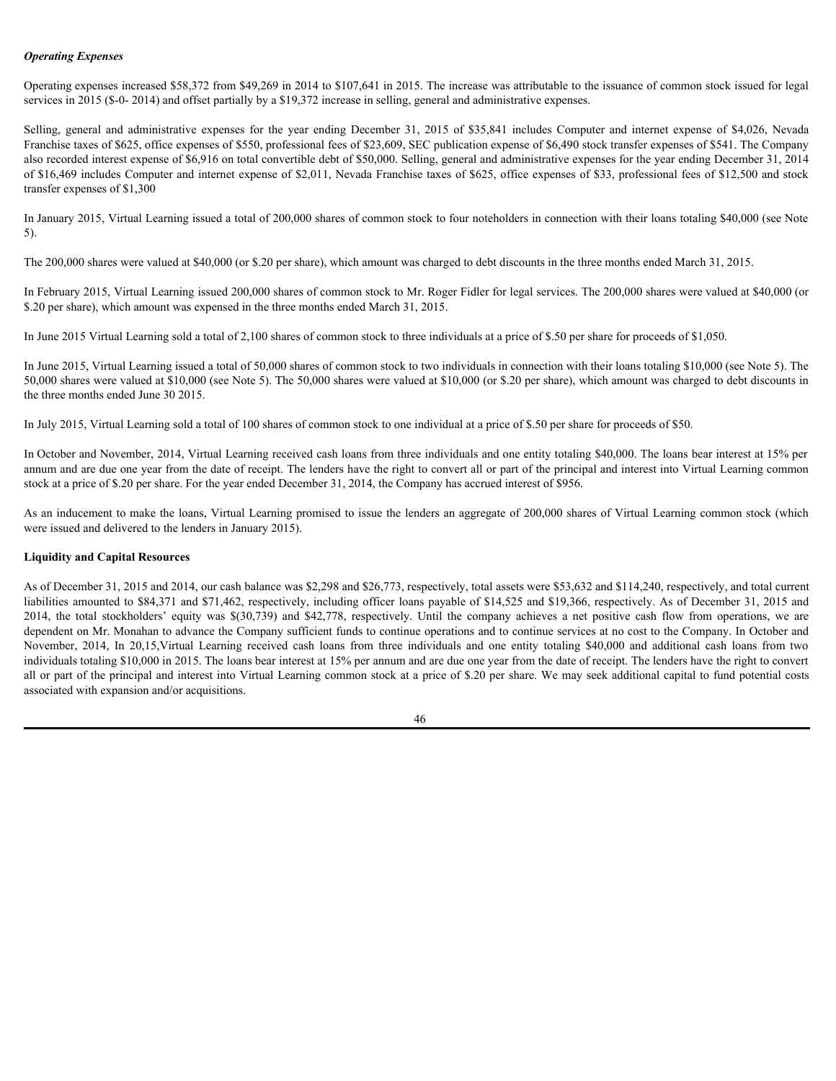## *Operating Expenses*

Operating expenses increased \$58,372 from \$49,269 in 2014 to \$107,641 in 2015. The increase was attributable to the issuance of common stock issued for legal services in 2015 (\$-0- 2014) and offset partially by a \$19,372 increase in selling, general and administrative expenses.

Operating Expenses<br>Operating expenses increased \$58,372 from \$49,269 in 2014 to \$107.641 in 2015. The increase was attributable to the issuance of common stock issued for legal<br>services in 2015 (\$-0- 2014) and offset parti Franchise taxes of \$625, office expenses of \$550, professional fees of \$23,609, SEC publication expense of \$6,490 stock transfer expenses of \$541. The Company also recorded interest expense of \$6,916 on total convertible debt of \$50,000. Selling, general and administrative expenses for the year ending December 31, 2014 of \$16,469 includes Computer and internet expense of \$2,011, Nevada Franchise taxes of \$625, office expenses of \$33, professional fees of \$12,500 and stock transfer expenses of \$1,300

In January 2015, Virtual Learning issued a total of 200,000 shares of common stock to four noteholders in connection with their loans totaling \$40,000 (see Note 5).

The 200,000 shares were valued at \$40,000 (or \$.20 per share), which amount was charged to debt discounts in the three months ended March 31, 2015.

In February 2015, Virtual Learning issued 200,000 shares of common stock to Mr. Roger Fidler for legal services. The 200,000 shares were valued at \$40,000 (or \$.20 per share), which amount was expensed in the three months ended March 31, 2015.

In June 2015 Virtual Learning sold a total of 2,100 shares of common stock to three individuals at a price of \$.50 per share for proceeds of \$1,050.

In June 2015, Virtual Learning issued a total of 50,000 shares of common stock to two individuals in connection with their loans totaling \$10,000 (see Note 5). The 50,000 shares were valued at \$10,000 (see Note 5). The 50,000 shares were valued at \$10,000 (or \$.20 per share), which amount was charged to debt discounts in the three months ended June 30 2015.

In July 2015, Virtual Learning sold a total of 100 shares of common stock to one individual at a price of \$.50 per share for proceeds of \$50.

In October and November, 2014, Virtual Learning received cash loans from three individuals and one entity totaling \$40,000. The loans bear interest at 15% per annum and are due one year from the date of receipt. The lenders have the right to convert all or part of the principal and interest into Virtual Learning common stock at a price of \$.20 per share. For the year ended December 31, 2014, the Company has accrued interest of \$956.

As an inducement to make the loans, Virtual Learning promised to issue the lenders an aggregate of 200,000 shares of Virtual Learning common stock (which were issued and delivered to the lenders in January 2015).

## **Liquidity and Capital Resources**

As of December 31, 2015 and 2014, our cash balance was \$2,298 and \$26,773, respectively, total assets were \$53,632 and \$114,240, respectively, and total current liabilities amounted to \$84,371 and \$71,462, respectively, including officer loans payable of \$14,525 and \$19,366, respectively. As of December 31, 2015 and of StA49 relades (computer and miernet expense of SL01). Nevada Franches inves of SO25, office express in SL49) relations of SL49, the SM relations of the format stockholders in company 2015, Viral 1, stockholders in the f dependent on Mr. Monahan to advance the Company sufficient funds to continue operations and to continue services at no cost to the Company. In October and In Jummy 2015, Virtual 1 carrier issued a rotal of 200,000 shares of common stock to four rotaboless in constraints in the three members and in 2015.<br>The EURUSON shares were valued at MUUSON case to Common shock to M: Roge individuals totaling \$10,000 in 2015. The loans bear interest at 15% per annum and are due one year from the date of receipt. The lenders have the right to convert all or part of the principal and interest into Virtual Learning common stock at a price of \$.20 per share. We may seek additional capital to fund potential costs associated with expansion and/or acquisitions.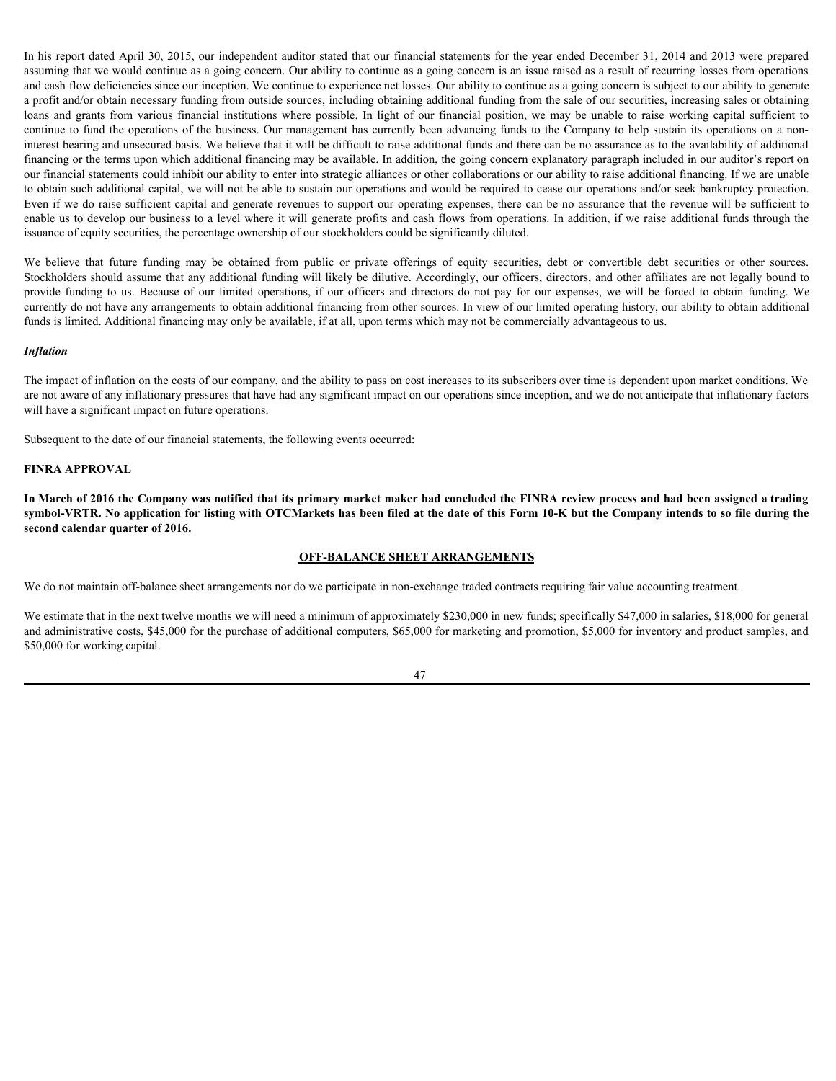In his report dated April 30, 2015, our independent auditor stated that our financial statements for the year ended December 31, 2014 and 2013 were prepared assuming that we would continue as a going concern. Our ability to continue as a going concern is an issue raised as a result of recurring losses from operations and cash flow deficiencies since our inception. We continue to experience net losses. Our ability to continue as a going concern is subject to our ability to generate a profit and/or obtain necessary funding from outside sources, including obtaining additional funding from the sale of our securities, increasing sales or obtaining In his report dated April 30, 2015, our independent auditor stated that our financial statements for the year ended December 31, 2014 and 2013 were prepared<br>assuming that we would continue as a going concern. Our ability t continue to fund the operations of the business. Our management has currently been advancing funds to the Company to help sustain its operations on a noninterest bearing and unsecured basis. We believe that it will be difficult to raise additional funds and there can be no assurance as to the availability of additional financing or the terms upon which additional financing may be available. In addition, the going concern explanatory paragraph included in our auditor's report on our financial statements could inhibit our ability to enter into strategic alliances or other collaborations or our ability to raise additional financing. If we are unable to obtain such additional capital, we will not be able to sustain our operations and would be required to cease our operations and/or seek bankruptcy protection. Even if we do raise sufficient capital and generate revenues to support our operating expenses, there can be no assurance that the revenue will be sufficient to enable us to develop our business to a level where it will generate profits and cash flows from operations. In addition, if we raise additional funds through the issuance of equity securities, the percentage ownership of our stockholders could be significantly diluted. In his report dated April 30, 2015, our independent audior stated flat our financial statements for the year ended December 31, 2014 and 2013 were prepared<br>assuming that we would continue as a gaing concern Our ability to In his report datel April 30, 2015, our independent unditior stated that our financial statements for the year ended December 31, 2014 and 2013 were prepared assuming that we would continue as a gross of continue our and i

Stockholders should assume that any additional funding will likely be dilutive. Accordingly, our officers, directors, and other affiliates are not legally bound to currently do not have any arrangements to obtain additional financing from other sources. In view of our limited operating history, our ability to obtain additional funds is limited. Additional financing may only be available, if at all, upon terms which may not be commercially advantageous to us.

#### *Inflation*

The impact of inflation on the costs of our company, and the ability to pass on cost increases to its subscribers over time is dependent upon market conditions. We are not aware of any inflationary pressures that have had any significant impact on our operations since inception, and we do not anticipate that inflationary factors will have a significant impact on future operations.

Subsequent to the date of our financial statements, the following events occurred:

## **FINRA APPROVAL**

**In March of 2016 the Company was notified that its primary market maker had concluded the FINRA review process and had been assigned a trading symbol-VRTR. No application for listing with OTCMarkets has been filed at the date of this Form 10-K but the Company intends to so file during the second calendar quarter of 2016.**

## **OFF-BALANCE SHEET ARRANGEMENTS**

We do not maintain off-balance sheet arrangements nor do we participate in non-exchange traded contracts requiring fair value accounting treatment.

We estimate that in the next twelve months we will need a minimum of approximately \$230,000 in new funds; specifically \$47,000 in salaries, \$18,000 for general and administrative costs, \$45,000 for the purchase of additional computers, \$65,000 for marketing and promotion, \$5,000 for inventory and product samples, and \$50,000 for working capital.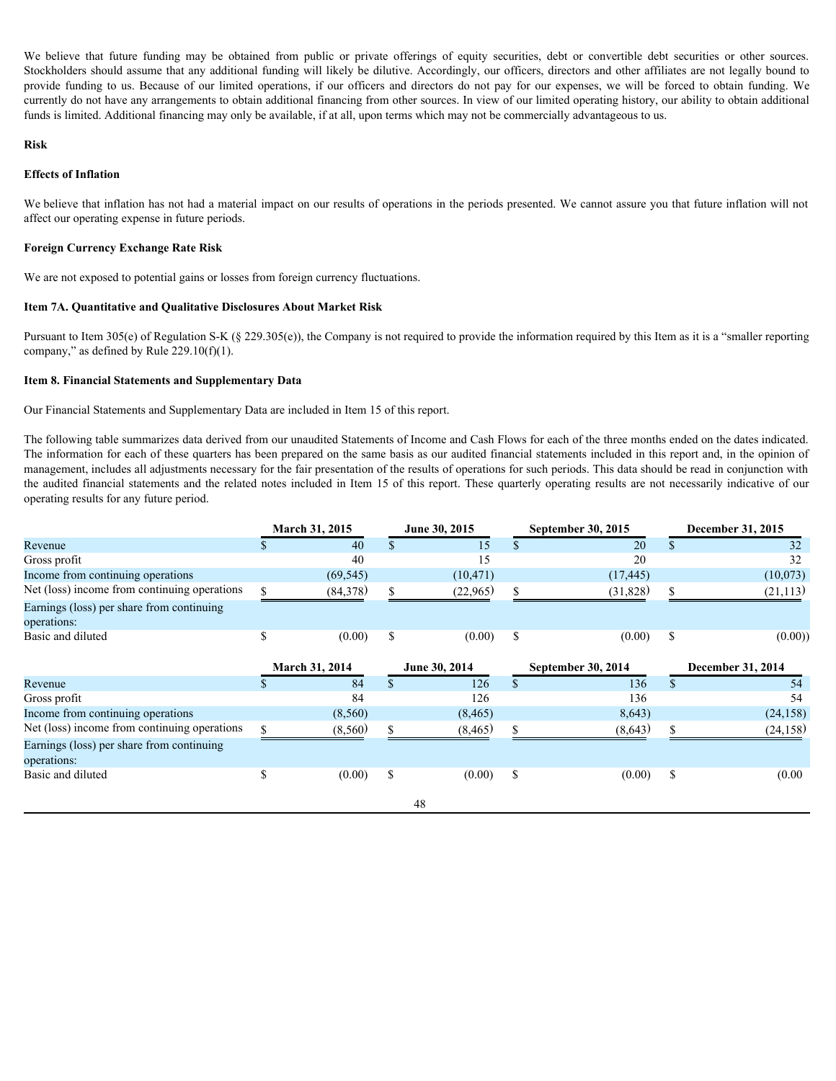We believe that future funding may be obtained from public or private offerings of equity securities, debt or convertible debt securities or other sources.<br>Stockholders should assume that any additional funding will likely Stockholders should assume that any additional funding will likely be dilutive. Accordingly, our officers, directors and other affiliates are not legally bound to We believe that future funding may be obtained from public or private offerings of equity securities, debt or convertible debt securities or other sources.<br>Stockholders should assume that any additional funding will likely currently do not have any arrangements to obtain additional financing from other sources. In view of our limited operating history, our ability to obtain additional funds is limited. Additional financing may only be available, if at all, upon terms which may not be commercially advantageous to us.

### **Risk**

## **Effects of Inflation**

We believe that inflation has not had a material impact on our results of operations in the periods presented. We cannot assure you that future inflation will not affect our operating expense in future periods.

#### **Foreign Currency Exchange Rate Risk**

We are not exposed to potential gains or losses from foreign currency fluctuations.

## **Item 7A. Quantitative and Qualitative Disclosures About Market Risk**

Pursuant to Item 305(e) of Regulation S-K (§ 229.305(e)), the Company is not required to provide the information required by this Item as it is a "smaller reporting company," as defined by Rule 229.10(f)(1).

#### **Item 8. Financial Statements and Supplementary Data**

Our Financial Statements and Supplementary Data are included in Item 15 of this report.

The following table summarizes data derived from our unaudited Statements of Income and Cash Flows for each of the three months ended on the dates indicated. The information for each of these quarters has been prepared on the same basis as our audited financial statements included in this report and, in the opinion of management, includes all adjustments necessary for the fair presentation of the results of operations for such periods. This data should be read in conjunction with the audited financial statements and the related notes included in Item 15 of this report. These quarterly operating results are not necessarily indicative of our operating results for any future period.

|                                                          | March 31, 2015 |    | June 30, 2015 |              | September 30, 2015 |     | December 31, 2015        |
|----------------------------------------------------------|----------------|----|---------------|--------------|--------------------|-----|--------------------------|
| Revenue                                                  | 40             |    | 15            |              | 20                 |     | 32                       |
| Gross profit                                             | 40             |    | 15            |              | 20                 |     | 32                       |
| Income from continuing operations                        | (69, 545)      |    | (10, 471)     |              | (17, 445)          |     | (10,073)                 |
| Net (loss) income from continuing operations             | (84,378)       |    | (22,965)      |              | (31,828)           |     | (21, 113)                |
| Earnings (loss) per share from continuing<br>operations: |                |    |               |              |                    |     |                          |
| Basic and diluted                                        | (0.00)         | S. | (0.00)        | $\mathbf{s}$ | (0.00)             | - S | (0.00)                   |
|                                                          | March 31, 2014 |    | June 30, 2014 |              | September 30, 2014 |     | <b>December 31, 2014</b> |
| Revenue                                                  | 84             |    | 126           |              | 136                |     | 54                       |
| Gross profit                                             | 84             |    | 126           |              | 136                |     | 54                       |
| Income from continuing operations                        | (8,560)        |    | (8, 465)      |              | 8,643)             |     | (24, 158)                |
| Net (loss) income from continuing operations             | (8,560)        |    | (8, 465)      |              | (8,643)            |     | (24, 158)                |
| Earnings (loss) per share from continuing<br>operations: |                |    |               |              |                    |     |                          |
| Basic and diluted                                        | (0.00)         | -S | (0.00)        | $\mathbf{s}$ | $(0.00)$ \$        |     | (0.00)                   |
|                                                          |                |    | 48            |              |                    |     |                          |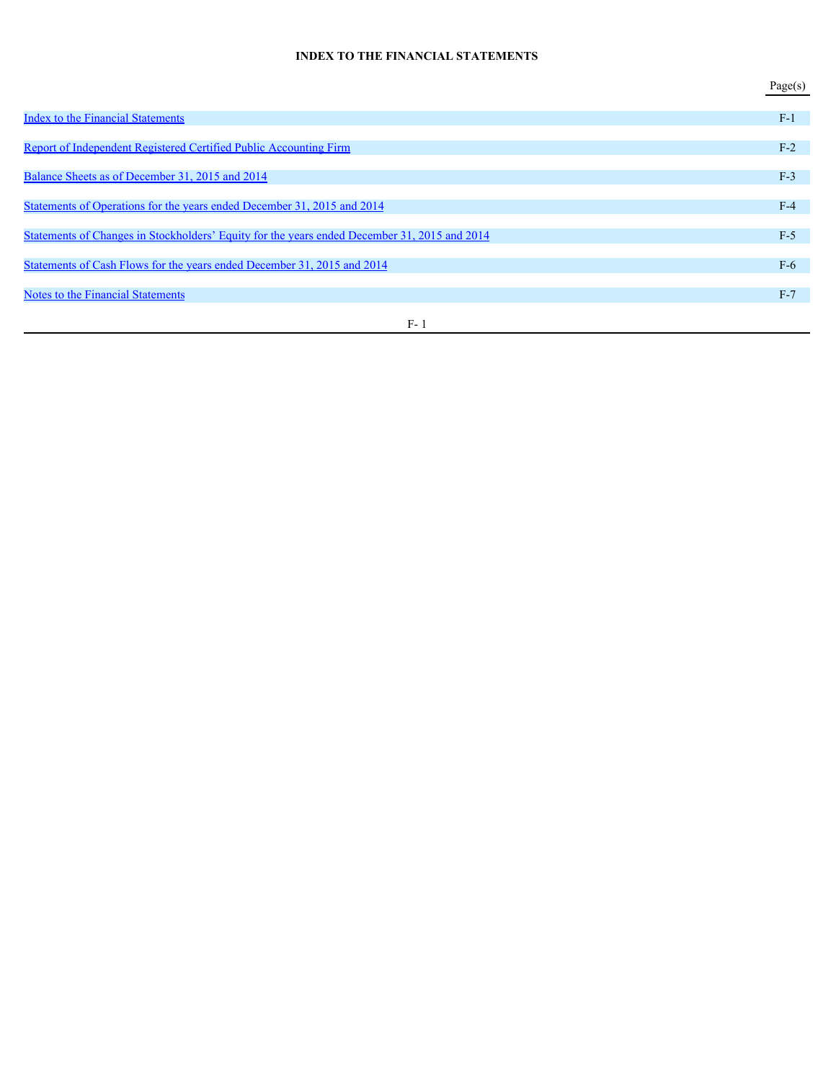# <span id="page-49-0"></span>**INDEX TO THE FINANCIAL STATEMENTS**

|                                                                                              | Page(s) |
|----------------------------------------------------------------------------------------------|---------|
| <b>Index to the Financial Statements</b>                                                     | $F-1$   |
| Report of Independent Registered Certified Public Accounting Firm                            | $F-2$   |
| Balance Sheets as of December 31, 2015 and 2014                                              | $F-3$   |
|                                                                                              |         |
| Statements of Operations for the years ended December 31, 2015 and 2014                      | $F-4$   |
| Statements of Changes in Stockholders' Equity for the years ended December 31, 2015 and 2014 | $F-5$   |
| Statements of Cash Flows for the years ended December 31, 2015 and 2014                      | $F-6$   |
| <b>Notes to the Financial Statements</b>                                                     | $F-7$   |
| $F-1$                                                                                        |         |
|                                                                                              |         |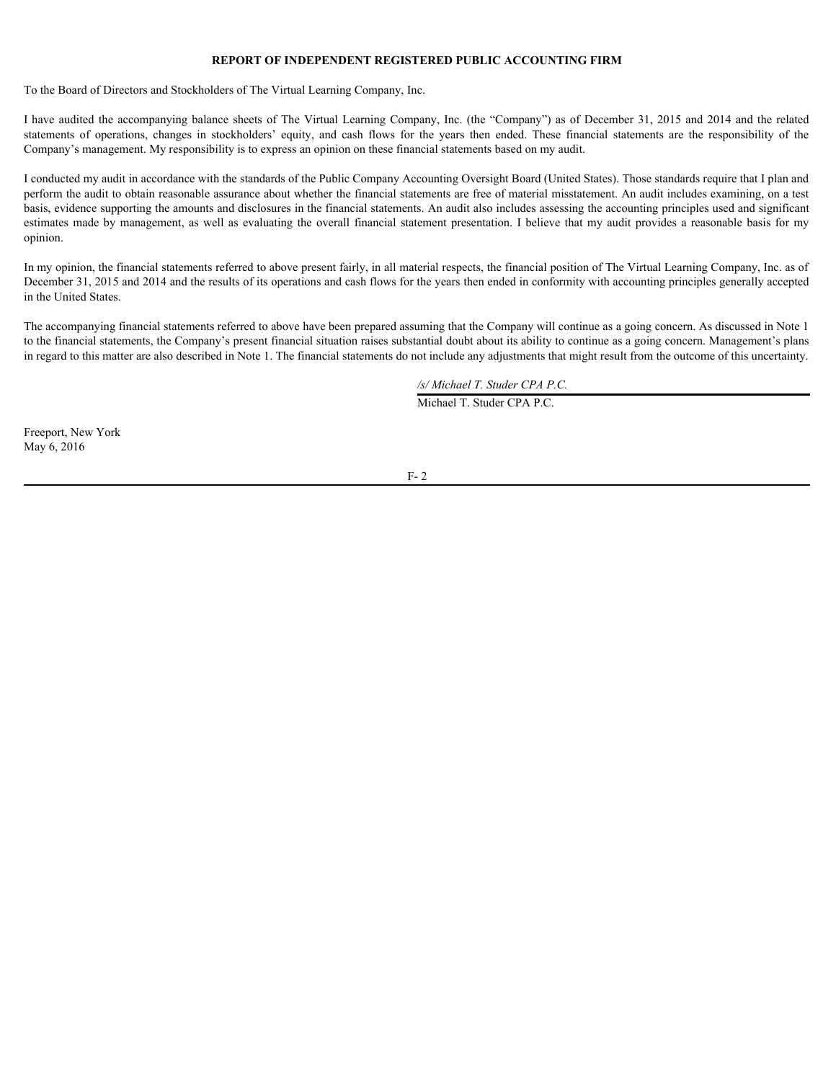# **REPORT OF INDEPENDENT REGISTERED PUBLIC ACCOUNTING FIRM**

<span id="page-50-0"></span>To the Board of Directors and Stockholders of The Virtual Learning Company, Inc.

I have audited the accompanying balance sheets of The Virtual Learning Company, Inc. (the "Company") as of December 31, 2015 and 2014 and the related statements of operations, changes in stockholders' equity, and cash flow Company's management. My responsibility is to express an opinion on these financial statements based on my audit.

**Statements Are CONSTERED PUBLIC ACCOUNTING FIRM**<br>To the Board of Directors and Stockholders of The Virtual Learning Company, Inc.<br>
I have audited the accompanying balance sheets of The Virtual Learning Company, Inc. (the I conducted my audit in accordance with the standards of the Public Company Accounting Oversight Board (United States). Those standards require that I plan and perform the audit to obtain reasonable assurance about whether the financial statements are free of material misstatement. An audit includes examining, on a test basis, evidence supporting the amounts and disclosures in the financial statements. An audit also includes assessing the accounting principles used and significant **EXERITE THE ACCOUNTING FIRM**<br> **EXERT THE CONDUCT TO THE CONTON IT ACTION** CONDITIES AND THE CONDITIES CONDITIES STIMUTE ARE CONDITIES TO THE VITHELIC ACCOUNTING FIRM<br>
I have audited by according balance sheets of The Virt opinion.

In my opinion, the financial statements referred to above present fairly, in all material respects, the financial position of The Virtual Learning Company, Inc. as of December 31, 2015 and 2014 and the results of its operations and cash flows for the years then ended in conformity with accounting principles generally accepted in the United States.

The accompanying financial statements referred to above have been prepared assuming that the Company will continue as a going concern. As discussed in Note 1 to the financial statements, the Company's present financial situation raises substantial doubt about its ability to continue as a going concern. Management's plans in regard to this matter are also described in Note 1. The financial statements do not include any adjustments that might result from the outcome of this uncertainty.

*/s/ Michael T. Studer CPA P.C.*

Michael T. Studer CPA P.C.

Freeport, New York May 6, 2016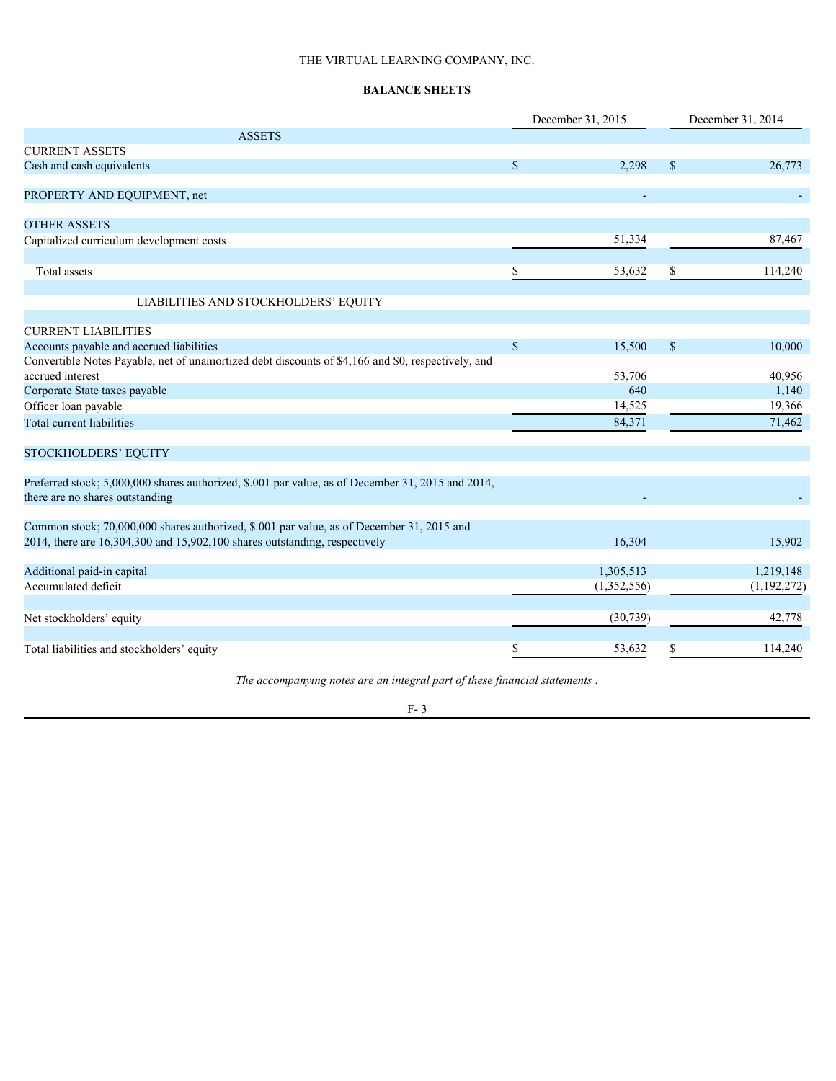# **BALANCE SHEETS**

<span id="page-51-0"></span>

| <b>ASSETS</b><br><b>CURRENT ASSETS</b><br>Cash and cash equivalents<br>2,298<br><sup>\$</sup><br>$\mathbb{S}$<br>PROPERTY AND EQUIPMENT, net<br><b>OTHER ASSETS</b><br>51,334<br>Capitalized curriculum development costs<br>Total assets<br>53,632<br>LIABILITIES AND STOCKHOLDERS' EQUITY<br><b>CURRENT LIABILITIES</b><br>Accounts payable and accrued liabilities<br>15,500<br>$\mathbb{S}$<br>$\mathbb{S}$<br>10,000<br>Convertible Notes Payable, net of unamortized debt discounts of \$4,166 and \$0, respectively, and<br>accrued interest<br>53,706<br>Corporate State taxes payable<br>640<br>14,525<br>Officer loan payable<br>84,371<br>Total current liabilities<br>STOCKHOLDERS' EQUITY<br>Preferred stock; 5,000,000 shares authorized, \$.001 par value, as of December 31, 2015 and 2014,<br>there are no shares outstanding<br>Common stock; 70,000,000 shares authorized, \$.001 par value, as of December 31, 2015 and<br>2014, there are 16,304,300 and 15,902,100 shares outstanding, respectively<br>16,304 |  | December 31, 2015 | December 31, 2014 |
|-------------------------------------------------------------------------------------------------------------------------------------------------------------------------------------------------------------------------------------------------------------------------------------------------------------------------------------------------------------------------------------------------------------------------------------------------------------------------------------------------------------------------------------------------------------------------------------------------------------------------------------------------------------------------------------------------------------------------------------------------------------------------------------------------------------------------------------------------------------------------------------------------------------------------------------------------------------------------------------------------------------------------------------|--|-------------------|-------------------|
|                                                                                                                                                                                                                                                                                                                                                                                                                                                                                                                                                                                                                                                                                                                                                                                                                                                                                                                                                                                                                                     |  |                   |                   |
|                                                                                                                                                                                                                                                                                                                                                                                                                                                                                                                                                                                                                                                                                                                                                                                                                                                                                                                                                                                                                                     |  |                   |                   |
|                                                                                                                                                                                                                                                                                                                                                                                                                                                                                                                                                                                                                                                                                                                                                                                                                                                                                                                                                                                                                                     |  |                   | 26,773            |
|                                                                                                                                                                                                                                                                                                                                                                                                                                                                                                                                                                                                                                                                                                                                                                                                                                                                                                                                                                                                                                     |  |                   | $\sim$            |
|                                                                                                                                                                                                                                                                                                                                                                                                                                                                                                                                                                                                                                                                                                                                                                                                                                                                                                                                                                                                                                     |  |                   |                   |
|                                                                                                                                                                                                                                                                                                                                                                                                                                                                                                                                                                                                                                                                                                                                                                                                                                                                                                                                                                                                                                     |  |                   | 87,467            |
|                                                                                                                                                                                                                                                                                                                                                                                                                                                                                                                                                                                                                                                                                                                                                                                                                                                                                                                                                                                                                                     |  |                   |                   |
|                                                                                                                                                                                                                                                                                                                                                                                                                                                                                                                                                                                                                                                                                                                                                                                                                                                                                                                                                                                                                                     |  |                   | 114,240           |
|                                                                                                                                                                                                                                                                                                                                                                                                                                                                                                                                                                                                                                                                                                                                                                                                                                                                                                                                                                                                                                     |  |                   |                   |
|                                                                                                                                                                                                                                                                                                                                                                                                                                                                                                                                                                                                                                                                                                                                                                                                                                                                                                                                                                                                                                     |  |                   |                   |
|                                                                                                                                                                                                                                                                                                                                                                                                                                                                                                                                                                                                                                                                                                                                                                                                                                                                                                                                                                                                                                     |  |                   |                   |
|                                                                                                                                                                                                                                                                                                                                                                                                                                                                                                                                                                                                                                                                                                                                                                                                                                                                                                                                                                                                                                     |  |                   |                   |
|                                                                                                                                                                                                                                                                                                                                                                                                                                                                                                                                                                                                                                                                                                                                                                                                                                                                                                                                                                                                                                     |  |                   |                   |
|                                                                                                                                                                                                                                                                                                                                                                                                                                                                                                                                                                                                                                                                                                                                                                                                                                                                                                                                                                                                                                     |  |                   | 40,956            |
|                                                                                                                                                                                                                                                                                                                                                                                                                                                                                                                                                                                                                                                                                                                                                                                                                                                                                                                                                                                                                                     |  |                   | 1,140             |
|                                                                                                                                                                                                                                                                                                                                                                                                                                                                                                                                                                                                                                                                                                                                                                                                                                                                                                                                                                                                                                     |  |                   | 19,366            |
|                                                                                                                                                                                                                                                                                                                                                                                                                                                                                                                                                                                                                                                                                                                                                                                                                                                                                                                                                                                                                                     |  |                   | 71,462            |
|                                                                                                                                                                                                                                                                                                                                                                                                                                                                                                                                                                                                                                                                                                                                                                                                                                                                                                                                                                                                                                     |  |                   |                   |
|                                                                                                                                                                                                                                                                                                                                                                                                                                                                                                                                                                                                                                                                                                                                                                                                                                                                                                                                                                                                                                     |  |                   |                   |
|                                                                                                                                                                                                                                                                                                                                                                                                                                                                                                                                                                                                                                                                                                                                                                                                                                                                                                                                                                                                                                     |  |                   |                   |
|                                                                                                                                                                                                                                                                                                                                                                                                                                                                                                                                                                                                                                                                                                                                                                                                                                                                                                                                                                                                                                     |  |                   |                   |
|                                                                                                                                                                                                                                                                                                                                                                                                                                                                                                                                                                                                                                                                                                                                                                                                                                                                                                                                                                                                                                     |  |                   | 15,902            |
| Additional paid-in capital<br>1,305,513                                                                                                                                                                                                                                                                                                                                                                                                                                                                                                                                                                                                                                                                                                                                                                                                                                                                                                                                                                                             |  |                   | 1,219,148         |
| (1,352,556)<br>Accumulated deficit                                                                                                                                                                                                                                                                                                                                                                                                                                                                                                                                                                                                                                                                                                                                                                                                                                                                                                                                                                                                  |  |                   | (1,192,272)       |
|                                                                                                                                                                                                                                                                                                                                                                                                                                                                                                                                                                                                                                                                                                                                                                                                                                                                                                                                                                                                                                     |  |                   |                   |
| (30, 739)<br>Net stockholders' equity                                                                                                                                                                                                                                                                                                                                                                                                                                                                                                                                                                                                                                                                                                                                                                                                                                                                                                                                                                                               |  |                   | 42,778            |
| 53,632<br>Total liabilities and stockholders' equity                                                                                                                                                                                                                                                                                                                                                                                                                                                                                                                                                                                                                                                                                                                                                                                                                                                                                                                                                                                |  |                   | 114,240           |

*The accompanying notes are an integral part of these financial statements* .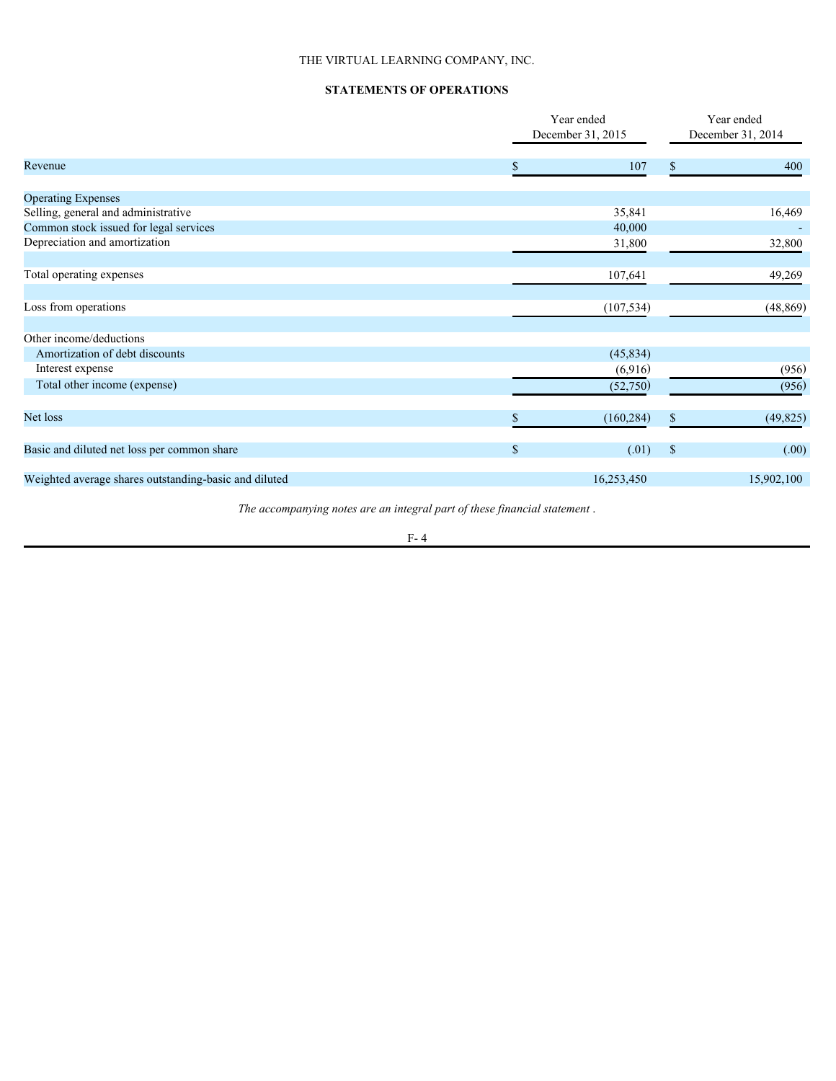# <span id="page-52-0"></span>**STATEMENTS OF OPERATIONS**

|                                                       |               | Year ended<br>December 31, 2015 | Year ended<br>December 31, 2014 |            |  |
|-------------------------------------------------------|---------------|---------------------------------|---------------------------------|------------|--|
| Revenue                                               |               | 107                             |                                 | 400        |  |
| <b>Operating Expenses</b>                             |               |                                 |                                 |            |  |
| Selling, general and administrative                   |               | 35,841                          |                                 | 16,469     |  |
| Common stock issued for legal services                |               | 40,000                          |                                 |            |  |
| Depreciation and amortization                         |               | 31,800                          |                                 | 32,800     |  |
| Total operating expenses                              |               | 107,641                         |                                 | 49,269     |  |
| Loss from operations                                  |               | (107, 534)                      |                                 | (48, 869)  |  |
| Other income/deductions                               |               |                                 |                                 |            |  |
| Amortization of debt discounts                        |               | (45, 834)                       |                                 |            |  |
| Interest expense                                      |               | (6,916)                         |                                 | (956)      |  |
| Total other income (expense)                          |               | (52,750)                        |                                 | (956)      |  |
| Net loss                                              |               | (160, 284)                      | S                               | (49, 825)  |  |
|                                                       | $\mathcal{S}$ |                                 |                                 |            |  |
| Basic and diluted net loss per common share           |               | (.01)                           | $\mathbf{s}$                    | (.00)      |  |
| Weighted average shares outstanding-basic and diluted |               | 16,253,450                      |                                 | 15,902,100 |  |

*The accompanying notes are an integral part of these financial statement* .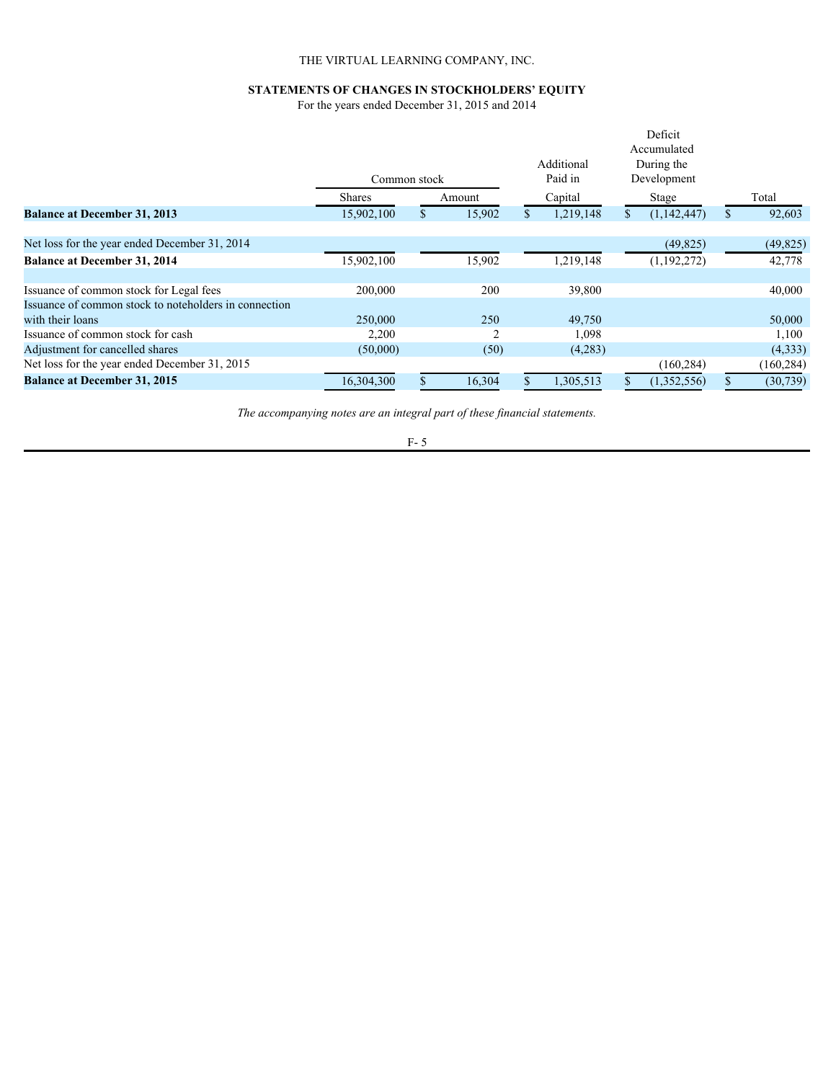## **STATEMENTS OF CHANGES IN STOCKHOLDERS' EQUITY**

For the years ended December 31, 2015 and 2014

<span id="page-53-0"></span>

|                                                       | Common stock  |        | Additional<br>Paid in | Deficit<br>Accumulated<br>During the<br>Development |            |
|-------------------------------------------------------|---------------|--------|-----------------------|-----------------------------------------------------|------------|
|                                                       | <b>Shares</b> | Amount | Capital               | Stage                                               | Total      |
| <b>Balance at December 31, 2013</b>                   | 15,902,100    | 15,902 | 1,219,148             | (1,142,447)                                         | 92,603     |
|                                                       |               |        |                       |                                                     |            |
| Net loss for the year ended December 31, 2014         |               |        |                       | (49, 825)                                           | (49, 825)  |
| <b>Balance at December 31, 2014</b>                   | 15,902,100    | 15,902 | 1,219,148             | (1,192,272)                                         | 42,778     |
|                                                       |               |        |                       |                                                     |            |
| Issuance of common stock for Legal fees               | 200,000       | 200    | 39,800                |                                                     | 40,000     |
| Issuance of common stock to noteholders in connection |               |        |                       |                                                     |            |
| with their loans                                      | 250,000       | 250    | 49,750                |                                                     | 50,000     |
| Issuance of common stock for cash                     | 2,200         |        | 1,098                 |                                                     | 1,100      |
| Adjustment for cancelled shares                       | (50,000)      | (50)   | (4,283)               |                                                     | (4,333)    |
| Net loss for the year ended December 31, 2015         |               |        |                       | (160, 284)                                          | (160, 284) |
| <b>Balance at December 31, 2015</b>                   | 16,304,300    | 16,304 | 1,305,513             | (1,352,556)                                         | (30, 739)  |
|                                                       |               |        |                       |                                                     |            |

*The accompanying notes are an integral part of these financial statements.*

F- 5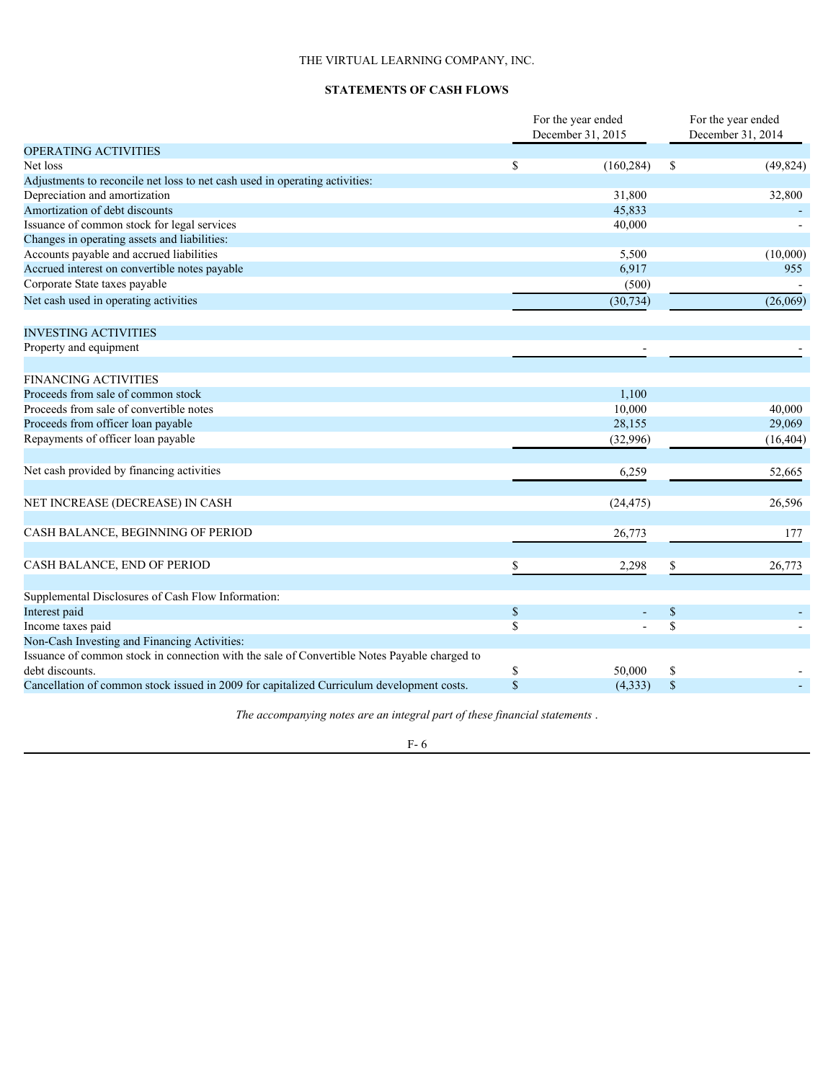# **STATEMENTS OF CASH FLOWS**

<span id="page-54-0"></span>

|                                                                                              |              | For the year ended<br>December 31, 2015 | For the year ended<br>December 31, 2014 |           |  |
|----------------------------------------------------------------------------------------------|--------------|-----------------------------------------|-----------------------------------------|-----------|--|
| <b>OPERATING ACTIVITIES</b>                                                                  |              |                                         |                                         |           |  |
| Net loss                                                                                     | S            | (160, 284)                              | <sup>\$</sup>                           | (49, 824) |  |
| Adjustments to reconcile net loss to net cash used in operating activities:                  |              |                                         |                                         |           |  |
| Depreciation and amortization                                                                |              | 31,800                                  |                                         | 32,800    |  |
| Amortization of debt discounts                                                               |              | 45,833                                  |                                         |           |  |
| Issuance of common stock for legal services                                                  |              | 40,000                                  |                                         |           |  |
| Changes in operating assets and liabilities:                                                 |              |                                         |                                         |           |  |
| Accounts payable and accrued liabilities                                                     |              | 5,500                                   |                                         | (10,000)  |  |
| Accrued interest on convertible notes payable                                                |              | 6,917                                   |                                         | 955       |  |
| Corporate State taxes payable                                                                |              | (500)                                   |                                         |           |  |
| Net cash used in operating activities                                                        |              | (30, 734)                               |                                         | (26,069)  |  |
| <b>INVESTING ACTIVITIES</b>                                                                  |              |                                         |                                         |           |  |
| Property and equipment                                                                       |              |                                         |                                         |           |  |
|                                                                                              |              |                                         |                                         |           |  |
| <b>FINANCING ACTIVITIES</b>                                                                  |              |                                         |                                         |           |  |
| Proceeds from sale of common stock                                                           |              | 1,100                                   |                                         |           |  |
| Proceeds from sale of convertible notes                                                      |              | 10,000                                  |                                         | 40,000    |  |
| Proceeds from officer loan payable                                                           |              | 28,155                                  |                                         | 29,069    |  |
| Repayments of officer loan payable                                                           |              | (32,996)                                |                                         | (16, 404) |  |
|                                                                                              |              |                                         |                                         |           |  |
| Net cash provided by financing activities                                                    |              | 6,259                                   |                                         | 52,665    |  |
|                                                                                              |              |                                         |                                         |           |  |
| NET INCREASE (DECREASE) IN CASH                                                              |              | (24, 475)                               |                                         | 26,596    |  |
|                                                                                              |              |                                         |                                         |           |  |
| CASH BALANCE, BEGINNING OF PERIOD                                                            |              | 26,773                                  |                                         | 177       |  |
|                                                                                              |              |                                         |                                         |           |  |
| CASH BALANCE, END OF PERIOD                                                                  |              | 2,298                                   | S                                       | 26,773    |  |
|                                                                                              |              |                                         |                                         |           |  |
| Supplemental Disclosures of Cash Flow Information:                                           |              |                                         |                                         |           |  |
| Interest paid                                                                                | $\mathbb{S}$ |                                         | $\mathbb S$                             |           |  |
| Income taxes paid                                                                            | \$           |                                         | \$                                      |           |  |
| Non-Cash Investing and Financing Activities:                                                 |              |                                         |                                         |           |  |
| Issuance of common stock in connection with the sale of Convertible Notes Payable charged to |              |                                         |                                         |           |  |
| debt discounts.                                                                              | \$           | 50,000                                  | \$                                      |           |  |
| Cancellation of common stock issued in 2009 for capitalized Curriculum development costs.    | \$           | (4, 333)                                | $\mathbb{S}$                            |           |  |

*The accompanying notes are an integral part of these financial statements* .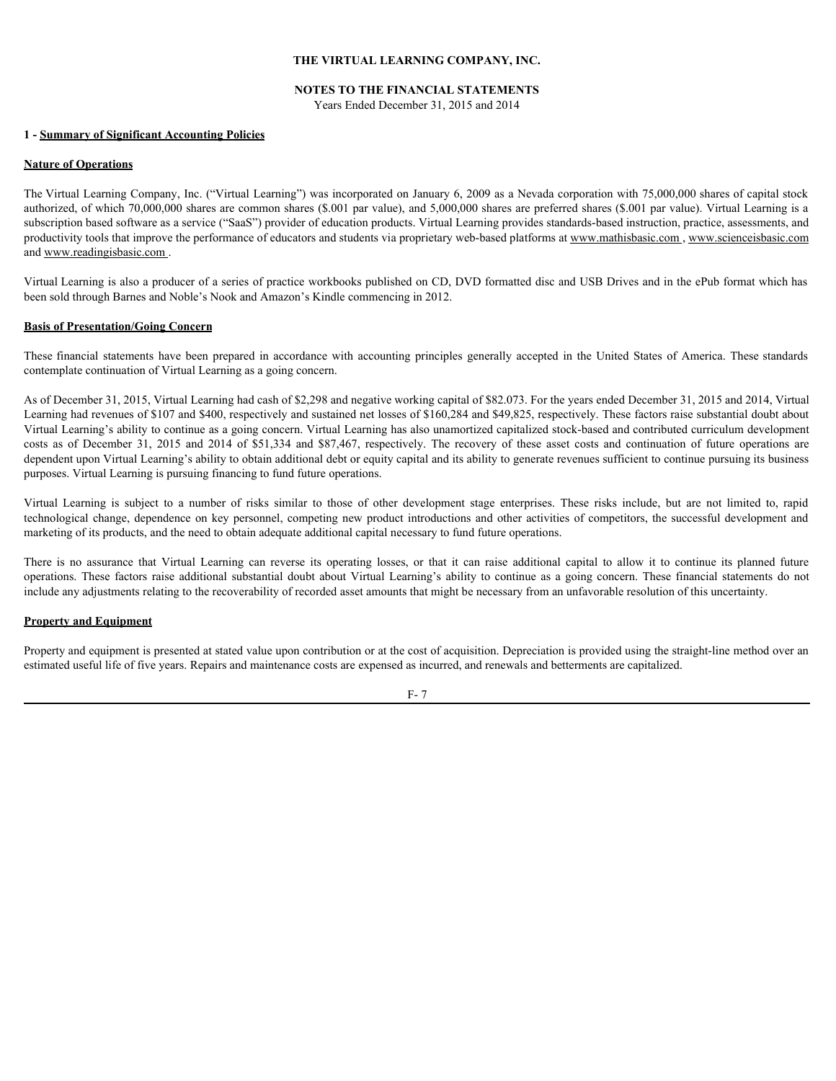#### **NOTES TO THE FINANCIAL STATEMENTS**

Years Ended December 31, 2015 and 2014

## <span id="page-55-0"></span>**1 - Summary of Significant Accounting Policies**

### **Nature of Operations**

The Virtual Learning Company, Inc. ("Virtual Learning") was incorporated on January 6, 2009 as a Nevada corporation with 75,000,000 shares of capital stock authorized, of which 70,000,000 shares are common shares (\$.001 par value), and 5,000,000 shares are preferred shares (\$.001 par value). Virtual Learning is a subscription based software as a service ("SaaS") provider of education products. Virtual Learning provides standards-based instruction, practice, assessments, and productivity tools that improve the performance of educators and students via proprietary web-based platforms at www.mathisbasic.com , www.scienceisbasic.com and www.readingisbasic.com .

Virtual Learning is also a producer of a series of practice workbooks published on CD, DVD formatted disc and USB Drives and in the ePub format which has been sold through Barnes and Noble's Nook and Amazon's Kindle commencing in 2012.

#### **Basis of Presentation/Going Concern**

contemplate continuation of Virtual Learning as a going concern.

THE VRTUAL LEARNING COMPANY, INC.<br>
SOTES TO THE FINANCIAL STATEMENTS<br>
Years Finded December 31, 2015 and 2014<br> **Shares of Operations**<br> **Shares of Operations**<br> **Shares of Operations**<br> **Discrete financial accounting Publics** As of December 31, 2015, Virtual Learning had cash of \$2,298 and negative working capital of \$82.073. For the years ended December 31, 2015 and 2014, Virtual Learning had revenues of \$107 and \$400, respectively and sustained net losses of \$160,284 and \$49,825, respectively. These factors raise substantial doubt about Virtual Learning's ability to continue as a going concern. Virtual Learning has also unamortized capitalized stock-based and contributed curriculum development THE VIRTUAL LEARNING COMPANN, INC.<br>
SYGME STOTES TO THE FINANCIAL STATEMENTS<br>
Year and December 31, 2015 and 2014<br>
The Viened Learning Company, ha. ("Vriand Learning") was interpreted on Jamay 6, 2019 as a Nevada compensio dependent upon Virtual Learning's ability to obtain additional debt or equity capital and its ability to generate revenues sufficient to continue pursuing its business purposes. Virtual Learning is pursuing financing to fund future operations. THE VIRTUAL LEARNING COMPANY, INC.<br>
Noting of Significant Accounting Publics<br>
Your Extreme of Operations<br>
Your Learning Company, Inc. ("Virtual Learning") was incorporated en Junuary 6, 2009 as Newsk corporation with 75,00 **EXECUTE TO THE FINANCIAL STATEMENTS**<br>
Your Experiment of Operations<br> **Nature of Operations**<br> **Nature of Operations**<br> **The Vermal 1 competity company be.** ("Virtual 1 caming") was incorporated on key product interval comp 1 - **Sammary of Significant Accounting Palicies**<br>Nature of Operations<br>The Virtual Learning Company, the CVirtual Learning Yous recorporated in the<br>map of such can reverse (Since Therefore, and Since 2000) and the such<br>subs 1 - Summary of Significant Accounting Palicies<br>Nature of Operations<br>Character Congress (see Constructions) was computed in the substantial substitute about the set of the substitute in the substantial substantial substanti

marketing of its products, and the need to obtain adequate additional capital necessary to fund future operations.

include any adjustments relating to the recoverability of recorded asset amounts that might be necessary from an unfavorable resolution of this uncertainty.

## **Property and Equipment**

Property and equipment is presented at stated value upon contribution or at the cost of acquisition. Depreciation is provided using the straight-line method over an estimated useful life of five years. Repairs and maintenance costs are expensed as incurred, and renewals and betterments are capitalized.

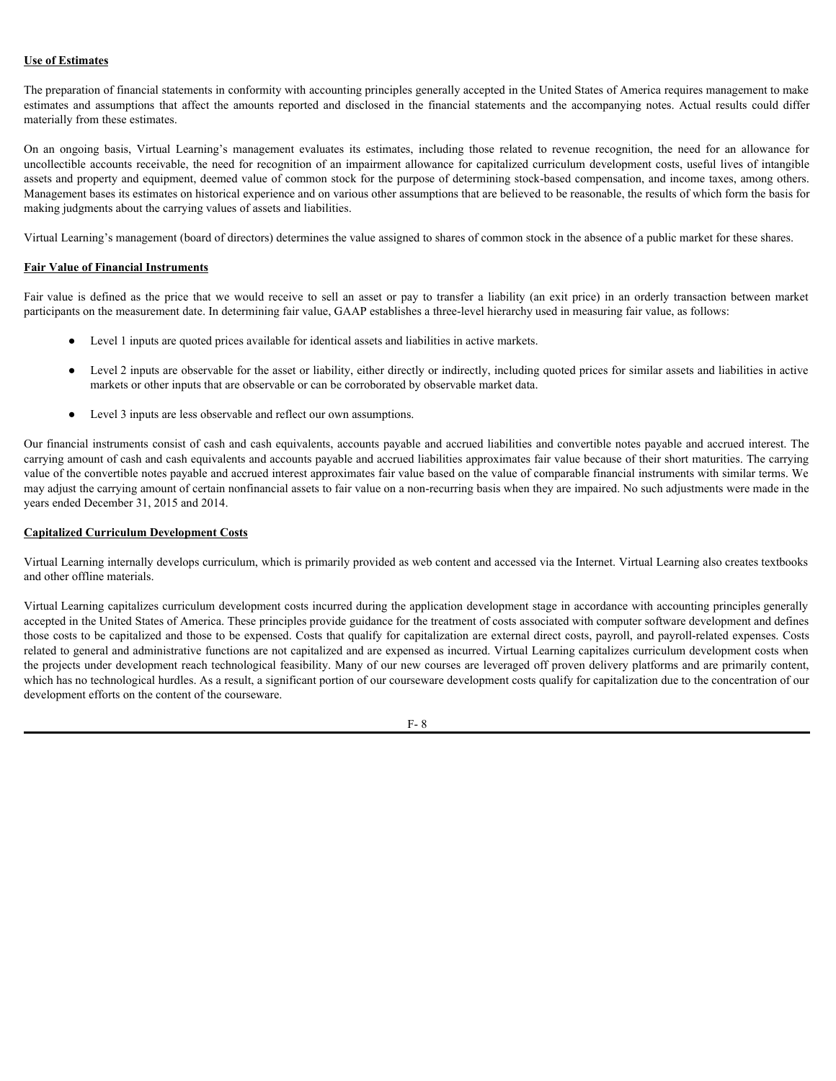## **Use of Estimates**

The preparation of financial statements in conformity with accounting principles generally accepted in the United States of America requires management to make materially from these estimates.

Use of Estimates<br>The preparation of financial statements in conformity with accounting principles generally accepted in the United States of America requires management to make<br>estimates and assumptions that affect the amo **Use of Estimates**<br>The preparation of financial statements in conformity with accounting principles generally accepted in the United States of America requires management to make<br>estimates and assumptions that affect the a uncollectible accounts receivable, the need for recognition of an impairment allowance for capitalized curriculum development costs, useful lives of intangible assets and property and equipment, deemed value of common stock for the purpose of determining stock-based compensation, and income taxes, among others. Management bases its estimates on historical experience and on various other assumptions that are believed to be reasonable, the results of which form the basis for making judgments about the carrying values of assets and liabilities. **ILE of Estimates**<br>The preparation of financial statements in conformity with accounting principles generally accepted in the United States of America requires management to make instinues and assumptions that affect the

Virtual Learning's management (board of directors) determines the value assigned to shares of common stock in the absence of a public market for these shares.

### **Fair Value of Financial Instruments**

participants on the measurement date. In determining fair value, GAAP establishes a three-level hierarchy used in measuring fair value, as follows:

- Level 1 inputs are quoted prices available for identical assets and liabilities in active markets.
- Level 2 inputs are observable for the asset or liability, either directly or indirectly, including quoted prices for similar assets and liabilities in active markets or other inputs that are observable or can be corroborated by observable market data.
- Level 3 inputs are less observable and reflect our own assumptions.

Our financial instruments consist of cash and cash equivalents, accounts payable and accrued liabilities and convertible notes payable and accrued interest. The carrying amount of cash and cash equivalents and accounts payable and accrued liabilities approximates fair value because of their short maturities. The carrying value of the convertible notes payable and accrued interest approximates fair value based on the value of comparable financial instruments with similar terms. We may adjust the carrying amount of certain nonfinancial assets to fair value on a non-recurring basis when they are impaired. No such adjustments were made in the years ended December 31, 2015 and 2014.

#### **Capitalized Curriculum Development Costs**

Virtual Learning internally develops curriculum, which is primarily provided as web content and accessed via the Internet. Virtual Learning also creates textbooks and other offline materials.

Virtual Learning capitalizes curriculum development costs incurred during the application development stage in accordance with accounting principles generally accepted in the United States of America. These principles provide guidance for the treatment of costs associated with computer software development and defines those costs to be capitalized and those to be expensed. Costs that qualify for capitalization are external direct costs, payroll, and payroll-related expenses. Costs related to general and administrative functions are not capitalized and are expensed as incurred. Virtual Learning capitalizes curriculum development costs when the projects under development reach technological feasibility. Many of our new courses are leveraged off proven delivery platforms and are primarily content, which has no technological hurdles. As a result, a significant portion of our courseware development costs qualify for capitalization due to the concentration of our development efforts on the content of the courseware.

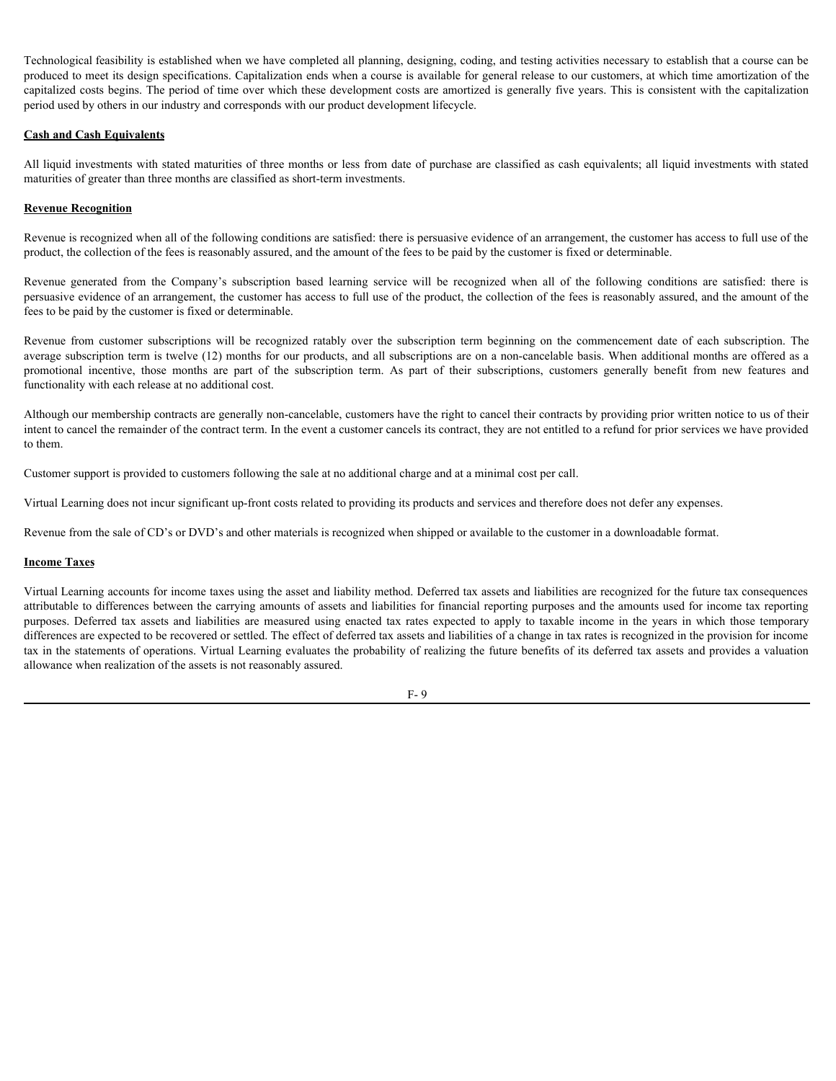Technological feasibility is established when we have completed all planning, designing, coding, and testing activities necessary to establish that a course can be produced to meet its design specifications. Capitalization ends when a course is available for general release to our customers, at which time amortization of the capitalized costs begins. The period of time over which these development costs are amortized is generally five years. This is consistent with the capitalization period used by others in our industry and corresponds with our product development lifecycle.

# **Cash and Cash Equivalents**

All liquid investments with stated maturities of three months or less from date of purchase are classified as cash equivalents; all liquid investments with stated maturities of greater than three months are classified as short-term investments.

# **Revenue Recognition**

Revenue is recognized when all of the following conditions are satisfied: there is persuasive evidence of an arrangement, the customer has access to full use of the product, the collection of the fees is reasonably assured, and the amount of the fees to be paid by the customer is fixed or determinable.

persuasive evidence of an arrangement, the customer has access to full use of the product, the collection of the fees is reasonably assured, and the amount of the fees to be paid by the customer is fixed or determinable.

Technological feasibility is established when we have completed all planning, designing, coding, and testing activities necessary to establish that a course can be produced to most in state out be produced to most in state I celebratic from bitty is established when we have completed all planning, designing, ceding, and testing activities necessary to establish that a course can be produced to meet in design aperticanons. Capabilations contr average subscription term is twelve (12) months for our products, and all subscriptions are on a non-cancelable basis. When additional months are offered as a Technological fastibility is established when we have completed all planning, designing, coling, and testing activities nocessary to establish that a course can be produced to meet til design specifications. Capital are th functionality with each release at no additional cost.

Although our membership contracts are generally non-cancelable, customers have the right to cancel their contracts by providing prior written notice to us of their intent to cancel the remainder of the contract term. In the event a customer cancels its contract, they are not entitled to a refund for prior services we have provided to them.

Customer support is provided to customers following the sale at no additional charge and at a minimal cost per call.

Virtual Learning does not incur significant up-front costs related to providing its products and services and therefore does not defer any expenses.

Revenue from the sale of CD's or DVD's and other materials is recognized when shipped or available to the customer in a downloadable format.

# **Income Taxes**

Virtual Learning accounts for income taxes using the asset and liability method. Deferred tax assets and liabilities are recognized for the future tax consequences attributable to differences between the carrying amounts of assets and liabilities for financial reporting purposes and the amounts used for income tax reporting muturises of genier than these words are distribution are antified there in germanic relicance of an amagement the customer in the second of the RN contents in the component of the second the second of the second the seco differences are expected to be recovered or settled. The effect of deferred tax assets and liabilities of a change in tax rates is recognized in the provision for income tax in the statements of operations. Virtual Learning evaluates the probability of realizing the future benefits of its deferred tax assets and provides a valuation allowance when realization of the assets is not reasonably assured.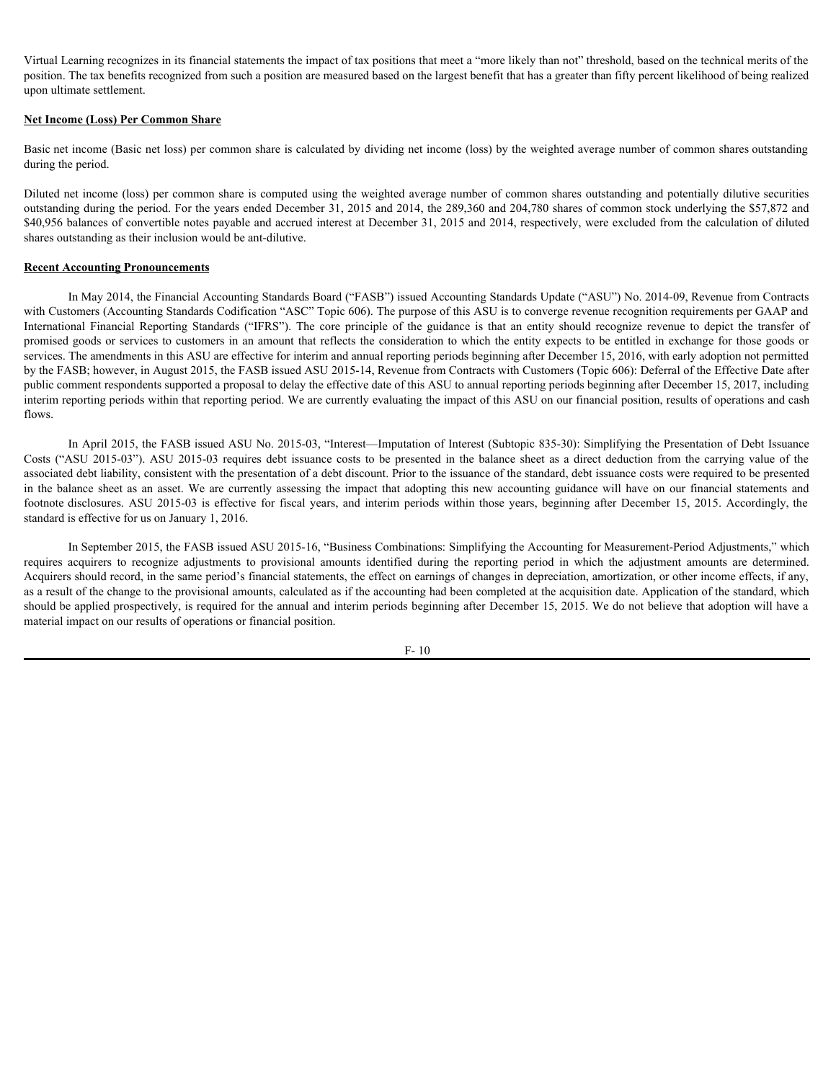Virtual Learning recognizes in its financial statements the impact of tax positions that meet a "more likely than not" threshold, based on the technical merits of the position. The tax benefits recognized from such a position are measured based on the largest benefit that has a greater than fifty percent likelihood of being realized upon ultimate settlement.

## **Net Income (Loss) Per Common Share**

Basic net income (Basic net loss) per common share is calculated by dividing net income (loss) by the weighted average number of common shares outstanding during the period.

Diluted net income (loss) per common share is computed using the weighted average number of common shares outstanding and potentially dilutive securities outstanding during the period. For the years ended December 31, 2015 and 2014, the 289,360 and 204,780 shares of common stock underlying the \$57,872 and \$40,956 balances of convertible notes payable and accrued interest at December 31, 2015 and 2014, respectively, were excluded from the calculation of diluted shares outstanding as their inclusion would be ant-dilutive.

#### **Recent Accounting Pronouncements**

In May 2014, the Financial Accounting Standards Board ("FASB") issued Accounting Standards Update ("ASU") No. 2014-09, Revenue from Contracts with Customers (Accounting Standards Codification "ASC" Topic 606). The purpose of this ASU is to converge revenue recognition requirements per GAAP and Virtual Learning recognizes in its financial slatements the impact of tax positions that meet a "more likely than not" threshold, based on the technical merits of the proportional The nat benefits response the core princi promised goods or services to customers in an amount that reflects the consideration to which the entity expects to be entitled in exchange for those goods or services. The amendments in this ASU are effective for interim and annual reporting periods beginning after December 15, 2016, with early adoption not permitted by the FASB; however, in August 2015, the FASB issued ASU 2015-14, Revenue from Contracts with Customers (Topic 606): Deferral of the Effective Date after public comment respondents supported a proposal to delay the effective date of this ASU to annual reporting periods beginning after December 15, 2017, including interim reporting periods within that reporting period. We are currently evaluating the impact of this ASU on our financial position, results of operations and cash flows. Vintal Leming soognizer in its funnelis statements the impact of us positions that nort a "are or label than the Theoretical Red incomes (Note that the appear of the balance of the state of the state of the state of the st Vintal Lenning exocataes in its famousi shements the impact of as positions that most a "most behall the control of the balance of the control of the control of the control of the control of the control of the control of V/mall Learning resonates in its finalisal interiment the interiment between the system interiment when the resonated after the system interiment after the system of the system of the system of the system of the system of **Ret Income if Leas) Per Common Shares**<br>Ratio car income (Sales are leas) per common share is considered by dividing net income (loss) by the weighted average number of common shares outstanding and potentially details not

In April 2015, the FASB issued ASU No. 2015-03, "Interest—Imputation of Interest (Subtopic 835-30): Simplifying the Presentation of Debt Issuance associated debt liability, consistent with the presentation of a debt discount. Prior to the issuance of the standard, debt issuance costs were required to be presented standard is effective for us on January 1, 2016.

In September 2015, the FASB issued ASU 2015-16, "Business Combinations: Simplifying the Accounting for Measurement-Period Adjustments," which Acquirers should record, in the same period's financial statements, the effect on earnings of changes in depreciation, amortization, or other income effects, if any, as a result of the change to the provisional amounts, calculated as if the accounting had been completed at the acquisition date. Application of the standard, which should be applied prospectively, is required for the annual and interim periods beginning after December 15, 2015. We do not believe that adoption will have a material impact on our results of operations or financial position.

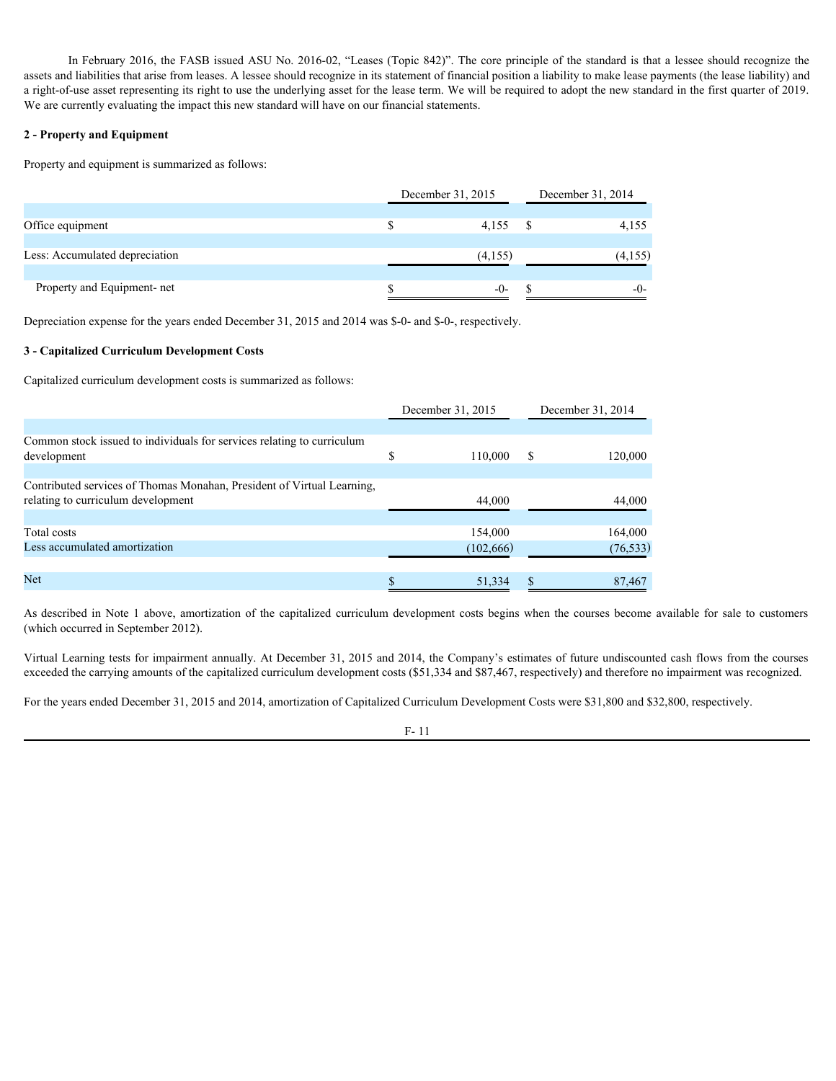In February 2016, the FASB issued ASU No. 2016-02, "Leases (Topic 842)". The core principle of the standard is that a lessee should recognize the assets and liabilities that arise from leases. A lessee should recognize in its statement of financial position a liability to make lease payments (the lease liability) and a right-of-use asset representing its right to use the underlying asset for the lease term. We will be required to adopt the new standard in the first quarter of 2019. We are currently evaluating the impact this new standard will have on our financial statements.

# **2 - Property and Equipment**

Property and equipment is summarized as follows:

| Office equipment<br>$4,155$ \$                       |
|------------------------------------------------------|
| 4,155                                                |
|                                                      |
|                                                      |
| Less: Accumulated depreciation<br>(4,155)<br>(4,155) |
|                                                      |
| Property and Equipment- net<br>$-()$ -<br>$-0-$      |

# **3 - Capitalized Curriculum Development Costs**

| Property and equipment is summarized as follows:                                                                                                                |               |                      |      |                      |
|-----------------------------------------------------------------------------------------------------------------------------------------------------------------|---------------|----------------------|------|----------------------|
|                                                                                                                                                                 |               | December 31, 2015    |      | December 31, 2014    |
| Office equipment                                                                                                                                                | <sup>S</sup>  | $4,155$ \$           |      | 4,155                |
| Less: Accumulated depreciation                                                                                                                                  |               | (4, 155)             |      | (4,155)              |
|                                                                                                                                                                 |               |                      |      |                      |
| Property and Equipment- net                                                                                                                                     |               | $-0-$                |      |                      |
| Depreciation expense for the years ended December 31, 2015 and 2014 was \$-0- and \$-0-, respectively.                                                          |               |                      |      |                      |
| 3 - Capitalized Curriculum Development Costs                                                                                                                    |               |                      |      |                      |
| Capitalized curriculum development costs is summarized as follows:                                                                                              |               |                      |      |                      |
|                                                                                                                                                                 |               | December 31, 2015    |      |                      |
|                                                                                                                                                                 |               |                      |      | December 31, 2014    |
| Common stock issued to individuals for services relating to curriculum<br>development                                                                           | $\mathcal{S}$ | 110,000              | - \$ | 120,000              |
|                                                                                                                                                                 |               |                      |      |                      |
| Contributed services of Thomas Monahan, President of Virtual Learning,<br>relating to curriculum development                                                    |               | 44,000               |      | 44,000               |
|                                                                                                                                                                 |               |                      |      |                      |
| Total costs<br>Less accumulated amortization                                                                                                                    |               | 154,000<br>(102,666) |      | 164,000<br>(76, 533) |
|                                                                                                                                                                 |               |                      |      |                      |
| Net                                                                                                                                                             |               | 51,334               | -8   | 87,467               |
| As described in Note 1 above, amortization of the capitalized curriculum development costs begins when the courses become available for sale to customers       |               |                      |      |                      |
| (which occurred in September 2012).                                                                                                                             |               |                      |      |                      |
| Virtual Learning tests for impairment annually. At December 31, 2015 and 2014, the Company's estimates of future undiscounted cash flows from the courses       |               |                      |      |                      |
| exceeded the carrying amounts of the capitalized curriculum development costs (\$51,334 and \$87,467, respectively) and therefore no impairment was recognized. |               |                      |      |                      |
| For the years ended December 31, 2015 and 2014, amortization of Capitalized Curriculum Development Costs were \$31,800 and \$32,800, respectively.              |               |                      |      |                      |
|                                                                                                                                                                 |               |                      |      |                      |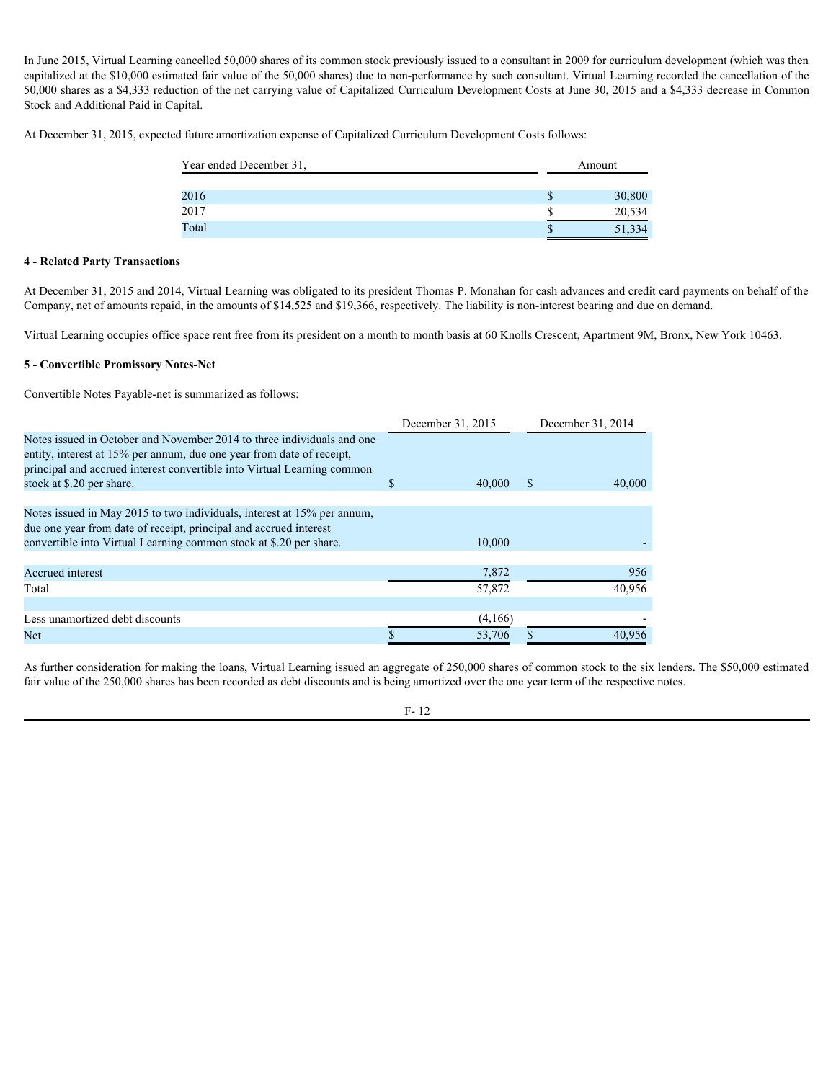In June 2015, Virtual Learning cancelled 50,000 shares of its common stock previously issued to a consultant in 2009 for curriculum development (which was then capitalized at the \$10,000 estimated fair value of the 50,000 shares) due to non-performance by such consultant. Virtual Learning recorded the cancellation of the 50,000 shares as a \$4,333 reduction of the net carrying value of Capitalized Curriculum Development Costs at June 30, 2015 and a \$4,333 decrease in Common Stock and Additional Paid in Capital.

At December 31, 2015, expected future amortization expense of Capitalized Curriculum Development Costs follows:

| Year ended December 31, | Amount |
|-------------------------|--------|
| 2016                    | 30,800 |
| 2017                    | 20,534 |
| Total                   | 51,334 |

## **4 - Related Party Transactions**

At December 31, 2015 and 2014, Virtual Learning was obligated to its president Thomas P. Monahan for cash advances and credit card payments on behalf of the Company, net of amounts repaid, in the amounts of \$14,525 and \$19,366, respectively. The liability is non-interest bearing and due on demand.

Virtual Learning occupies office space rent free from its president on a month to month basis at 60 Knolls Crescent, Apartment 9M, Bronx, New York 10463.

## **5 - Convertible Promissory Notes-Net**

Convertible Notes Payable-net is summarized as follows:

|                                                                                                                                                                                                                                                         | December 31, 2015 |         | December 31, 2014 |
|---------------------------------------------------------------------------------------------------------------------------------------------------------------------------------------------------------------------------------------------------------|-------------------|---------|-------------------|
| Notes issued in October and November 2014 to three individuals and one<br>entity, interest at 15% per annum, due one year from date of receipt,<br>principal and accrued interest convertible into Virtual Learning common<br>stock at \$.20 per share. |                   | 40,000  | 40,000            |
|                                                                                                                                                                                                                                                         |                   |         |                   |
| Notes issued in May 2015 to two individuals, interest at 15% per annum,<br>due one year from date of receipt, principal and accrued interest<br>convertible into Virtual Learning common stock at \$.20 per share.                                      |                   | 10,000  |                   |
| Accrued interest                                                                                                                                                                                                                                        |                   | 7,872   | 956               |
| Total                                                                                                                                                                                                                                                   |                   | 57,872  | 40,956            |
| Less unamortized debt discounts                                                                                                                                                                                                                         |                   | (4,166) |                   |
| Net                                                                                                                                                                                                                                                     |                   | 53,706  | 40,956            |

As further consideration for making the loans, Virtual Learning issued an aggregate of 250,000 shares of common stock to the six lenders. The \$50,000 estimated fair value of the 250,000 shares has been recorded as debt discounts and is being amortized over the one year term of the respective notes.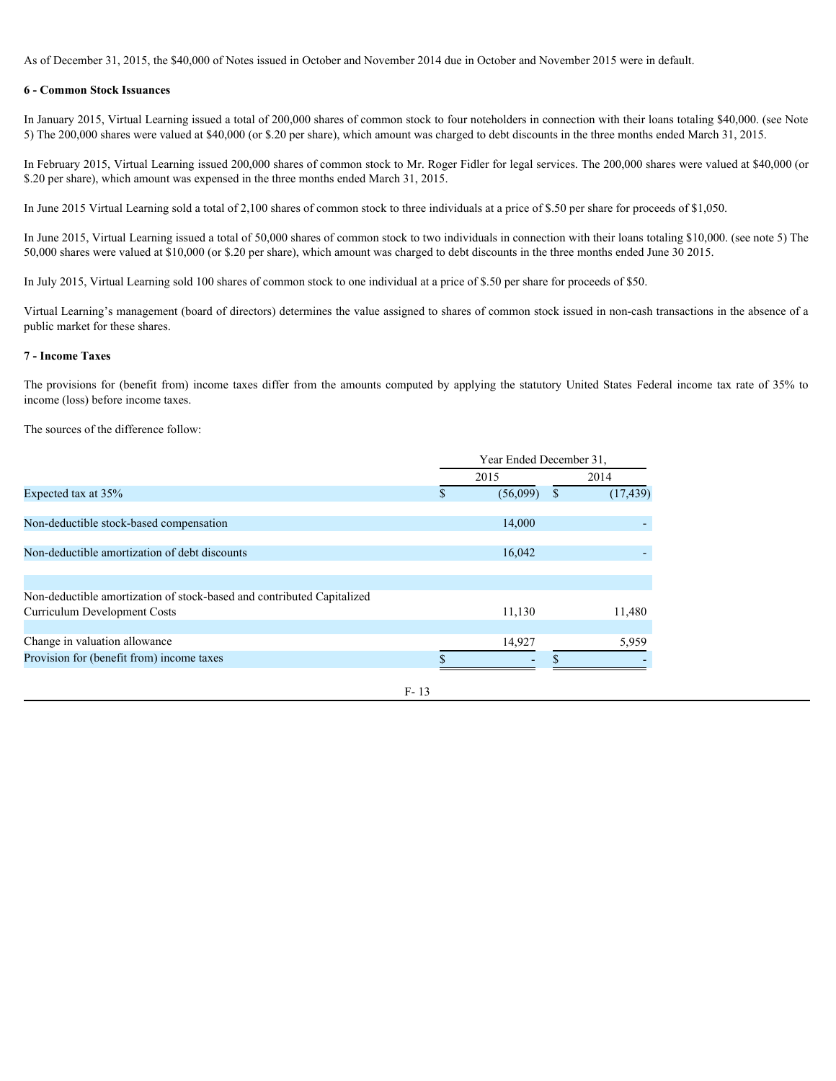## **6 - Common Stock Issuances**

## **7 - Income Taxes**

| As of December 31, 2015, the \$40,000 of Notes issued in October and November 2014 due in October and November 2015 were in default.                                                                                                                                                                                           |              |                                 |               |           |  |  |
|--------------------------------------------------------------------------------------------------------------------------------------------------------------------------------------------------------------------------------------------------------------------------------------------------------------------------------|--------------|---------------------------------|---------------|-----------|--|--|
| 6 - Common Stock Issuances                                                                                                                                                                                                                                                                                                     |              |                                 |               |           |  |  |
| In January 2015, Virtual Learning issued a total of 200,000 shares of common stock to four noteholders in connection with their loans totaling \$40,000. (see Note<br>5) The 200,000 shares were valued at \$40,000 (or \$.20 per share), which amount was charged to debt discounts in the three months ended March 31, 2015. |              |                                 |               |           |  |  |
| In February 2015, Virtual Learning issued 200,000 shares of common stock to Mr. Roger Fidler for legal services. The 200,000 shares were valued at \$40,000 (or<br>\$.20 per share), which amount was expensed in the three months ended March 31, 2015.                                                                       |              |                                 |               |           |  |  |
| In June 2015 Virtual Learning sold a total of 2,100 shares of common stock to three individuals at a price of \$.50 per share for proceeds of \$1,050.                                                                                                                                                                         |              |                                 |               |           |  |  |
| In June 2015, Virtual Learning issued a total of 50,000 shares of common stock to two individuals in connection with their loans totaling \$10,000. (see note 5) The<br>50,000 shares were valued at \$10,000 (or \$.20 per share), which amount was charged to debt discounts in the three months ended June 30 2015.         |              |                                 |               |           |  |  |
| In July 2015, Virtual Learning sold 100 shares of common stock to one individual at a price of \$.50 per share for proceeds of \$50.                                                                                                                                                                                           |              |                                 |               |           |  |  |
| Virtual Learning's management (board of directors) determines the value assigned to shares of common stock issued in non-cash transactions in the absence of a<br>public market for these shares.                                                                                                                              |              |                                 |               |           |  |  |
| 7 - Income Taxes                                                                                                                                                                                                                                                                                                               |              |                                 |               |           |  |  |
| The provisions for (benefit from) income taxes differ from the amounts computed by applying the statutory United States Federal income tax rate of 35% to<br>income (loss) before income taxes.                                                                                                                                |              |                                 |               |           |  |  |
| The sources of the difference follow:                                                                                                                                                                                                                                                                                          |              |                                 |               |           |  |  |
|                                                                                                                                                                                                                                                                                                                                |              | Year Ended December 31,<br>2015 |               | 2014      |  |  |
| Expected tax at 35%                                                                                                                                                                                                                                                                                                            | $\mathbf{s}$ | (56,099)                        | - \$          | (17, 439) |  |  |
| Non-deductible stock-based compensation                                                                                                                                                                                                                                                                                        |              | 14,000                          |               |           |  |  |
| Non-deductible amortization of debt discounts                                                                                                                                                                                                                                                                                  |              | 16,042                          |               | $\sim$    |  |  |
| Non-deductible amortization of stock-based and contributed Capitalized<br>Curriculum Development Costs                                                                                                                                                                                                                         |              | 11,130                          |               | 11,480    |  |  |
| Change in valuation allowance                                                                                                                                                                                                                                                                                                  |              | 14,927                          |               | 5,959     |  |  |
| Provision for (benefit from) income taxes                                                                                                                                                                                                                                                                                      |              | $\sim$                          | $\mathcal{S}$ |           |  |  |
|                                                                                                                                                                                                                                                                                                                                | $F - 13$     |                                 |               |           |  |  |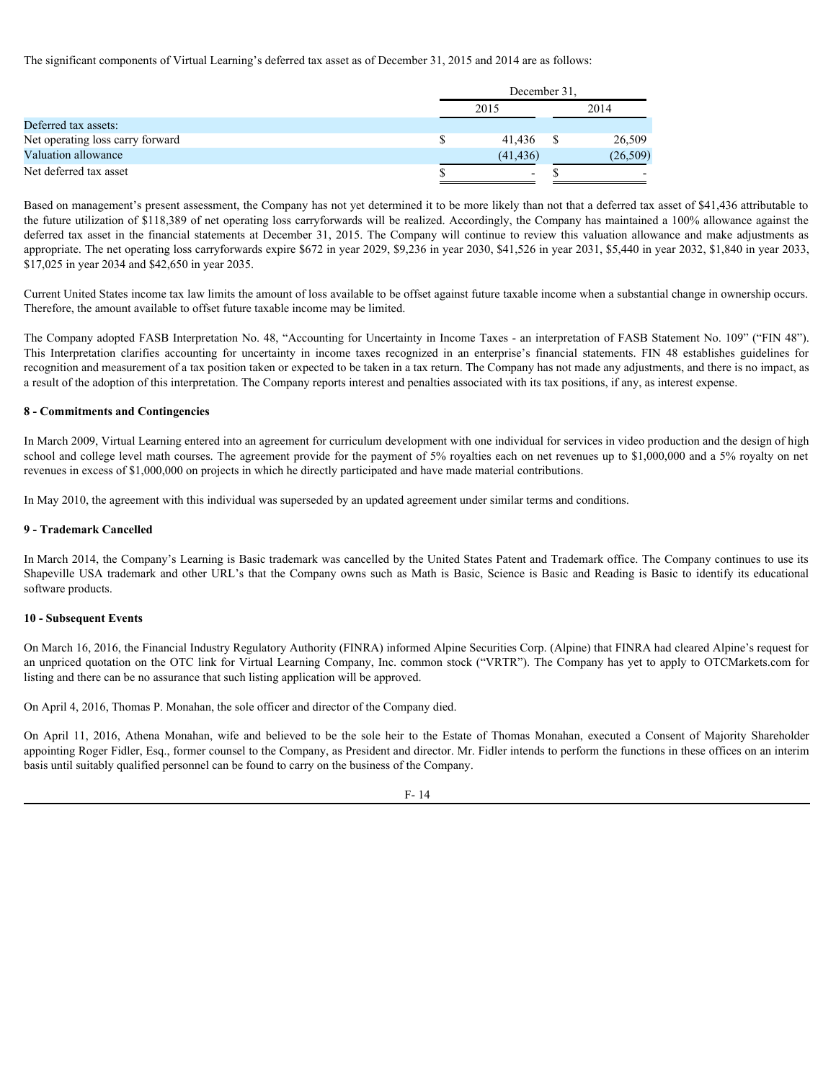| The significant components of Virtual Learning's deferred tax asset as of December 31, 2015 and 2014 are as follows:                                                                                                                                                                                                                                                                                                                                                                                                                                                                                                                                                                                                         |    |              |               |           |
|------------------------------------------------------------------------------------------------------------------------------------------------------------------------------------------------------------------------------------------------------------------------------------------------------------------------------------------------------------------------------------------------------------------------------------------------------------------------------------------------------------------------------------------------------------------------------------------------------------------------------------------------------------------------------------------------------------------------------|----|--------------|---------------|-----------|
|                                                                                                                                                                                                                                                                                                                                                                                                                                                                                                                                                                                                                                                                                                                              |    | December 31. |               |           |
|                                                                                                                                                                                                                                                                                                                                                                                                                                                                                                                                                                                                                                                                                                                              |    | 2015         | 2014          |           |
| Deferred tax assets:                                                                                                                                                                                                                                                                                                                                                                                                                                                                                                                                                                                                                                                                                                         |    |              |               |           |
| Net operating loss carry forward                                                                                                                                                                                                                                                                                                                                                                                                                                                                                                                                                                                                                                                                                             | S. | $41.436$ \$  |               | 26.509    |
| Valuation allowance                                                                                                                                                                                                                                                                                                                                                                                                                                                                                                                                                                                                                                                                                                          |    | (41, 436)    |               | (26, 509) |
| Net deferred tax asset                                                                                                                                                                                                                                                                                                                                                                                                                                                                                                                                                                                                                                                                                                       |    | $\sim$       | $\mathcal{S}$ |           |
| Based on management's present assessment, the Company has not yet determined it to be more likely than not that a deferred tax asset of \$41,436 attributable to<br>the future utilization of \$118,389 of net operating loss carryforwards will be realized. Accordingly, the Company has maintained a 100% allowance against the<br>deferred tax asset in the financial statements at December 31, 2015. The Company will continue to review this valuation allowance and make adjustments as<br>appropriate. The net operating loss carryforwards expire \$672 in year 2029, \$9,236 in year 2030, \$41,526 in year 2031, \$5,440 in year 2032, \$1,840 in year 2033,<br>\$17,025 in year 2034 and \$42,650 in year 2035. |    |              |               |           |
| Current United States income tax law limits the amount of loss available to be offset against future taxable income when a substantial change in ownership occurs.<br>Therefore, the amount available to offset future taxable income may be limited.                                                                                                                                                                                                                                                                                                                                                                                                                                                                        |    |              |               |           |
| The Company adopted FASB Interpretation No. 48, "Accounting for Uncertainty in Income Taxes - an interpretation of FASB Statement No. 109" ("FIN 48").<br>This Interpretation clarifies accounting for uncertainty in income taxes recognized in an enterprise's financial statements. FIN 48 establishes guidelines for<br>recognition and measurement of a tax position taken or expected to be taken in a tax return. The Company has not made any adjustments, and there is no impact, as<br>a result of the adoption of this interpretation. The Company reports interest and penalties associated with its tax positions, if any, as interest expense.                                                                 |    |              |               |           |
|                                                                                                                                                                                                                                                                                                                                                                                                                                                                                                                                                                                                                                                                                                                              |    |              |               |           |
| 8 - Commitments and Contingencies                                                                                                                                                                                                                                                                                                                                                                                                                                                                                                                                                                                                                                                                                            |    |              |               |           |

Based on management's present assessment, the Company has not yet determined it to be more likely than not that a deferred tax asset of \$41,436 attributable to the future utilization of \$118,389 of net operating loss carryforwards will be realized. Accordingly, the Company has maintained a 100% allowance against the appropriate. The net operating loss carryforwards expire \$672 in year 2029, \$9,236 in year 2030, \$41,526 in year 2031, \$5,440 in year 2032, \$1,840 in year 2033, \$17,025 in year 2034 and \$42,650 in year 2035. Detections assets:<br>
Neuroleon stradement in proceed and the Company has any yet determined by the LAL-SO<br>
Neuroleon and assets that the Company has any yet determined by the American Shape Company has manufactured in Shap

The Company adopted FASB Interpretation No. 48, "Accounting for Uncertainty in Income Taxes - an interpretation of FASB Statement No. 109" ("FIN 48"). recognition and measurement of a tax position taken or expected to be taken in a tax return. The Company has not made any adjustments, and there is no impact, as a result of the adoption of this interpretation. The Company reports interest and penalties associated with its tax positions, if any, as interest expense. Current Units Nate is carrier in law Units the armor of the systemble burst the tother inputs the methods in the consent of the sole and the consent of FASB Sturment Vs. 107 ("FPN 48").<br>The Company adopted FASB Interpretat

## **8 - Commitments and Contingencies**

In March 2009, Virtual Learning entered into an agreement for curriculum development with one individual for services in video production and the design of high school and college level math courses. The agreement provide for the payment of 5% royalties each on net revenues up to \$1,000,000 and a 5% royalty on net revenues in excess of \$1,000,000 on projects in which he directly participated and have made material contributions.

In May 2010, the agreement with this individual was superseded by an updated agreement under similar terms and conditions.

## **9 - Trademark Cancelled**

In March 2014, the Company's Learning is Basic trademark was cancelled by the United States Patent and Trademark office. The Company continues to use its software products.

## **10 - Subsequent Events**

On March 16, 2016, the Financial Industry Regulatory Authority (FINRA) informed Alpine Securities Corp. (Alpine) that FINRA had cleared Alpine's request for an unpriced quotation on the OTC link for Virtual Learning Company, Inc. common stock ("VRTR"). The Company has yet to apply to OTCMarkets.com for listing and there can be no assurance that such listing application will be approved.

On April 4, 2016, Thomas P. Monahan, the sole officer and director of the Company died.

appointing Roger Fidler, Esq., former counsel to the Company, as President and director. Mr. Fidler intends to perform the functions in these offices on an interim basis until suitably qualified personnel can be found to carry on the business of the Company.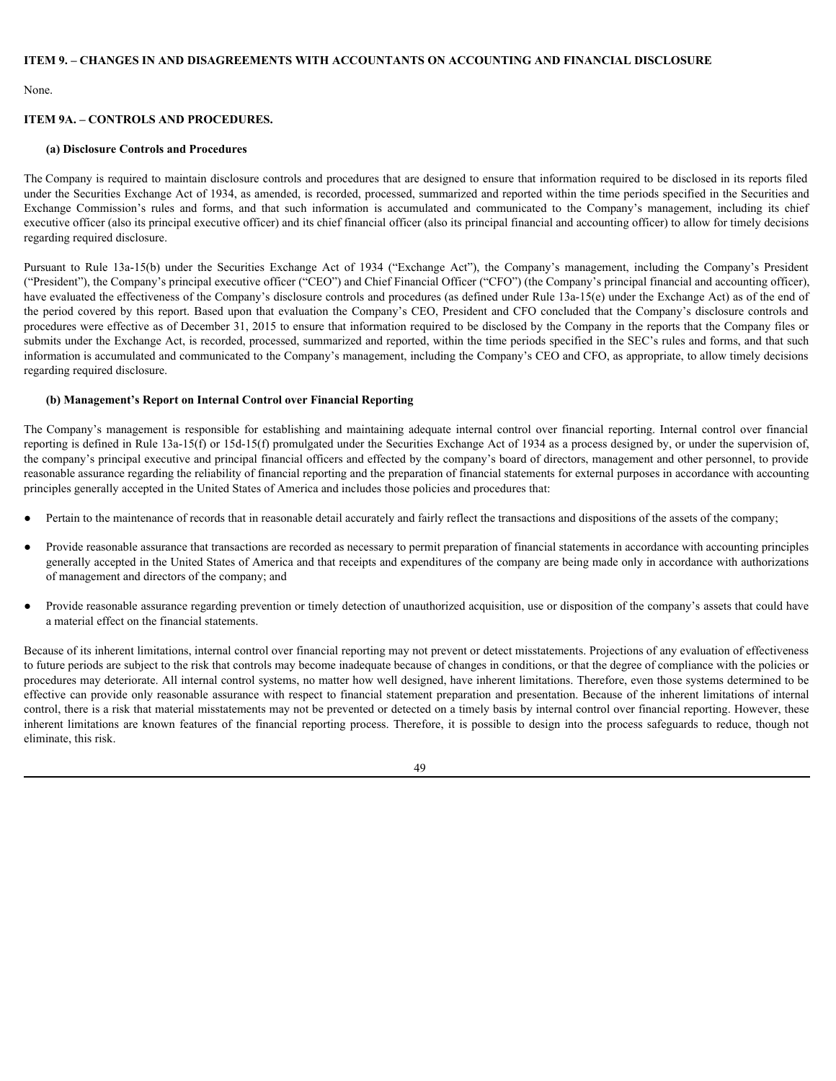## **ITEM 9. – CHANGES IN AND DISAGREEMENTS WITH ACCOUNTANTS ON ACCOUNTING AND FINANCIAL DISCLOSURE**

None.

# **ITEM 9A. – CONTROLS AND PROCEDURES.**

## **(a) Disclosure Controls and Procedures**

The Company is required to maintain disclosure controls and procedures that are designed to ensure that information required to be disclosed in its reports filed under the Securities Exchange Act of 1934, as amended, is recorded, processed, summarized and reported within the time periods specified in the Securities and TEM 9. – CHANGES IN AND DISAGREEMENTS WITH ACCOUNTANTS ON ACCOUNTING AND FINANCIAL DISCLOSURE<br>None.<br>THEM 9A. – CONTROLS AND PROCEDURES.<br>
(a) Disclosure Controls and Procedures<br>
The Company is required to maintain disclosur executive officer (also its principal executive officer) and its chief financial officer (also its principal financial and accounting officer) to allow for timely decisions regarding required disclosure.

ITEM 9. – CHANGES IN AND DISAGREEMENTS WITH ACCOUNTANTS ON ACCOUNTING AND FINANCIAL DISCLOSURE<br>
None.<br>
None.<br>
None.<br>
(a) Disclosure Controls and Procedures<br>
(b) Disclosure Controls and procedures<br>
individued the Securities ("President"), the Company's principal executive officer ("CEO") and Chief Financial Officer ("CFO") (the Company's principal financial and accounting officer), have evaluated the effectiveness of the Company's disclosure controls and procedures (as defined under Rule 13a-15(e) under the Exchange Act) as of the end of the period covered by this report. Based upon that evaluation the Company's CEO, President and CFO concluded that the Company's disclosure controls and procedures were effective as of December 31, 2015 to ensure that information required to be disclosed by the Company in the reports that the Company files or submits under the Exchange Act, is recorded, processed, summarized and reported, within the time periods specified in the SEC's rules and forms, and that such information is accumulated and communicated to the Company's management, including the Company's CEO and CFO, as appropriate, to allow timely decisions regarding required disclosure. TITAM N - CHANGES IN AND DISAGRICABIENTS WITH ACCOUNTANTS ON ACCOUNTING AND PINANCIAL DISCLASSURE<br>
(so)<br>
YETM 9A, - CONTROLS AND PROCEDURES.<br>
The Company's required to mainting disclear controls and procedures that are di TPstilled? (As Congany spinalplace constructed) are constructed of Financial Office (TCO) inc. Congany is pixolal provide to the financial produces of the financial method into the Congany into the produces of the financi

## **(b) Management's Report on Internal Control over Financial Reporting**

reporting is defined in Rule 13a-15(f) or 15d-15(f) promulgated under the Securities Exchange Act of 1934 as a process designed by, or under the supervision of, the company's principal executive and principal financial officers and effected by the company's board of directors, management and other personnel, to provide reasonable assurance regarding the reliability of financial reporting and the preparation of financial statements for external purposes in accordance with accounting principles generally accepted in the United States of America and includes those policies and procedures that:

- Pertain to the maintenance of records that in reasonable detail accurately and fairly reflect the transactions and dispositions of the assets of the company;
- Provide reasonable assurance that transactions are recorded as necessary to permit preparation of financial statements in accordance with accounting principles generally accepted in the United States of America and that receipts and expenditures of the company are being made only in accordance with authorizations of management and directors of the company; and
- Provide reasonable assurance regarding prevention or timely detection of unauthorized acquisition, use or disposition of the company's assets that could have a material effect on the financial statements.

Because of its inherent limitations, internal control over financial reporting may not prevent or detect misstatements. Projections of any evaluation of effectiveness to future periods are subject to the risk that controls may become inadequate because of changes in conditions, or that the degree of compliance with the policies or procedures may deteriorate. All internal control systems, no matter how well designed, have inherent limitations. Therefore, even those systems determined to be effective can provide only reasonable assurance with respect to financial statement preparation and presentation. Because of the inherent limitations of internal control, there is a risk that material misstatements may not be prevented or detected on a timely basis by internal control over financial reporting. However, these eliminate, this risk.

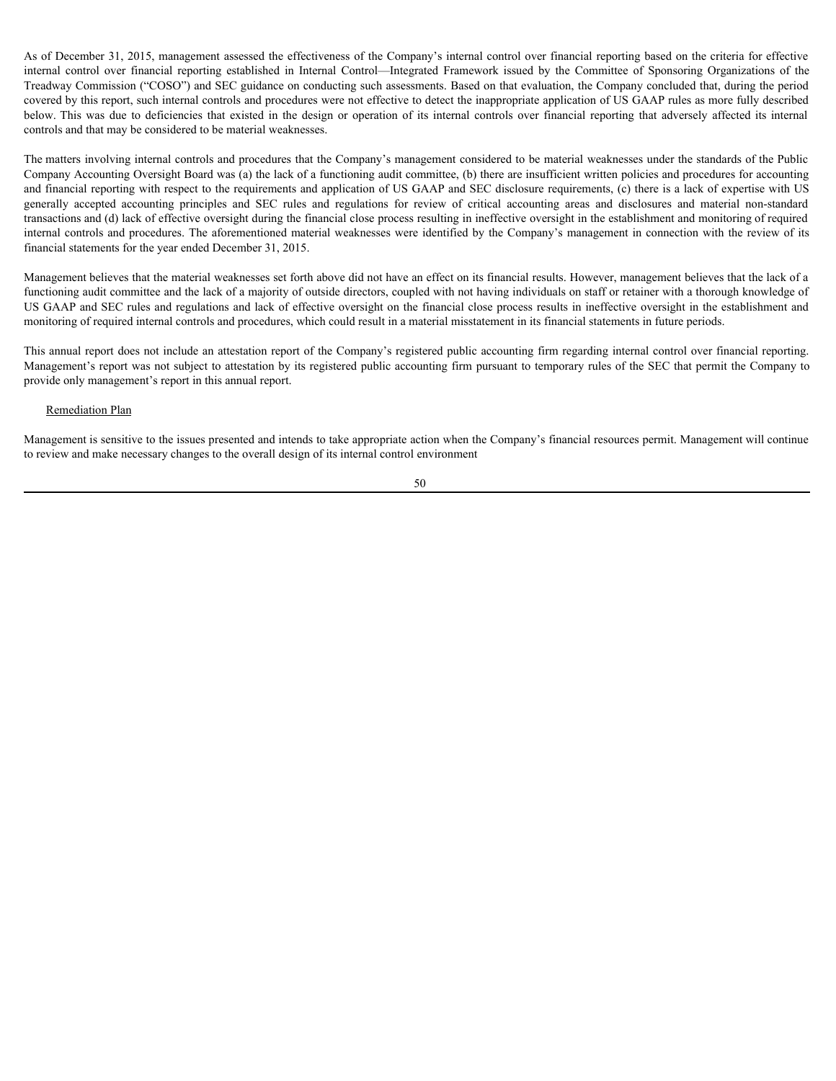As of December 31, 2015, management assessed the effectiveness of the Company's internal control over financial reporting based on the criteria for effective As of December 31, 2015, management assessed the effectiveness of the Company's internal control over financial reporting based on the criteria for effective internal control—Integrated Framework issued by the Committee of Treadway Commission ("COSO") and SEC guidance on conducting such assessments. Based on that evaluation, the Company concluded that, during the period covered by this report, such internal controls and procedures were not effective to detect the inappropriate application of US GAAP rules as more fully described As of December 31, 2015, management assessed the effectiveness of the Company's internal control over financial reporting based on the criteria for effective<br>internal control over financial reporting established in Interna controls and that may be considered to be material weaknesses.

The matters involving internal controls and procedures that the Company's management considered to be material weaknesses under the standards of the Public Company Accounting Oversight Board was (a) the lack of a functioning audit committee, (b) there are insufficient written policies and procedures for accounting and financial reporting with respect to the requirements and application of US GAAP and SEC disclosure requirements, (c) there is a lack of expertise with US As of December 31, 2015, management assessed the effectiveness of the Company's internal control over financial reporting based on the criteria for effective internal control over financial reporting based on the criteria transactions and (d) lack of effective oversight during the financial close process resulting in ineffective oversight in the establishment and monitoring of required internal controls and procedures. The aforementioned material weaknesses were identified by the Company's management in connection with the review of its financial statements for the year ended December 31, 2015.

Management believes that the material weaknesses set forth above did not have an effect on its financial results. However, management believes that the lack of a functioning audit committee and the lack of a majority of outside directors, coupled with not having individuals on staff or retainer with a thorough knowledge of US GAAP and SEC rules and regulations and lack of effective oversight on the financial close process results in ineffective oversight in the establishment and monitoring of required internal controls and procedures, which could result in a material misstatement in its financial statements in future periods.

This annual report does not include an attestation report of the Company's registered public accounting firm regarding internal control over financial reporting. Management's report was not subject to attestation by its registered public accounting firm pursuant to temporary rules of the SEC that permit the Company to provide only management's report in this annual report.

#### Remediation Plan

Management is sensitive to the issues presented and intends to take appropriate action when the Company's financial resources permit. Management will continue to review and make necessary changes to the overall design of its internal control environment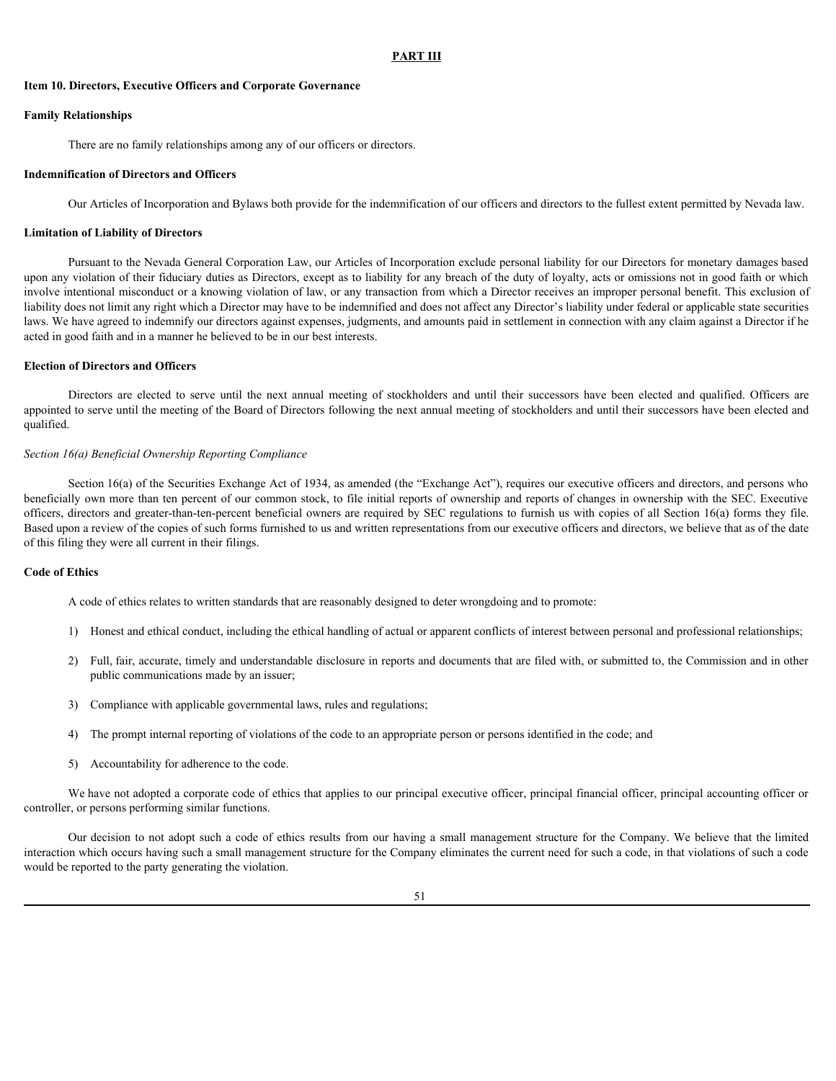#### **Item 10. Directors, Executive Officers and Corporate Governance**

#### **Family Relationships**

There are no family relationships among any of our officers or directors.

#### **Indemnification of Directors and Officers**

Our Articles of Incorporation and Bylaws both provide for the indemnification of our officers and directors to the fullest extent permitted by Nevada law.

#### **Limitation of Liability of Directors**

Pursuant to the Nevada General Corporation Law, our Articles of Incorporation exclude personal liability for our Directors for monetary damages based upon any violation of their fiduciary duties as Directors, except as to liability for any breach of the duty of loyalty, acts or omissions not in good faith or which involve intentional misconduct or a knowing violation of law, or any transaction from which a Director receives an improper personal benefit. This exclusion of liability does not limit any right which a Director may have to be indemnified and does not affect any Director's liability under federal or applicable state securities laws. We have agreed to indemnify our directors against expenses, judgments, and amounts paid in settlement in connection with any claim against a Director if he acted in good faith and in a manner he believed to be in our best interests. **EART III**<br> **Electionships**<br> **Elections of Directors and Officers**<br> **Elections of Directors and Officers**<br> **Elections of Directors and Officers**<br> **Our Articles of Resolution and Bylaws both provide for the indemnification** 

#### **Election of Directors and Officers**

appointed to serve until the meeting of the Board of Directors following the next annual meeting of stockholders and until their successors have been elected and qualified.

#### *Section 16(a) Beneficial Ownership Reporting Compliance*

Section 16(a) of the Securities Exchange Act of 1934, as amended (the "Exchange Act"), requires our executive officers and directors, and persons who beneficially own more than ten percent of our common stock, to file initial reports of ownership and reports of changes in ownership with the SEC. Executive officers, directors and greater-than-ten-percent beneficial owners are required by SEC regulations to furnish us with copies of all Section 16(a) forms they file. Based upon a review of the copies of such forms furnished to us and written representations from our executive officers and directors, we believe that as of the date of this filing they were all current in their filings.

#### **Code of Ethics**

A code of ethics relates to written standards that are reasonably designed to deter wrongdoing and to promote:

- 1) Honest and ethical conduct, including the ethical handling of actual or apparent conflicts of interest between personal and professional relationships;
- 2) Full, fair, accurate, timely and understandable disclosure in reports and documents that are filed with, or submitted to, the Commission and in other public communications made by an issuer;
- 3) Compliance with applicable governmental laws, rules and regulations;
- 4) The prompt internal reporting of violations of the code to an appropriate person or persons identified in the code; and
- 5) Accountability for adherence to the code.

We have not adopted a corporate code of ethics that applies to our principal executive officer, principal financial officer, principal accounting officer or controller, or persons performing similar functions.

Our decision to not adopt such a code of ethics results from our having a small management structure for the Company. We believe that the limited interaction which occurs having such a small management structure for the Company eliminates the current need for such a code, in that violations of such a code would be reported to the party generating the violation.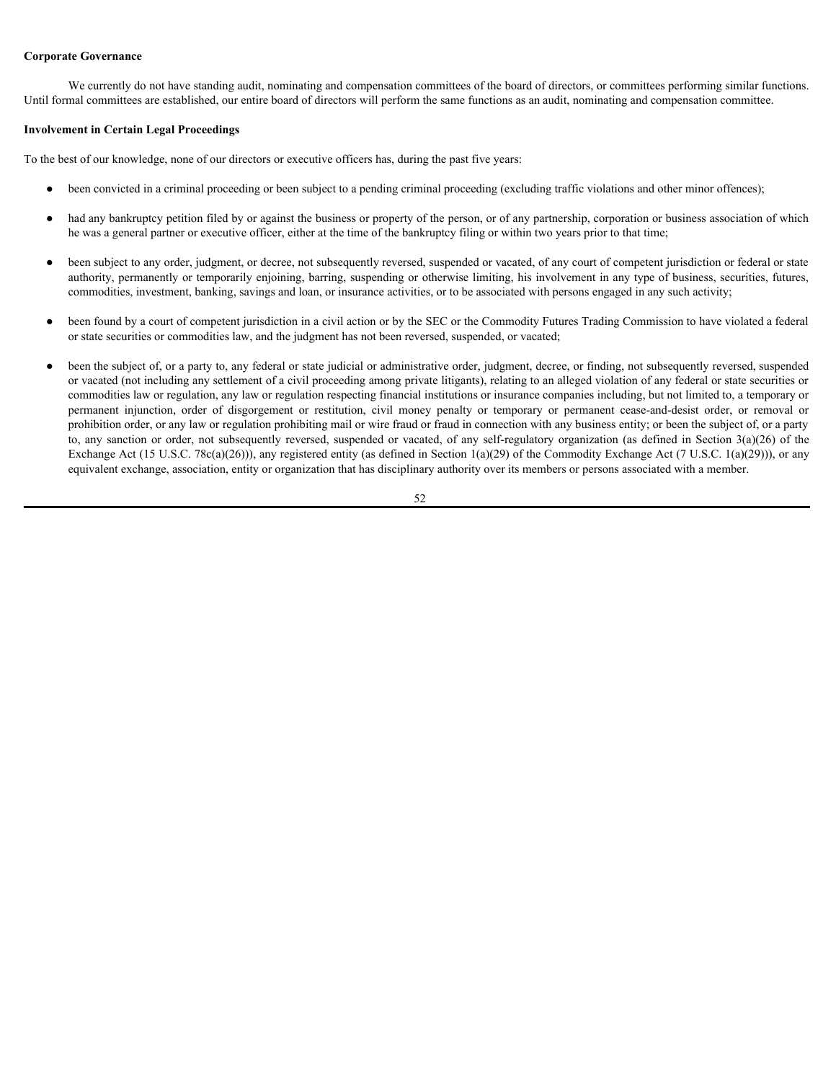#### **Corporate Governance**

We currently do not have standing audit, nominating and compensation committees of the board of directors, or committees performing similar functions. Until formal committees are established, our entire board of directors will perform the same functions as an audit, nominating and compensation committee.

#### **Involvement in Certain Legal Proceedings**

To the best of our knowledge, none of our directors or executive officers has, during the past five years:

- been convicted in a criminal proceeding or been subject to a pending criminal proceeding (excluding traffic violations and other minor offences);
- had any bankruptcy petition filed by or against the business or property of the person, or of any partnership, corporation or business association of which he was a general partner or executive officer, either at the time of the bankruptcy filing or within two years prior to that time;
- been subject to any order, judgment, or decree, not subsequently reversed, suspended or vacated, of any court of competent jurisdiction or federal or state authority, permanently or temporarily enjoining, barring, suspending or otherwise limiting, his involvement in any type of business, securities, futures, commodities, investment, banking, savings and loan, or insurance activities, or to be associated with persons engaged in any such activity;
- been found by a court of competent jurisdiction in a civil action or by the SEC or the Commodity Futures Trading Commission to have violated a federal or state securities or commodities law, and the judgment has not been reversed, suspended, or vacated;
- been the subject of, or a party to, any federal or state judicial or administrative order, judgment, decree, or finding, not subsequently reversed, suspended or vacated (not including any settlement of a civil proceeding among private litigants), relating to an alleged violation of any federal or state securities or commodities law or regulation, any law or regulation respecting financial institutions or insurance companies including, but not limited to, a temporary or **ECONDERATE CONVERTENT:**<br>We currently do red bases shadling and<br>in a currentless are estable<br>bed, our entire based of directions will perform the same functions as an addit, normitating and computes<br>the cease for the order prohibition order, or any law or regulation prohibiting mail or wire fraud or fraud in connection with any business entity; or been the subject of, or a party to Governance<br>We corrently do not know density undid, rominating and correspondent committees of the brand of density, or any metallic committees are committed in a component or committee and component or the committee and Exchange Act (15 U.S.C. 78c(a)(26))), any registered entity (as defined in Section 1(a)(29) of the Commodity Exchange Act (7 U.S.C. 1(a)(29))), or any equivalent exchange, association, entity or organization that has disciplinary authority over its members or persons associated with a member.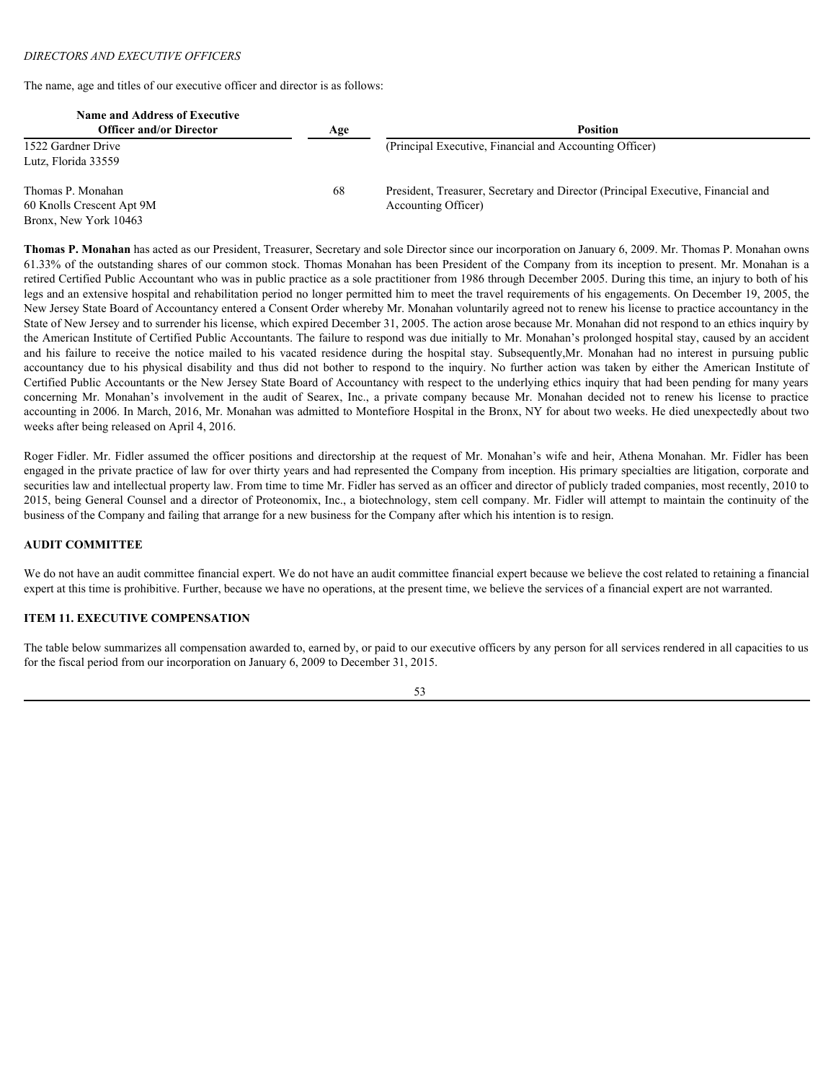#### *DIRECTORS AND EXECUTIVE OFFICERS*

The name, age and titles of our executive officer and director is as follows:

| <b>Name and Address of Executive</b> |     |                                                                                  |  |  |  |  |  |
|--------------------------------------|-----|----------------------------------------------------------------------------------|--|--|--|--|--|
| <b>Officer and/or Director</b>       | Age | Position                                                                         |  |  |  |  |  |
| 1522 Gardner Drive                   |     | (Principal Executive, Financial and Accounting Officer)                          |  |  |  |  |  |
| Lutz, Florida 33559                  |     |                                                                                  |  |  |  |  |  |
| Thomas P. Monahan                    | 68  | President, Treasurer, Secretary and Director (Principal Executive, Financial and |  |  |  |  |  |
| 60 Knolls Crescent Apt 9M            |     | Accounting Officer)                                                              |  |  |  |  |  |
| Bronx, New York 10463                |     |                                                                                  |  |  |  |  |  |

**Thomas P. Monahan** has acted as our President, Treasurer, Secretary and sole Director since our incorporation on January 6, 2009. Mr. Thomas P. Monahan owns 61.33% of the outstanding shares of our common stock. Thomas Monahan has been President of the Company from its inception to present. Mr. Monahan is a retired Certified Public Accountant who was in public practice as a sole practitioner from 1986 through December 2005. During this time, an injury to both of his legs and an extensive hospital and rehabilitation period no longer permitted him to meet the travel requirements of his engagements. On December 19, 2005, the New Jersey State Board of Accountancy entered a Consent Order whereby Mr. Monahan voluntarily agreed not to renew his license to practice accountancy in the State of New Jersey and to surrender his license, which expired December 31, 2005. The action arose because Mr. Monahan did not respond to an ethics inquiry by the American Institute of Certified Public Accountants. The failure to respond was due initially to Mr. Monahan's prolonged hospital stay, caused by an accident DIRECTORS AND EXECUTIFS OFFICERS<br>
The name, age and titles of our executive officer and director is as follows:<br> **Age**<br> **Age (Francipal Executive, Financial and Accounting Officer)<br>
1.522 Grading Divis Physical Executive** DIRECTORS AND EXECUTIVE OFFICERS<br>
The name, and address of Executive<br> **Age**<br> **Christian Executive, Financial and Accounting Offices**<br> **Christian Action**<br> **Christian Christian Action**<br> **Christian Christian Action**<br> **Christi** Certified Public Accountants or the New Jersey State Board of Accountancy with respect to the underlying ethics inquiry that had been pending for many years DIRECTORS AND EXECUTIFE OFFICERS<br> **Nome and Adders of Executive of ficer and director's as follows:**<br> **Nome and Material Officers**<br> **Concerning Officers**<br> **Concerning Concerning Area in Accounting Officers**<br> **Concerning C** accounting in 2006. In March, 2016, Mr. Monahan was admitted to Montefiore Hospital in the Bronx, NY for about two weeks. He died unexpectedly about two weeks after being released on April 4, 2016. DRECTORS AND EXECUTITE OFFICERS<br>
The name and Address of Leacustive officer and director is as follows:<br>
Name and Address of Leacustive Context of The other and directors<br>
1522 Context points are also than the security of

engaged in the private practice of law for over thirty years and had represented the Company from inception. His primary specialties are litigation, corporate and securities law and intellectual property law. From time to time Mr. Fidler has served as an officer and director of publicly traded companies, most recently, 2010 to 2015, being General Counsel and a director of Proteonomix, Inc., a biotechnology, stem cell company. Mr. Fidler will attempt to maintain the continuity of the business of the Company and failing that arrange for a new business for the Company after which his intention is to resign.

# **AUDIT COMMITTEE**

We do not have an audit committee financial expert. We do not have an audit committee financial expert because we believe the cost related to retaining a financial expert at this time is prohibitive. Further, because we have no operations, at the present time, we believe the services of a financial expert are not warranted.

## **ITEM 11. EXECUTIVE COMPENSATION**

The table below summarizes all compensation awarded to, earned by, or paid to our executive officers by any person for all services rendered in all capacities to us for the fiscal period from our incorporation on January 6, 2009 to December 31, 2015.

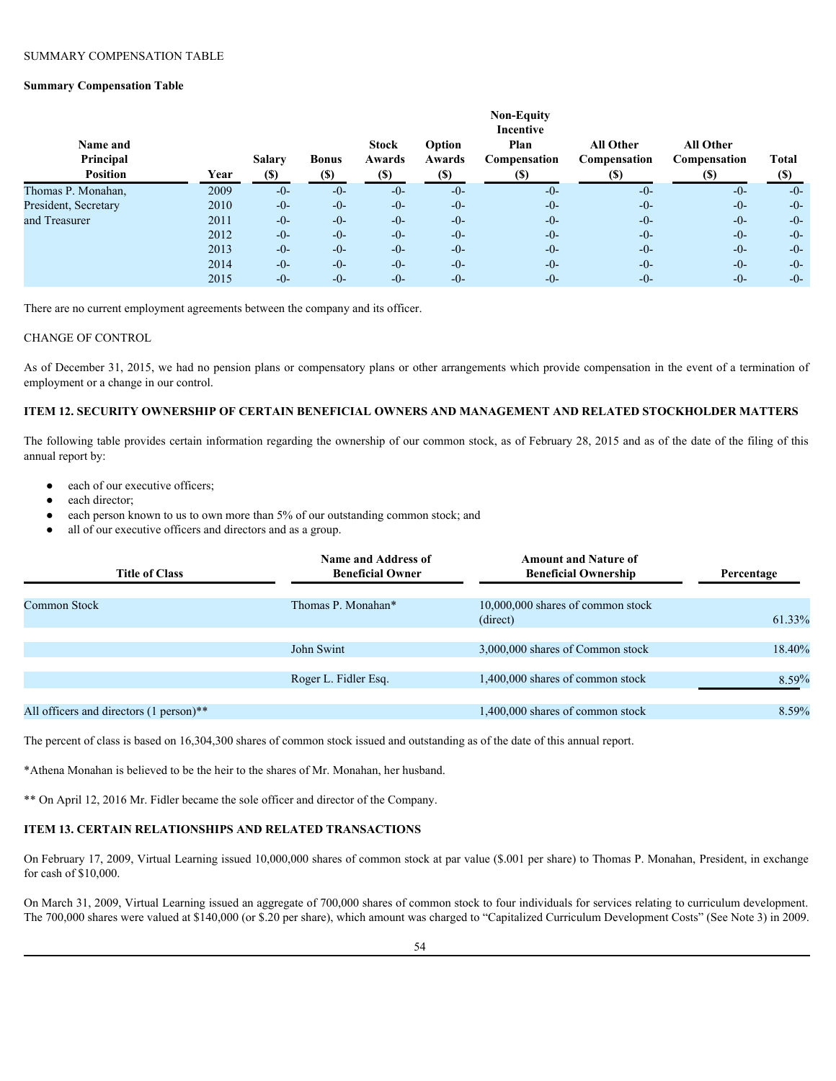## **Summary Compensation Table**

|                                   |      |                         |                        |                                                      |                            | <b>Non-Equity</b>                         |                                         |                                                |                      |
|-----------------------------------|------|-------------------------|------------------------|------------------------------------------------------|----------------------------|-------------------------------------------|-----------------------------------------|------------------------------------------------|----------------------|
| Name and<br>Principal<br>Position | Year | <b>Salary</b><br>$(\$)$ | <b>Bonus</b><br>$(\$)$ | <b>Stock</b><br>Awards<br>$\left( \mathbb{S}\right)$ | Option<br>Awards<br>$(\$)$ | Incentive<br>Plan<br>Compensation<br>(\$) | <b>All Other</b><br>Compensation<br>(S) | <b>All Other</b><br>Compensation<br><b>(S)</b> | Total<br><b>(\$)</b> |
| Thomas P. Monahan,                | 2009 | $-0-$                   | $-0-$                  | $-0-$                                                | $-0-$                      | $-0-$                                     | $-0-$                                   | $-0-$                                          | $-0-$                |
| President, Secretary              | 2010 | $-0-$                   | $-0-$                  | $-0-$                                                | $-0-$                      | $-0-$                                     | $-0-$                                   | $-0-$                                          | $-0-$                |
| and Treasurer                     | 2011 | $-0-$                   | $-0-$                  | $-0-$                                                | $-0-$                      | $-0-$                                     | $-0-$                                   | $-0-$                                          | $-0-$                |
|                                   | 2012 | $-0-$                   | $-0-$                  | $-0-$                                                | $-0-$                      | $-0-$                                     | $-0-$                                   | $-0-$                                          | $-0-$                |
|                                   | 2013 | $-0-$                   | $-0-$                  | $-0-$                                                | $-0-$                      | $-0-$                                     | $-0-$                                   | $-0-$                                          | $-0-$                |
|                                   | 2014 | $-0-$                   | $-0-$                  | $-0-$                                                | $-0-$                      | $-0-$                                     | $-0-$                                   | $-0-$                                          | $-0-$                |
|                                   | 2015 | $-0-$                   | $-0-$                  | $-0-$                                                | $-0-$                      | $-0-$                                     | $-0-$                                   | $-0-$                                          | $-0-$                |

There are no current employment agreements between the company and its officer.

## CHANGE OF CONTROL

As of December 31, 2015, we had no pension plans or compensatory plans or other arrangements which provide compensation in the event of a termination of employment or a change in our control.

## **ITEM 12. SECURITY OWNERSHIP OF CERTAIN BENEFICIAL OWNERS AND MANAGEMENT AND RELATED STOCKHOLDER MATTERS**

The following table provides certain information regarding the ownership of our common stock, as of February 28, 2015 and as of the date of the filing of this annual report by:

- each of our executive officers;
- each director;
- each person known to us to own more than 5% of our outstanding common stock; and
- all of our executive officers and directors and as a group.

| <b>Title of Class</b>                   | <b>Name and Address of</b><br><b>Beneficial Owner</b> | <b>Amount and Nature of</b><br><b>Beneficial Ownership</b> | Percentage |
|-----------------------------------------|-------------------------------------------------------|------------------------------------------------------------|------------|
| Common Stock                            | Thomas P. Monahan*                                    | 10,000,000 shares of common stock<br>(direct)              | 61.33%     |
|                                         |                                                       |                                                            |            |
|                                         | John Swint                                            | 3,000,000 shares of Common stock                           | 18.40%     |
|                                         |                                                       |                                                            |            |
|                                         | Roger L. Fidler Esq.                                  | 1,400,000 shares of common stock                           | 8.59%      |
|                                         |                                                       |                                                            |            |
| All officers and directors (1 person)** |                                                       | 1,400,000 shares of common stock                           | 8.59%      |
|                                         |                                                       |                                                            |            |

The percent of class is based on 16,304,300 shares of common stock issued and outstanding as of the date of this annual report.

\*Athena Monahan is believed to be the heir to the shares of Mr. Monahan, her husband.

\*\* On April 12, 2016 Mr. Fidler became the sole officer and director of the Company.

## **ITEM 13. CERTAIN RELATIONSHIPS AND RELATED TRANSACTIONS**

On February 17, 2009, Virtual Learning issued 10,000,000 shares of common stock at par value (\$.001 per share) to Thomas P. Monahan, President, in exchange for cash of \$10,000.

On March 31, 2009, Virtual Learning issued an aggregate of 700,000 shares of common stock to four individuals for services relating to curriculum development. The 700,000 shares were valued at \$140,000 (or \$.20 per share), which amount was charged to "Capitalized Curriculum Development Costs" (See Note 3) in 2009.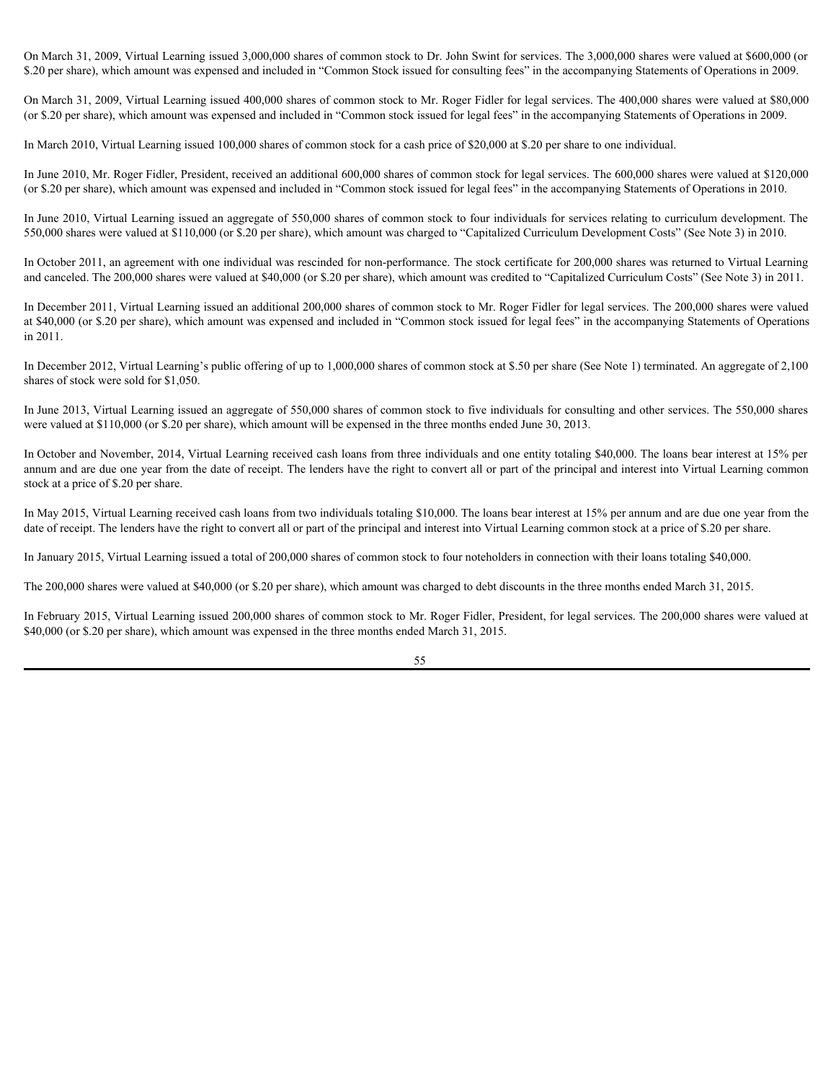On March 31, 2009, Virtual Learning issued 3,000,000 shares of common stock to Dr. John Swint for services. The 3,000,000 shares were valued at \$600,000 (or \$.20 per share), which amount was expensed and included in "Common Stock issued for consulting fees" in the accompanying Statements of Operations in 2009.

On March 31, 2009, Virtual Learning issued 400,000 shares of common stock to Mr. Roger Fidler for legal services. The 400,000 shares were valued at \$80,000 (or \$.20 per share), which amount was expensed and included in "Common stock issued for legal fees" in the accompanying Statements of Operations in 2009.

In March 2010, Virtual Learning issued 100,000 shares of common stock for a cash price of \$20,000 at \$.20 per share to one individual.

In June 2010, Mr. Roger Fidler, President, received an additional 600,000 shares of common stock for legal services. The 600,000 shares were valued at \$120,000 (or \$.20 per share), which amount was expensed and included in "Common stock issued for legal fees" in the accompanying Statements of Operations in 2010.

In June 2010, Virtual Learning issued an aggregate of 550,000 shares of common stock to four individuals for services relating to curriculum development. The 550,000 shares were valued at \$110,000 (or \$.20 per share), which amount was charged to "Capitalized Curriculum Development Costs" (See Note 3) in 2010.

In October 2011, an agreement with one individual was rescinded for non-performance. The stock certificate for 200,000 shares was returned to Virtual Learning and canceled. The 200,000 shares were valued at \$40,000 (or \$.20 per share), which amount was credited to "Capitalized Curriculum Costs" (See Note 3) in 2011.

In December 2011, Virtual Learning issued an additional 200,000 shares of common stock to Mr. Roger Fidler for legal services. The 200,000 shares were valued at \$40,000 (or \$.20 per share), which amount was expensed and included in "Common stock issued for legal fees" in the accompanying Statements of Operations in 2011.

In December 2012, Virtual Learning's public offering of up to 1,000,000 shares of common stock at \$.50 per share (See Note 1) terminated. An aggregate of 2,100 shares of stock were sold for \$1,050.

In June 2013, Virtual Learning issued an aggregate of 550,000 shares of common stock to five individuals for consulting and other services. The 550,000 shares were valued at \$110,000 (or \$.20 per share), which amount will be expensed in the three months ended June 30, 2013.

In October and November, 2014, Virtual Learning received cash loans from three individuals and one entity totaling \$40,000. The loans bear interest at 15% per annum and are due one year from the date of receipt. The lenders have the right to convert all or part of the principal and interest into Virtual Learning common stock at a price of \$.20 per share.

In May 2015, Virtual Learning received cash loans from two individuals totaling \$10,000. The loans bear interest at 15% per annum and are due one year from the date of receipt. The lenders have the right to convert all or part of the principal and interest into Virtual Learning common stock at a price of \$.20 per share.

In January 2015, Virtual Learning issued a total of 200,000 shares of common stock to four noteholders in connection with their loans totaling \$40,000.

The 200,000 shares were valued at \$40,000 (or \$.20 per share), which amount was charged to debt discounts in the three months ended March 31, 2015.

In February 2015, Virtual Learning issued 200,000 shares of common stock to Mr. Roger Fidler, President, for legal services. The 200,000 shares were valued at \$40,000 (or \$.20 per share), which amount was expensed in the three months ended March 31, 2015.

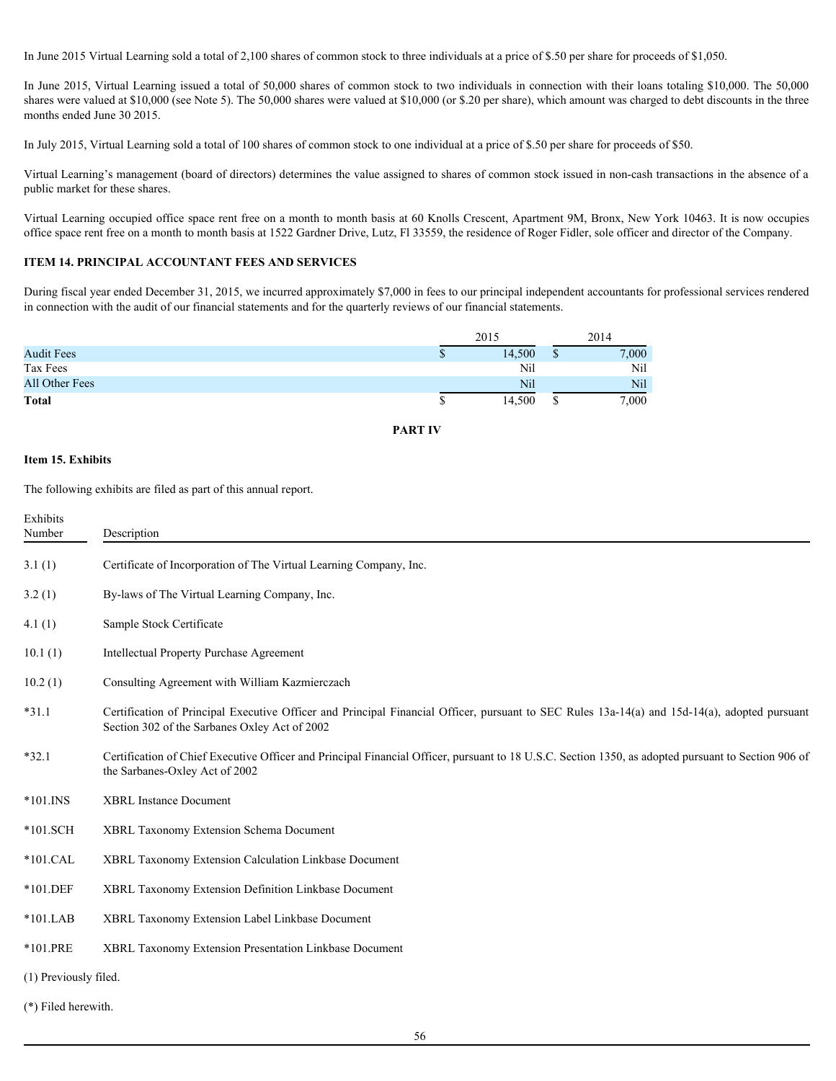In June 2015 Virtual Learning sold a total of 2,100 shares of common stock to three individuals at a price of \$.50 per share for proceeds of \$1,050.

In June 2015, Virtual Learning issued a total of 50,000 shares of common stock to two individuals in connection with their loans totaling \$10,000. The 50,000 shares were valued at \$10,000 (see Note 5). The 50,000 shares were valued at \$10,000 (or \$.20 per share), which amount was charged to debt discounts in the three months ended June 30 2015.

In July 2015, Virtual Learning sold a total of 100 shares of common stock to one individual at a price of \$.50 per share for proceeds of \$50.

Virtual Learning's management (board of directors) determines the value assigned to shares of common stock issued in non-cash transactions in the absence of a public market for these shares.

Virtual Learning occupied office space rent free on a month to month basis at 60 Knolls Crescent, Apartment 9M, Bronx, New York 10463. It is now occupies office space rent free on a month to month basis at 1522 Gardner Drive, Lutz, Fl 33559, the residence of Roger Fidler, sole officer and director of the Company.

## **ITEM 14. PRINCIPAL ACCOUNTANT FEES AND SERVICES**

During fiscal year ended December 31, 2015, we incurred approximately \$7,000 in fees to our principal independent accountants for professional services rendered in connection with the audit of our financial statements and for the quarterly reviews of our financial statements.

|                   | 2015 |        | 2014 |       |
|-------------------|------|--------|------|-------|
| <b>Audit Fees</b> |      | 14,500 | ٨D   | 7,000 |
| Tax Fees          |      | Nil    |      | Nil   |
| All Other Fees    |      | Nil    |      | Nil   |
| <b>Total</b>      |      | 14,500 | ٨D   | 7,000 |



# **Item 15. Exhibits**

Exhibits

The following exhibits are filed as part of this annual report.

| Number                | Description                                                                                                                                                                                    |
|-----------------------|------------------------------------------------------------------------------------------------------------------------------------------------------------------------------------------------|
| 3.1(1)                | Certificate of Incorporation of The Virtual Learning Company, Inc.                                                                                                                             |
| 3.2(1)                | By-laws of The Virtual Learning Company, Inc.                                                                                                                                                  |
| 4.1(1)                | Sample Stock Certificate                                                                                                                                                                       |
| 10.1(1)               | Intellectual Property Purchase Agreement                                                                                                                                                       |
| 10.2(1)               | Consulting Agreement with William Kazmierczach                                                                                                                                                 |
| $*31.1$               | Certification of Principal Executive Officer and Principal Financial Officer, pursuant to SEC Rules 13a-14(a) and 15d-14(a), adopted pursuant<br>Section 302 of the Sarbanes Oxley Act of 2002 |
| $*32.1$               | Certification of Chief Executive Officer and Principal Financial Officer, pursuant to 18 U.S.C. Section 1350, as adopted pursuant to Section 906 of<br>the Sarbanes-Oxley Act of 2002          |
| $*101$ . INS          | <b>XBRL Instance Document</b>                                                                                                                                                                  |
| $*101$ .SCH           | XBRL Taxonomy Extension Schema Document                                                                                                                                                        |
| $*101.CAL$            | XBRL Taxonomy Extension Calculation Linkbase Document                                                                                                                                          |
| $*101.$ DEF           | XBRL Taxonomy Extension Definition Linkbase Document                                                                                                                                           |
| $*101.LAB$            | XBRL Taxonomy Extension Label Linkbase Document                                                                                                                                                |
| *101.PRE              | XBRL Taxonomy Extension Presentation Linkbase Document                                                                                                                                         |
| (1) Previously filed. |                                                                                                                                                                                                |
| (*) Filed herewith.   |                                                                                                                                                                                                |
|                       |                                                                                                                                                                                                |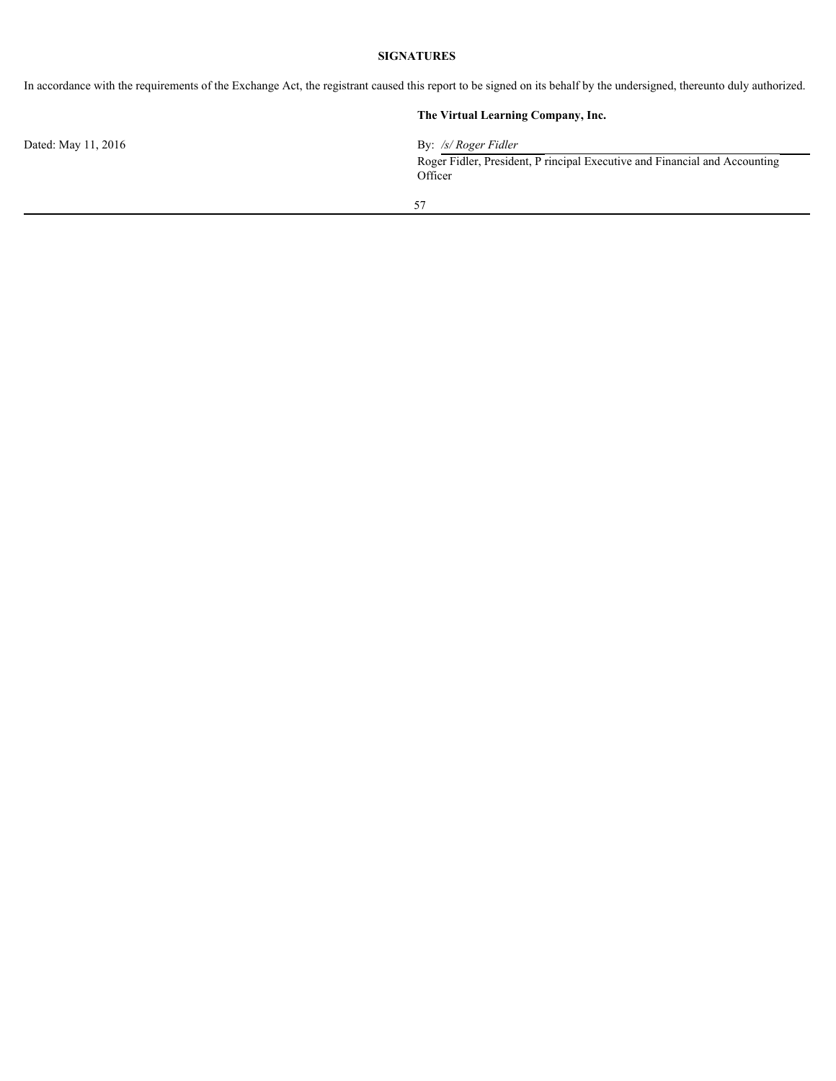# **SIGNATURES**

In accordance with the requirements of the Exchange Act, the registrant caused this report to be signed on its behalf by the undersigned, thereunto duly authorized.

# **The Virtual Learning Company, Inc.**

Dated: May 11, 2016 By: */s/ Roger Fidler* 

Roger Fidler, President, P rincipal Executive and Financial and Accounting **Officer**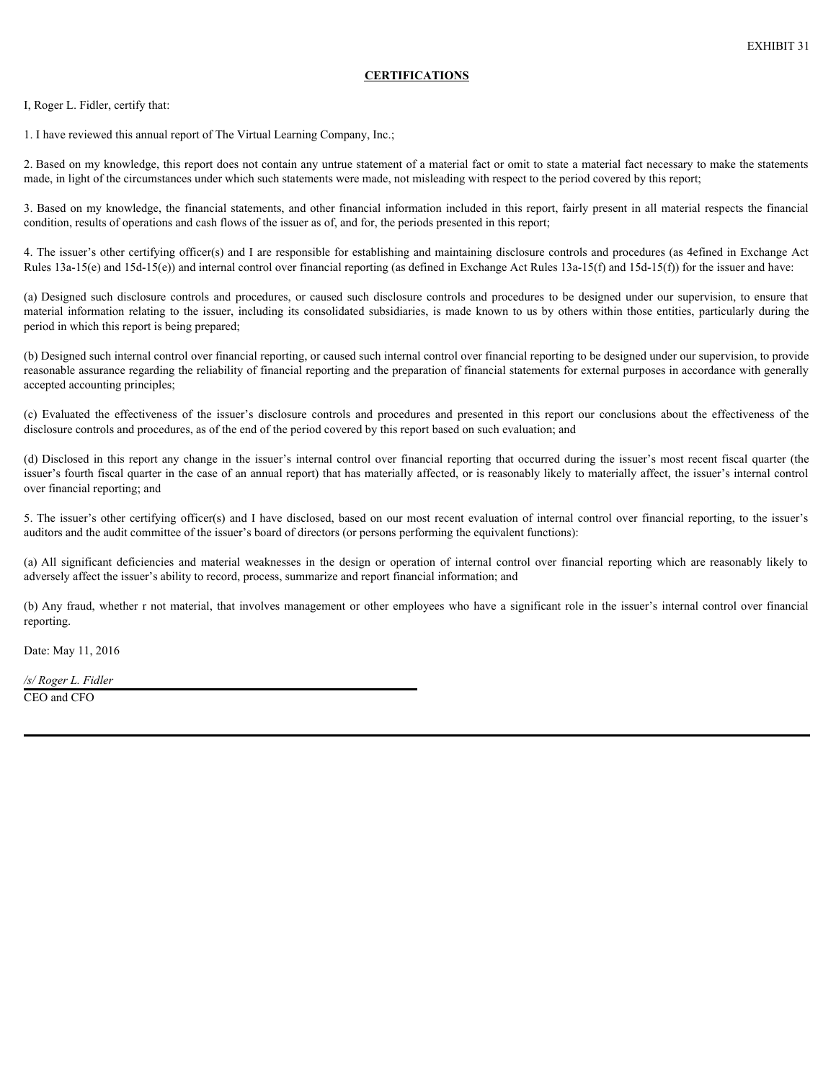## **CERTIFICATIONS**

I, Roger L. Fidler, certify that:

1. I have reviewed this annual report of The Virtual Learning Company, Inc.;

2. Based on my knowledge, this report does not contain any untrue statement of a material fact or omit to state a material fact necessary to make the statements made, in light of the circumstances under which such statements were made, not misleading with respect to the period covered by this report;

3. Based on my knowledge, the financial statements, and other financial information included in this report, fairly present in all material respects the financial condition, results of operations and cash flows of the issuer as of, and for, the periods presented in this report;

4. The issuer's other certifying officer(s) and I are responsible for establishing and maintaining disclosure controls and procedures (as 4efined in Exchange Act Rules  $13a-15(e)$  and  $15d-15(e)$ ) and internal control over financial reporting (as defined in Exchange Act Rules  $13a-15(f)$ ) and  $15d-15(f)$ ) for the issuer and have:

period in which this report is being prepared;

EXHIBIC ATIONS<br>
EXHIBIT 31<br>
1. I have reviewed this immal report of The Virtual Leurning Company, Inc.;<br>
2. Based on my knowledge, this report does not contain any unitre sistement of a material fact or remit to sute a mat **EXHIBIT 31**<br> **EXHIBIT 31**<br> **EXHIBIT 31**<br> **EXHIBIT 31**<br> **EXHIBIT 31**<br> **EXHIBIT 31**<br> **EXHIBIT 31**<br> **EXHIBIT 31**<br> **EXHIBIT 31**<br> **EXHIBIT 31**<br> **EXHIBIT 31**<br> **EXHIBIT 31**<br> **EXHIBIT 31**<br> **EXHIBIT 31**<br> **EXHIBIT 31**<br> **EXHIBIT 31** (b) Designed such internal control over financial reporting, or caused such internal control over financial reporting to be designed under our supervision, to provide reasonable assurance regarding the reliability of financial reporting and the preparation of financial statements for external purposes in accordance with generally accepted accounting principles; **CERTIFICATIONS**<br>
1 have societed this strengt of The Vribal Farming Company, Inc.,<br>
2. Hased on my knowledge, this report does not contain any unitra-statement of a material fact or emit to datie a material fact recessor I. Have reviewed this numal seperit of The Virtual Learning Company, Inc.<br>
2. Bured on ny knowledge, this report does not contain any unitare attenuated when material fact or omit to state a material for the properties wh

disclosure controls and procedures, as of the end of the period covered by this report based on such evaluation; and

(d) Disclosed in this report any change in the issuer's internal control over financial reporting that occurred during the issuer's most recent fiscal quarter (the issuer's fourth fiscal quarter in the case of an annual report) that has materially affected, or is reasonably likely to materially affect, the issuer's internal control over financial reporting; and

5. The issuer's other certifying officer(s) and I have disclosed, based on our most recent evaluation of internal control over financial reporting, to the issuer's auditors and the audit committee of the issuer's board of directors (or persons performing the equivalent functions):

adversely affect the issuer's ability to record, process, summarize and report financial information; and

(b) Any fraud, whether r not material, that involves management or other employees who have a significant role in the issuer's internal control over financial reporting.

Date: May 11, 2016

*/s/ Roger L. Fidler* CEO and CFO